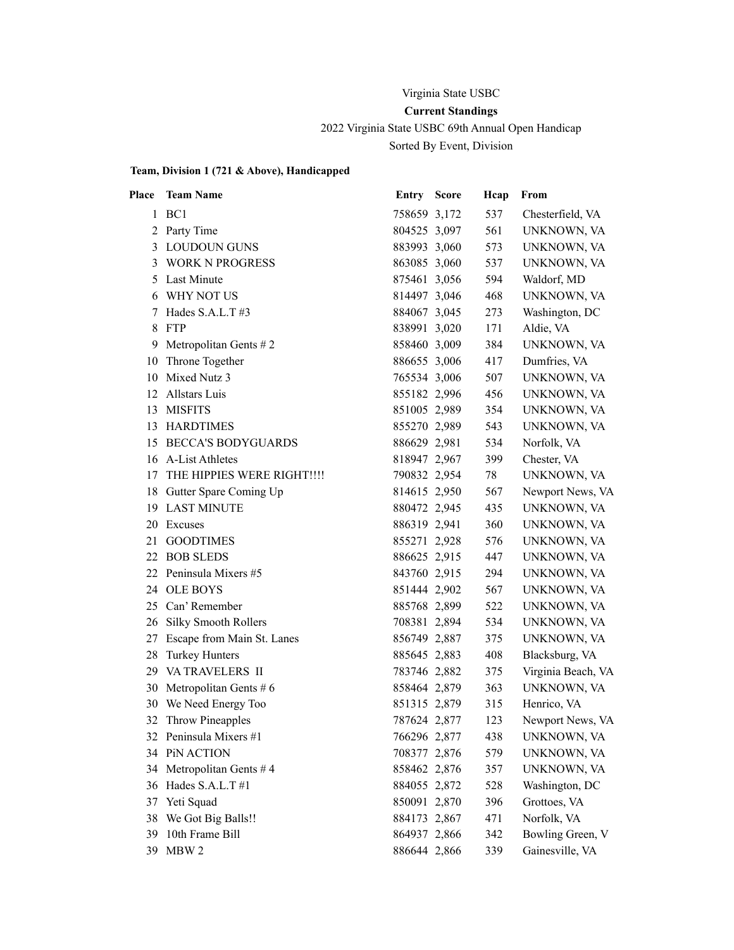### Virginia State USBC

### **Current Standings**

2022 Virginia State USBC 69th Annual Open Handicap

Sorted By Event, Division

| Place | <b>Team Name</b>            | <b>Entry Score</b> | Hcap | From               |
|-------|-----------------------------|--------------------|------|--------------------|
|       | 1 BC1                       | 758659 3,172       | 537  | Chesterfield, VA   |
|       | 2 Party Time                | 804525 3,097       | 561  | UNKNOWN, VA        |
| 3     | <b>LOUDOUN GUNS</b>         | 883993 3,060       | 573  | UNKNOWN, VA        |
| 3     | <b>WORK N PROGRESS</b>      | 863085 3,060       | 537  | UNKNOWN, VA        |
| 5     | Last Minute                 | 875461 3,056       | 594  | Waldorf, MD        |
| 6     | WHY NOT US                  | 814497 3,046       | 468  | UNKNOWN, VA        |
| 7     | Hades S.A.L.T#3             | 884067 3,045       | 273  | Washington, DC     |
| 8     | FTP                         | 838991 3,020       | 171  | Aldie, VA          |
| 9.    | Metropolitan Gents $# 2$    | 858460 3,009       | 384  | UNKNOWN, VA        |
| 10    | Throne Together             | 886655 3,006       | 417  | Dumfries, VA       |
| 10    | Mixed Nutz 3                | 765534 3,006       | 507  | UNKNOWN, VA        |
| 12    | Allstars Luis               | 855182 2,996       | 456  | UNKNOWN, VA        |
| 13    | <b>MISFITS</b>              | 851005 2,989       | 354  | UNKNOWN, VA        |
| 13    | <b>HARDTIMES</b>            | 855270 2,989       | 543  | UNKNOWN, VA        |
| 15    | <b>BECCA'S BODYGUARDS</b>   | 886629 2,981       | 534  | Norfolk, VA        |
| 16    | A-List Athletes             | 818947 2,967       | 399  | Chester, VA        |
| 17    | THE HIPPIES WERE RIGHT !!!! | 790832 2,954       | 78   | UNKNOWN, VA        |
|       | 18 Gutter Spare Coming Up   | 814615 2,950       | 567  | Newport News, VA   |
| 19    | <b>LAST MINUTE</b>          | 880472 2,945       | 435  | UNKNOWN, VA        |
| 20    | Excuses                     | 886319 2,941       | 360  | UNKNOWN, VA        |
| 21    | <b>GOODTIMES</b>            | 855271 2,928       | 576  | UNKNOWN, VA        |
| 22    | <b>BOB SLEDS</b>            | 886625 2,915       | 447  | UNKNOWN, VA        |
| 22    | Peninsula Mixers #5         | 843760 2,915       | 294  | UNKNOWN, VA        |
|       | 24 OLE BOYS                 | 851444 2,902       | 567  | UNKNOWN, VA        |
|       | 25 Can' Remember            | 885768 2,899       | 522  | UNKNOWN, VA        |
| 26    | <b>Silky Smooth Rollers</b> | 708381 2,894       | 534  | UNKNOWN, VA        |
| 27    | Escape from Main St. Lanes  | 856749 2,887       | 375  | UNKNOWN, VA        |
| 28    | <b>Turkey Hunters</b>       | 885645 2,883       | 408  | Blacksburg, VA     |
| 29    | <b>VA TRAVELERS II</b>      | 783746 2,882       | 375  | Virginia Beach, VA |
| 30    | Metropolitan Gents $# 6$    | 858464 2,879       | 363  | UNKNOWN, VA        |
| 30    | We Need Energy Too          | 851315 2,879       | 315  | Henrico, VA        |
| 32    | Throw Pineapples            | 787624 2,877       | 123  | Newport News, VA   |
|       | 32 Peninsula Mixers #1      | 766296 2,877       | 438  | UNKNOWN, VA        |
|       | 34 PiN ACTION               | 708377 2,876       | 579  | UNKNOWN, VA        |
| 34    | Metropolitan Gents #4       | 858462 2,876       | 357  | UNKNOWN, VA        |
| 36    | Hades S.A.L.T#1             | 884055 2,872       | 528  | Washington, DC     |
| 37    | Yeti Squad                  | 850091 2,870       | 396  | Grottoes, VA       |
| 38    | We Got Big Balls!!          | 884173 2,867       | 471  | Norfolk, VA        |
| 39    | 10th Frame Bill             | 864937 2,866       | 342  | Bowling Green, V   |
| 39    | MBW 2                       | 886644 2,866       | 339  | Gainesville, VA    |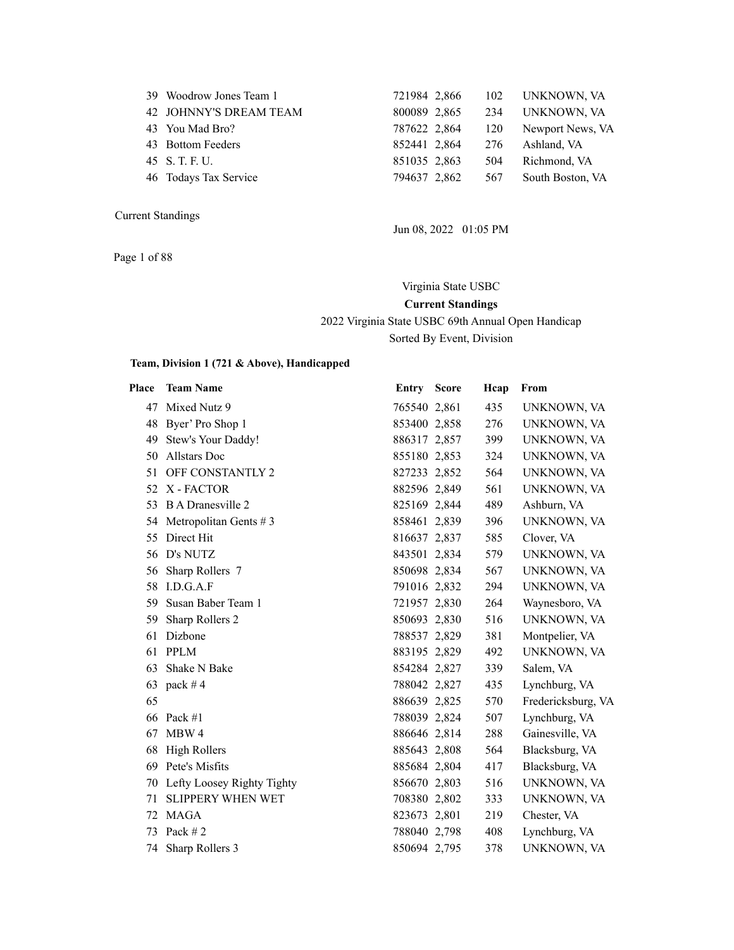| 39 Woodrow Jones Team 1 | 721984 2,866 | 102 | UNKNOWN, VA      |
|-------------------------|--------------|-----|------------------|
| 42 JOHNNY'S DREAM TEAM  | 800089 2,865 | 234 | UNKNOWN, VA      |
| 43 You Mad Bro?         | 787622 2,864 | 120 | Newport News, VA |
| 43 Bottom Feeders       | 852441 2,864 | 276 | Ashland, VA      |
| 45 S.T.F.U.             | 851035 2,863 | 504 | Richmond, VA     |
| 46 Todays Tax Service   | 794637 2,862 | 567 | South Boston, VA |
|                         |              |     |                  |

Page 1 of 88

Jun 08, 2022 01:05 PM

Virginia State USBC **Current Standings** 2022 Virginia State USBC 69th Annual Open Handicap Sorted By Event, Division

| Place | <b>Team Name</b>              | <b>Entry Score</b> | Hcap | From               |
|-------|-------------------------------|--------------------|------|--------------------|
|       | 47 Mixed Nutz 9               | 765540 2,861       | 435  | UNKNOWN, VA        |
|       | 48 Byer' Pro Shop 1           | 853400 2,858       | 276  | UNKNOWN, VA        |
| 49    | Stew's Your Daddy!            | 886317 2,857       | 399  | UNKNOWN, VA        |
| 50    | Allstars Doc                  | 855180 2,853       | 324  | UNKNOWN, VA        |
| 51    | OFF CONSTANTLY 2              | 827233 2,852       | 564  | UNKNOWN, VA        |
| 52    | X - FACTOR                    | 882596 2,849       | 561  | UNKNOWN, VA        |
| 53    | <b>B</b> A Dranesville 2      | 825169 2,844       | 489  | Ashburn, VA        |
|       | 54 Metropolitan Gents #3      | 858461 2,839       | 396  | UNKNOWN, VA        |
| 55    | Direct Hit                    | 816637 2,837       | 585  | Clover, VA         |
| 56    | D's NUTZ                      | 843501 2,834       | 579  | UNKNOWN, VA        |
| 56    | Sharp Rollers 7               | 850698 2,834       | 567  | UNKNOWN, VA        |
| 58    | I.D.G.A.F                     | 791016 2,832       | 294  | UNKNOWN, VA        |
| 59    | Susan Baber Team 1            | 721957 2,830       | 264  | Waynesboro, VA     |
| 59    | Sharp Rollers 2               | 850693 2,830       | 516  | UNKNOWN, VA        |
| 61    | Dizbone                       | 788537 2,829       | 381  | Montpelier, VA     |
| 61    | <b>PPLM</b>                   | 883195 2,829       | 492  | UNKNOWN, VA        |
| 63    | Shake N Bake                  | 854284 2,827       | 339  | Salem, VA          |
|       | 63 pack #4                    | 788042 2,827       | 435  | Lynchburg, VA      |
| 65    |                               | 886639 2,825       | 570  | Fredericksburg, VA |
| 66    | Pack $#1$                     | 788039 2,824       | 507  | Lynchburg, VA      |
| 67    | MBW 4                         | 886646 2,814       | 288  | Gainesville, VA    |
| 68    | <b>High Rollers</b>           | 885643 2,808       | 564  | Blacksburg, VA     |
| 69    | Pete's Misfits                | 885684 2,804       | 417  | Blacksburg, VA     |
|       | 70 Lefty Loosey Righty Tighty | 856670 2,803       | 516  | UNKNOWN, VA        |
| 71    | <b>SLIPPERY WHEN WET</b>      | 708380 2,802       | 333  | UNKNOWN, VA        |
| 72    | <b>MAGA</b>                   | 823673 2,801       | 219  | Chester, VA        |
| 73    | Pack $#2$                     | 788040 2,798       | 408  | Lynchburg, VA      |
| 74    | Sharp Rollers 3               | 850694 2,795       | 378  | UNKNOWN, VA        |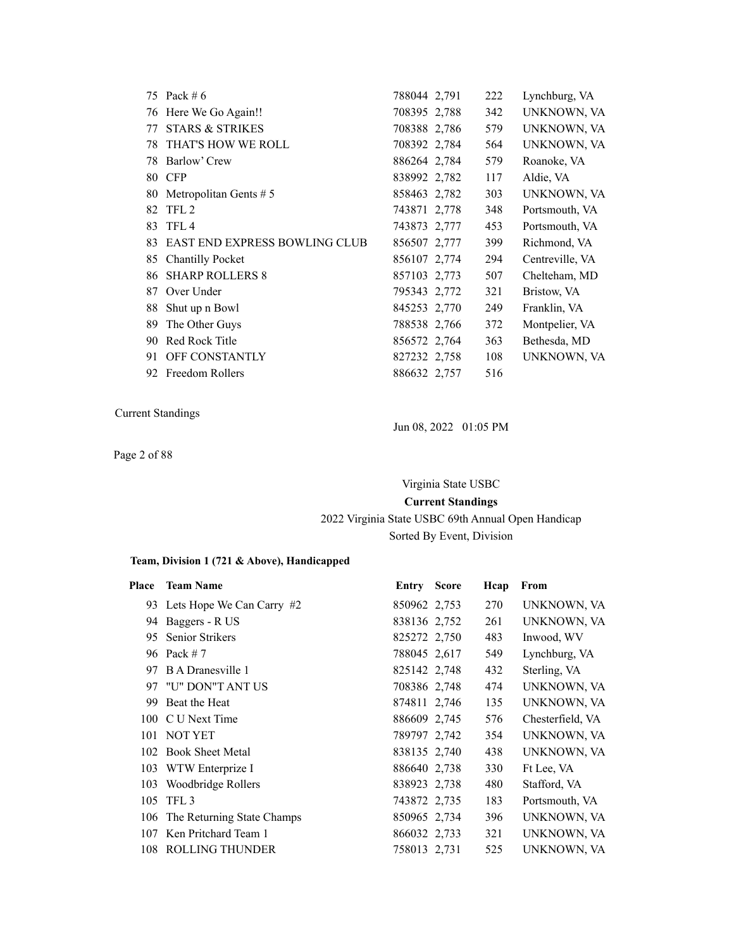|    | 75 Pack # 6                          | 788044 2,791 | 222 | Lynchburg, VA   |
|----|--------------------------------------|--------------|-----|-----------------|
| 76 | Here We Go Again!!                   | 708395 2,788 | 342 | UNKNOWN, VA     |
| 77 | <b>STARS &amp; STRIKES</b>           | 708388 2,786 | 579 | UNKNOWN, VA     |
| 78 | THAT'S HOW WE ROLL                   | 708392 2,784 | 564 | UNKNOWN, VA     |
| 78 | Barlow' Crew                         | 886264 2,784 | 579 | Roanoke, VA     |
| 80 | <b>CFP</b>                           | 838992 2,782 | 117 | Aldie, VA       |
| 80 | Metropolitan Gents $# 5$             | 858463 2.782 | 303 | UNKNOWN, VA     |
| 82 | TFL <sub>2</sub>                     | 743871 2,778 | 348 | Portsmouth, VA  |
| 83 | TFL <sub>4</sub>                     | 743873 2,777 | 453 | Portsmouth, VA  |
| 83 | <b>EAST END EXPRESS BOWLING CLUB</b> | 856507 2,777 | 399 | Richmond, VA    |
| 85 | <b>Chantilly Pocket</b>              | 856107 2,774 | 294 | Centreville, VA |
| 86 | <b>SHARP ROLLERS 8</b>               | 857103 2,773 | 507 | Chelteham, MD   |
| 87 | Over Under                           | 795343 2,772 | 321 | Bristow, VA     |
| 88 | Shut up n Bowl                       | 845253 2,770 | 249 | Franklin, VA    |
| 89 | The Other Guys                       | 788538 2,766 | 372 | Montpelier, VA  |
| 90 | Red Rock Title                       | 856572 2,764 | 363 | Bethesda, MD    |
| 91 | <b>OFF CONSTANTLY</b>                | 827232 2,758 | 108 | UNKNOWN, VA     |
|    | 92 Freedom Rollers                   | 886632 2,757 | 516 |                 |

Page 2 of 88

Jun 08, 2022 01:05 PM

Virginia State USBC

**Current Standings**

### 2022 Virginia State USBC 69th Annual Open Handicap Sorted By Event, Division

| Place | <b>Team Name</b>               | Entry        | <b>Score</b> | Hcap | From             |
|-------|--------------------------------|--------------|--------------|------|------------------|
|       | 93 Lets Hope We Can Carry #2   | 850962 2,753 |              | 270  | UNKNOWN, VA      |
| 94    | Baggers - R US                 | 838136 2.752 |              | 261  | UNKNOWN, VA      |
| 95    | <b>Senior Strikers</b>         | 825272 2.750 |              | 483  | Inwood, WV       |
|       | 96 Pack # 7                    | 788045 2,617 |              | 549  | Lynchburg, VA    |
| 97    | B A Dranesville 1              | 825142 2,748 |              | 432  | Sterling, VA     |
|       | 97 "U" DON"T ANT US            | 708386 2,748 |              | 474  | UNKNOWN, VA      |
| 99    | Beat the Heat                  | 874811 2,746 |              | 135  | UNKNOWN, VA      |
|       | 100 C U Next Time              | 886609 2.745 |              | 576  | Chesterfield, VA |
|       | 101 NOT YET                    | 789797 2,742 |              | 354  | UNKNOWN, VA      |
|       | 102 Book Sheet Metal           | 838135 2,740 |              | 438  | UNKNOWN, VA      |
| 103   | WTW Enterprize I               | 886640 2,738 |              | 330  | Ft Lee, VA       |
| 103   | Woodbridge Rollers             | 838923 2,738 |              | 480  | Stafford, VA     |
| 105   | TFL <sub>3</sub>               | 743872 2,735 |              | 183  | Portsmouth, VA   |
|       | 106 The Returning State Champs | 850965 2,734 |              | 396  | UNKNOWN, VA      |
| 107   | Ken Pritchard Team 1           | 866032 2,733 |              | 321  | UNKNOWN, VA      |
|       | 108 ROLLING THUNDER            | 758013 2.731 |              | 525  | UNKNOWN, VA      |
|       |                                |              |              |      |                  |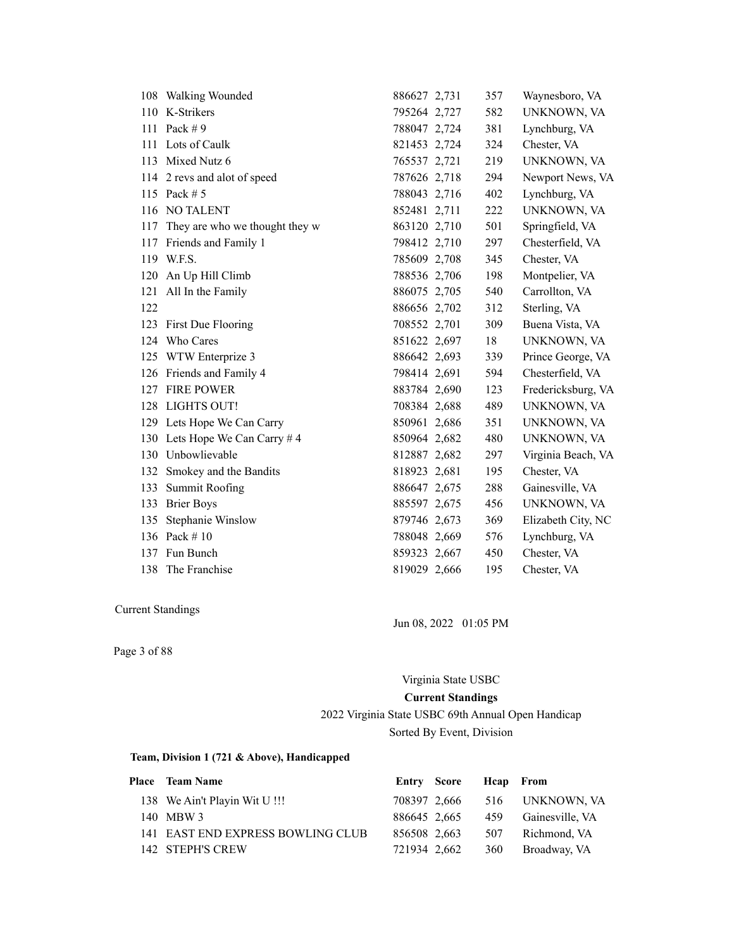|     | 108 Walking Wounded            | 886627 2,731 | 357 | Waynesboro, VA     |
|-----|--------------------------------|--------------|-----|--------------------|
|     | 110 K-Strikers                 | 795264 2,727 | 582 | UNKNOWN, VA        |
| 111 | Pack $# 9$                     | 788047 2,724 | 381 | Lynchburg, VA      |
| 111 | Lots of Caulk                  | 821453 2,724 | 324 | Chester, VA        |
|     | 113 Mixed Nutz 6               | 765537 2,721 | 219 | UNKNOWN, VA        |
|     | 114 2 revs and alot of speed   | 787626 2,718 | 294 | Newport News, VA   |
|     | 115 Pack # 5                   | 788043 2,716 | 402 | Lynchburg, VA      |
|     | 116 NO TALENT                  | 852481 2,711 | 222 | UNKNOWN, VA        |
| 117 | They are who we thought they w | 863120 2,710 | 501 | Springfield, VA    |
|     | 117 Friends and Family 1       | 798412 2,710 | 297 | Chesterfield, VA   |
|     | 119 W.F.S.                     | 785609 2,708 | 345 | Chester, VA        |
|     | 120 An Up Hill Climb           | 788536 2,706 | 198 | Montpelier, VA     |
|     | 121 All In the Family          | 886075 2,705 | 540 | Carrollton, VA     |
| 122 |                                | 886656 2,702 | 312 | Sterling, VA       |
|     | 123 First Due Flooring         | 708552 2,701 | 309 | Buena Vista, VA    |
|     | 124 Who Cares                  | 851622 2,697 | 18  | UNKNOWN, VA        |
|     | 125 WTW Enterprize 3           | 886642 2,693 | 339 | Prince George, VA  |
|     | 126 Friends and Family 4       | 798414 2,691 | 594 | Chesterfield, VA   |
|     | 127 FIRE POWER                 | 883784 2,690 | 123 | Fredericksburg, VA |
|     | 128 LIGHTS OUT!                | 708384 2,688 | 489 | UNKNOWN, VA        |
|     | 129 Lets Hope We Can Carry     | 850961 2,686 | 351 | UNKNOWN, VA        |
|     | 130 Lets Hope We Can Carry # 4 | 850964 2,682 | 480 | UNKNOWN, VA        |
|     | 130 Unbowlievable              | 812887 2,682 | 297 | Virginia Beach, VA |
|     | 132 Smokey and the Bandits     | 818923 2,681 | 195 | Chester, VA        |
| 133 | Summit Roofing                 | 886647 2,675 | 288 | Gainesville, VA    |
|     | 133 Brier Boys                 | 885597 2,675 | 456 | UNKNOWN, VA        |
| 135 | Stephanie Winslow              | 879746 2,673 | 369 | Elizabeth City, NC |
|     | 136 Pack #10                   | 788048 2,669 | 576 | Lynchburg, VA      |
| 137 | Fun Bunch                      | 859323 2,667 | 450 | Chester, VA        |
|     | 138 The Franchise              | 819029 2,666 | 195 | Chester, VA        |

Jun 08, 2022 01:05 PM

Page 3 of 88

Virginia State USBC

#### **Current Standings**

2022 Virginia State USBC 69th Annual Open Handicap Sorted By Event, Division

| <b>Place</b> Team Name            |              | Entry Score Heap From |                              |
|-----------------------------------|--------------|-----------------------|------------------------------|
| 138 We Ain't Playin Wit U!!!      |              |                       | 708397 2,666 516 UNKNOWN, VA |
| 140 MBW 3                         | 886645 2.665 |                       | 459 Gainesville, VA          |
| 141 EAST END EXPRESS BOWLING CLUB | 856508 2,663 |                       | 507 Richmond, VA             |
| 142 STEPH'S CREW                  | 721934 2,662 |                       | 360 Broadway, VA             |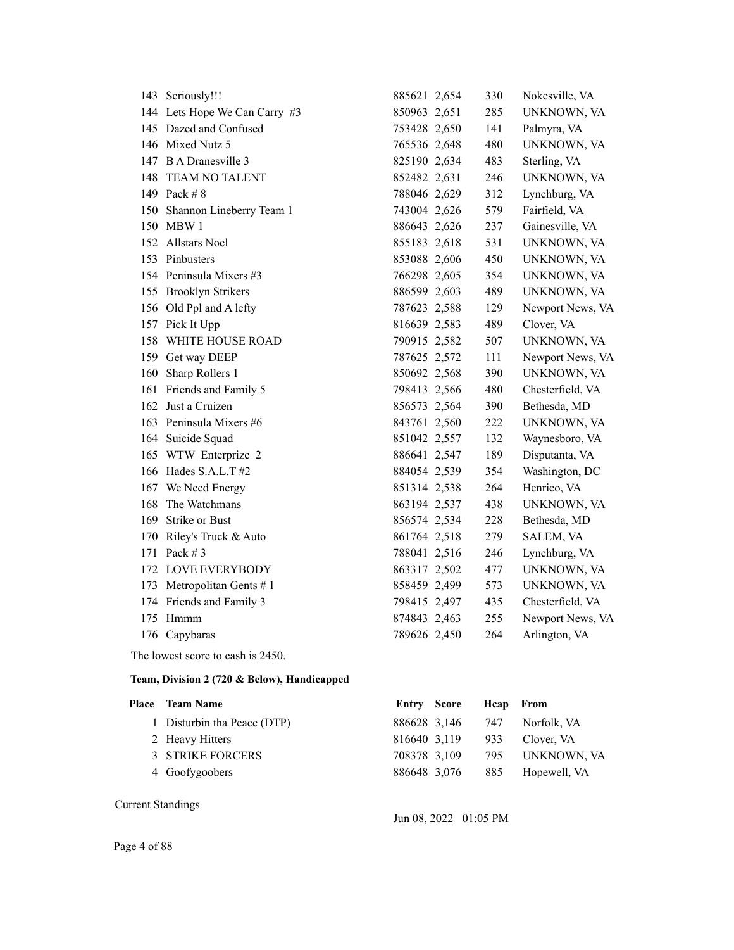|     | 143 Seriously!!!              | 885621 2,654 | 330 | Nokesville, VA   |
|-----|-------------------------------|--------------|-----|------------------|
|     | 144 Lets Hope We Can Carry #3 | 850963 2,651 | 285 | UNKNOWN, VA      |
|     | 145 Dazed and Confused        | 753428 2,650 | 141 | Palmyra, VA      |
|     | 146 Mixed Nutz 5              | 765536 2,648 | 480 | UNKNOWN, VA      |
|     | 147 B A Dranesville 3         | 825190 2,634 | 483 | Sterling, VA     |
| 148 | TEAM NO TALENT                | 852482 2,631 | 246 | UNKNOWN, VA      |
|     | 149 Pack #8                   | 788046 2,629 | 312 | Lynchburg, VA    |
| 150 | Shannon Lineberry Team 1      | 743004 2,626 | 579 | Fairfield, VA    |
|     | 150 MBW 1                     | 886643 2,626 | 237 | Gainesville, VA  |
|     | 152 Allstars Noel             | 855183 2,618 | 531 | UNKNOWN, VA      |
| 153 | Pinbusters                    | 853088 2,606 | 450 | UNKNOWN, VA      |
|     | 154 Peninsula Mixers #3       | 766298 2,605 | 354 | UNKNOWN, VA      |
|     | 155 Brooklyn Strikers         | 886599 2,603 | 489 | UNKNOWN, VA      |
|     | 156 Old Ppl and A lefty       | 787623 2,588 | 129 | Newport News, VA |
|     | 157 Pick It Upp               | 816639 2,583 | 489 | Clover, VA       |
| 158 | WHITE HOUSE ROAD              | 790915 2,582 | 507 | UNKNOWN, VA      |
| 159 | Get way DEEP                  | 787625 2,572 | 111 | Newport News, VA |
| 160 | Sharp Rollers 1               | 850692 2,568 | 390 | UNKNOWN, VA      |
| 161 | Friends and Family 5          | 798413 2,566 | 480 | Chesterfield, VA |
| 162 | Just a Cruizen                | 856573 2,564 | 390 | Bethesda, MD     |
|     | 163 Peninsula Mixers #6       | 843761 2,560 | 222 | UNKNOWN, VA      |
|     | 164 Suicide Squad             | 851042 2,557 | 132 | Waynesboro, VA   |
|     | 165 WTW Enterprize 2          | 886641 2,547 | 189 | Disputanta, VA   |
|     | 166 Hades S.A.L.T #2          | 884054 2,539 | 354 | Washington, DC   |
| 167 | We Need Energy                | 851314 2,538 | 264 | Henrico, VA      |
| 168 | The Watchmans                 | 863194 2,537 | 438 | UNKNOWN, VA      |
| 169 | Strike or Bust                | 856574 2,534 | 228 | Bethesda, MD     |
| 170 | Riley's Truck & Auto          | 861764 2,518 | 279 | SALEM, VA        |
| 171 | Pack $# 3$                    | 788041 2,516 | 246 | Lynchburg, VA    |
| 172 | <b>LOVE EVERYBODY</b>         | 863317 2,502 | 477 | UNKNOWN, VA      |
| 173 | Metropolitan Gents $# 1$      | 858459 2,499 | 573 | UNKNOWN, VA      |
|     | 174 Friends and Family 3      | 798415 2,497 | 435 | Chesterfield, VA |
| 175 | Hmmm                          | 874843 2,463 | 255 | Newport News, VA |
|     | 176 Capybaras                 | 789626 2,450 | 264 | Arlington, VA    |
|     |                               |              |     |                  |

The lowest score to cash is 2450.

### **Team, Division 2 (720 & Below), Handicapped**

| <b>Place</b> Team Name      | Entry Score  |                  | Heap From |              |
|-----------------------------|--------------|------------------|-----------|--------------|
| 1 Disturbin tha Peace (DTP) |              | 886628 3,146 747 |           | Norfolk, VA  |
| 2 Heavy Hitters             | 816640 3,119 |                  | 933       | Clover, VA   |
| 3 STRIKE FORCERS            | 708378 3,109 |                  | 795       | UNKNOWN, VA  |
| 4 Goofygoobers              | 886648 3,076 |                  | 885       | Hopewell, VA |

Current Standings

Jun 08, 2022 01:05 PM

Page 4 of 88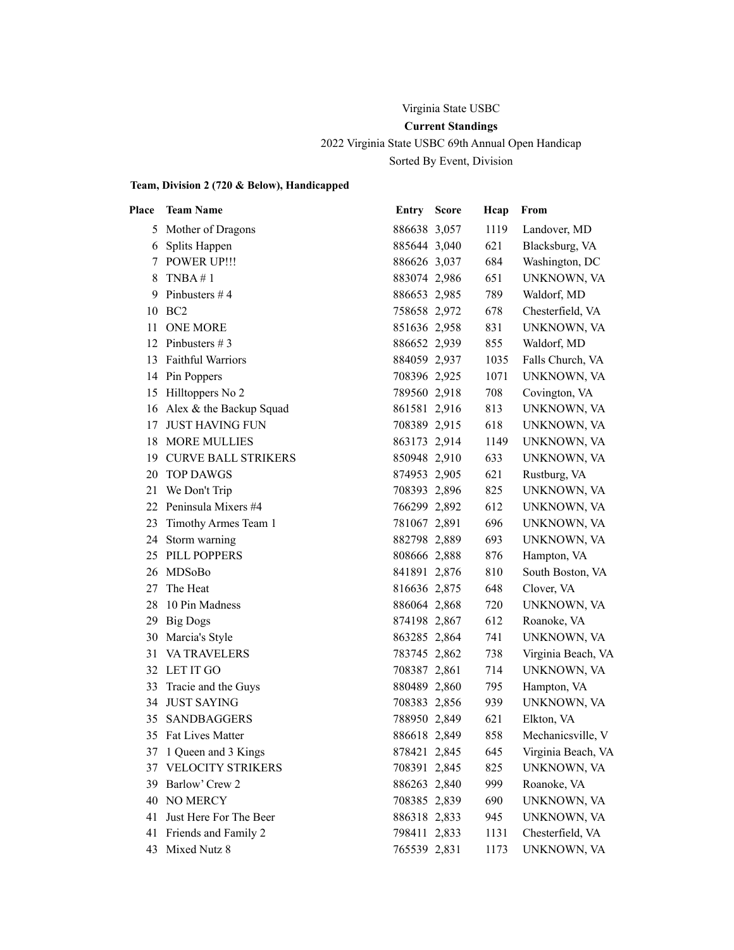# Virginia State USBC **Current Standings**

2022 Virginia State USBC 69th Annual Open Handicap Sorted By Event, Division

### **Team, Division 2 (720 & Below), Handicapped**

| Place | <b>Team Name</b>           | <b>Entry Score</b> | Hcap | From               |
|-------|----------------------------|--------------------|------|--------------------|
| 5     | Mother of Dragons          | 886638 3,057       | 1119 | Landover, MD       |
|       | 6 Splits Happen            | 885644 3,040       | 621  | Blacksburg, VA     |
| 7     | <b>POWER UP!!!</b>         | 886626 3,037       | 684  | Washington, DC     |
| 8     | TNBA #1                    | 883074 2,986       | 651  | UNKNOWN, VA        |
| 9     | Pinbusters #4              | 886653 2,985       | 789  | Waldorf, MD        |
| 10    | BC <sub>2</sub>            | 758658 2,972       | 678  | Chesterfield, VA   |
| 11    | <b>ONE MORE</b>            | 851636 2,958       | 831  | UNKNOWN, VA        |
| 12    | Pinbusters $# 3$           | 886652 2,939       | 855  | Waldorf, MD        |
| 13    | <b>Faithful Warriors</b>   | 884059 2,937       | 1035 | Falls Church, VA   |
|       | 14 Pin Poppers             | 708396 2,925       | 1071 | UNKNOWN, VA        |
| 15    | Hilltoppers No 2           | 789560 2,918       | 708  | Covington, VA      |
| 16    | Alex & the Backup Squad    | 861581 2,916       | 813  | UNKNOWN, VA        |
| 17    | <b>JUST HAVING FUN</b>     | 708389 2,915       | 618  | UNKNOWN, VA        |
| 18    | <b>MORE MULLIES</b>        | 863173 2,914       | 1149 | UNKNOWN, VA        |
| 19    | <b>CURVE BALL STRIKERS</b> | 850948 2,910       | 633  | UNKNOWN, VA        |
| 20    | <b>TOP DAWGS</b>           | 874953 2,905       | 621  | Rustburg, VA       |
| 21    | We Don't Trip              | 708393 2,896       | 825  | UNKNOWN, VA        |
| 22    | Peninsula Mixers #4        | 766299 2,892       | 612  | UNKNOWN, VA        |
| 23    | Timothy Armes Team 1       | 781067 2,891       | 696  | UNKNOWN, VA        |
| 24    | Storm warning              | 882798 2,889       | 693  | UNKNOWN, VA        |
| 25    | PILL POPPERS               | 808666 2,888       | 876  | Hampton, VA        |
| 26    | MDSoBo                     | 841891 2,876       | 810  | South Boston, VA   |
| 27    | The Heat                   | 816636 2,875       | 648  | Clover, VA         |
| 28    | 10 Pin Madness             | 886064 2,868       | 720  | UNKNOWN, VA        |
|       | 29 Big Dogs                | 874198 2,867       | 612  | Roanoke, VA        |
| 30    | Marcia's Style             | 863285 2,864       | 741  | UNKNOWN, VA        |
| 31    | <b>VA TRAVELERS</b>        | 783745 2,862       | 738  | Virginia Beach, VA |
|       | 32 LET IT GO               | 708387 2,861       | 714  | UNKNOWN, VA        |
| 33    | Tracie and the Guys        | 880489 2,860       | 795  | Hampton, VA        |
| 34    | <b>JUST SAYING</b>         | 708383 2,856       | 939  | UNKNOWN, VA        |
| 35    | <b>SANDBAGGERS</b>         | 788950 2,849       | 621  | Elkton, VA         |
|       | 35 Fat Lives Matter        | 886618 2,849       | 858  | Mechanicsville, V  |
|       | 37 1 Queen and 3 Kings     | 878421 2,845       | 645  | Virginia Beach, VA |
|       | 37 VELOCITY STRIKERS       | 708391 2,845       | 825  | UNKNOWN, VA        |
| 39    | Barlow' Crew 2             | 886263 2,840       | 999  | Roanoke, VA        |
|       | 40 NO MERCY                | 708385 2,839       | 690  | UNKNOWN, VA        |
| 41    | Just Here For The Beer     | 886318 2,833       | 945  | UNKNOWN, VA        |
| 41    | Friends and Family 2       | 798411 2,833       | 1131 | Chesterfield, VA   |
|       | 43 Mixed Nutz 8            | 765539 2,831       | 1173 | UNKNOWN, VA        |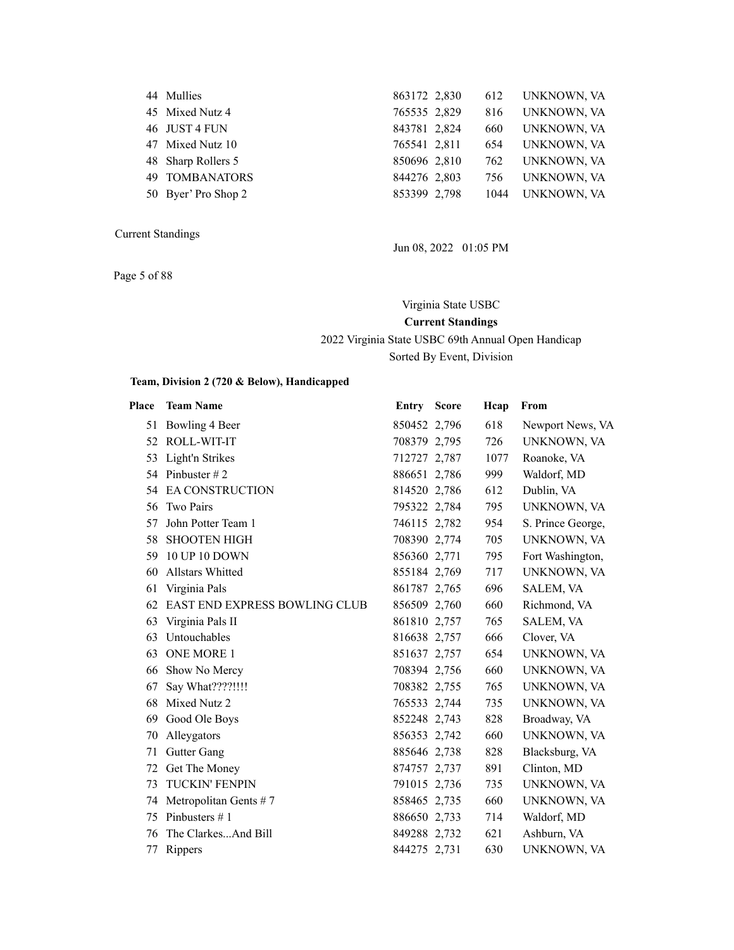| 44 Mullies            | 863172 2,830 | 612  | UNKNOWN, VA |
|-----------------------|--------------|------|-------------|
| 45 Mixed Nutz 4       | 765535 2,829 | 816  | UNKNOWN, VA |
| 46 JUST 4 FUN         | 843781 2,824 | 660  | UNKNOWN, VA |
| 47 Mixed Nutz 10      | 765541 2,811 | 654  | UNKNOWN, VA |
| 48 Sharp Rollers 5    | 850696 2,810 | 762  | UNKNOWN, VA |
| <b>49 TOMBANATORS</b> | 844276 2,803 | 756  | UNKNOWN, VA |
| 50 Byer' Pro Shop 2   | 853399 2,798 | 1044 | UNKNOWN, VA |
|                       |              |      |             |

Page 5 of 88

Jun 08, 2022 01:05 PM

Virginia State USBC **Current Standings** 2022 Virginia State USBC 69th Annual Open Handicap

Sorted By Event, Division

### **Team, Division 2 (720 & Below), Handicapped**

| Place | <b>Team Name</b>                     | <b>Entry Score</b> | Hcap | From              |
|-------|--------------------------------------|--------------------|------|-------------------|
| 51    | Bowling 4 Beer                       | 850452 2,796       | 618  | Newport News, VA  |
| 52    | ROLL-WIT-IT                          | 708379 2,795       | 726  | UNKNOWN, VA       |
| 53    | Light'n Strikes                      | 712727 2,787       | 1077 | Roanoke, VA       |
| 54    | Pinbuster $# 2$                      | 886651 2,786       | 999  | Waldorf, MD       |
| 54    | <b>EA CONSTRUCTION</b>               | 814520 2.786       | 612  | Dublin, VA        |
| 56    | <b>Two Pairs</b>                     | 795322 2,784       | 795  | UNKNOWN, VA       |
| 57    | John Potter Team 1                   | 746115 2,782       | 954  | S. Prince George, |
| 58    | <b>SHOOTEN HIGH</b>                  | 708390 2,774       | 705  | UNKNOWN, VA       |
| 59    | <b>10 UP 10 DOWN</b>                 | 856360 2,771       | 795  | Fort Washington,  |
| 60    | Allstars Whitted                     | 855184 2,769       | 717  | UNKNOWN, VA       |
| 61    | Virginia Pals                        | 861787 2,765       | 696  | SALEM, VA         |
| 62    | <b>EAST END EXPRESS BOWLING CLUB</b> | 856509 2,760       | 660  | Richmond, VA      |
| 63    | Virginia Pals II                     | 861810 2,757       | 765  | SALEM, VA         |
| 63    | Untouchables                         | 816638 2,757       | 666  | Clover, VA        |
| 63    | <b>ONE MORE 1</b>                    | 851637 2,757       | 654  | UNKNOWN, VA       |
| 66    | Show No Mercy                        | 708394 2,756       | 660  | UNKNOWN, VA       |
| 67    | Say What????!!!!                     | 708382 2,755       | 765  | UNKNOWN, VA       |
| 68    | Mixed Nutz 2                         | 765533 2,744       | 735  | UNKNOWN, VA       |
| 69    | Good Ole Boys                        | 852248 2,743       | 828  | Broadway, VA      |
| 70    | Alleygators                          | 856353 2,742       | 660  | UNKNOWN, VA       |
| 71    | Gutter Gang                          | 885646 2,738       | 828  | Blacksburg, VA    |
| 72    | Get The Money                        | 874757 2,737       | 891  | Clinton, MD       |
| 73    | <b>TUCKIN' FENPIN</b>                | 791015 2,736       | 735  | UNKNOWN, VA       |
| 74    | Metropolitan Gents $# 7$             | 858465 2,735       | 660  | UNKNOWN, VA       |
| 75    | Pinbusters $# 1$                     | 886650 2,733       | 714  | Waldorf, MD       |
| 76    | The ClarkesAnd Bill                  | 849288 2,732       | 621  | Ashburn, VA       |
| 77    | Rippers                              | 844275 2,731       | 630  | UNKNOWN, VA       |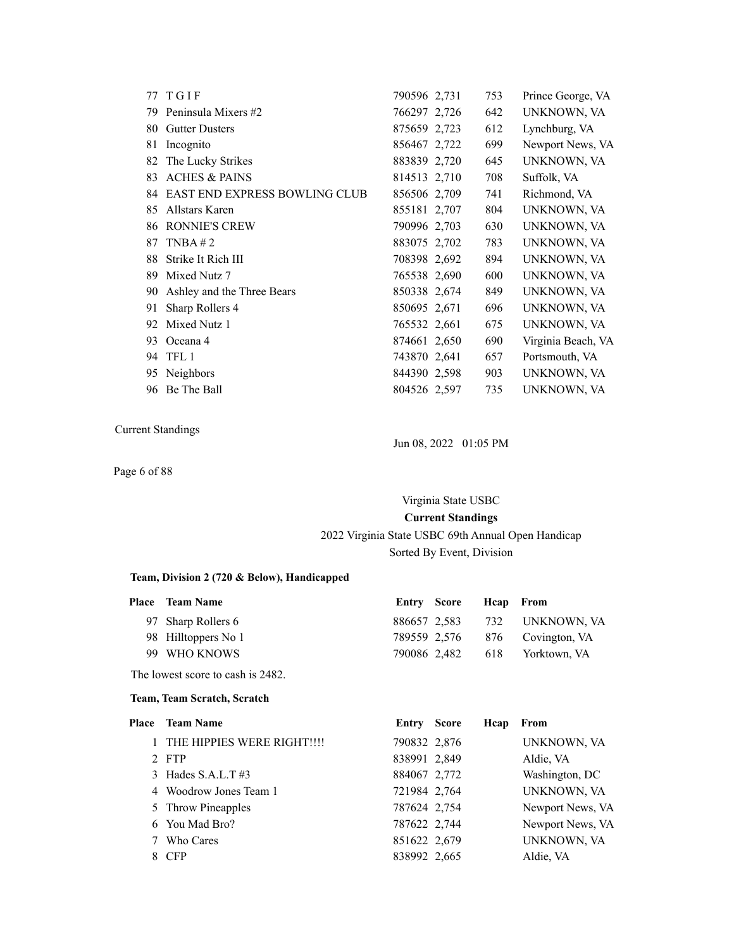|    | 77 TGIF                              | 790596 2,731 | 753 | Prince George, VA  |
|----|--------------------------------------|--------------|-----|--------------------|
| 79 | Peninsula Mixers #2                  | 766297 2.726 | 642 | UNKNOWN, VA        |
| 80 | <b>Gutter Dusters</b>                | 875659 2,723 | 612 | Lynchburg, VA      |
| 81 | Incognito                            | 856467 2,722 | 699 | Newport News, VA   |
| 82 | The Lucky Strikes                    | 883839 2,720 | 645 | UNKNOWN, VA        |
| 83 | <b>ACHES &amp; PAINS</b>             | 814513 2,710 | 708 | Suffolk, VA        |
| 84 | <b>EAST END EXPRESS BOWLING CLUB</b> | 856506 2,709 | 741 | Richmond, VA       |
| 85 | Allstars Karen                       | 855181 2,707 | 804 | UNKNOWN, VA        |
| 86 | <b>RONNIE'S CREW</b>                 | 790996 2.703 | 630 | UNKNOWN, VA        |
| 87 | TNBA $# 2$                           | 883075 2,702 | 783 | UNKNOWN, VA        |
| 88 | Strike It Rich III                   | 708398 2,692 | 894 | UNKNOWN, VA        |
| 89 | Mixed Nutz 7                         | 765538 2,690 | 600 | UNKNOWN, VA        |
| 90 | Ashley and the Three Bears           | 850338 2,674 | 849 | UNKNOWN, VA        |
| 91 | Sharp Rollers 4                      | 850695 2.671 | 696 | UNKNOWN, VA        |
| 92 | Mixed Nutz 1                         | 765532 2,661 | 675 | UNKNOWN, VA        |
| 93 | Oceana 4                             | 874661 2,650 | 690 | Virginia Beach, VA |
| 94 | TFL <sub>1</sub>                     | 743870 2,641 | 657 | Portsmouth, VA     |
| 95 | Neighbors                            | 844390 2,598 | 903 | UNKNOWN, VA        |
| 96 | Be The Ball                          | 804526 2,597 | 735 | UNKNOWN, VA        |
|    |                                      |              |     |                    |

Jun 08, 2022 01:05 PM

Page 6 of 88

# Virginia State USBC **Current Standings** 2022 Virginia State USBC 69th Annual Open Handicap

### Sorted By Event, Division

### **Team, Division 2 (720 & Below), Handicapped**

| <b>Place</b> Team Name | Entry Score Heap From |                                |
|------------------------|-----------------------|--------------------------------|
| 97 Sharp Rollers 6     |                       | 886657 2.583 732 UNKNOWN, VA   |
| 98 Hilltoppers No 1    |                       | 789559 2,576 876 Covington, VA |
| 99 WHO KNOWS           |                       | 790086 2,482 618 Yorktown, VA  |
|                        |                       |                                |

The lowest score to cash is 2482.

#### **Team, Team Scratch, Scratch**

| Place | <b>Team Name</b>           | <b>Entry Score</b> | Hcap | From             |
|-------|----------------------------|--------------------|------|------------------|
|       | THE HIPPIES WERE RIGHT!!!! | 790832 2,876       |      | UNKNOWN, VA      |
|       | 2 FTP                      | 838991 2,849       |      | Aldie, VA        |
|       | 3 Hades $S.A.L.T$ #3       | 884067 2,772       |      | Washington, DC   |
|       | 4 Woodrow Jones Team 1     | 721984 2,764       |      | UNKNOWN, VA      |
|       | 5 Throw Pineapples         | 787624 2,754       |      | Newport News, VA |
|       | 6 You Mad Bro?             | 787622 2,744       |      | Newport News, VA |
|       | Who Cares                  | 851622 2,679       |      | UNKNOWN, VA      |
|       | 8 CFP                      | 838992 2,665       |      | Aldie, VA        |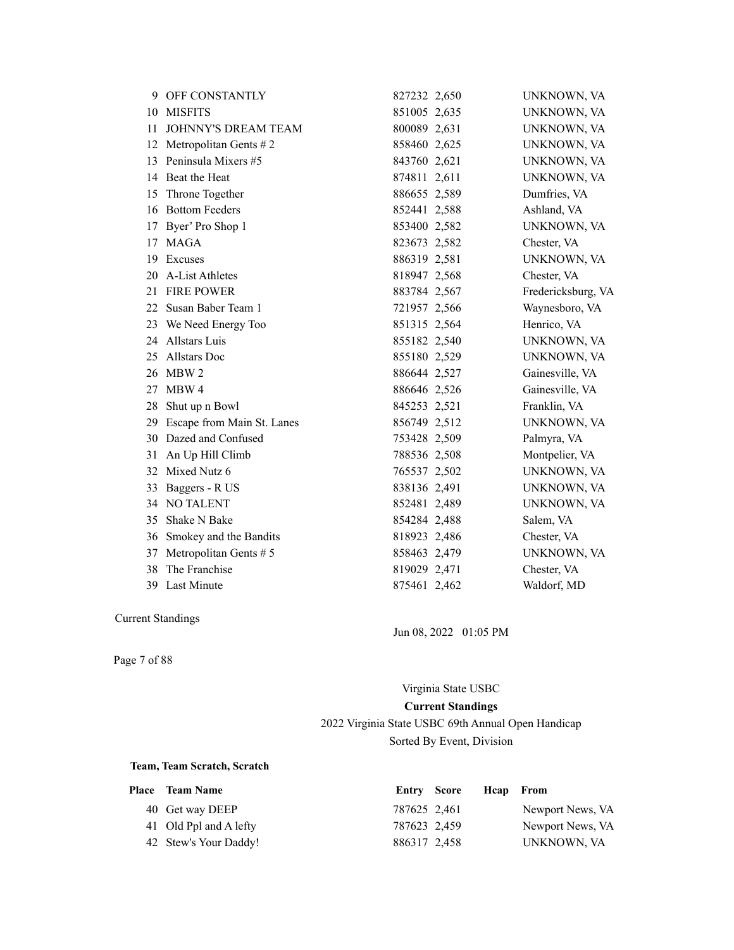| 9  | <b>OFF CONSTANTLY</b>      | 827232 2,650 | UNKNOWN, VA        |
|----|----------------------------|--------------|--------------------|
| 10 | <b>MISFITS</b>             | 851005 2,635 | UNKNOWN, VA        |
| 11 | <b>JOHNNY'S DREAM TEAM</b> | 800089 2,631 | UNKNOWN, VA        |
| 12 | Metropolitan Gents $# 2$   | 858460 2,625 | UNKNOWN, VA        |
| 13 | Peninsula Mixers #5        | 843760 2,621 | UNKNOWN, VA        |
| 14 | Beat the Heat              | 874811 2,611 | UNKNOWN, VA        |
| 15 | Throne Together            | 886655 2,589 | Dumfries, VA       |
| 16 | <b>Bottom Feeders</b>      | 852441 2,588 | Ashland, VA        |
| 17 | Byer' Pro Shop 1           | 853400 2,582 | UNKNOWN, VA        |
| 17 | <b>MAGA</b>                | 823673 2,582 | Chester, VA        |
| 19 | Excuses                    | 886319 2,581 | UNKNOWN, VA        |
| 20 | A-List Athletes            | 818947 2,568 | Chester, VA        |
| 21 | <b>FIRE POWER</b>          | 883784 2,567 | Fredericksburg, VA |
| 22 | Susan Baber Team 1         | 721957 2,566 | Waynesboro, VA     |
| 23 | We Need Energy Too         | 851315 2,564 | Henrico, VA        |
| 24 | Allstars Luis              | 855182 2,540 | UNKNOWN, VA        |
| 25 | <b>Allstars Doc</b>        | 855180 2,529 | UNKNOWN, VA        |
| 26 | MBW 2                      | 886644 2,527 | Gainesville, VA    |
| 27 | MBW 4                      | 886646 2,526 | Gainesville, VA    |
| 28 | Shut up n Bowl             | 845253 2,521 | Franklin, VA       |
| 29 | Escape from Main St. Lanes | 856749 2,512 | UNKNOWN, VA        |
|    | 30 Dazed and Confused      | 753428 2,509 | Palmyra, VA        |
| 31 | An Up Hill Climb           | 788536 2,508 | Montpelier, VA     |
| 32 | Mixed Nutz 6               | 765537 2,502 | UNKNOWN, VA        |
| 33 | Baggers - R US             | 838136 2,491 | UNKNOWN, VA        |
|    | 34 NO TALENT               | 852481 2,489 | UNKNOWN, VA        |
| 35 | Shake N Bake               | 854284 2,488 | Salem, VA          |
|    | 36 Smokey and the Bandits  | 818923 2,486 | Chester, VA        |
| 37 | Metropolitan Gents # 5     | 858463 2,479 | UNKNOWN, VA        |
| 38 | The Franchise              | 819029 2,471 | Chester, VA        |
| 39 | Last Minute                | 875461 2,462 | Waldorf, MD        |

Jun 08, 2022 01:05 PM

Page 7 of 88

Virginia State USBC **Current Standings** 2022 Virginia State USBC 69th Annual Open Handicap Sorted By Event, Division

### **Team, Team Scratch, Scratch**

| Place Team Name        | <b>Entry Score</b> | Heap From |                  |
|------------------------|--------------------|-----------|------------------|
| 40 Get way DEEP        | 787625 2,461       |           | Newport News, VA |
| 41 Old Ppl and A lefty | 787623 2,459       |           | Newport News, VA |
| 42 Stew's Your Daddy!  | 886317 2,458       |           | UNKNOWN, VA      |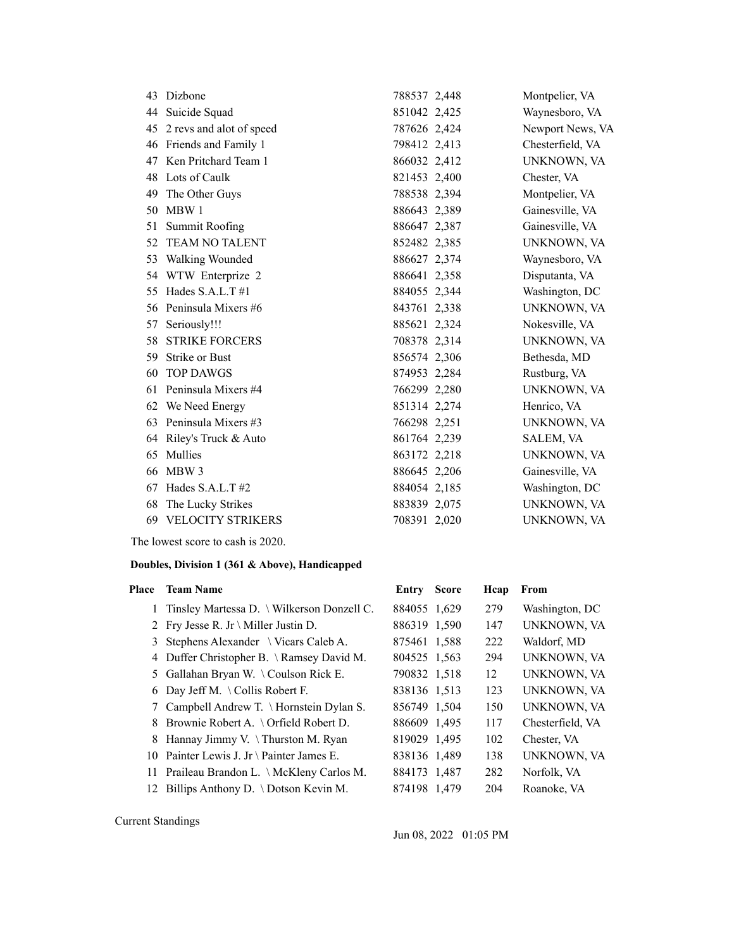| 43 | Dizbone                  | 788537 2,448 | Montpelier, VA     |
|----|--------------------------|--------------|--------------------|
| 44 | Suicide Squad            | 851042 2,425 | Waynesboro, VA     |
| 45 | 2 revs and alot of speed | 787626 2,424 | Newport News, VA   |
| 46 | Friends and Family 1     | 798412 2,413 | Chesterfield, VA   |
| 47 | Ken Pritchard Team 1     | 866032 2,412 | UNKNOWN, VA        |
| 48 | Lots of Caulk            | 821453 2,400 | Chester, VA        |
| 49 | The Other Guys           | 788538 2,394 | Montpelier, VA     |
| 50 | MBW 1                    | 886643 2,389 | Gainesville, VA    |
| 51 | <b>Summit Roofing</b>    | 886647 2,387 | Gainesville, VA    |
| 52 | <b>TEAM NO TALENT</b>    | 852482 2,385 | UNKNOWN, VA        |
| 53 | <b>Walking Wounded</b>   | 886627 2,374 | Waynesboro, VA     |
| 54 | WTW Enterprize 2         | 886641 2,358 | Disputanta, VA     |
| 55 | Hades S.A.L.T#1          | 884055 2,344 | Washington, DC     |
| 56 | Peninsula Mixers #6      | 843761 2,338 | UNKNOWN, VA        |
| 57 | Seriously!!!             | 885621 2,324 | Nokesville, VA     |
| 58 | <b>STRIKE FORCERS</b>    | 708378 2,314 | UNKNOWN, VA        |
| 59 | <b>Strike or Bust</b>    | 856574 2,306 | Bethesda, MD       |
| 60 | <b>TOP DAWGS</b>         | 874953 2,284 | Rustburg, VA       |
| 61 | Peninsula Mixers #4      | 766299 2,280 | UNKNOWN, VA        |
| 62 | We Need Energy           | 851314 2,274 | Henrico, VA        |
| 63 | Peninsula Mixers #3      | 766298 2,251 | UNKNOWN, VA        |
| 64 | Riley's Truck & Auto     | 861764 2,239 | SALEM, VA          |
| 65 | Mullies                  | 863172 2,218 | UNKNOWN, VA        |
| 66 | MBW 3                    | 886645 2,206 | Gainesville, VA    |
| 67 | Hades S.A.L.T#2          | 884054 2,185 | Washington, DC     |
| 68 | The Lucky Strikes        | 883839 2,075 | UNKNOWN, VA        |
| 69 | <b>VELOCITY STRIKERS</b> | 708391 2,020 | <b>UNKNOWN, VA</b> |

The lowest score to cash is 2020.

### **Doubles, Division 1 (361 & Above), Handicapped**

| Place | <b>Team Name</b>                                 | Entry        | <b>Score</b> | Hcap | From             |
|-------|--------------------------------------------------|--------------|--------------|------|------------------|
|       | 1 Tinsley Martessa D. \ Wilkerson Donzell C.     | 884055 1,629 |              | 279  | Washington, DC   |
|       | 2 Fry Jesse R. Jr \ Miller Justin D.             | 886319 1.590 |              | 147  | UNKNOWN, VA      |
|       | 3 Stephens Alexander $\setminus$ Vicars Caleb A. | 875461 1,588 |              | 222  | Waldorf, MD      |
|       | 4 Duffer Christopher B. \ Ramsey David M.        | 804525 1.563 |              | 294  | UNKNOWN, VA      |
|       | 5 Gallahan Bryan W. \Coulson Rick E.             | 790832 1,518 |              | 12   | UNKNOWN, VA      |
|       | 6 Day Jeff M. \Collis Robert F.                  | 838136 1.513 |              | 123  | UNKNOWN, VA      |
|       | 7 Campbell Andrew T. \ Hornstein Dylan S.        | 856749 1,504 |              | 150  | UNKNOWN, VA      |
| 8     | Brownie Robert A. $\setminus$ Orfield Robert D.  | 886609 1,495 |              | 117  | Chesterfield, VA |
| 8     | Hannay Jimmy V. \Thurston M. Ryan                | 819029 1,495 |              | 102  | Chester, VA      |
|       | 10 Painter Lewis J. Jr \ Painter James E.        | 838136 1,489 |              | 138  | UNKNOWN, VA      |
|       | 11 Praileau Brandon L. \ McKleny Carlos M.       | 884173 1,487 |              | 282  | Norfolk, VA      |
| 12    | Billips Anthony D. \ Dotson Kevin M.             | 874198 1,479 |              | 204  | Roanoke, VA      |
|       |                                                  |              |              |      |                  |

Current Standings

Jun 08, 2022 01:05 PM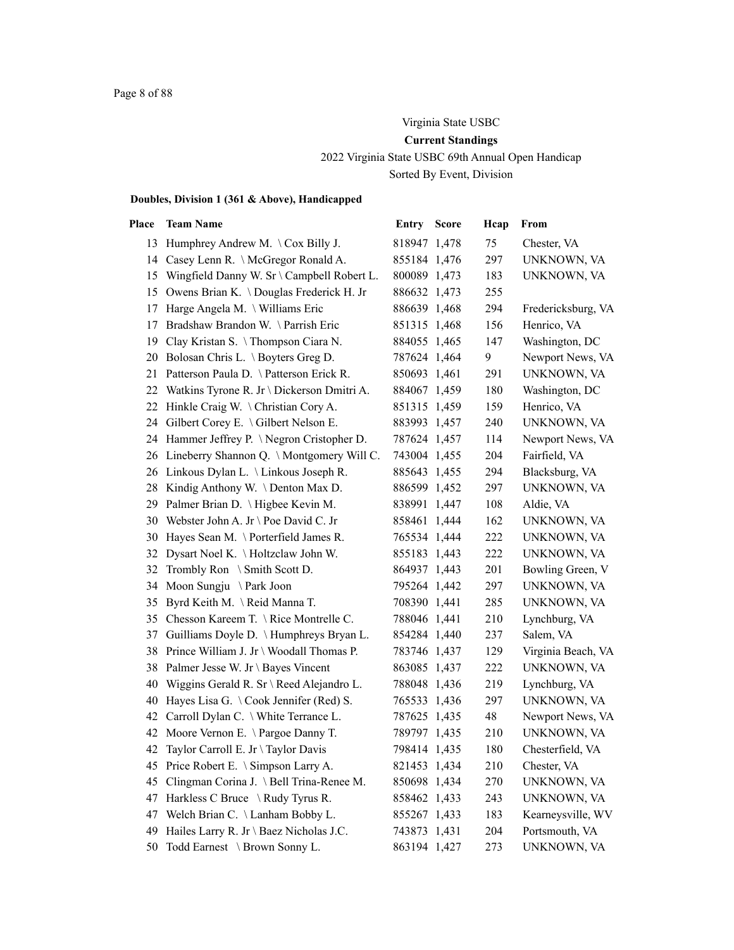### Virginia State USBC

### **Current Standings**

2022 Virginia State USBC 69th Annual Open Handicap

Sorted By Event, Division

| Place | <b>Team Name</b>                              | <b>Entry Score</b> | Hcap | From               |
|-------|-----------------------------------------------|--------------------|------|--------------------|
|       | 13 Humphrey Andrew M. \Cox Billy J.           | 818947 1,478       | 75   | Chester, VA        |
|       | 14 Casey Lenn R. \ McGregor Ronald A.         | 855184 1,476       | 297  | UNKNOWN, VA        |
|       | 15 Wingfield Danny W. Sr \ Campbell Robert L. | 800089 1,473       | 183  | UNKNOWN, VA        |
|       | 15 Owens Brian K. \Douglas Frederick H. Jr    | 886632 1,473       | 255  |                    |
| 17    | Harge Angela M. \ Williams Eric               | 886639 1,468       | 294  | Fredericksburg, VA |
| 17    | Bradshaw Brandon W. \Parrish Eric             | 851315 1,468       | 156  | Henrico, VA        |
|       | 19 Clay Kristan S. \Thompson Ciara N.         | 884055 1,465       | 147  | Washington, DC     |
| 20    | Bolosan Chris L. \ Boyters Greg D.            | 787624 1,464       | 9    | Newport News, VA   |
| 21    | Patterson Paula D. \ Patterson Erick R.       | 850693 1,461       | 291  | UNKNOWN, VA        |
|       | 22 Watkins Tyrone R. Jr \ Dickerson Dmitri A. | 884067 1,459       | 180  | Washington, DC     |
|       | 22 Hinkle Craig W. \Christian Cory A.         | 851315 1,459       | 159  | Henrico, VA        |
| 24    | Gilbert Corey E. \ Gilbert Nelson E.          | 883993 1,457       | 240  | UNKNOWN, VA        |
|       | 24 Hammer Jeffrey P. \Negron Cristopher D.    | 787624 1,457       | 114  | Newport News, VA   |
|       | 26 Lineberry Shannon Q. \Montgomery Will C.   | 743004 1,455       | 204  | Fairfield, VA      |
|       | 26 Linkous Dylan L. \Linkous Joseph R.        | 885643 1,455       | 294  | Blacksburg, VA     |
| 28    | Kindig Anthony W. \ Denton Max D.             | 886599 1,452       | 297  | UNKNOWN, VA        |
|       | 29 Palmer Brian D. \ Higbee Kevin M.          | 838991 1,447       | 108  | Aldie, VA          |
| 30    | Webster John A. Jr \ Poe David C. Jr          | 858461 1,444       | 162  | UNKNOWN, VA        |
| 30    | Hayes Sean M. \ Porterfield James R.          | 765534 1,444       | 222  | UNKNOWN, VA        |
| 32    | Dysart Noel K. \ Holtzclaw John W.            | 855183 1,443       | 222  | UNKNOWN, VA        |
| 32    | Trombly Ron $\setminus$ Smith Scott D.        | 864937 1,443       | 201  | Bowling Green, V   |
| 34    | Moon Sungju \ Park Joon                       | 795264 1,442       | 297  | UNKNOWN, VA        |
| 35    | Byrd Keith M. \Reid Manna T.                  | 708390 1,441       | 285  | UNKNOWN, VA        |
|       | 35 Chesson Kareem T. \ Rice Montrelle C.      | 788046 1,441       | 210  | Lynchburg, VA      |
| 37    | Guilliams Doyle D. \ Humphreys Bryan L.       | 854284 1,440       | 237  | Salem, VA          |
| 38    | Prince William J. Jr \ Woodall Thomas P.      | 783746 1,437       | 129  | Virginia Beach, VA |
| 38    | Palmer Jesse W. Jr \ Bayes Vincent            | 863085 1,437       | 222  | UNKNOWN, VA        |
| 40    | Wiggins Gerald R. Sr \ Reed Alejandro L.      | 788048 1,436       | 219  | Lynchburg, VA      |
| 40    | Hayes Lisa G. \Cook Jennifer (Red) S.         | 765533 1,436       | 297  | UNKNOWN, VA        |
| 42    | Carroll Dylan C. \ White Terrance L.          | 787625 1,435       | 48   | Newport News, VA   |
| 42    | Moore Vernon E. \Pargoe Danny T.              | 789797 1,435       | 210  | UNKNOWN, VA        |
| 42    | Taylor Carroll E. Jr \ Taylor Davis           | 798414 1,435       | 180  | Chesterfield, VA   |
|       | 45 Price Robert E. \ Simpson Larry A.         | 821453 1,434       | 210  | Chester, VA        |
| 45    | Clingman Corina J. \ Bell Trina-Renee M.      | 850698 1,434       | 270  | UNKNOWN, VA        |
| 47    | Harkless C Bruce \ Rudy Tyrus R.              | 858462 1,433       | 243  | UNKNOWN, VA        |
| 47    | Welch Brian C. \ Lanham Bobby L.              | 855267 1,433       | 183  | Kearneysville, WV  |
| 49    | Hailes Larry R. Jr \ Baez Nicholas J.C.       | 743873 1,431       | 204  | Portsmouth, VA     |
| 50    | Todd Earnest \ Brown Sonny L.                 | 863194 1,427       | 273  | UNKNOWN, VA        |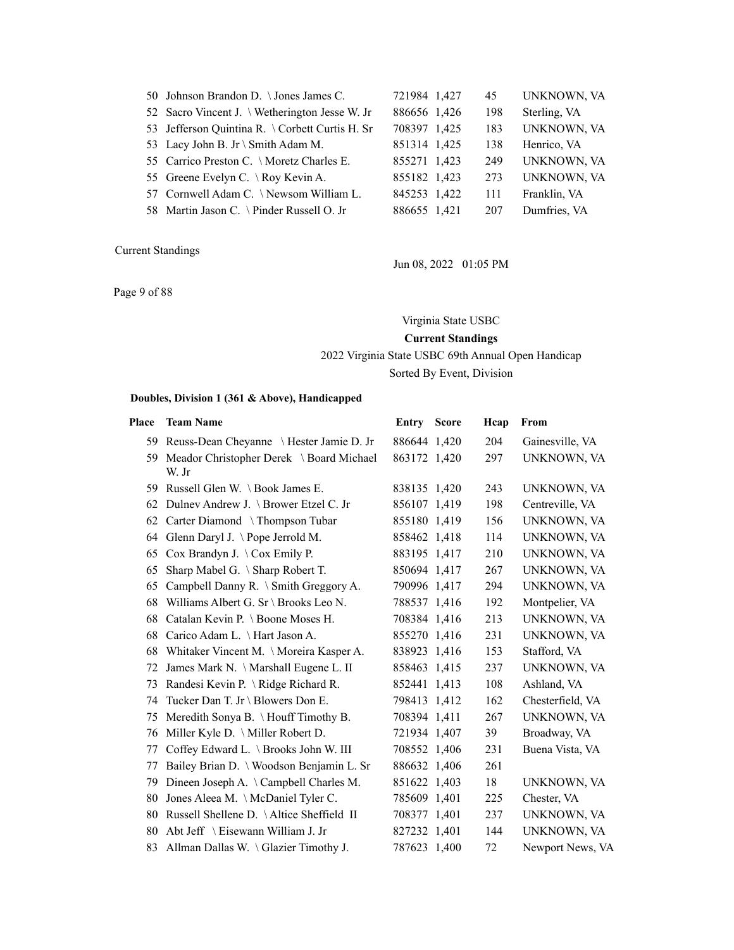| 50 Johnson Brandon D. \Jones James C.           | 721984 1,427 | 45  | UNKNOWN, VA        |
|-------------------------------------------------|--------------|-----|--------------------|
| 52 Sacro Vincent J. \ Wetherington Jesse W. Jr  | 886656 1,426 | 198 | Sterling, VA       |
| 53 Jefferson Quintina R. \ Corbett Curtis H. Sr | 708397 1,425 | 183 | <b>UNKNOWN, VA</b> |
| 53 Lacy John B. Jr \ Smith Adam M.              | 851314 1,425 | 138 | Henrico, VA        |
| 55 Carrico Preston C. \ Moretz Charles E.       | 855271 1,423 | 249 | UNKNOWN, VA        |
| 55 Greene Evelyn C. \ Roy Kevin A.              | 855182 1,423 | 273 | <b>UNKNOWN, VA</b> |
| 57 Cornwell Adam C. \ Newsom William L.         | 845253 1,422 | 111 | Franklin, VA       |
| 58 Martin Jason C. \ Pinder Russell O. Jr       | 886655 1,421 | 207 | Dumfries, VA       |
|                                                 |              |     |                    |

Jun 08, 2022 01:05 PM

Page 9 of 88

### Virginia State USBC

### **Current Standings**

2022 Virginia State USBC 69th Annual Open Handicap

Sorted By Event, Division

| Place | <b>Team Name</b>                                     | <b>Entry Score</b> | Hcap | From             |
|-------|------------------------------------------------------|--------------------|------|------------------|
|       | 59 Reuss-Dean Cheyanne \ Hester Jamie D. Jr          | 886644 1,420       | 204  | Gainesville, VA  |
|       | 59 Meador Christopher Derek \ Board Michael<br>W. Jr | 863172 1,420       | 297  | UNKNOWN, VA      |
| 59.   | Russell Glen W. $\setminus$ Book James E.            | 838135 1,420       | 243  | UNKNOWN, VA      |
| 62    | Dulney Andrew J. \ Brower Etzel C. Jr                | 856107 1,419       | 198  | Centreville, VA  |
| 62    | Carter Diamond \Thompson Tubar                       | 855180 1,419       | 156  | UNKNOWN, VA      |
| 64    | Glenn Daryl J. \Pope Jerrold M.                      | 858462 1,418       | 114  | UNKNOWN, VA      |
| 65    | Cox Brandyn J. $\setminus$ Cox Emily P.              | 883195 1,417       | 210  | UNKNOWN, VA      |
| 65    | Sharp Mabel G. \ Sharp Robert T.                     | 850694 1,417       | 267  | UNKNOWN, VA      |
| 65    | Campbell Danny R. \ Smith Greggory A.                | 790996 1,417       | 294  | UNKNOWN, VA      |
| 68    | Williams Albert G. Sr \ Brooks Leo N.                | 788537 1,416       | 192  | Montpelier, VA   |
| 68    | Catalan Kevin P. \ Boone Moses H.                    | 708384 1,416       | 213  | UNKNOWN, VA      |
| 68    | Carico Adam L. \ Hart Jason A.                       | 855270 1,416       | 231  | UNKNOWN, VA      |
| 68    | Whitaker Vincent M. \Moreira Kasper A.               | 838923 1,416       | 153  | Stafford, VA     |
| 72    | James Mark N. \ Marshall Eugene L. II                | 858463 1,415       | 237  | UNKNOWN, VA      |
| 73    | Randesi Kevin P. \ Ridge Richard R.                  | 852441 1,413       | 108  | Ashland, VA      |
| 74    | Tucker Dan T. Jr \ Blowers Don E.                    | 798413 1,412       | 162  | Chesterfield, VA |
| 75    | Meredith Sonya B. \Houff Timothy B.                  | 708394 1,411       | 267  | UNKNOWN, VA      |
| 76    | Miller Kyle D. \ Miller Robert D.                    | 721934 1,407       | 39   | Broadway, VA     |
| 77    | Coffey Edward L. \ Brooks John W. III                | 708552 1,406       | 231  | Buena Vista, VA  |
| 77    | Bailey Brian D. \ Woodson Benjamin L. Sr             | 886632 1,406       | 261  |                  |
| 79    | Dineen Joseph A. \ Campbell Charles M.               | 851622 1,403       | 18   | UNKNOWN, VA      |
| 80    | Jones Aleea M. \ McDaniel Tyler C.                   | 785609 1,401       | 225  | Chester, VA      |
| 80    | Russell Shellene D. \Altice Sheffield II             | 708377 1,401       | 237  | UNKNOWN, VA      |
| 80    | Abt Jeff \ Eisewann William J. Jr                    | 827232 1,401       | 144  | UNKNOWN, VA      |
| 83    | Allman Dallas W. \Glazier Timothy J.                 | 787623 1,400       | 72   | Newport News, VA |
|       |                                                      |                    |      |                  |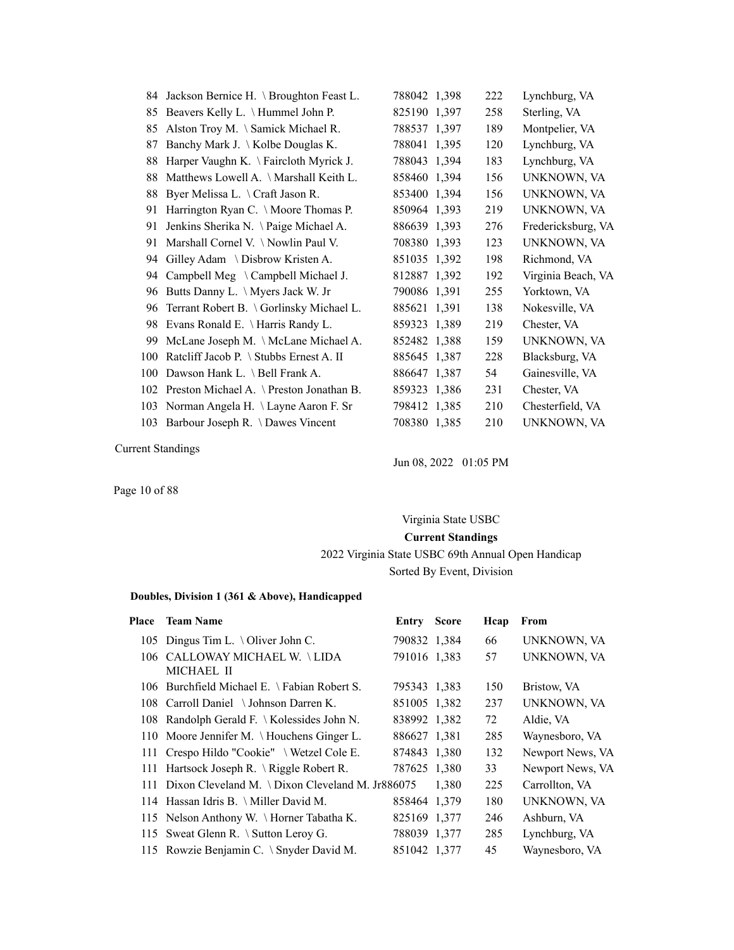|     | 84 Jackson Bernice H. \ Broughton Feast L.   | 788042 1,398 | 222 | Lynchburg, VA      |
|-----|----------------------------------------------|--------------|-----|--------------------|
| 85  | Beavers Kelly L. \ Hummel John P.            | 825190 1,397 | 258 | Sterling, VA       |
|     |                                              |              |     |                    |
| 85  | Alston Troy M. \ Samick Michael R.           | 788537 1,397 | 189 | Montpelier, VA     |
| 87  | Banchy Mark J. \ Kolbe Douglas K.            | 788041 1,395 | 120 | Lynchburg, VA      |
| 88  | Harper Vaughn K. \Faircloth Myrick J.        | 788043 1,394 | 183 | Lynchburg, VA      |
| 88  | Matthews Lowell A. \Marshall Keith L.        | 858460 1,394 | 156 | UNKNOWN, VA        |
| 88  | Byer Melissa L. \ Craft Jason R.             | 853400 1,394 | 156 | UNKNOWN, VA        |
| 91  | Harrington Ryan C. \ Moore Thomas P.         | 850964 1,393 | 219 | UNKNOWN, VA        |
| 91  | Jenkins Sherika N. \Paige Michael A.         | 886639 1,393 | 276 | Fredericksburg, VA |
| 91  | Marshall Cornel V. \Nowlin Paul V.           | 708380 1,393 | 123 | UNKNOWN, VA        |
| 94  | Gilley Adam \ Disbrow Kristen A.             | 851035 1,392 | 198 | Richmond, VA       |
| 94  | Campbell Meg \ Campbell Michael J.           | 812887 1,392 | 192 | Virginia Beach, VA |
| 96  | Butts Danny L. \ Myers Jack W. Jr            | 790086 1,391 | 255 | Yorktown, VA       |
| 96  | Terrant Robert B. \ Gorlinsky Michael L.     | 885621 1,391 | 138 | Nokesville, VA     |
| 98  | Evans Ronald E. \ Harris Randy L.            | 859323 1,389 | 219 | Chester, VA        |
| 99  | McLane Joseph M. \McLane Michael A.          | 852482 1,388 | 159 | UNKNOWN, VA        |
| 100 | Ratcliff Jacob P. \ Stubbs Ernest A. II      | 885645 1,387 | 228 | Blacksburg, VA     |
| 100 | Dawson Hank L. \ Bell Frank A.               | 886647 1,387 | 54  | Gainesville, VA    |
|     | 102 Preston Michael A. \ Preston Jonathan B. | 859323 1,386 | 231 | Chester, VA        |
|     | 103 Norman Angela H. \ Layne Aaron F. Sr     | 798412 1,385 | 210 | Chesterfield, VA   |
|     | 103 Barbour Joseph R. \ Dawes Vincent        | 708380 1,385 | 210 | UNKNOWN, VA        |

Jun 08, 2022 01:05 PM

Page 10 of 88

# Virginia State USBC **Current Standings** 2022 Virginia State USBC 69th Annual Open Handicap

# Sorted By Event, Division

| <b>Team Name</b> | Entry                                                                                                                                                                                                                                                                                                                                                                                                                                                                                                                        |                                                  | Hcap                                                                                                                                                                                                         | From             |
|------------------|------------------------------------------------------------------------------------------------------------------------------------------------------------------------------------------------------------------------------------------------------------------------------------------------------------------------------------------------------------------------------------------------------------------------------------------------------------------------------------------------------------------------------|--------------------------------------------------|--------------------------------------------------------------------------------------------------------------------------------------------------------------------------------------------------------------|------------------|
|                  |                                                                                                                                                                                                                                                                                                                                                                                                                                                                                                                              |                                                  | 66                                                                                                                                                                                                           | UNKNOWN, VA      |
| MICHAEL II       |                                                                                                                                                                                                                                                                                                                                                                                                                                                                                                                              |                                                  | 57                                                                                                                                                                                                           | UNKNOWN, VA      |
|                  |                                                                                                                                                                                                                                                                                                                                                                                                                                                                                                                              |                                                  | 150                                                                                                                                                                                                          | Bristow, VA      |
|                  |                                                                                                                                                                                                                                                                                                                                                                                                                                                                                                                              |                                                  | 237                                                                                                                                                                                                          | UNKNOWN, VA      |
|                  |                                                                                                                                                                                                                                                                                                                                                                                                                                                                                                                              |                                                  | 72                                                                                                                                                                                                           | Aldie, VA        |
|                  |                                                                                                                                                                                                                                                                                                                                                                                                                                                                                                                              |                                                  | 285                                                                                                                                                                                                          | Waynesboro, VA   |
|                  |                                                                                                                                                                                                                                                                                                                                                                                                                                                                                                                              |                                                  | 132                                                                                                                                                                                                          | Newport News, VA |
|                  |                                                                                                                                                                                                                                                                                                                                                                                                                                                                                                                              |                                                  | 33                                                                                                                                                                                                           | Newport News, VA |
|                  |                                                                                                                                                                                                                                                                                                                                                                                                                                                                                                                              | 1.380                                            | 225                                                                                                                                                                                                          | Carrollton, VA   |
|                  |                                                                                                                                                                                                                                                                                                                                                                                                                                                                                                                              |                                                  | 180                                                                                                                                                                                                          | UNKNOWN, VA      |
|                  |                                                                                                                                                                                                                                                                                                                                                                                                                                                                                                                              |                                                  | 246                                                                                                                                                                                                          | Ashburn, VA      |
|                  |                                                                                                                                                                                                                                                                                                                                                                                                                                                                                                                              |                                                  | 285                                                                                                                                                                                                          | Lynchburg, VA    |
|                  |                                                                                                                                                                                                                                                                                                                                                                                                                                                                                                                              |                                                  | 45                                                                                                                                                                                                           | Waynesboro, VA   |
|                  | 105 Dingus Tim L. \ Oliver John C.<br>106 CALLOWAY MICHAEL W. \LIDA<br>106 Burchfield Michael E. \ Fabian Robert S.<br>108 Carroll Daniel \Johnson Darren K.<br>108 Randolph Gerald F. \ Kolessides John N.<br>110 Moore Jennifer M. \Houchens Ginger L.<br>111 Crespo Hildo "Cookie" \ Wetzel Cole E.<br>111 Hartsock Joseph R. \ Riggle Robert R.<br>114 Hassan Idris B. \ Miller David M.<br>115 Nelson Anthony W. \Horner Tabatha K.<br>115 Sweat Glenn R. \ Sutton Leroy G.<br>115 Rowzie Benjamin C. \ Snyder David M. | Dixon Cleveland M. \ Dixon Cleveland M. Jr886075 | <b>Score</b><br>790832 1,384<br>791016 1.383<br>795343 1,383<br>851005 1.382<br>838992 1,382<br>886627 1.381<br>874843 1,380<br>787625 1.380<br>858464 1,379<br>825169 1,377<br>788039 1,377<br>851042 1,377 |                  |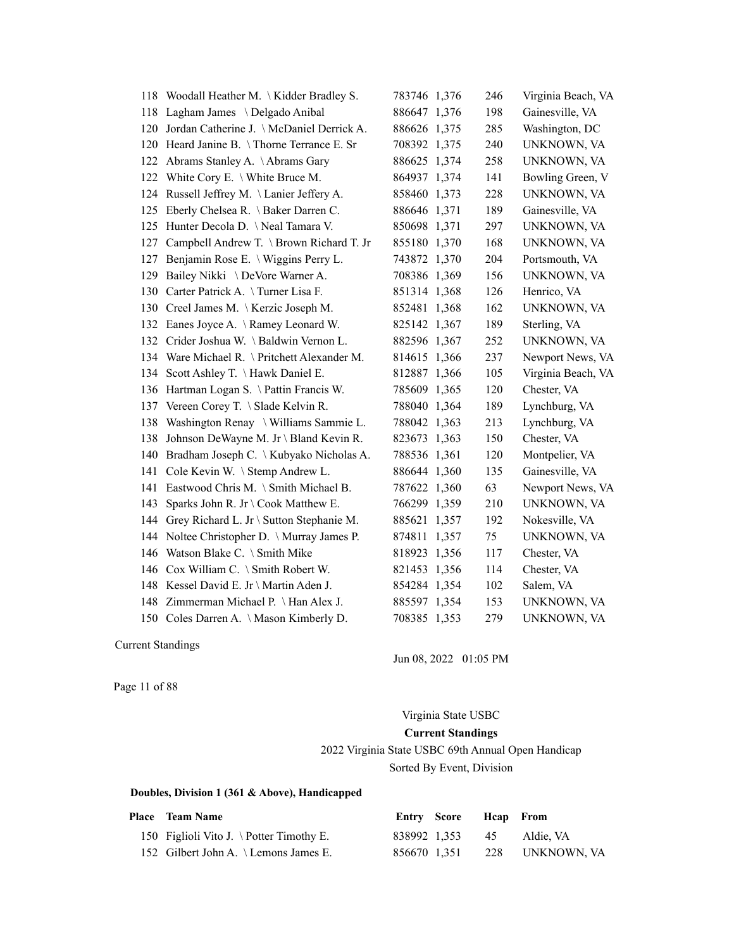| 118 | Woodall Heather M. \Kidder Bradley S.    | 783746 1,376    | 246 | Virginia Beach, VA |
|-----|------------------------------------------|-----------------|-----|--------------------|
| 118 | Lagham James \ Delgado Anibal            | 886647 1,376    | 198 | Gainesville, VA    |
| 120 | Jordan Catherine J. \McDaniel Derrick A. | 886626 1,375    | 285 | Washington, DC     |
| 120 | Heard Janine B. \Thorne Terrance E. Sr   | 708392 1,375    | 240 | UNKNOWN, VA        |
| 122 | Abrams Stanley A. \Abrams Gary           | 886625 1,374    | 258 | UNKNOWN, VA        |
| 122 | White Cory E. \ White Bruce M.           | 864937 1,374    | 141 | Bowling Green, V   |
| 124 | Russell Jeffrey M. \Lanier Jeffery A.    | 858460 1,373    | 228 | UNKNOWN, VA        |
| 125 | Eberly Chelsea R. \ Baker Darren C.      | 886646 1,371    | 189 | Gainesville, VA    |
| 125 | Hunter Decola D. \Neal Tamara V.         | 850698 1,371    | 297 | UNKNOWN, VA        |
| 127 | Campbell Andrew T. \ Brown Richard T. Jr | 855180 1,370    | 168 | UNKNOWN, VA        |
| 127 | Benjamin Rose E. \ Wiggins Perry L.      | 743872 1,370    | 204 | Portsmouth, VA     |
| 129 | Bailey Nikki \ DeVore Warner A.          | 708386 1,369    | 156 | UNKNOWN, VA        |
| 130 | Carter Patrick A. \Turner Lisa F.        | 851314 1,368    | 126 | Henrico, VA        |
|     | 130 Creel James M. \Kerzic Joseph M.     | 852481 1,368    | 162 | UNKNOWN, VA        |
| 132 | Eanes Joyce A. \Ramey Leonard W.         | 825142 1,367    | 189 | Sterling, VA       |
| 132 | Crider Joshua W. \ Baldwin Vernon L.     | 882596 1,367    | 252 | UNKNOWN, VA        |
| 134 | Ware Michael R. \ Pritchett Alexander M. | 814615 1,366    | 237 | Newport News, VA   |
|     | 134 Scott Ashley T. \Hawk Daniel E.      | 812887 1,366    | 105 | Virginia Beach, VA |
| 136 | Hartman Logan S. \ Pattin Francis W.     | 785609 1,365    | 120 | Chester, VA        |
| 137 | Vereen Corey T. \ Slade Kelvin R.        | 788040 1,364    | 189 | Lynchburg, VA      |
| 138 | Washington Renay \ Williams Sammie L.    | 788042 1,363    | 213 | Lynchburg, VA      |
| 138 | Johnson DeWayne M. Jr \ Bland Kevin R.   | 823673 1,363    | 150 | Chester, VA        |
| 140 | Bradham Joseph C. \ Kubyako Nicholas A.  | 788536 1,361    | 120 | Montpelier, VA     |
| 141 | Cole Kevin W. \ Stemp Andrew L.          | 886644 1,360    | 135 | Gainesville, VA    |
| 141 | Eastwood Chris M. \ Smith Michael B.     | 787622 1,360    | 63  | Newport News, VA   |
| 143 | Sparks John R. Jr \ Cook Matthew E.      | 766299 1,359    | 210 | UNKNOWN, VA        |
| 144 | Grey Richard L. Jr \ Sutton Stephanie M. | 885621 1,357    | 192 | Nokesville, VA     |
| 144 | Noltee Christopher D. \ Murray James P.  | 874811<br>1,357 | 75  | UNKNOWN, VA        |
| 146 | Watson Blake C. \ Smith Mike             | 818923 1,356    | 117 | Chester, VA        |
| 146 | Cox William C. \ Smith Robert W.         | 821453 1,356    | 114 | Chester, VA        |
| 148 | Kessel David E. Jr \ Martin Aden J.      | 854284 1,354    | 102 | Salem, VA          |
|     | 148 Zimmerman Michael P. \Han Alex J.    | 885597 1,354    | 153 | UNKNOWN, VA        |
|     | 150 Coles Darren A. \ Mason Kimberly D.  | 708385 1,353    | 279 | UNKNOWN, VA        |

Jun 08, 2022 01:05 PM

Page 11 of 88

# Virginia State USBC **Current Standings** 2022 Virginia State USBC 69th Annual Open Handicap Sorted By Event, Division

| <b>Place</b> Team Name                   | Entry Score Heap From |                              |
|------------------------------------------|-----------------------|------------------------------|
| 150 Figlioli Vito J. \ Potter Timothy E. | 838992 1.353 45       | Aldie. VA                    |
| 152 Gilbert John A. \ Lemons James E.    |                       | 856670 1.351 228 UNKNOWN, VA |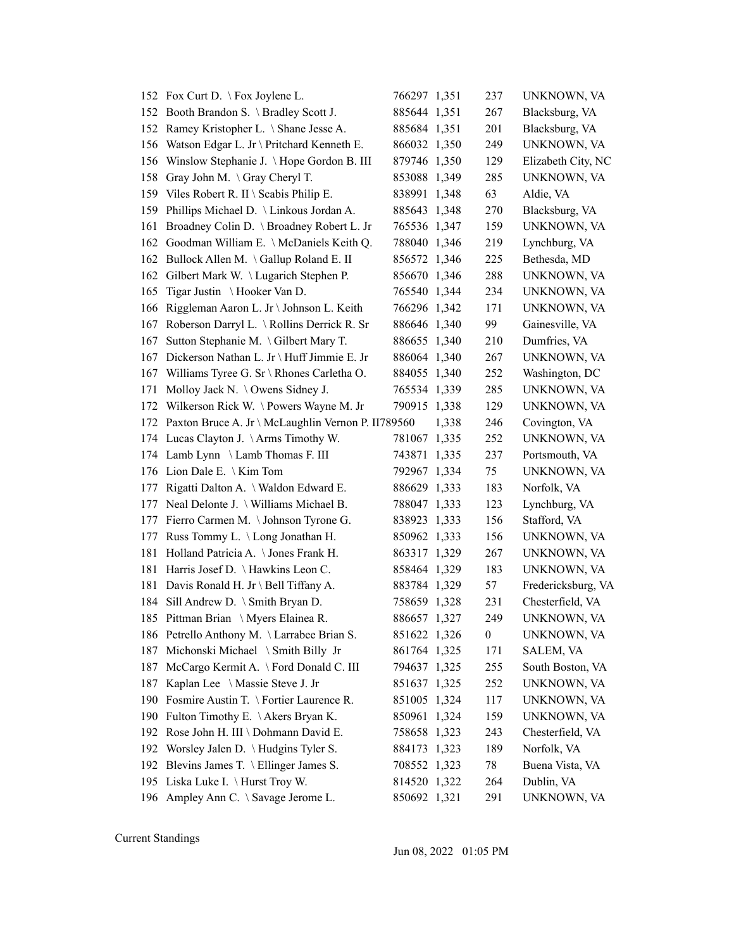|     | 152 Fox Curt D. \ Fox Joylene L.                       | 766297 1,351 |       | 237              | UNKNOWN, VA        |
|-----|--------------------------------------------------------|--------------|-------|------------------|--------------------|
|     | 152 Booth Brandon S. \ Bradley Scott J.                | 885644 1,351 |       | 267              | Blacksburg, VA     |
|     | 152 Ramey Kristopher L. \ Shane Jesse A.               | 885684 1,351 |       | 201              | Blacksburg, VA     |
| 156 | Watson Edgar L. Jr \ Pritchard Kenneth E.              | 866032 1,350 |       | 249              | UNKNOWN, VA        |
| 156 | Winslow Stephanie J. \Hope Gordon B. III               | 879746 1,350 |       | 129              | Elizabeth City, NC |
| 158 | Gray John M. \Gray Cheryl T.                           | 853088 1,349 |       | 285              | UNKNOWN, VA        |
| 159 | Viles Robert R. II \ Scabis Philip E.                  | 838991 1,348 |       | 63               | Aldie, VA          |
| 159 | Phillips Michael D. \ Linkous Jordan A.                | 885643 1,348 |       | 270              | Blacksburg, VA     |
| 161 | Broadney Colin D. \ Broadney Robert L. Jr              | 765536 1,347 |       | 159              | UNKNOWN, VA        |
| 162 | Goodman William E. \ McDaniels Keith Q.                | 788040 1,346 |       | 219              | Lynchburg, VA      |
|     | 162 Bullock Allen M. \Gallup Roland E. II              | 856572 1,346 |       | 225              | Bethesda, MD       |
| 162 | Gilbert Mark W. \Lugarich Stephen P.                   | 856670 1,346 |       | 288              | UNKNOWN, VA        |
| 165 | Tigar Justin \Hooker Van D.                            | 765540 1,344 |       | 234              | UNKNOWN, VA        |
| 166 | Riggleman Aaron L. Jr \ Johnson L. Keith               | 766296 1,342 |       | 171              | UNKNOWN, VA        |
| 167 | Roberson Darryl L. \ Rollins Derrick R. Sr             | 886646 1,340 |       | 99               | Gainesville, VA    |
| 167 | Sutton Stephanie M. \Gilbert Mary T.                   | 886655 1,340 |       | 210              | Dumfries, VA       |
| 167 | Dickerson Nathan L. Jr \ Huff Jimmie E. Jr             | 886064 1,340 |       | 267              | UNKNOWN, VA        |
| 167 | Williams Tyree G. Sr \ Rhones Carletha O.              | 884055 1,340 |       | 252              | Washington, DC     |
| 171 | Molloy Jack N. \ Owens Sidney J.                       | 765534 1,339 |       | 285              | UNKNOWN, VA        |
| 172 | Wilkerson Rick W. \Powers Wayne M. Jr                  | 790915 1,338 |       | 129              | UNKNOWN, VA        |
|     | 172 Paxton Bruce A. Jr \ McLaughlin Vernon P. II789560 |              | 1,338 | 246              | Covington, VA      |
|     | 174 Lucas Clayton J. \Arms Timothy W.                  | 781067 1,335 |       | 252              | UNKNOWN, VA        |
|     | 174 Lamb Lynn \ Lamb Thomas F. III                     | 743871 1,335 |       | 237              | Portsmouth, VA     |
| 176 | Lion Dale E. $\setminus$ Kim Tom                       | 792967 1,334 |       | 75               | UNKNOWN, VA        |
| 177 | Rigatti Dalton A. \ Waldon Edward E.                   | 886629 1,333 |       | 183              | Norfolk, VA        |
|     | 177 Neal Delonte J. \ Williams Michael B.              | 788047 1,333 |       | 123              | Lynchburg, VA      |
| 177 | Fierro Carmen M. \ Johnson Tyrone G.                   | 838923 1,333 |       | 156              | Stafford, VA       |
| 177 | Russ Tommy L. \ Long Jonathan H.                       | 850962 1,333 |       | 156              | UNKNOWN, VA        |
| 181 | Holland Patricia A. \ Jones Frank H.                   | 863317 1,329 |       | 267              | UNKNOWN, VA        |
| 181 | Harris Josef D. \Hawkins Leon C.                       | 858464 1,329 |       | 183              | UNKNOWN, VA        |
| 181 | Davis Ronald H. Jr \ Bell Tiffany A.                   | 883784 1,329 |       | 57               | Fredericksburg, VA |
| 184 | Sill Andrew D. \ Smith Bryan D.                        | 758659 1,328 |       | 231              | Chesterfield, VA   |
|     | 185 Pittman Brian \ Myers Elainea R.                   | 886657 1,327 |       | 249              | UNKNOWN, VA        |
|     | 186 Petrello Anthony M. \Larrabee Brian S.             | 851622 1,326 |       | $\boldsymbol{0}$ | UNKNOWN, VA        |
| 187 | Michonski Michael \ Smith Billy Jr                     | 861764 1,325 |       | 171              | SALEM, VA          |
| 187 | McCargo Kermit A. \ Ford Donald C. III                 | 794637 1,325 |       | 255              | South Boston, VA   |
| 187 | Kaplan Lee \ Massie Steve J. Jr                        | 851637 1,325 |       | 252              | UNKNOWN, VA        |
| 190 | Fosmire Austin T. \ Fortier Laurence R.                | 851005 1,324 |       | 117              | UNKNOWN, VA        |
| 190 | Fulton Timothy E. \Akers Bryan K.                      | 850961 1,324 |       | 159              | UNKNOWN, VA        |
| 192 | Rose John H. III \ Dohmann David E.                    | 758658 1,323 |       | 243              | Chesterfield, VA   |
| 192 | Worsley Jalen D. \ Hudgins Tyler S.                    | 884173 1,323 |       | 189              | Norfolk, VA        |
| 192 | Blevins James T. \ Ellinger James S.                   | 708552 1,323 |       | 78               | Buena Vista, VA    |
| 195 | Liska Luke I. \ Hurst Troy W.                          | 814520 1,322 |       | 264              | Dublin, VA         |
|     | 196 Ampley Ann C. \ Savage Jerome L.                   | 850692 1,321 |       | 291              | UNKNOWN, VA        |

Jun 08, 2022 01:05 PM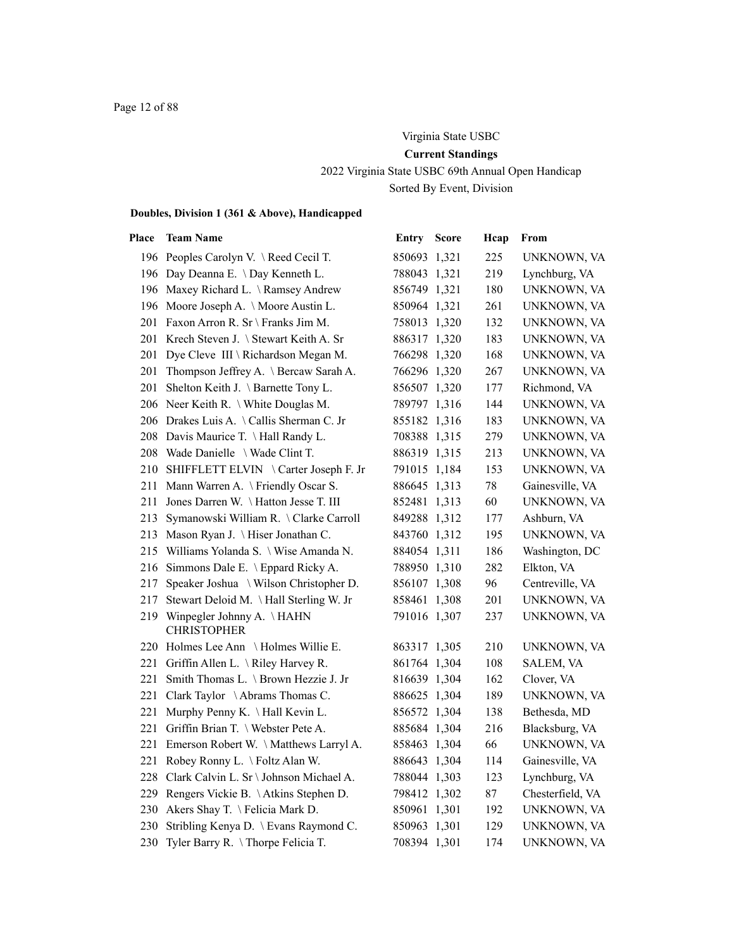# Virginia State USBC **Current Standings** 2022 Virginia State USBC 69th Annual Open Handicap Sorted By Event, Division

| Place | <b>Team Name</b>                                    | Entry        | <b>Score</b> | Hcap   | From             |
|-------|-----------------------------------------------------|--------------|--------------|--------|------------------|
|       | 196 Peoples Carolyn V. \Reed Cecil T.               | 850693 1,321 |              | 225    | UNKNOWN, VA      |
|       | 196 Day Deanna E. \ Day Kenneth L.                  | 788043 1,321 |              | 219    | Lynchburg, VA    |
|       | 196 Maxey Richard L. \Ramsey Andrew                 | 856749 1,321 |              | 180    | UNKNOWN, VA      |
|       | 196 Moore Joseph A. \ Moore Austin L.               | 850964 1,321 |              | 261    | UNKNOWN, VA      |
|       | 201 Faxon Arron R. Sr \ Franks Jim M.               | 758013 1,320 |              | 132    | UNKNOWN, VA      |
|       | 201 Krech Steven J. \ Stewart Keith A. Sr           | 886317 1,320 |              | 183    | UNKNOWN, VA      |
|       | 201 Dye Cleve III \ Richardson Megan M.             | 766298 1,320 |              | 168    | UNKNOWN, VA      |
|       | 201 Thompson Jeffrey A. \ Bercaw Sarah A.           | 766296 1,320 |              | 267    | UNKNOWN, VA      |
|       | 201 Shelton Keith J. \ Barnette Tony L.             | 856507 1,320 |              | 177    | Richmond, VA     |
|       | 206 Neer Keith R. \ White Douglas M.                | 789797 1,316 |              | 144    | UNKNOWN, VA      |
|       | 206 Drakes Luis A. \Callis Sherman C. Jr            | 855182 1,316 |              | 183    | UNKNOWN, VA      |
|       | 208 Davis Maurice T. \Hall Randy L.                 | 708388 1,315 |              | 279    | UNKNOWN, VA      |
|       | 208 Wade Danielle \ Wade Clint T.                   | 886319 1,315 |              | 213    | UNKNOWN, VA      |
|       | 210 SHIFFLETT ELVIN \ Carter Joseph F. Jr           | 791015 1,184 |              | 153    | UNKNOWN, VA      |
|       | 211 Mann Warren A. \ Friendly Oscar S.              | 886645 1,313 |              | $78\,$ | Gainesville, VA  |
| 211   | Jones Darren W. \Hatton Jesse T. III                | 852481 1,313 |              | 60     | UNKNOWN, VA      |
|       | 213 Symanowski William R. \Clarke Carroll           | 849288 1,312 |              | 177    | Ashburn, VA      |
|       | 213 Mason Ryan J. \ Hiser Jonathan C.               | 843760 1,312 |              | 195    | UNKNOWN, VA      |
|       | 215 Williams Yolanda S. \ Wise Amanda N.            | 884054 1,311 |              | 186    | Washington, DC   |
|       | 216 Simmons Dale E. \ Eppard Ricky A.               | 788950 1,310 |              | 282    | Elkton, VA       |
| 217   | Speaker Joshua \ Wilson Christopher D.              | 856107 1,308 |              | 96     | Centreville, VA  |
| 217   | Stewart Deloid M. \Hall Sterling W. Jr              | 858461 1,308 |              | 201    | UNKNOWN, VA      |
|       | 219 Winpegler Johnny A. \HAHN<br><b>CHRISTOPHER</b> | 791016 1,307 |              | 237    | UNKNOWN, VA      |
|       | 220 Holmes Lee Ann \ Holmes Willie E.               | 863317 1,305 |              | 210    | UNKNOWN, VA      |
|       | 221 Griffin Allen L. \Riley Harvey R.               | 861764 1,304 |              | 108    | SALEM, VA        |
| 221   | Smith Thomas L. \ Brown Hezzie J. Jr                | 816639 1,304 |              | 162    | Clover, VA       |
| 221   | Clark Taylor \Abrams Thomas C.                      | 886625 1,304 |              | 189    | UNKNOWN, VA      |
| 221   | Murphy Penny K. \Hall Kevin L.                      | 856572 1,304 |              | 138    | Bethesda, MD     |
| 221   | Griffin Brian T. \ Webster Pete A.                  | 885684 1,304 |              | 216    | Blacksburg, VA   |
| 221   | Emerson Robert W. \Matthews Larryl A.               | 858463 1,304 |              | 66     | UNKNOWN, VA      |
| 221   | Robey Ronny L. \ Foltz Alan W.                      | 886643 1,304 |              | 114    | Gainesville, VA  |
|       | 228 Clark Calvin L. Sr \ Johnson Michael A.         | 788044 1,303 |              | 123    | Lynchburg, VA    |
|       | 229 Rengers Vickie B. \Atkins Stephen D.            | 798412 1,302 |              | 87     | Chesterfield, VA |
|       | 230 Akers Shay T. \Felicia Mark D.                  | 850961 1,301 |              | 192    | UNKNOWN, VA      |
|       | 230 Stribling Kenya D. \ Evans Raymond C.           | 850963 1,301 |              | 129    | UNKNOWN, VA      |
|       | 230 Tyler Barry R. \Thorpe Felicia T.               | 708394 1,301 |              | 174    | UNKNOWN, VA      |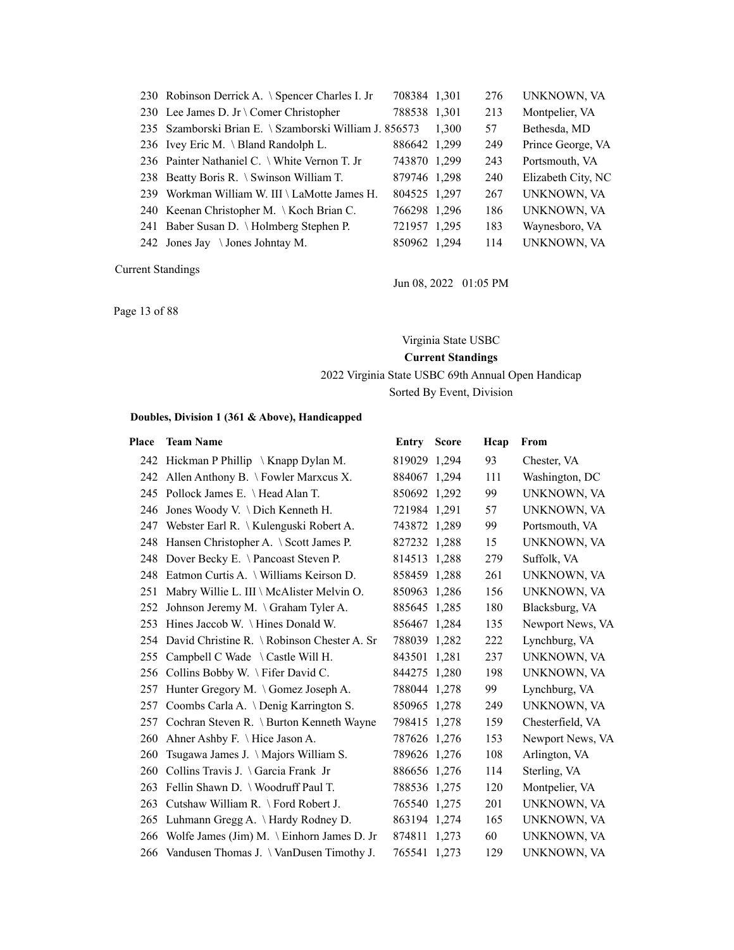| 230 Robinson Derrick A. \ Spencer Charles I. Jr        | 708384 1,301 |       | 276 | UNKNOWN, VA        |
|--------------------------------------------------------|--------------|-------|-----|--------------------|
| 230 Lee James D. Jr \ Comer Christopher                | 788538 1,301 |       | 213 | Montpelier, VA     |
| 235 Szamborski Brian E. \ Szamborski William J. 856573 |              | 1.300 | 57  | Bethesda, MD       |
| 236 Ivey Eric M. \ Bland Randolph L.                   | 886642 1.299 |       | 249 | Prince George, VA  |
| 236 Painter Nathaniel C. \ White Vernon T. Jr          | 743870 1.299 |       | 243 | Portsmouth, VA     |
| 238 Beatty Boris R. \ Swinson William T.               | 879746 1.298 |       | 240 | Elizabeth City, NC |
| 239 Workman William W. III \ LaMotte James H.          | 804525 1,297 |       | 267 | UNKNOWN, VA        |
| 240 Keenan Christopher M. \ Koch Brian C.              | 766298 1.296 |       | 186 | UNKNOWN, VA        |
| 241 Baber Susan D. \Holmberg Stephen P.                | 721957 1,295 |       | 183 | Waynesboro, VA     |
| 242 Jones Jay $\setminus$ Jones Johntay M.             | 850962 1,294 |       | 114 | UNKNOWN, VA        |

Jun 08, 2022 01:05 PM

Page 13 of 88

Virginia State USBC

**Current Standings**

2022 Virginia State USBC 69th Annual Open Handicap

Sorted By Event, Division

| Place | <b>Team Name</b>                                | <b>Entry Score</b> | Hcap | From             |
|-------|-------------------------------------------------|--------------------|------|------------------|
|       | 242 Hickman P Phillip \ Knapp Dylan M.          | 819029 1,294       | 93   | Chester, VA      |
|       | 242 Allen Anthony B. \ Fowler Marxcus X.        | 884067 1,294       | 111  | Washington, DC   |
|       | 245 Pollock James E. \ Head Alan T.             | 850692 1,292       | 99   | UNKNOWN, VA      |
| 246   | Jones Woody V. \ Dich Kenneth H.                | 721984 1,291       | 57   | UNKNOWN, VA      |
|       | 247 Webster Earl R. \ Kulenguski Robert A.      | 743872 1,289       | 99   | Portsmouth, VA   |
|       | 248 Hansen Christopher A. \ Scott James P.      | 827232 1,288       | 15   | UNKNOWN, VA      |
|       | 248 Dover Becky E. \Pancoast Steven P.          | 814513 1,288       | 279  | Suffolk, VA      |
| 248   | Eatmon Curtis A. \ Williams Keirson D.          | 858459 1.288       | 261  | UNKNOWN, VA      |
| 251   | Mabry Willie L. III \ McAlister Melvin O.       | 850963 1,286       | 156  | UNKNOWN, VA      |
| 252   | Johnson Jeremy M. \ Graham Tyler A.             | 885645 1,285       | 180  | Blacksburg, VA   |
| 253   | Hines Jaccob W. $\backslash$ Hines Donald W.    | 856467 1,284       | 135  | Newport News, VA |
|       | 254 David Christine R. \ Robinson Chester A. Sr | 788039 1,282       | 222  | Lynchburg, VA    |
| 255   | Campbell C Wade \ Castle Will H.                | 843501 1,281       | 237  | UNKNOWN, VA      |
|       | 256 Collins Bobby W. \Fifer David C.            | 844275 1,280       | 198  | UNKNOWN, VA      |
|       | 257 Hunter Gregory M. \Gomez Joseph A.          | 788044 1,278       | 99   | Lynchburg, VA    |
| 257   | Coombs Carla A. \ Denig Karrington S.           | 850965 1,278       | 249  | UNKNOWN, VA      |
|       | 257 Cochran Steven R. \ Burton Kenneth Wayne    | 798415 1,278       | 159  | Chesterfield, VA |
| 260   | Ahner Ashby F. \ Hice Jason A.                  | 787626 1,276       | 153  | Newport News, VA |
| 260   | Tsugawa James J. \Majors William S.             | 789626 1,276       | 108  | Arlington, VA    |
| 260   | Collins Travis J. $\bigcap$ Garcia Frank Jr     | 886656 1,276       | 114  | Sterling, VA     |
| 263   | Fellin Shawn D. \ Woodruff Paul T.              | 788536 1,275       | 120  | Montpelier, VA   |
|       | 263 Cutshaw William R. \ Ford Robert J.         | 765540 1,275       | 201  | UNKNOWN, VA      |
|       | 265 Luhmann Gregg A. \Hardy Rodney D.           | 863194 1,274       | 165  | UNKNOWN, VA      |
| 266   | Wolfe James (Jim) M. \ Einhorn James D. Jr      | 874811 1,273       | 60   | UNKNOWN, VA      |
|       | 266 Vandusen Thomas J. \VanDusen Timothy J.     | 765541 1,273       | 129  | UNKNOWN, VA      |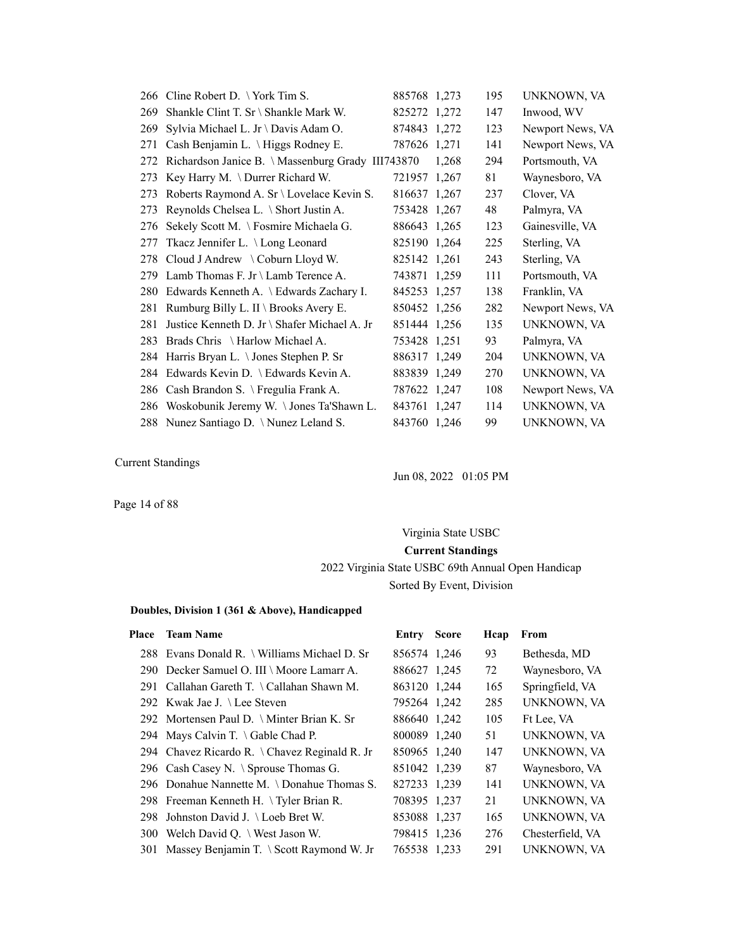|     | 266 Cline Robert D. \York Tim S.                     | 885768 1,273 |       | 195 | UNKNOWN, VA      |
|-----|------------------------------------------------------|--------------|-------|-----|------------------|
| 269 | Shankle Clint T. Sr \ Shankle Mark W.                | 825272 1,272 |       | 147 | Inwood, WV       |
| 269 | Sylvia Michael L. Jr \ Davis Adam O.                 | 874843 1,272 |       | 123 | Newport News, VA |
| 271 | Cash Benjamin L. \ Higgs Rodney E.                   | 787626 1,271 |       | 141 | Newport News, VA |
|     | 272 Richardson Janice B. \Massenburg Grady III743870 |              | 1,268 | 294 | Portsmouth, VA   |
| 273 | Key Harry M. \Durrer Richard W.                      | 721957 1,267 |       | 81  | Waynesboro, VA   |
| 273 | Roberts Raymond A. Sr \ Lovelace Kevin S.            | 816637 1,267 |       | 237 | Clover, VA       |
| 273 | Reynolds Chelsea L. \ Short Justin A.                | 753428 1,267 |       | 48  | Palmyra, VA      |
| 276 | Sekely Scott M. \ Fosmire Michaela G.                | 886643 1,265 |       | 123 | Gainesville, VA  |
| 277 | Tkacz Jennifer L. \ Long Leonard                     | 825190 1,264 |       | 225 | Sterling, VA     |
|     | 278 Cloud J Andrew \ Coburn Lloyd W.                 | 825142 1,261 |       | 243 | Sterling, VA     |
| 279 | Lamb Thomas F. Jr \ Lamb Terence A.                  | 743871 1,259 |       | 111 | Portsmouth, VA   |
| 280 | Edwards Kenneth A. \ Edwards Zachary I.              | 845253 1,257 |       | 138 | Franklin, VA     |
| 281 | Rumburg Billy L. II \ Brooks Avery E.                | 850452 1,256 |       | 282 | Newport News, VA |
| 281 | Justice Kenneth D. Jr \ Shafer Michael A. Jr         | 851444 1,256 |       | 135 | UNKNOWN, VA      |
| 283 | Brads Chris \ Harlow Michael A.                      | 753428 1,251 |       | 93  | Palmyra, VA      |
|     | 284 Harris Bryan L. \ Jones Stephen P. Sr            | 886317 1,249 |       | 204 | UNKNOWN, VA      |
| 284 | Edwards Kevin D. \ Edwards Kevin A.                  | 883839 1,249 |       | 270 | UNKNOWN, VA      |
| 286 | Cash Brandon S. \ Fregulia Frank A.                  | 787622 1,247 |       | 108 | Newport News, VA |
| 286 | Woskobunik Jeremy W. \Jones Ta'Shawn L.              | 843761 1,247 |       | 114 | UNKNOWN, VA      |
|     | 288 Nunez Santiago D. \Nunez Leland S.               | 843760 1,246 |       | 99  | UNKNOWN, VA      |

Jun 08, 2022 01:05 PM

Page 14 of 88

# Virginia State USBC **Current Standings** 2022 Virginia State USBC 69th Annual Open Handicap Sorted By Event, Division

| Place | <b>Team Name</b>                             | Entry        | <b>Score</b> | Hcap | From               |
|-------|----------------------------------------------|--------------|--------------|------|--------------------|
|       | 288 Evans Donald R. \ Williams Michael D. Sr | 856574 1,246 |              | 93   | Bethesda, MD       |
|       | 290 Decker Samuel O. III \ Moore Lamarr A.   | 886627 1,245 |              | 72   | Waynesboro, VA     |
|       | 291 Callahan Gareth T. \Callahan Shawn M.    | 863120 1,244 |              | 165  | Springfield, VA    |
|       | 292 Kwak Jae J. \Lee Steven                  | 795264 1,242 |              | 285  | <b>UNKNOWN, VA</b> |
|       | 292 Mortensen Paul D. \ Minter Brian K. Sr   | 886640 1,242 |              | 105  | Ft Lee, VA         |
|       | 294 Mays Calvin T. $\setminus$ Gable Chad P. | 800089 1,240 |              | 51   | <b>UNKNOWN, VA</b> |
|       | 294 Chavez Ricardo R. \Chavez Reginald R. Jr | 850965 1,240 |              | 147  | <b>UNKNOWN, VA</b> |
|       | 296 Cash Casey N. \ Sprouse Thomas G.        | 851042 1,239 |              | 87   | Waynesboro, VA     |
|       | 296 Donahue Nannette M. \Donahue Thomas S.   | 827233 1,239 |              | 141  | <b>UNKNOWN, VA</b> |
|       | 298 Freeman Kenneth H. \Tyler Brian R.       | 708395 1,237 |              | 21   | <b>UNKNOWN, VA</b> |
|       | 298 Johnston David J. \ Loeb Bret W.         | 853088 1,237 |              | 165  | <b>UNKNOWN, VA</b> |
|       | 300 Welch David Q. \ West Jason W.           | 798415 1,236 |              | 276  | Chesterfield, VA   |
|       | 301 Massey Benjamin T. \ Scott Raymond W. Jr | 765538 1,233 |              | 291  | <b>UNKNOWN, VA</b> |
|       |                                              |              |              |      |                    |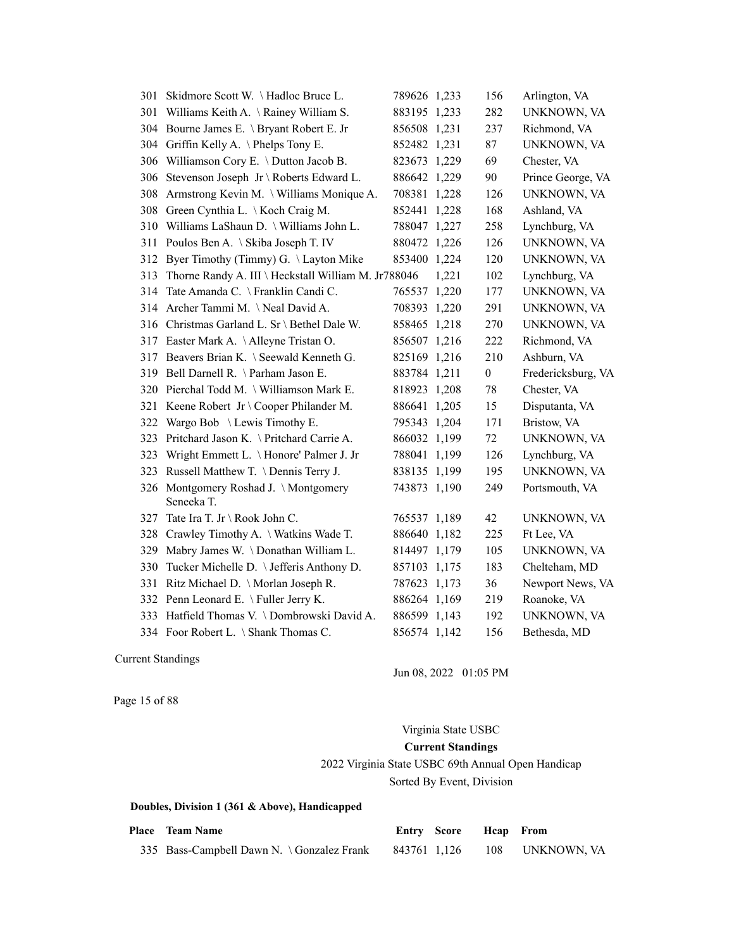| 301 | Skidmore Scott W. \Hadloc Bruce L.                  | 789626 1,233 |       | 156              | Arlington, VA      |
|-----|-----------------------------------------------------|--------------|-------|------------------|--------------------|
| 301 | Williams Keith A. \ Rainey William S.               | 883195 1,233 |       | 282              | UNKNOWN, VA        |
| 304 | Bourne James E. \ Bryant Robert E. Jr               | 856508 1,231 |       | 237              | Richmond, VA       |
| 304 | Griffin Kelly A. \Phelps Tony E.                    | 852482 1,231 |       | 87               | UNKNOWN, VA        |
| 306 | Williamson Cory E. \ Dutton Jacob B.                | 823673 1,229 |       | 69               | Chester, VA        |
| 306 | Stevenson Joseph Jr \ Roberts Edward L.             | 886642 1,229 |       | 90               | Prince George, VA  |
| 308 | Armstrong Kevin M. \ Williams Monique A.            | 708381 1,228 |       | 126              | UNKNOWN, VA        |
| 308 | Green Cynthia L. \ Koch Craig M.                    | 852441 1,228 |       | 168              | Ashland, VA        |
| 310 | Williams LaShaun D. \ Williams John L.              | 788047 1,227 |       | 258              | Lynchburg, VA      |
| 311 | Poulos Ben A. \ Skiba Joseph T. IV                  | 880472 1,226 |       | 126              | UNKNOWN, VA        |
| 312 | Byer Timothy (Timmy) G. \Layton Mike                | 853400 1,224 |       | 120              | UNKNOWN, VA        |
| 313 | Thorne Randy A. III \ Heckstall William M. Jr788046 |              | 1,221 | 102              | Lynchburg, VA      |
| 314 | Tate Amanda C. \ Franklin Candi C.                  | 765537 1,220 |       | 177              | UNKNOWN, VA        |
| 314 | Archer Tammi M. \Neal David A.                      | 708393 1,220 |       | 291              | UNKNOWN, VA        |
| 316 | Christmas Garland L. Sr \ Bethel Dale W.            | 858465 1,218 |       | 270              | UNKNOWN, VA        |
| 317 | Easter Mark A. \Alleyne Tristan O.                  | 856507 1,216 |       | 222              | Richmond, VA       |
| 317 | Beavers Brian K. \ Seewald Kenneth G.               | 825169 1,216 |       | 210              | Ashburn, VA        |
| 319 | Bell Darnell R. \ Parham Jason E.                   | 883784 1,211 |       | $\boldsymbol{0}$ | Fredericksburg, VA |
| 320 | Pierchal Todd M. \ Williamson Mark E.               | 818923 1,208 |       | 78               | Chester, VA        |
| 321 | Keene Robert Jr \ Cooper Philander M.               | 886641 1,205 |       | 15               | Disputanta, VA     |
| 322 | Wargo Bob \ Lewis Timothy E.                        | 795343 1,204 |       | 171              | Bristow, VA        |
| 323 | Pritchard Jason K. \ Pritchard Carrie A.            | 866032 1,199 |       | 72               | UNKNOWN, VA        |
| 323 | Wright Emmett L. \ Honore' Palmer J. Jr             | 788041 1,199 |       | 126              | Lynchburg, VA      |
| 323 | Russell Matthew T. \ Dennis Terry J.                | 838135 1,199 |       | 195              | UNKNOWN, VA        |
| 326 | Montgomery Roshad J. \Montgomery                    | 743873 1,190 |       | 249              | Portsmouth, VA     |
|     | Seneeka T.                                          |              |       |                  |                    |
| 327 | Tate Ira T. Jr \ Rook John C.                       | 765537 1,189 |       | 42               | UNKNOWN, VA        |
| 328 | Crawley Timothy A. \ Watkins Wade T.                | 886640 1,182 |       | 225              | Ft Lee, VA         |
| 329 | Mabry James W. \Donathan William L.                 | 814497 1,179 |       | 105              | UNKNOWN, VA        |
| 330 | Tucker Michelle D. \ Jefferis Anthony D.            | 857103 1,175 |       | 183              | Chelteham, MD      |
| 331 | Ritz Michael D. \ Morlan Joseph R.                  | 787623 1,173 |       | 36               | Newport News, VA   |
|     | 332 Penn Leonard E. \Fuller Jerry K.                | 886264 1,169 |       | 219              | Roanoke, VA        |
| 333 | Hatfield Thomas V. \Dombrowski David A.             | 886599 1,143 |       | 192              | UNKNOWN, VA        |
|     | 334 Foor Robert L. \ Shank Thomas C.                | 856574 1,142 |       | 156              | Bethesda, MD       |

Jun 08, 2022 01:05 PM

Page 15 of 88

### Virginia State USBC

### **Current Standings**

# 2022 Virginia State USBC 69th Annual Open Handicap Sorted By Event, Division

| <b>Place</b> Team Name                     |              | Entry Score Heap From |                 |
|--------------------------------------------|--------------|-----------------------|-----------------|
| 335 Bass-Campbell Dawn N. \ Gonzalez Frank | 843761 1,126 |                       | 108 UNKNOWN, VA |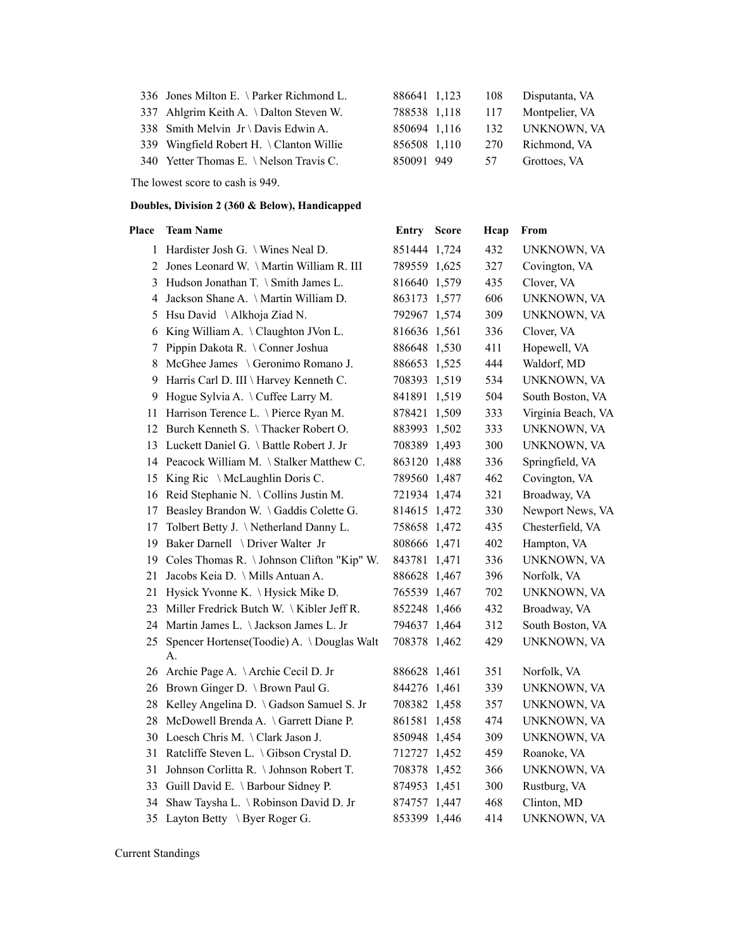|  |  |  | 336 Jones Milton E. \Parker Richmond L. |
|--|--|--|-----------------------------------------|
|--|--|--|-----------------------------------------|

The lowest score to cash is 949.

#### **Doubles, Division 2 (360 & Below), Handicapped**

### **Place Team Name Entry Score Hcap From** 1 Hardister Josh G. \ Wines Neal D. 851444 1,724 432 UNKNOWN, VA 2 Jones Leonard W. \ Martin William R. III 789559 1,625 327 Covington, VA 3 Hudson Jonathan T. \ Smith James L. 816640 1,579 435 Clover, VA 4 Jackson Shane A. \ Martin William D. 863173 1,577 606 UNKNOWN, VA 5 Hsu David \ Alkhoja Ziad N. 792967 1,574 309 UNKNOWN, VA 6 King William A. \ Claughton JVon L. 816636 1,561 336 Clover, VA 7 Pippin Dakota R. \ Conner Joshua 886648 1,530 411 Hopewell, VA 8 McGhee James \ Geronimo Romano J. 886653 1,525 444 Waldorf, MD 9 Harris Carl D. III \ Harvey Kenneth C. 708393 1,519 534 UNKNOWN, VA 9 Hogue Sylvia A. \ Cuffee Larry M. 841891 1,519 504 South Boston, VA 11 Harrison Terence L. \ Pierce Ryan M. 878421 1,509 333 Virginia Beach, VA 12 Burch Kenneth S. \ Thacker Robert O. 883993 1,502 333 UNKNOWN, VA 13 Luckett Daniel G. \ Battle Robert J. Jr 708389 1,493 300 UNKNOWN, VA 14 Peacock William M. \ Stalker Matthew C. 863120 1,488 336 Springfield, VA 15 King Ric \ McLaughlin Doris C. 789560 1,487 462 Covington, VA 16 Reid Stephanie N. \ Collins Justin M. 721934 1,474 321 Broadway, VA 17 Beasley Brandon W. \ Gaddis Colette G. 814615 1,472 330 Newport News, VA 17 Tolbert Betty J. \ Netherland Danny L. 758658 1,472 435 Chesterfield, VA 19 Baker Darnell \ Driver Walter Jr 808666 1,471 402 Hampton, VA 19 Coles Thomas R. \ Johnson Clifton "Kip" W. 843781 1,471 336 UNKNOWN, VA 21 Jacobs Keia D. \ Mills Antuan A. 886628 1,467 396 Norfolk, VA 21 Hysick Yvonne K. \ Hysick Mike D. 765539 1,467 702 UNKNOWN, VA 23 Miller Fredrick Butch W. \ Kibler Jeff R. 852248 1,466 432 Broadway, VA 24 Martin James L. \ Jackson James L. Jr 794637 1,464 312 South Boston, VA 25 Spencer Hortense(Toodie) A. \ Douglas Walt 708378 1,462 429 UNKNOWN, VA A. 26 Archie Page A. \ Archie Cecil D. Jr 886628 1,461 351 Norfolk, VA 26 Brown Ginger D. \ Brown Paul G. 844276 1,461 339 UNKNOWN, VA 28 Kelley Angelina D. \ Gadson Samuel S. Jr 708382 1,458 357 UNKNOWN, VA 28 McDowell Brenda A. \ Garrett Diane P. 861581 1,458 474 UNKNOWN, VA 30 Loesch Chris M. \ Clark Jason J. 850948 1,454 309 UNKNOWN, VA 31 Ratcliffe Steven L. \ Gibson Crystal D. 712727 1,452 459 Roanoke, VA 31 Johnson Corlitta R. \ Johnson Robert T. 708378 1,452 366 UNKNOWN, VA 33 Guill David E. \ Barbour Sidney P. 874953 1,451 300 Rustburg, VA 34 Shaw Taysha L. \ Robinson David D. Jr 874757 1,447 468 Clinton, MD 35 Layton Betty \ Byer Roger G. 853399 1,446 414 UNKNOWN, VA

Current Standings

| 336 Jones Milton E. \ Parker Richmond L. |              | 886641 1,123 108 |     | Disputanta, VA     |
|------------------------------------------|--------------|------------------|-----|--------------------|
| 337 Ahlgrim Keith A. \Dalton Steven W.   | 788538 1,118 |                  |     | 117 Montpelier, VA |
| 338 Smith Melvin Jr \ Davis Edwin A.     | 850694 1,116 |                  |     | 132 UNKNOWN, VA    |
| 339 Wingfield Robert H. \ Clanton Willie | 856508 1,110 |                  | 270 | Richmond, VA       |
| 340 Yetter Thomas E. \Nelson Travis C.   | 850091 949   |                  | 57  | Grottoes, VA       |
|                                          |              |                  |     |                    |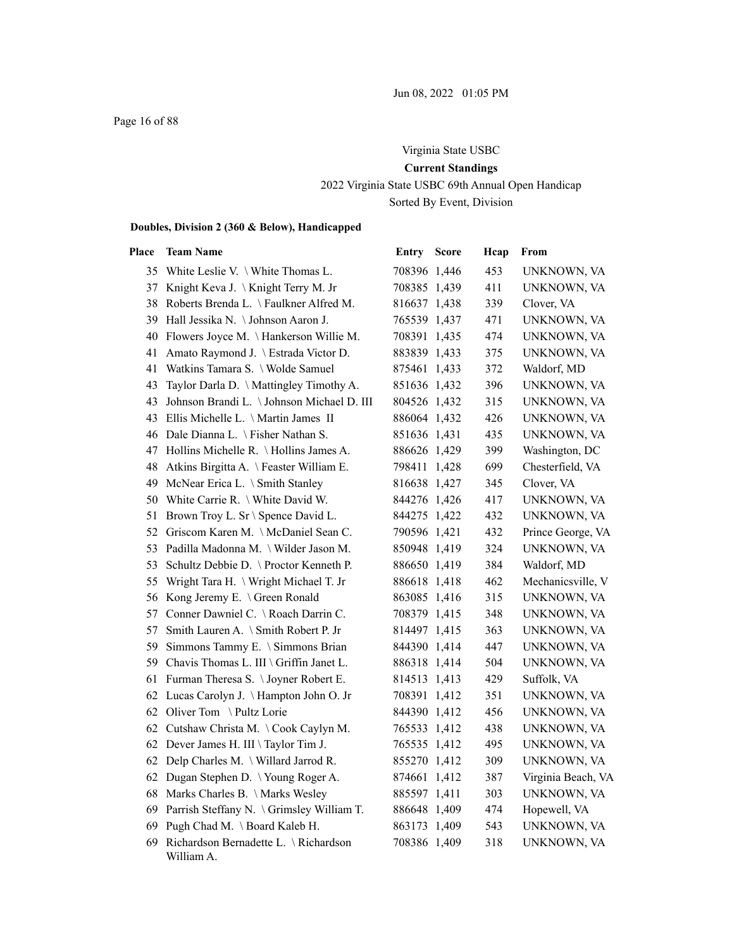# Virginia State USBC **Current Standings** 2022 Virginia State USBC 69th Annual Open Handicap Sorted By Event, Division

| Place | <b>Team Name</b>                                    | Entry        | <b>Score</b> | Hcap | From               |
|-------|-----------------------------------------------------|--------------|--------------|------|--------------------|
| 35    | White Leslie V. \ White Thomas L.                   | 708396 1,446 |              | 453  | UNKNOWN, VA        |
|       | 37 Knight Keva J. \Knight Terry M. Jr               | 708385 1,439 |              | 411  | UNKNOWN, VA        |
| 38    | Roberts Brenda L. \Faulkner Alfred M.               | 816637 1,438 |              | 339  | Clover, VA         |
|       | 39 Hall Jessika N. \ Johnson Aaron J.               | 765539 1,437 |              | 471  | UNKNOWN, VA        |
| 40    | Flowers Joyce M. \Hankerson Willie M.               | 708391 1,435 |              | 474  | UNKNOWN, VA        |
| 41    | Amato Raymond J. \ Estrada Victor D.                | 883839 1,433 |              | 375  | UNKNOWN, VA        |
| 41    | Watkins Tamara S. \ Wolde Samuel                    | 875461 1,433 |              | 372  | Waldorf, MD        |
| 43    | Taylor Darla D. \ Mattingley Timothy A.             | 851636 1,432 |              | 396  | UNKNOWN, VA        |
| 43    | Johnson Brandi L. \Johnson Michael D. III           | 804526 1,432 |              | 315  | UNKNOWN, VA        |
|       | 43 Ellis Michelle L. \ Martin James II              | 886064 1,432 |              | 426  | UNKNOWN, VA        |
|       | 46 Dale Dianna L. \ Fisher Nathan S.                | 851636 1,431 |              | 435  | UNKNOWN, VA        |
| 47    | Hollins Michelle R. \Hollins James A.               | 886626 1,429 |              | 399  | Washington, DC     |
| 48    | Atkins Birgitta A. \Feaster William E.              | 798411 1,428 |              | 699  | Chesterfield, VA   |
| 49    | McNear Erica L. \ Smith Stanley                     | 816638 1,427 |              | 345  | Clover, VA         |
| 50    | White Carrie R. \ White David W.                    | 844276 1,426 |              | 417  | UNKNOWN, VA        |
| 51    | Brown Troy L. Sr \ Spence David L.                  | 844275 1,422 |              | 432  | UNKNOWN, VA        |
| 52    | Griscom Karen M. \McDaniel Sean C.                  | 790596 1,421 |              | 432  | Prince George, VA  |
| 53    | Padilla Madonna M. \ Wilder Jason M.                | 850948 1,419 |              | 324  | UNKNOWN, VA        |
| 53    | Schultz Debbie D. \ Proctor Kenneth P.              | 886650 1,419 |              | 384  | Waldorf, MD        |
| 55    | Wright Tara H. \ Wright Michael T. Jr               | 886618 1,418 |              | 462  | Mechanicsville, V  |
| 56    | Kong Jeremy E. \ Green Ronald                       | 863085 1,416 |              | 315  | UNKNOWN, VA        |
| 57    | Conner Dawniel C. \ Roach Darrin C.                 | 708379 1,415 |              | 348  | UNKNOWN, VA        |
| 57    | Smith Lauren A. \ Smith Robert P. Jr                | 814497 1,415 |              | 363  | UNKNOWN, VA        |
| 59.   | Simmons Tammy E. \ Simmons Brian                    | 844390 1,414 |              | 447  | UNKNOWN, VA        |
| 59    | Chavis Thomas L. III \ Griffin Janet L.             | 886318 1,414 |              | 504  | UNKNOWN, VA        |
| 61    | Furman Theresa S. \Joyner Robert E.                 | 814513 1,413 |              | 429  | Suffolk, VA        |
| 62    | Lucas Carolyn J. \Hampton John O. Jr                | 708391 1,412 |              | 351  | UNKNOWN, VA        |
| 62    | Oliver Tom \Pultz Lorie                             | 844390 1,412 |              | 456  | UNKNOWN, VA        |
| 62    | Cutshaw Christa M. \Cook Caylyn M.                  | 765533 1,412 |              | 438  | UNKNOWN, VA        |
| 62    | Dever James H. III \ Taylor Tim J.                  | 765535 1,412 |              | 495  | UNKNOWN, VA        |
| 62    | Delp Charles M. \ Willard Jarrod R.                 | 855270 1,412 |              | 309  | UNKNOWN, VA        |
| 62    | Dugan Stephen D. \Young Roger A.                    | 874661 1,412 |              | 387  | Virginia Beach, VA |
| 68    | Marks Charles B. \ Marks Wesley                     | 885597 1,411 |              | 303  | UNKNOWN, VA        |
| 69    | Parrish Steffany N. \ Grimsley William T.           | 886648 1,409 |              | 474  | Hopewell, VA       |
| 69    | Pugh Chad M. \ Board Kaleb H.                       | 863173 1,409 |              | 543  | UNKNOWN, VA        |
| 69    | Richardson Bernadette L. \ Richardson<br>William A. | 708386 1,409 |              | 318  | UNKNOWN, VA        |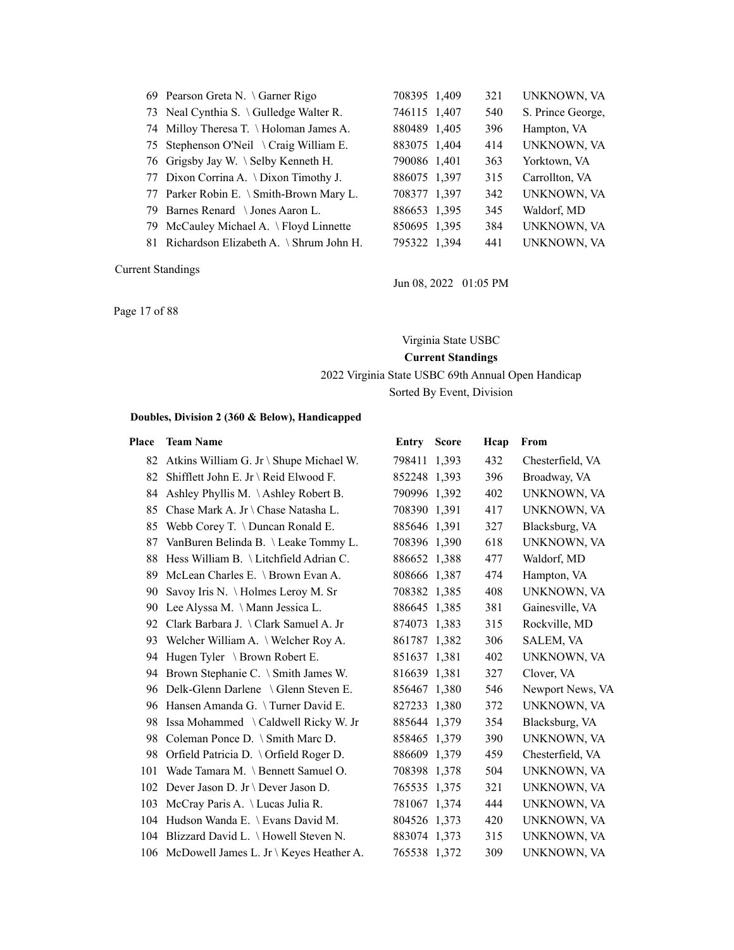|     | 69 Pearson Greta N. \ Garner Rigo          | 708395 1,409 | 321 | UNKNOWN, VA        |
|-----|--------------------------------------------|--------------|-----|--------------------|
|     | 73 Neal Cynthia S. \Gulledge Walter R.     | 746115 1,407 | 540 | S. Prince George,  |
|     | 74 Milloy Theresa T. \Holoman James A.     | 880489 1,405 | 396 | Hampton, VA        |
|     | 75 Stephenson O'Neil \ Craig William E.    | 883075 1,404 | 414 | <b>UNKNOWN, VA</b> |
|     | 76 Grigsby Jay W. \ Selby Kenneth H.       | 790086 1,401 | 363 | Yorktown, VA       |
|     | 77 Dixon Corrina A. \Dixon Timothy J.      | 886075 1,397 | 315 | Carrollton, VA     |
|     | 77 Parker Robin E. \ Smith-Brown Mary L.   | 708377 1,397 | 342 | <b>UNKNOWN, VA</b> |
| 79. | Barnes Renard $\setminus$ Jones Aaron L.   | 886653 1,395 | 345 | Waldorf, MD        |
|     | 79 McCauley Michael A. \ Floyd Linnette    | 850695 1,395 | 384 | UNKNOWN, VA        |
|     | 81 Richardson Elizabeth A. \ Shrum John H. | 795322 1,394 | 441 | <b>UNKNOWN, VA</b> |
|     |                                            |              |     |                    |

Page 17 of 88

Jun 08, 2022 01:05 PM

### Virginia State USBC

### **Current Standings**

2022 Virginia State USBC 69th Annual Open Handicap

Sorted By Event, Division

| Place | <b>Team Name</b>                            | <b>Entry Score</b> | Hcap | From             |
|-------|---------------------------------------------|--------------------|------|------------------|
|       | 82 Atkins William G. Jr \ Shupe Michael W.  | 798411 1,393       | 432  | Chesterfield, VA |
| 82    | Shifflett John E. Jr \ Reid Elwood F.       | 852248 1,393       | 396  | Broadway, VA     |
| 84    | Ashley Phyllis M. $\Lambda$ shley Robert B. | 790996 1,392       | 402  | UNKNOWN, VA      |
| 85    | Chase Mark A. Jr \ Chase Natasha L.         | 708390 1,391       | 417  | UNKNOWN, VA      |
| 85    | Webb Corey T. \ Duncan Ronald E.            | 885646 1,391       | 327  | Blacksburg, VA   |
| 87    | VanBuren Belinda B. \Leake Tommy L.         | 708396 1,390       | 618  | UNKNOWN, VA      |
| 88    | Hess William B. \Litchfield Adrian C.       | 886652 1,388       | 477  | Waldorf, MD      |
| 89    | McLean Charles E. \ Brown Evan A.           | 808666 1,387       | 474  | Hampton, VA      |
| 90    | Savoy Iris N. \ Holmes Leroy M. Sr          | 708382 1,385       | 408  | UNKNOWN, VA      |
| 90    | Lee Alyssa M. \ Mann Jessica L.             | 886645 1,385       | 381  | Gainesville, VA  |
| 92    | Clark Barbara J. \ Clark Samuel A. Jr       | 874073 1,383       | 315  | Rockville, MD    |
| 93    | Welcher William A. \ Welcher Roy A.         | 861787 1,382       | 306  | <b>SALEM, VA</b> |
| 94    | Hugen Tyler \ Brown Robert E.               | 851637 1,381       | 402  | UNKNOWN, VA      |
| 94    | Brown Stephanie C. \ Smith James W.         | 816639 1,381       | 327  | Clover, VA       |
| 96    | Delk-Glenn Darlene \ Glenn Steven E.        | 856467 1,380       | 546  | Newport News, VA |
| 96    | Hansen Amanda G. \Turner David E.           | 827233 1,380       | 372  | UNKNOWN, VA      |
| 98    | Issa Mohammed \ Caldwell Ricky W. Jr        | 885644 1,379       | 354  | Blacksburg, VA   |
| 98    | Coleman Ponce D. \ Smith Marc D.            | 858465 1,379       | 390  | UNKNOWN, VA      |
| 98    | Orfield Patricia D. \ Orfield Roger D.      | 886609 1,379       | 459  | Chesterfield, VA |
| 101   | Wade Tamara M. \ Bennett Samuel O.          | 708398 1,378       | 504  | UNKNOWN, VA      |
| 102   | Dever Jason D. Jr \ Dever Jason D.          | 765535 1,375       | 321  | UNKNOWN, VA      |
| 103   | McCray Paris A. \Lucas Julia R.             | 781067 1,374       | 444  | UNKNOWN, VA      |
| 104   | Hudson Wanda E. \ Evans David M.            | 804526 1,373       | 420  | UNKNOWN, VA      |
| 104   | Blizzard David L. \ Howell Steven N.        | 883074 1,373       | 315  | UNKNOWN, VA      |
| 106   | McDowell James L. Jr \ Keyes Heather A.     | 765538 1,372       | 309  | UNKNOWN, VA      |
|       |                                             |                    |      |                  |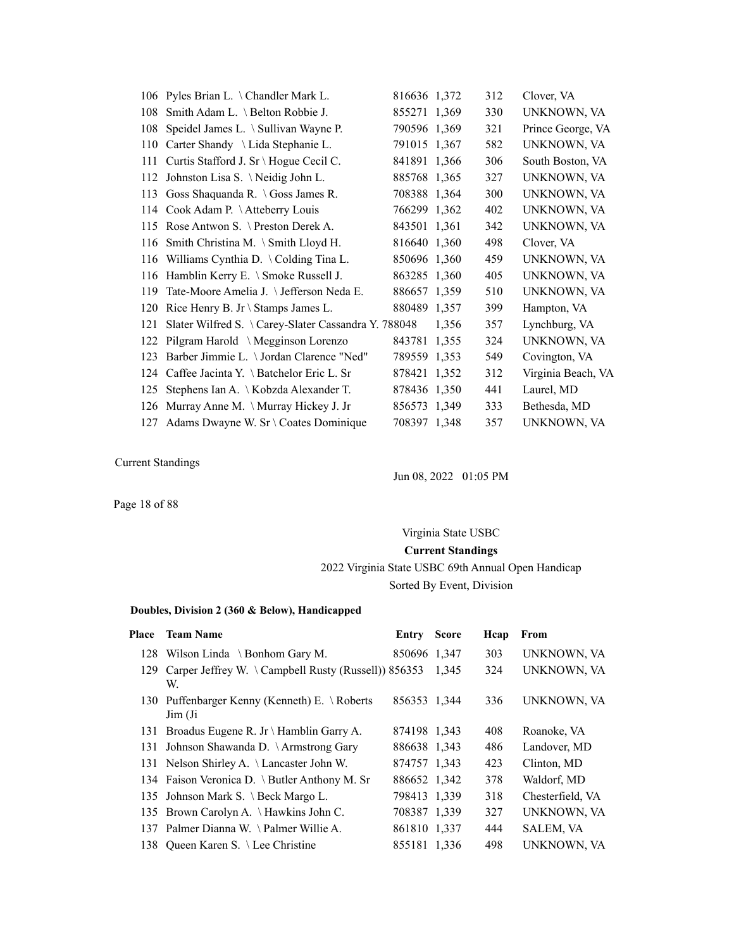|     | 106 Pyles Brian L. \ Chandler Mark L.               | 816636 1,372 |       | 312 | Clover, VA         |
|-----|-----------------------------------------------------|--------------|-------|-----|--------------------|
| 108 | Smith Adam L. \ Belton Robbie J.                    | 855271 1,369 |       | 330 | UNKNOWN, VA        |
| 108 | Speidel James L. \ Sullivan Wayne P.                | 790596 1,369 |       | 321 | Prince George, VA  |
| 110 | Carter Shandy \ Lida Stephanie L.                   | 791015 1,367 |       | 582 | UNKNOWN, VA        |
| 111 | Curtis Stafford J. Sr \ Hogue Cecil C.              | 841891 1,366 |       | 306 | South Boston, VA   |
|     | 112 Johnston Lisa S. \Neidig John L.                | 885768 1,365 |       | 327 | UNKNOWN, VA        |
| 113 | Goss Shaquanda R. $\log$ Soss James R.              | 708388 1,364 |       | 300 | UNKNOWN, VA        |
| 114 | Cook Adam P. \Atteberry Louis                       | 766299 1,362 |       | 402 | UNKNOWN, VA        |
|     | 115 Rose Antwon S. \ Preston Derek A.               | 843501 1,361 |       | 342 | UNKNOWN, VA        |
| 116 | Smith Christina M. \ Smith Lloyd H.                 | 816640 1,360 |       | 498 | Clover, VA         |
|     | 116 Williams Cynthia D. \Colding Tina L.            | 850696 1,360 |       | 459 | UNKNOWN, VA        |
| 116 | Hamblin Kerry E. \ Smoke Russell J.                 | 863285 1.360 |       | 405 | UNKNOWN, VA        |
| 119 | Tate-Moore Amelia J. \ Jefferson Neda E.            | 886657 1.359 |       | 510 | UNKNOWN, VA        |
| 120 | Rice Henry B. Jr \ Stamps James L.                  | 880489 1,357 |       | 399 | Hampton, VA        |
| 121 | Slater Wilfred S. \Carey-Slater Cassandra Y. 788048 |              | 1,356 | 357 | Lynchburg, VA      |
|     | 122 Pilgram Harold \ Megginson Lorenzo              | 843781 1,355 |       | 324 | UNKNOWN, VA        |
| 123 | Barber Jimmie L. \ Jordan Clarence "Ned"            | 789559 1,353 |       | 549 | Covington, VA      |
| 124 | Caffee Jacinta Y. $\setminus$ Batchelor Eric L. Sr  | 878421 1,352 |       | 312 | Virginia Beach, VA |
| 125 | Stephens Ian A. \ Kobzda Alexander T.               | 878436 1,350 |       | 441 | Laurel, MD         |
| 126 | Murray Anne M. \ Murray Hickey J. Jr                | 856573 1,349 |       | 333 | Bethesda, MD       |
|     | 127 Adams Dwayne W. Sr \ Coates Dominique           | 708397 1,348 |       | 357 | UNKNOWN, VA        |

Jun 08, 2022 01:05 PM

Page 18 of 88

# Virginia State USBC **Current Standings** 2022 Virginia State USBC 69th Annual Open Handicap Sorted By Event, Division

| Place | <b>Team Name</b>                                                        | Entry        | <b>Score</b> | Hcap | From             |
|-------|-------------------------------------------------------------------------|--------------|--------------|------|------------------|
|       | 128 Wilson Linda \ Bonhom Gary M.                                       | 850696 1,347 |              | 303  | UNKNOWN, VA      |
| 129   | Carper Jeffrey W. \Campbell Rusty (Russell)) $856353$<br>W.             |              | 1,345        | 324  | UNKNOWN, VA      |
|       | 130 Puffenbarger Kenny (Kenneth) E. \Roberts<br>$\text{Jim}(\text{Ji})$ | 856353 1,344 |              | 336  | UNKNOWN, VA      |
|       | 131 Broadus Eugene R. Jr \ Hamblin Garry A.                             | 874198 1,343 |              | 408  | Roanoke, VA      |
| 131   | Johnson Shawanda D. \Armstrong Gary                                     | 886638 1,343 |              | 486  | Landover, MD     |
|       | 131 Nelson Shirley A. \ Lancaster John W.                               | 874757 1,343 |              | 423  | Clinton, MD      |
|       | 134 Faison Veronica D. \ Butler Anthony M. Sr                           | 886652 1,342 |              | 378  | Waldorf, MD      |
|       | 135 Johnson Mark S. \ Beck Margo L.                                     | 798413 1,339 |              | 318  | Chesterfield, VA |
|       | 135 Brown Carolyn A. \Hawkins John C.                                   | 708387 1,339 |              | 327  | UNKNOWN, VA      |
|       | 137 Palmer Dianna W. \Palmer Willie A.                                  | 861810 1,337 |              | 444  | <b>SALEM, VA</b> |
|       | 138 Oueen Karen S. \ Lee Christine                                      | 855181 1.336 |              | 498  | UNKNOWN, VA      |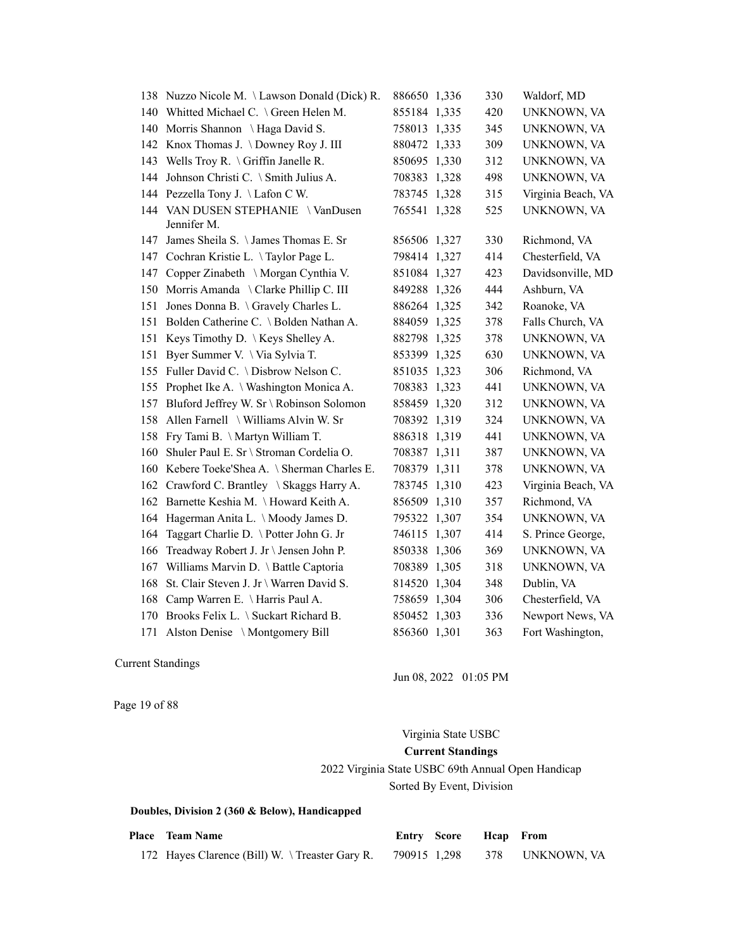|     | 138 Nuzzo Nicole M. \Lawson Donald (Dick) R.     | 886650 1,336 | 330 | Waldorf, MD        |
|-----|--------------------------------------------------|--------------|-----|--------------------|
|     | 140 Whitted Michael C. \ Green Helen M.          | 855184 1,335 | 420 | UNKNOWN, VA        |
| 140 | Morris Shannon \ Haga David S.                   | 758013 1,335 | 345 | UNKNOWN, VA        |
| 142 | Knox Thomas J. \ Downey Roy J. III               | 880472 1,333 | 309 | UNKNOWN, VA        |
| 143 | Wells Troy R. \ Griffin Janelle R.               | 850695 1,330 | 312 | UNKNOWN, VA        |
| 144 | Johnson Christi C. \ Smith Julius A.             | 708383 1,328 | 498 | UNKNOWN, VA        |
| 144 | Pezzella Tony J. \Lafon C W.                     | 783745 1,328 | 315 | Virginia Beach, VA |
|     | 144 VAN DUSEN STEPHANIE \VanDusen<br>Jennifer M. | 765541 1,328 | 525 | UNKNOWN, VA        |
|     | 147 James Sheila S. \James Thomas E. Sr          | 856506 1,327 | 330 | Richmond, VA       |
| 147 | Cochran Kristie L. \Taylor Page L.               | 798414 1,327 | 414 | Chesterfield, VA   |
| 147 | Copper Zinabeth \ Morgan Cynthia V.              | 851084 1,327 | 423 | Davidsonville, MD  |
| 150 | Morris Amanda \ Clarke Phillip C. III            | 849288 1,326 | 444 | Ashburn, VA        |
| 151 | Jones Donna B. \ Gravely Charles L.              | 886264 1,325 | 342 | Roanoke, VA        |
| 151 | Bolden Catherine C. \ Bolden Nathan A.           | 884059 1,325 | 378 | Falls Church, VA   |
| 151 | Keys Timothy D. $\setminus$ Keys Shelley A.      | 882798 1,325 | 378 | UNKNOWN, VA        |
| 151 | Byer Summer V. \ Via Sylvia T.                   | 853399 1,325 | 630 | UNKNOWN, VA        |
| 155 | Fuller David C. \ Disbrow Nelson C.              | 851035 1,323 | 306 | Richmond, VA       |
| 155 | Prophet Ike A. \ Washington Monica A.            | 708383 1,323 | 441 | UNKNOWN, VA        |
| 157 | Bluford Jeffrey W. Sr \ Robinson Solomon         | 858459 1,320 | 312 | UNKNOWN, VA        |
| 158 | Allen Farnell \ Williams Alvin W. Sr             | 708392 1,319 | 324 | UNKNOWN, VA        |
| 158 | Fry Tami B. \ Martyn William T.                  | 886318 1,319 | 441 | UNKNOWN, VA        |
| 160 | Shuler Paul E. Sr \ Stroman Cordelia O.          | 708387 1,311 | 387 | UNKNOWN, VA        |
| 160 | Kebere Toeke'Shea A. \ Sherman Charles E.        | 708379 1,311 | 378 | UNKNOWN, VA        |
| 162 | Crawford C. Brantley \ Skaggs Harry A.           | 783745 1,310 | 423 | Virginia Beach, VA |
| 162 | Barnette Keshia M. \Howard Keith A.              | 856509 1,310 | 357 | Richmond, VA       |
| 164 | Hagerman Anita L. \Moody James D.                | 795322 1,307 | 354 | UNKNOWN, VA        |
| 164 | Taggart Charlie D. \ Potter John G. Jr           | 746115 1,307 | 414 | S. Prince George,  |
| 166 | Treadway Robert J. Jr \ Jensen John P.           | 850338 1,306 | 369 | UNKNOWN, VA        |
| 167 | Williams Marvin D. \ Battle Captoria             | 708389 1,305 | 318 | UNKNOWN, VA        |
| 168 | St. Clair Steven J. Jr \ Warren David S.         | 814520 1,304 | 348 | Dublin, VA         |
| 168 | Camp Warren E. \ Harris Paul A.                  | 758659 1,304 | 306 | Chesterfield, VA   |
| 170 | Brooks Felix L. \ Suckart Richard B.             | 850452 1,303 | 336 | Newport News, VA   |
| 171 | Alston Denise \ Montgomery Bill                  | 856360 1,301 | 363 | Fort Washington,   |

Jun 08, 2022 01:05 PM

Page 19 of 88

# Virginia State USBC

### **Current Standings**

# 2022 Virginia State USBC 69th Annual Open Handicap

Sorted By Event, Division

| <b>Place</b> Team Name                                                      |  | Entry Score Heap From |  |
|-----------------------------------------------------------------------------|--|-----------------------|--|
| 172 Hayes Clarence (Bill) W. \Treaster Gary R. 790915 1,298 378 UNKNOWN, VA |  |                       |  |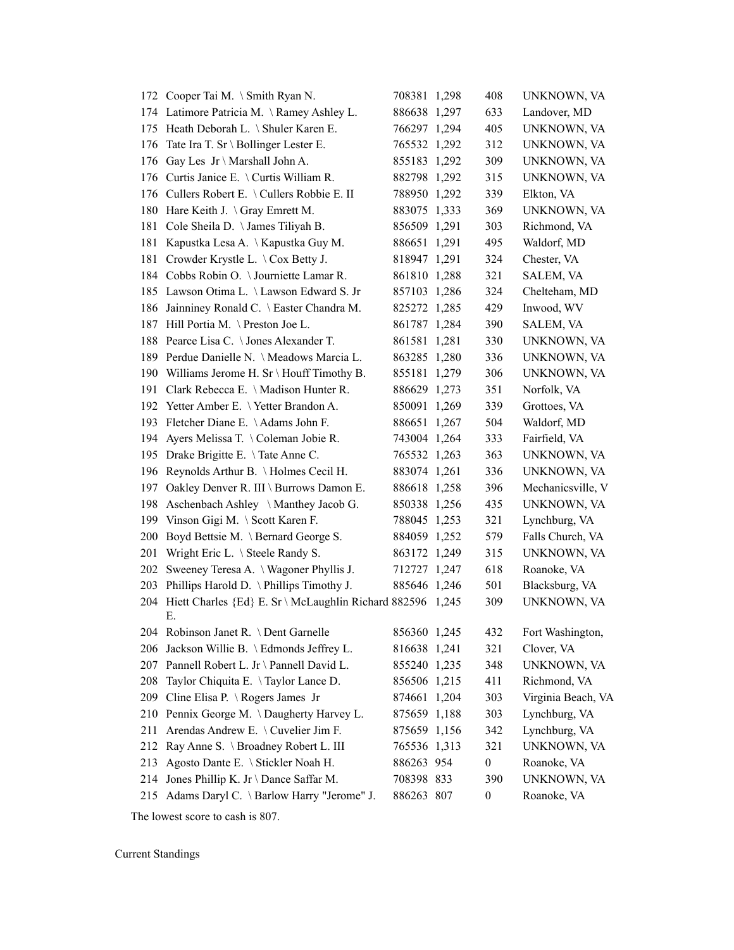|     | 172 Cooper Tai M. \ Smith Ryan N.                                | 708381 1,298 | 408              | UNKNOWN, VA        |
|-----|------------------------------------------------------------------|--------------|------------------|--------------------|
|     | 174 Latimore Patricia M. \Ramey Ashley L.                        | 886638 1,297 | 633              | Landover, MD       |
|     | 175 Heath Deborah L. \ Shuler Karen E.                           | 766297 1,294 | 405              | <b>UNKNOWN, VA</b> |
| 176 | Tate Ira T. Sr \ Bollinger Lester E.                             | 765532 1,292 | 312              | UNKNOWN, VA        |
| 176 | Gay Les $Jr \setminus$ Marshall John A.                          | 855183 1,292 | 309              | UNKNOWN, VA        |
| 176 | Curtis Janice E. \ Curtis William R.                             | 882798 1,292 | 315              | UNKNOWN, VA        |
| 176 | Cullers Robert E. \ Cullers Robbie E. II                         | 788950 1,292 | 339              | Elkton, VA         |
| 180 | Hare Keith J. \Gray Emrett M.                                    | 883075 1,333 | 369              | UNKNOWN, VA        |
| 181 | Cole Sheila D. \ James Tiliyah B.                                | 856509 1,291 | 303              | Richmond, VA       |
| 181 | Kapustka Lesa A. \ Kapustka Guy M.                               | 886651 1,291 | 495              | Waldorf, MD        |
| 181 | Crowder Krystle L. \ Cox Betty J.                                | 818947 1,291 | 324              | Chester, VA        |
|     | 184 Cobbs Robin O. \Journiette Lamar R.                          | 861810 1,288 | 321              | SALEM, VA          |
| 185 | Lawson Otima L. \ Lawson Edward S. Jr                            | 857103 1,286 | 324              | Chelteham, MD      |
| 186 | Jainniney Ronald C. \ Easter Chandra M.                          | 825272 1,285 | 429              | Inwood, WV         |
| 187 | Hill Portia M. \Preston Joe L.                                   | 861787 1,284 | 390              | SALEM, VA          |
| 188 | Pearce Lisa C. \ Jones Alexander T.                              | 861581 1,281 | 330              | UNKNOWN, VA        |
|     | 189 Perdue Danielle N. \ Meadows Marcia L.                       | 863285 1,280 | 336              | UNKNOWN, VA        |
| 190 | Williams Jerome H. Sr \ Houff Timothy B.                         | 855181 1,279 | 306              | UNKNOWN, VA        |
| 191 | Clark Rebecca E. \ Madison Hunter R.                             | 886629 1,273 | 351              | Norfolk, VA        |
| 192 | Yetter Amber E. \Yetter Brandon A.                               | 850091 1,269 | 339              | Grottoes, VA       |
| 193 | Fletcher Diane E. \Adams John F.                                 | 886651 1,267 | 504              | Waldorf, MD        |
| 194 | Ayers Melissa T. \Coleman Jobie R.                               | 743004 1,264 | 333              | Fairfield, VA      |
| 195 | Drake Brigitte E. \Tate Anne C.                                  | 765532 1,263 | 363              | UNKNOWN, VA        |
| 196 | Reynolds Arthur B. \Holmes Cecil H.                              | 883074 1,261 | 336              | UNKNOWN, VA        |
| 197 | Oakley Denver R. III \ Burrows Damon E.                          | 886618 1,258 | 396              | Mechanicsville, V  |
| 198 | Aschenbach Ashley \ Manthey Jacob G.                             | 850338 1,256 | 435              | UNKNOWN, VA        |
| 199 | Vinson Gigi M. \ Scott Karen F.                                  | 788045 1,253 | 321              | Lynchburg, VA      |
| 200 | Boyd Bettsie M. \ Bernard George S.                              | 884059 1,252 | 579              | Falls Church, VA   |
| 201 | Wright Eric L. \ Steele Randy S.                                 | 863172 1,249 | 315              | UNKNOWN, VA        |
| 202 | Sweeney Teresa A. \ Wagoner Phyllis J.                           | 712727 1,247 | 618              | Roanoke, VA        |
| 203 | Phillips Harold D. \ Phillips Timothy J.                         | 885646 1,246 | 501              | Blacksburg, VA     |
| 204 | Hiett Charles {Ed} E. Sr \ McLaughlin Richard 882596 1,245<br>Е. |              | 309              | UNKNOWN, VA        |
|     | 204 Robinson Janet R. \ Dent Garnelle                            | 856360 1,245 | 432              | Fort Washington,   |
| 206 | Jackson Willie B. \ Edmonds Jeffrey L.                           | 816638 1,241 | 321              | Clover, VA         |
| 207 | Pannell Robert L. Jr \ Pannell David L.                          | 855240 1,235 | 348              | UNKNOWN, VA        |
| 208 | Taylor Chiquita E. \Taylor Lance D.                              | 856506 1,215 | 411              | Richmond, VA       |
| 209 | Cline Elisa P. \ Rogers James Jr                                 | 874661 1,204 | 303              | Virginia Beach, VA |
| 210 | Pennix George M. \Daugherty Harvey L.                            | 875659 1,188 | 303              | Lynchburg, VA      |
| 211 | Arendas Andrew E. \ Cuvelier Jim F.                              | 875659 1,156 | 342              | Lynchburg, VA      |
| 212 | Ray Anne S. \ Broadney Robert L. III                             | 765536 1,313 | 321              | UNKNOWN, VA        |
| 213 | Agosto Dante E. \ Stickler Noah H.                               | 886263 954   | $\boldsymbol{0}$ | Roanoke, VA        |
| 214 | Jones Phillip K. Jr \ Dance Saffar M.                            | 708398 833   | 390              | UNKNOWN, VA        |
| 215 | Adams Daryl C. \ Barlow Harry "Jerome" J.                        | 886263 807   | 0                | Roanoke, VA        |

The lowest score to cash is 807.

Current Standings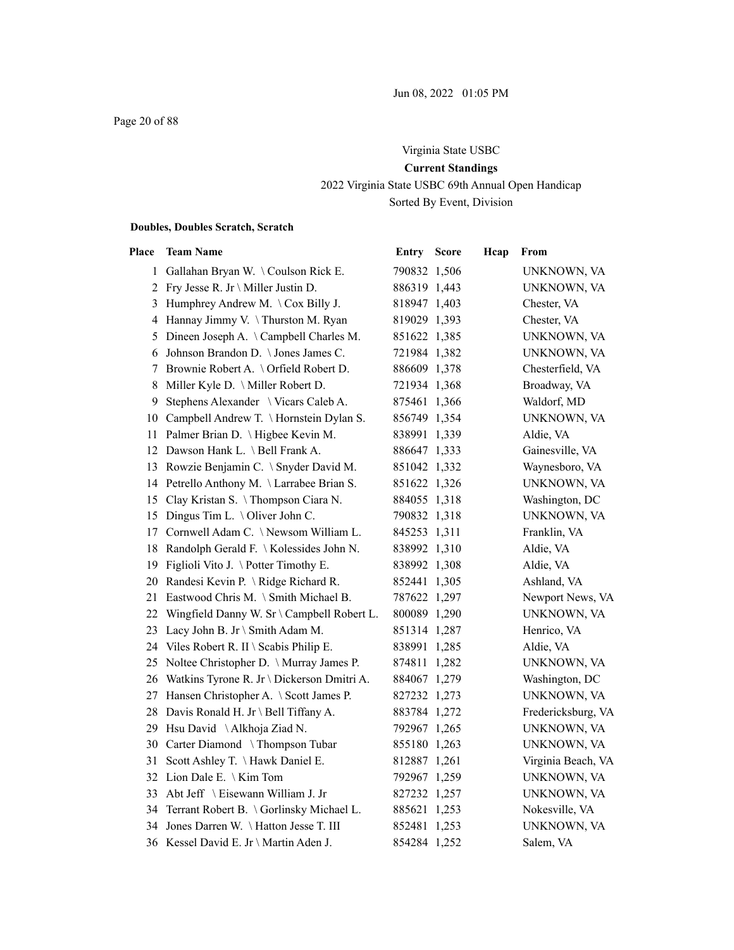# Virginia State USBC **Current Standings** 2022 Virginia State USBC 69th Annual Open Handicap Sorted By Event, Division

### **Doubles, Doubles Scratch, Scratch**

| Place | <b>Team Name</b>                                   | <b>Entry Score</b> | Hcap | From               |
|-------|----------------------------------------------------|--------------------|------|--------------------|
|       | 1 Gallahan Bryan W. \Coulson Rick E.               | 790832 1,506       |      | UNKNOWN, VA        |
|       | 2 Fry Jesse R. Jr \ Miller Justin D.               | 886319 1,443       |      | UNKNOWN, VA        |
|       | 3 Humphrey Andrew M. $\operatorname{Cox}$ Billy J. | 818947 1,403       |      | Chester, VA        |
|       | 4 Hannay Jimmy V. \Thurston M. Ryan                | 819029 1,393       |      | Chester, VA        |
| 5     | Dineen Joseph A. \Campbell Charles M.              | 851622 1,385       |      | UNKNOWN, VA        |
| 6     | Johnson Brandon D. \ Jones James C.                | 721984 1,382       |      | UNKNOWN, VA        |
| 7     | Brownie Robert A. \ Orfield Robert D.              | 886609 1,378       |      | Chesterfield, VA   |
| 8     | Miller Kyle D. \ Miller Robert D.                  | 721934 1,368       |      | Broadway, VA       |
| 9     | Stephens Alexander \ Vicars Caleb A.               | 875461 1,366       |      | Waldorf, MD        |
|       | 10 Campbell Andrew T. \ Hornstein Dylan S.         | 856749 1,354       |      | UNKNOWN, VA        |
|       | 11 Palmer Brian D. \Higbee Kevin M.                | 838991 1,339       |      | Aldie, VA          |
|       | 12 Dawson Hank L. \ Bell Frank A.                  | 886647 1,333       |      | Gainesville, VA    |
|       | 13 Rowzie Benjamin C. \ Snyder David M.            | 851042 1,332       |      | Waynesboro, VA     |
|       | 14 Petrello Anthony M. \Larrabee Brian S.          | 851622 1,326       |      | UNKNOWN, VA        |
|       | 15 Clay Kristan S. \Thompson Ciara N.              | 884055 1,318       |      | Washington, DC     |
| 15    | Dingus Tim L. \ Oliver John C.                     | 790832 1,318       |      | UNKNOWN, VA        |
|       | 17 Cornwell Adam C. \Newsom William L.             | 845253 1,311       |      | Franklin, VA       |
| 18    | Randolph Gerald F. \ Kolessides John N.            | 838992 1,310       |      | Aldie, VA          |
|       | 19 Figlioli Vito J. \Potter Timothy E.             | 838992 1,308       |      | Aldie, VA          |
|       | 20 Randesi Kevin P. \Ridge Richard R.              | 852441 1,305       |      | Ashland, VA        |
|       | 21 Eastwood Chris M. \ Smith Michael B.            | 787622 1,297       |      | Newport News, VA   |
|       | 22 Wingfield Danny W. Sr \ Campbell Robert L.      | 800089 1,290       |      | UNKNOWN, VA        |
|       | 23 Lacy John B. Jr \ Smith Adam M.                 | 851314 1,287       |      | Henrico, VA        |
|       | 24 Viles Robert R. II \ Scabis Philip E.           | 838991 1,285       |      | Aldie, VA          |
|       | 25 Noltee Christopher D. \ Murray James P.         | 874811 1,282       |      | UNKNOWN, VA        |
|       | 26 Watkins Tyrone R. Jr \ Dickerson Dmitri A.      | 884067 1,279       |      | Washington, DC     |
|       | 27 Hansen Christopher A. \ Scott James P.          | 827232 1,273       |      | UNKNOWN, VA        |
|       | 28 Davis Ronald H. Jr \ Bell Tiffany A.            | 883784 1,272       |      | Fredericksburg, VA |
|       | 29 Hsu David \Alkhoja Ziad N.                      | 792967 1,265       |      | UNKNOWN, VA        |
|       | 30 Carter Diamond \Thompson Tubar                  | 855180 1,263       |      | UNKNOWN, VA        |
|       | 31 Scott Ashley T. \Hawk Daniel E.                 | 812887 1,261       |      | Virginia Beach, VA |
|       | 32 Lion Dale E. \ Kim Tom                          | 792967 1,259       |      | UNKNOWN, VA        |
|       | 33 Abt Jeff \ Eisewann William J. Jr               | 827232 1,257       |      | UNKNOWN, VA        |
|       | 34 Terrant Robert B. \ Gorlinsky Michael L.        | 885621 1,253       |      | Nokesville, VA     |
|       | 34 Jones Darren W. \Hatton Jesse T. III            | 852481 1,253       |      | UNKNOWN, VA        |
|       | 36 Kessel David E. Jr \ Martin Aden J.             | 854284 1,252       |      | Salem, VA          |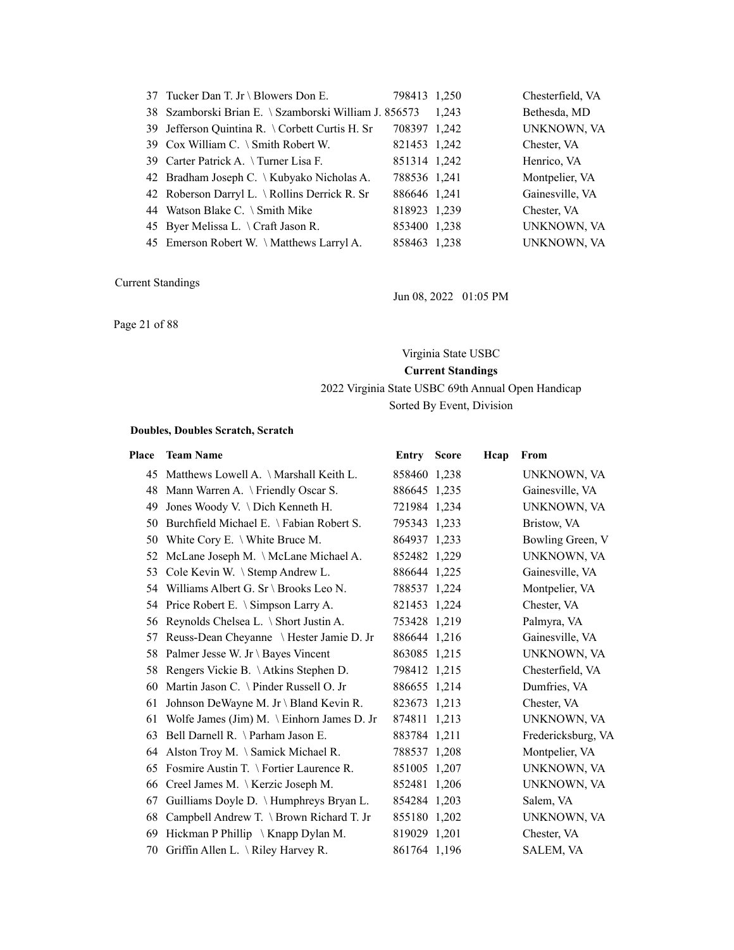| 37 Tucker Dan T. Jr \ Blowers Don E.                  | 798413 1,250 |       | Chesterfield, VA |
|-------------------------------------------------------|--------------|-------|------------------|
| 38 Szamborski Brian E. \ Szamborski William J. 856573 |              | 1.243 | Bethesda, MD     |
| 39 Jefferson Quintina R. \ Corbett Curtis H. Sr       | 708397 1,242 |       | UNKNOWN, VA      |
| 39 Cox William C. \ Smith Robert W.                   | 821453 1,242 |       | Chester, VA      |
| 39 Carter Patrick A. \Turner Lisa F.                  | 851314 1,242 |       | Henrico, VA      |
| 42 Bradham Joseph C. \ Kubyako Nicholas A.            | 788536 1,241 |       | Montpelier, VA   |
| 42 Roberson Darryl L. \ Rollins Derrick R. Sr         | 886646 1,241 |       | Gainesville, VA  |
| 44 Watson Blake C. $\Im$ Smith Mike                   | 818923 1,239 |       | Chester, VA      |
| 45 Byer Melissa L. \Craft Jason R.                    | 853400 1,238 |       | UNKNOWN, VA      |
| 45 Emerson Robert W. \Matthews Larryl A.              | 858463 1,238 |       | UNKNOWN, VA      |

Jun 08, 2022 01:05 PM

Page 21 of 88

### Virginia State USBC

**Current Standings**

# 2022 Virginia State USBC 69th Annual Open Handicap

# Sorted By Event, Division

#### **Doubles, Doubles Scratch, Scratch**

| Place | <b>Team Name</b>                                 | <b>Entry Score</b> | Hcap | From               |
|-------|--------------------------------------------------|--------------------|------|--------------------|
|       | 45 Matthews Lowell A. \Marshall Keith L.         | 858460 1,238       |      | UNKNOWN, VA        |
| 48    | Mann Warren A. \ Friendly Oscar S.               | 886645 1,235       |      | Gainesville, VA    |
| 49    | Jones Woody V. \ Dich Kenneth H.                 | 721984 1,234       |      | UNKNOWN, VA        |
| 50    | Burchfield Michael E. \ Fabian Robert S.         | 795343 1,233       |      | Bristow, VA        |
| 50    | White Cory E. \ White Bruce M.                   | 864937 1,233       |      | Bowling Green, V   |
| 52    | McLane Joseph M. \ McLane Michael A.             | 852482 1,229       |      | UNKNOWN, VA        |
| 53    | Cole Kevin W. \ Stemp Andrew L.                  | 886644 1,225       |      | Gainesville, VA    |
|       | 54 Williams Albert G. Sr \ Brooks Leo N.         | 788537 1,224       |      | Montpelier, VA     |
|       | 54 Price Robert E. \ Simpson Larry A.            | 821453 1,224       |      | Chester, VA        |
| 56    | Reynolds Chelsea L. \ Short Justin A.            | 753428 1,219       |      | Palmyra, VA        |
| 57    | Reuss-Dean Cheyanne \ Hester Jamie D. Jr         | 886644 1,216       |      | Gainesville, VA    |
| 58    | Palmer Jesse W. Jr \ Bayes Vincent               | 863085 1,215       |      | UNKNOWN, VA        |
| 58    | Rengers Vickie B. \Atkins Stephen D.             | 798412 1,215       |      | Chesterfield, VA   |
| 60    | Martin Jason C. \ Pinder Russell O. Jr           | 886655 1,214       |      | Dumfries, VA       |
| 61    | Johnson DeWayne M. Jr \ Bland Kevin R.           | 823673 1,213       |      | Chester, VA        |
| 61    | Wolfe James (Jim) M. \ Einhorn James D. Jr       | 874811 1,213       |      | UNKNOWN, VA        |
| 63    | Bell Darnell R. \ Parham Jason E.                | 883784 1,211       |      | Fredericksburg, VA |
| 64    | Alston Troy M. \ Samick Michael R.               | 788537 1,208       |      | Montpelier, VA     |
| 65    | Fosmire Austin $T \setminus$ Fortier Laurence R. | 851005 1,207       |      | UNKNOWN, VA        |
| 66    | Creel James M. \ Kerzic Joseph M.                | 852481 1,206       |      | UNKNOWN, VA        |
| 67    | Guilliams Doyle D. \ Humphreys Bryan L.          | 854284 1,203       |      | Salem, VA          |
| 68    | Campbell Andrew T. \ Brown Richard T. Jr         | 855180 1,202       |      | UNKNOWN, VA        |
| 69    | Hickman P Phillip \ Knapp Dylan M.               | 819029 1,201       |      | Chester, VA        |
| 70    | Griffin Allen L. \Riley Harvey R.                | 861764 1,196       |      | SALEM, VA          |
|       |                                                  |                    |      |                    |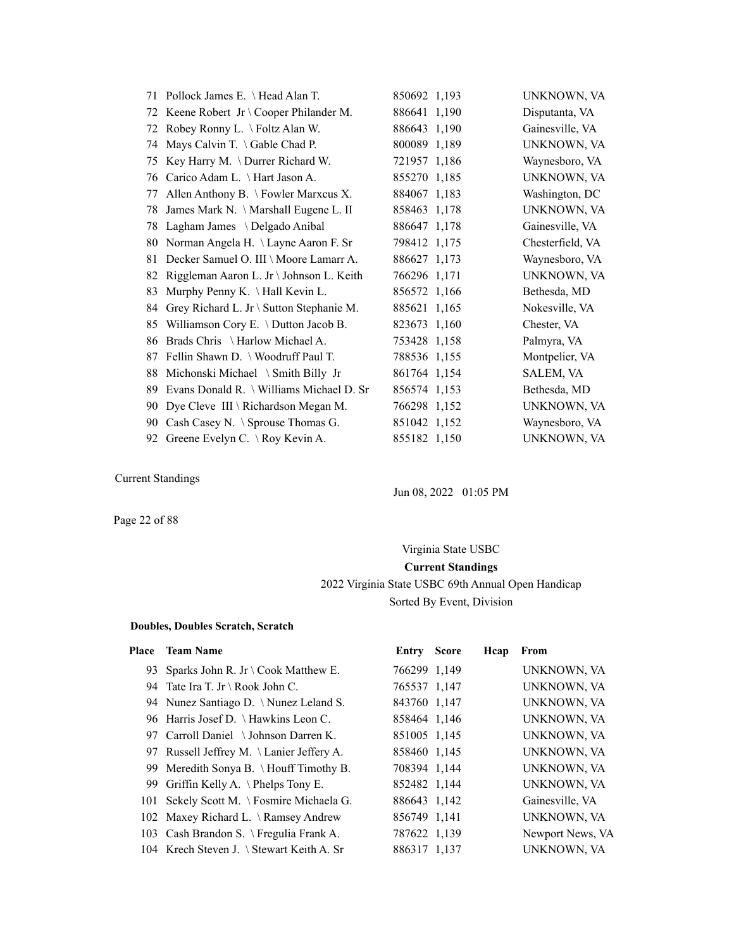|    | 71 Pollock James E. \Head Alan T.        | 850692 1,193 | UNKNOWN, VA      |
|----|------------------------------------------|--------------|------------------|
| 72 | Keene Robert Jr \ Cooper Philander M.    | 886641 1,190 | Disputanta, VA   |
| 72 | Robey Ronny L. \ Foltz Alan W.           | 886643 1,190 | Gainesville, VA  |
| 74 | Mays Calvin T. $\setminus$ Gable Chad P. | 800089 1,189 | UNKNOWN, VA      |
| 75 | Key Harry M. \Durrer Richard W.          | 721957 1,186 | Waynesboro, VA   |
| 76 | Carico Adam L. \ Hart Jason A.           | 855270 1,185 | UNKNOWN, VA      |
| 77 | Allen Anthony B. \ Fowler Marxcus X.     | 884067 1,183 | Washington, DC   |
| 78 | James Mark N. \ Marshall Eugene L. II    | 858463 1,178 | UNKNOWN, VA      |
| 78 | Lagham James \ Delgado Anibal            | 886647 1,178 | Gainesville, VA  |
| 80 | Norman Angela H. \ Layne Aaron F. Sr     | 798412 1,175 | Chesterfield, VA |
| 81 | Decker Samuel O. III \ Moore Lamarr A.   | 886627 1,173 | Waynesboro, VA   |
| 82 | Riggleman Aaron L. Jr \ Johnson L. Keith | 766296 1,171 | UNKNOWN, VA      |
| 83 | Murphy Penny K. \ Hall Kevin L.          | 856572 1,166 | Bethesda, MD     |
| 84 | Grey Richard L. Jr \ Sutton Stephanie M. | 885621 1,165 | Nokesville, VA   |
| 85 | Williamson Cory E. \ Dutton Jacob B.     | 823673 1,160 | Chester, VA      |
| 86 | Brads Chris \ Harlow Michael A.          | 753428 1,158 | Palmyra, VA      |
| 87 | Fellin Shawn D. \ Woodruff Paul T.       | 788536 1,155 | Montpelier, VA   |
| 88 | Michonski Michael \ Smith Billy Jr       | 861764 1,154 | SALEM, VA        |
| 89 | Evans Donald R. \ Williams Michael D. Sr | 856574 1,153 | Bethesda, MD     |
| 90 | Dye Cleve III \ Richardson Megan M.      | 766298 1,152 | UNKNOWN, VA      |
| 90 | Cash Casey N. \ Sprouse Thomas G.        | 851042 1,152 | Waynesboro, VA   |
| 92 | Greene Evelyn C. \ Roy Kevin A.          | 855182 1,150 | UNKNOWN, VA      |

Jun 08, 2022 01:05 PM

Page 22 of 88

# Virginia State USBC **Current Standings** 2022 Virginia State USBC 69th Annual Open Handicap Sorted By Event, Division

#### **Doubles, Doubles Scratch, Scratch**

#### Place Team Name **Entry Score Heap** From

| 93 Sparks John R. Jr \ Cook Matthew E.    | 766299 1,149 | UNKNOWN, VA      |
|-------------------------------------------|--------------|------------------|
| 94 Tate Ira T. Jr \ Rook John C.          | 765537 1,147 | UNKNOWN, VA      |
| 94 Nunez Santiago D. \Nunez Leland S.     | 843760 1,147 | UNKNOWN, VA      |
| 96 Harris Josef D. \Hawkins Leon C.       | 858464 1,146 | UNKNOWN, VA      |
| 97 Carroll Daniel \Johnson Darren K.      | 851005 1,145 | UNKNOWN, VA      |
| 97 Russell Jeffrey M. \ Lanier Jeffery A. | 858460 1,145 | UNKNOWN, VA      |
| 99 Meredith Sonya B. \ Houff Timothy B.   | 708394 1,144 | UNKNOWN, VA      |
| 99 Griffin Kelly A. \Phelps Tony E.       | 852482 1,144 | UNKNOWN, VA      |
| 101 Sekely Scott M. \ Fosmire Michaela G. | 886643 1,142 | Gainesville, VA  |
| 102 Maxey Richard L. \ Ramsey Andrew      | 856749 1,141 | UNKNOWN, VA      |
| 103 Cash Brandon S. \ Fregulia Frank A.   | 787622 1,139 | Newport News, VA |
| 104 Krech Steven J. \ Stewart Keith A. Sr | 886317 1,137 | UNKNOWN, VA      |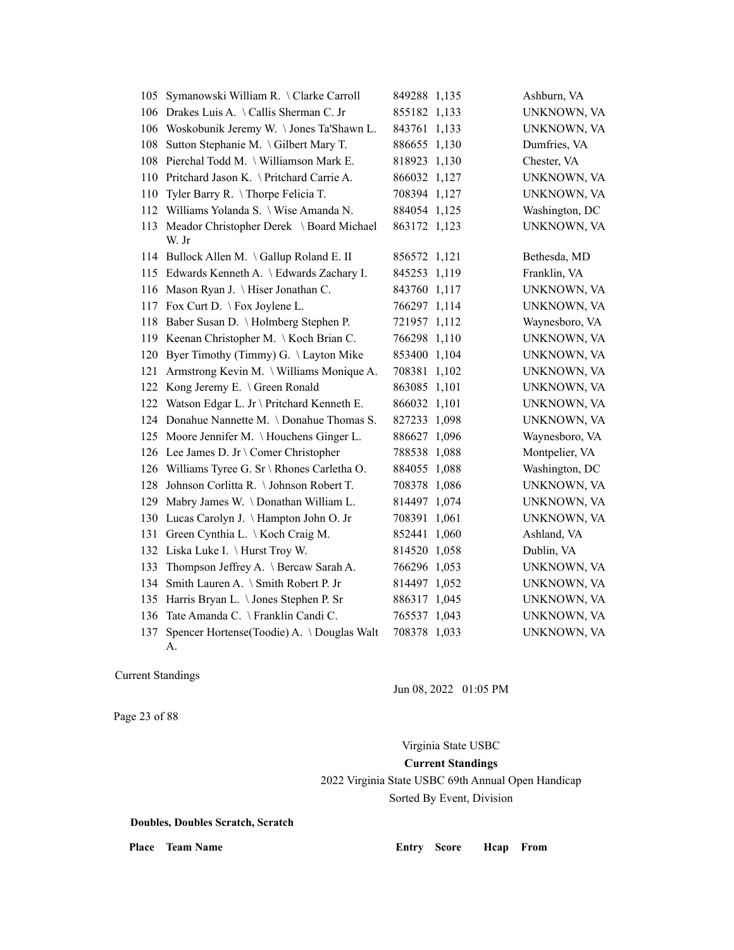| 105 | Symanowski William R. \Clarke Carroll           | 849288 1,135 |       | Ashburn, VA    |
|-----|-------------------------------------------------|--------------|-------|----------------|
| 106 | Drakes Luis A. \Callis Sherman C. Jr            | 855182 1,133 |       | UNKNOWN, VA    |
| 106 | Woskobunik Jeremy W. \Jones Ta'Shawn L.         | 843761 1,133 |       | UNKNOWN, VA    |
| 108 | Sutton Stephanie M. \Gilbert Mary T.            | 886655 1,130 |       | Dumfries, VA   |
| 108 | Pierchal Todd M. \ Williamson Mark E.           | 818923 1,130 |       | Chester, VA    |
| 110 | Pritchard Jason K. \ Pritchard Carrie A.        | 866032 1,127 |       | UNKNOWN, VA    |
| 110 | Tyler Barry R. \Thorpe Felicia T.               | 708394 1,127 |       | UNKNOWN, VA    |
| 112 | Williams Yolanda S. \ Wise Amanda N.            | 884054 1,125 |       | Washington, DC |
| 113 | Meador Christopher Derek \ Board Michael        | 863172 1,123 |       | UNKNOWN, VA    |
|     | W. Jr                                           |              |       |                |
|     | 114 Bullock Allen M. \Gallup Roland E. II       | 856572 1,121 |       | Bethesda, MD   |
| 115 | Edwards Kenneth A. \ Edwards Zachary I.         | 845253 1,119 |       | Franklin, VA   |
| 116 | Mason Ryan J. \ Hiser Jonathan C.               | 843760 1,117 |       | UNKNOWN, VA    |
| 117 | Fox Curt D. \Fox Joylene L.                     | 766297 1,114 |       | UNKNOWN, VA    |
| 118 | Baber Susan D. \ Holmberg Stephen P.            | 721957 1,112 |       | Waynesboro, VA |
|     | 119 Keenan Christopher M. \ Koch Brian C.       | 766298 1,110 |       | UNKNOWN, VA    |
| 120 | Byer Timothy (Timmy) G. \ Layton Mike           | 853400 1,104 |       | UNKNOWN, VA    |
| 121 | Armstrong Kevin M. \ Williams Monique A.        | 708381 1,102 |       | UNKNOWN, VA    |
| 122 | Kong Jeremy E. \ Green Ronald                   | 863085 1,101 |       | UNKNOWN, VA    |
| 122 | Watson Edgar L. Jr \ Pritchard Kenneth E.       | 866032 1,101 |       | UNKNOWN, VA    |
| 124 | Donahue Nannette M. \Donahue Thomas S.          | 827233 1,098 |       | UNKNOWN, VA    |
| 125 | Moore Jennifer M. \Houchens Ginger L.           | 886627 1,096 |       | Waynesboro, VA |
| 126 | Lee James D. Jr \ Comer Christopher             | 788538 1,088 |       | Montpelier, VA |
| 126 | Williams Tyree G. Sr \ Rhones Carletha O.       | 884055 1,088 |       | Washington, DC |
| 128 | Johnson Corlitta R. \ Johnson Robert T.         | 708378 1,086 |       | UNKNOWN, VA    |
| 129 | Mabry James W. \Donathan William L.             | 814497 1,074 |       | UNKNOWN, VA    |
| 130 | Lucas Carolyn J. \Hampton John O. Jr            | 708391 1,061 |       | UNKNOWN, VA    |
| 131 | Green Cynthia L. \ Koch Craig M.                | 852441       | 1,060 | Ashland, VA    |
| 132 | Liska Luke I. \ Hurst Troy W.                   | 814520 1,058 |       | Dublin, VA     |
| 133 | Thompson Jeffrey A. \ Bercaw Sarah A.           | 766296 1,053 |       | UNKNOWN, VA    |
| 134 | Smith Lauren A. \ Smith Robert P. Jr            | 814497 1,052 |       | UNKNOWN, VA    |
| 135 | Harris Bryan L. \ Jones Stephen P. Sr           | 886317 1,045 |       | UNKNOWN, VA    |
| 136 | Tate Amanda C. \ Franklin Candi C.              | 765537 1,043 |       | UNKNOWN, VA    |
| 137 | Spencer Hortense(Toodie) A. \Douglas Walt<br>А. | 708378 1,033 |       | UNKNOWN, VA    |

Jun 08, 2022 01:05 PM

Page 23 of 88

Virginia State USBC **Current Standings** 2022 Virginia State USBC 69th Annual Open Handicap Sorted By Event, Division

**Doubles, Doubles Scratch, Scratch**

Place Team Name **Entry Score Hcap From**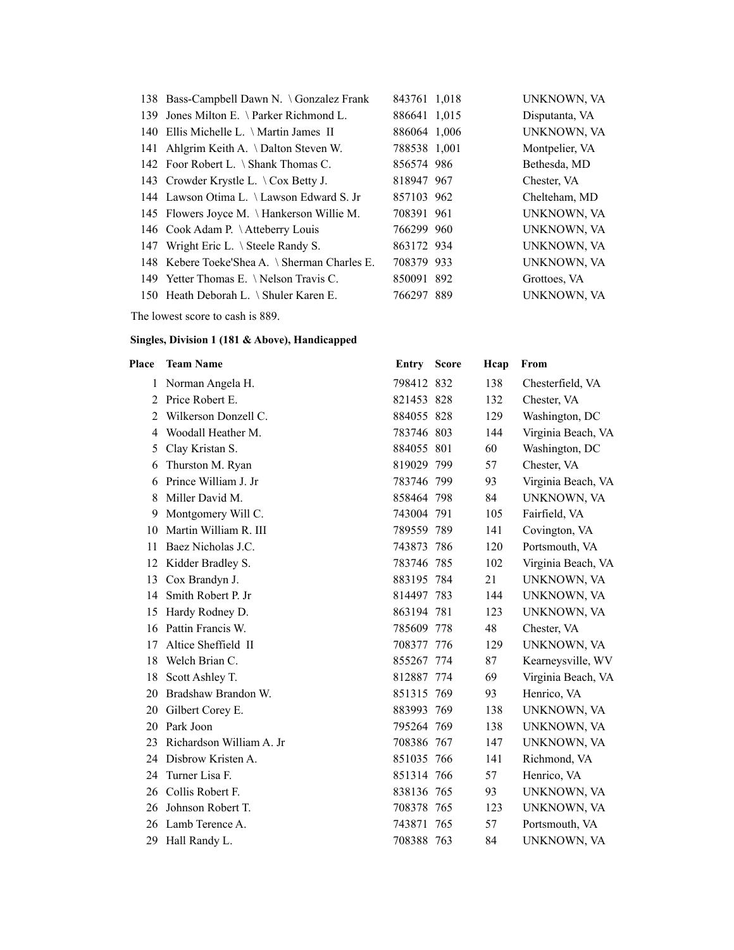|     | 138 Bass-Campbell Dawn N. \ Gonzalez Frank    | 843761 1,018 | UNKNOWN, VA    |
|-----|-----------------------------------------------|--------------|----------------|
| 139 | Jones Milton E. \ Parker Richmond L.          | 886641 1,015 | Disputanta, VA |
|     | 140 Ellis Michelle L. \ Martin James II       | 886064 1,006 | UNKNOWN, VA    |
|     | 141 Ahlgrim Keith A. \Dalton Steven W.        | 788538 1,001 | Montpelier, VA |
|     | 142 Foor Robert L. \ Shank Thomas C.          | 856574 986   | Bethesda, MD   |
|     | 143 Crowder Krystle L. \ Cox Betty J.         | 818947 967   | Chester, VA    |
|     | 144 Lawson Otima L. \ Lawson Edward S. Jr     | 857103 962   | Chelteham, MD  |
|     | 145 Flowers Joyce M. \Hankerson Willie M.     | 708391 961   | UNKNOWN, VA    |
|     | 146 Cook Adam P. \Atteberry Louis             | 766299 960   | UNKNOWN, VA    |
|     | 147 Wright Eric L. \ Steele Randy S.          | 863172 934   | UNKNOWN, VA    |
|     | 148 Kebere Toeke'Shea A. \ Sherman Charles E. | 708379 933   | UNKNOWN, VA    |
|     | 149 Yetter Thomas E. \ Nelson Travis C.       | 850091 892   | Grottoes, VA   |
|     | 150 Heath Deborah L. \ Shuler Karen E.        | 766297 889   | UNKNOWN, VA    |

The lowest score to cash is 889.

| Place          | <b>Team Name</b>         | <b>Entry Score</b> | Hcap | From               |
|----------------|--------------------------|--------------------|------|--------------------|
| 1              | Norman Angela H.         | 798412 832         | 138  | Chesterfield, VA   |
| $\overline{2}$ | Price Robert E.          | 821453 828         | 132  | Chester, VA        |
| $\overline{2}$ | Wilkerson Donzell C.     | 884055 828         | 129  | Washington, DC     |
| 4              | Woodall Heather M.       | 783746 803         | 144  | Virginia Beach, VA |
| 5              | Clay Kristan S.          | 884055 801         | 60   | Washington, DC     |
| 6              | Thurston M. Ryan         | 819029 799         | 57   | Chester, VA        |
| 6              | Prince William J. Jr     | 783746 799         | 93   | Virginia Beach, VA |
| 8              | Miller David M.          | 858464 798         | 84   | UNKNOWN, VA        |
| 9              | Montgomery Will C.       | 743004 791         | 105  | Fairfield, VA      |
| 10             | Martin William R. III    | 789559 789         | 141  | Covington, VA      |
| 11             | Baez Nicholas J.C.       | 743873 786         | 120  | Portsmouth, VA     |
| 12             | Kidder Bradley S.        | 783746 785         | 102  | Virginia Beach, VA |
| 13             | Cox Brandyn J.           | 883195 784         | 21   | UNKNOWN, VA        |
| 14             | Smith Robert P. Jr       | 814497 783         | 144  | UNKNOWN, VA        |
| 15             | Hardy Rodney D.          | 863194 781         | 123  | UNKNOWN, VA        |
| 16             | Pattin Francis W.        | 785609 778         | 48   | Chester, VA        |
| 17             | Altice Sheffield II      | 708377 776         | 129  | UNKNOWN, VA        |
| 18             | Welch Brian C.           | 855267 774         | 87   | Kearneysville, WV  |
| 18             | Scott Ashley T.          | 812887 774         | 69   | Virginia Beach, VA |
| 20             | Bradshaw Brandon W.      | 851315 769         | 93   | Henrico, VA        |
| 20             | Gilbert Corey E.         | 883993 769         | 138  | UNKNOWN, VA        |
| 20             | Park Joon                | 795264 769         | 138  | UNKNOWN, VA        |
| 23             | Richardson William A. Jr | 708386 767         | 147  | UNKNOWN, VA        |
| 24             | Disbrow Kristen A.       | 851035 766         | 141  | Richmond, VA       |
| 24             | Turner Lisa F.           | 851314 766         | 57   | Henrico, VA        |
| 26             | Collis Robert F.         | 838136 765         | 93   | UNKNOWN, VA        |
| 26             | Johnson Robert T.        | 708378 765         | 123  | UNKNOWN, VA        |
| 26             | Lamb Terence A.          | 743871 765         | 57   | Portsmouth, VA     |
| 29             | Hall Randy L.            | 708388 763         | 84   | UNKNOWN, VA        |
|                |                          |                    |      |                    |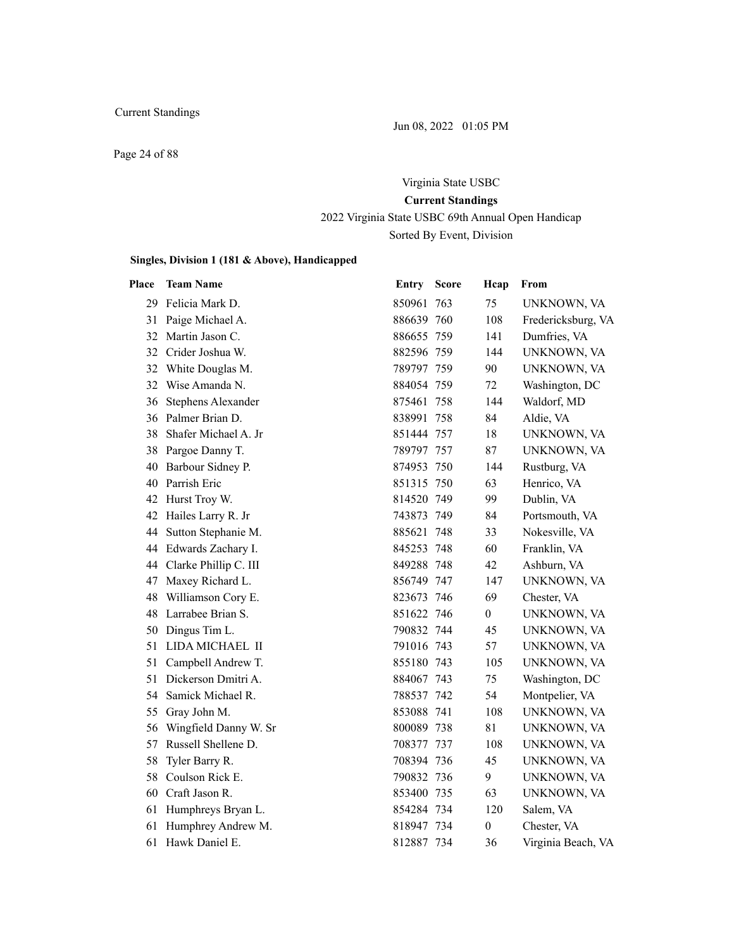Jun 08, 2022 01:05 PM

Page 24 of 88

# Virginia State USBC **Current Standings** 2022 Virginia State USBC 69th Annual Open Handicap

Sorted By Event, Division

| Place | <b>Team Name</b>      | <b>Entry Score</b> | Hcap             | From               |
|-------|-----------------------|--------------------|------------------|--------------------|
| 29    | Felicia Mark D.       | 850961 763         | 75               | UNKNOWN, VA        |
| 31    | Paige Michael A.      | 886639 760         | 108              | Fredericksburg, VA |
| 32    | Martin Jason C.       | 886655 759         | 141              | Dumfries, VA       |
| 32    | Crider Joshua W.      | 882596 759         | 144              | <b>UNKNOWN, VA</b> |
| 32    | White Douglas M.      | 789797 759         | 90               | UNKNOWN, VA        |
| 32    | Wise Amanda N.        | 884054 759         | 72               | Washington, DC     |
| 36    | Stephens Alexander    | 875461 758         | 144              | Waldorf, MD        |
| 36    | Palmer Brian D.       | 838991 758         | 84               | Aldie, VA          |
| 38    | Shafer Michael A. Jr  | 851444 757         | 18               | UNKNOWN, VA        |
|       | 38 Pargoe Danny T.    | 789797 757         | 87               | UNKNOWN, VA        |
| 40    | Barbour Sidney P.     | 874953 750         | 144              | Rustburg, VA       |
| 40    | Parrish Eric          | 851315 750         | 63               | Henrico, VA        |
| 42    | Hurst Troy W.         | 814520 749         | 99               | Dublin, VA         |
| 42    | Hailes Larry R. Jr    | 743873 749         | 84               | Portsmouth, VA     |
| 44    | Sutton Stephanie M.   | 885621 748         | 33               | Nokesville, VA     |
| 44    | Edwards Zachary I.    | 845253 748         | 60               | Franklin, VA       |
| 44    | Clarke Phillip C. III | 849288 748         | 42               | Ashburn, VA        |
| 47    | Maxey Richard L.      | 856749 747         | 147              | UNKNOWN, VA        |
| 48    | Williamson Cory E.    | 823673 746         | 69               | Chester, VA        |
|       | 48 Larrabee Brian S.  | 851622 746         | $\boldsymbol{0}$ | UNKNOWN, VA        |
| 50    | Dingus Tim L.         | 790832 744         | 45               | UNKNOWN, VA        |
| 51    | LIDA MICHAEL II       | 791016 743         | 57               | UNKNOWN, VA        |
| 51    | Campbell Andrew T.    | 855180 743         | 105              | UNKNOWN, VA        |
| 51    | Dickerson Dmitri A.   | 884067 743         | 75               | Washington, DC     |
| 54    | Samick Michael R.     | 788537 742         | 54               | Montpelier, VA     |
| 55    | Gray John M.          | 853088 741         | 108              | UNKNOWN, VA        |
| 56    | Wingfield Danny W. Sr | 800089 738         | 81               | UNKNOWN, VA        |
| 57    | Russell Shellene D.   | 708377 737         | 108              | UNKNOWN, VA        |
| 58    | Tyler Barry R.        | 708394 736         | 45               | UNKNOWN, VA        |
| 58    | Coulson Rick E.       | 790832 736         | 9                | UNKNOWN, VA        |
| 60    | Craft Jason R.        | 853400 735         | 63               | UNKNOWN, VA        |
| 61    | Humphreys Bryan L.    | 854284 734         | 120              | Salem, VA          |
| 61    | Humphrey Andrew M.    | 818947 734         | $\boldsymbol{0}$ | Chester, VA        |
| 61    | Hawk Daniel E.        | 812887 734         | 36               | Virginia Beach, VA |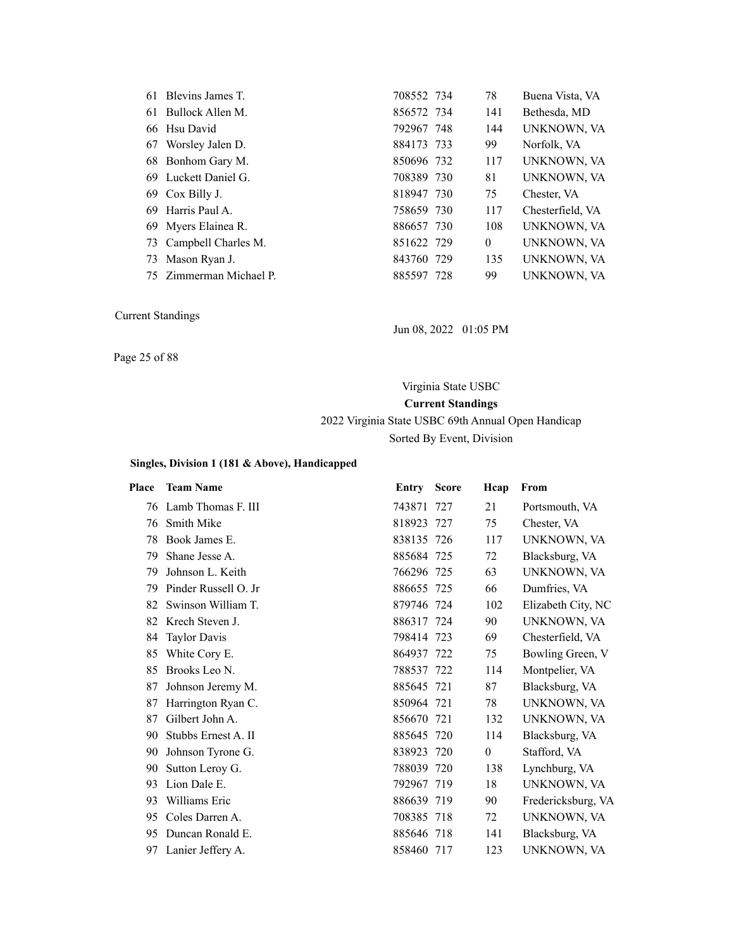|    | 61 Blevins James T.     | 708552 734 | 78           | Buena Vista, VA  |
|----|-------------------------|------------|--------------|------------------|
| 61 | Bullock Allen M.        | 856572 734 | 141          | Bethesda, MD     |
|    | 66 Hsu David            | 792967 748 | 144          | UNKNOWN, VA      |
|    | 67 Worsley Jalen D.     | 884173 733 | 99           | Norfolk, VA      |
|    | 68 Bonhom Gary M.       | 850696 732 | 117          | UNKNOWN, VA      |
|    | 69 Luckett Daniel G.    | 708389 730 | 81           | UNKNOWN, VA      |
|    | 69 Cox Billy J.         | 818947 730 | 75           | Chester, VA      |
|    | 69 Harris Paul A.       | 758659 730 | 117          | Chesterfield, VA |
|    | 69 Myers Elainea R.     | 886657 730 | 108          | UNKNOWN, VA      |
|    | 73 Campbell Charles M.  | 851622 729 | $\mathbf{0}$ | UNKNOWN, VA      |
| 73 | Mason Ryan J.           | 843760 729 | 135          | UNKNOWN, VA      |
|    | 75 Zimmerman Michael P. | 885597 728 | 99           | UNKNOWN, VA      |

Jun 08, 2022 01:05 PM

Page 25 of 88

# Virginia State USBC **Current Standings** 2022 Virginia State USBC 69th Annual Open Handicap

Sorted By Event, Division

| Place | <b>Team Name</b>      | Entry      | <b>Score</b> | Hcap     | From               |
|-------|-----------------------|------------|--------------|----------|--------------------|
|       | 76 Lamb Thomas F. III | 743871 727 |              | 21       | Portsmouth, VA     |
| 76    | <b>Smith Mike</b>     | 818923 727 |              | 75       | Chester, VA        |
| 78    | Book James E.         | 838135 726 |              | 117      | UNKNOWN, VA        |
| 79    | Shane Jesse A.        | 885684 725 |              | 72       | Blacksburg, VA     |
| 79    | Johnson L. Keith      | 766296 725 |              | 63       | UNKNOWN, VA        |
| 79    | Pinder Russell O. Jr  | 886655 725 |              | 66       | Dumfries, VA       |
| 82    | Swinson William T.    | 879746 724 |              | 102      | Elizabeth City, NC |
| 82    | Krech Steven J.       | 886317 724 |              | 90       | UNKNOWN, VA        |
| 84    | <b>Taylor Davis</b>   | 798414 723 |              | 69       | Chesterfield, VA   |
| 85    | White Cory E.         | 864937 722 |              | 75       | Bowling Green, V   |
| 85    | Brooks Leo N.         | 788537 722 |              | 114      | Montpelier, VA     |
| 87    | Johnson Jeremy M.     | 885645 721 |              | 87       | Blacksburg, VA     |
| 87    | Harrington Ryan C.    | 850964 721 |              | 78       | UNKNOWN, VA        |
| 87    | Gilbert John A.       | 856670 721 |              | 132      | UNKNOWN, VA        |
| 90    | Stubbs Ernest A. II   | 885645 720 |              | 114      | Blacksburg, VA     |
| 90    | Johnson Tyrone G.     | 838923 720 |              | $\theta$ | Stafford, VA       |
| 90    | Sutton Leroy G.       | 788039 720 |              | 138      | Lynchburg, VA      |
| 93    | Lion Dale E.          | 792967 719 |              | 18       | UNKNOWN, VA        |
| 93    | Williams Eric         | 886639 719 |              | 90       | Fredericksburg, VA |
| 95    | Coles Darren A.       | 708385 718 |              | 72       | UNKNOWN, VA        |
| 95    | Duncan Ronald E.      | 885646 718 |              | 141      | Blacksburg, VA     |
| 97    | Lanier Jeffery A.     | 858460 717 |              | 123      | UNKNOWN, VA        |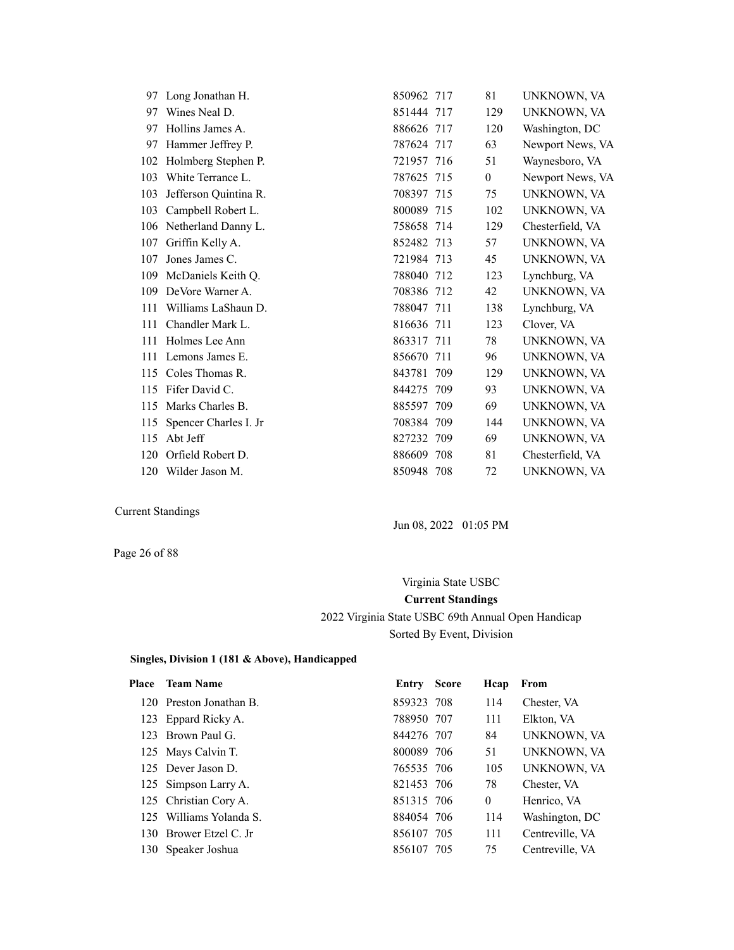|     | 97 Long Jonathan H.   | 850962 717 |     | 81             | UNKNOWN, VA      |
|-----|-----------------------|------------|-----|----------------|------------------|
| 97  | Wines Neal D.         | 851444 717 |     | 129            | UNKNOWN, VA      |
| 97  | Hollins James A.      | 886626 717 |     | 120            | Washington, DC   |
| 97  | Hammer Jeffrey P.     | 787624 717 |     | 63             | Newport News, VA |
| 102 | Holmberg Stephen P.   | 721957 716 |     | 51             | Waynesboro, VA   |
| 103 | White Terrance L.     | 787625 715 |     | $\overline{0}$ | Newport News, VA |
| 103 | Jefferson Quintina R. | 708397 715 |     | 75             | UNKNOWN, VA      |
| 103 | Campbell Robert L.    | 800089 715 |     | 102            | UNKNOWN, VA      |
| 106 | Netherland Danny L.   | 758658 714 |     | 129            | Chesterfield, VA |
| 107 | Griffin Kelly A.      | 852482 713 |     | 57             | UNKNOWN, VA      |
| 107 | Jones James C.        | 721984 713 |     | 45             | UNKNOWN, VA      |
| 109 | McDaniels Keith Q.    | 788040 712 |     | 123            | Lynchburg, VA    |
| 109 | DeVore Warner A.      | 708386 712 |     | 42             | UNKNOWN, VA      |
| 111 | Williams LaShaun D.   | 788047 711 |     | 138            | Lynchburg, VA    |
| 111 | Chandler Mark L.      | 816636 711 |     | 123            | Clover, VA       |
| 111 | Holmes Lee Ann        | 863317 711 |     | 78             | UNKNOWN, VA      |
| 111 | Lemons James E.       | 856670 711 |     | 96             | UNKNOWN, VA      |
| 115 | Coles Thomas R.       | 843781 709 |     | 129            | UNKNOWN, VA      |
| 115 | Fifer David C.        | 844275 709 |     | 93             | UNKNOWN, VA      |
| 115 | Marks Charles B.      | 885597 709 |     | 69             | UNKNOWN, VA      |
| 115 | Spencer Charles I. Jr | 708384 709 |     | 144            | UNKNOWN, VA      |
| 115 | Abt Jeff              | 827232 709 |     | 69             | UNKNOWN, VA      |
| 120 | Orfield Robert D.     | 886609     | 708 | 81             | Chesterfield, VA |
|     | 120 Wilder Jason M.   | 850948 708 |     | 72             | UNKNOWN, VA      |

Jun 08, 2022 01:05 PM

Page 26 of 88

# Virginia State USBC **Current Standings** 2022 Virginia State USBC 69th Annual Open Handicap Sorted By Event, Division

| <b>Team Name</b> |                                                                                                                                                                                                                                             |                                                                                                                                                                | From            |
|------------------|---------------------------------------------------------------------------------------------------------------------------------------------------------------------------------------------------------------------------------------------|----------------------------------------------------------------------------------------------------------------------------------------------------------------|-----------------|
|                  |                                                                                                                                                                                                                                             | 114                                                                                                                                                            | Chester, VA     |
|                  |                                                                                                                                                                                                                                             | 111                                                                                                                                                            | Elkton, VA      |
|                  |                                                                                                                                                                                                                                             | 84                                                                                                                                                             | UNKNOWN, VA     |
|                  |                                                                                                                                                                                                                                             | 51                                                                                                                                                             | UNKNOWN, VA     |
|                  |                                                                                                                                                                                                                                             | 105                                                                                                                                                            | UNKNOWN, VA     |
|                  |                                                                                                                                                                                                                                             | 78                                                                                                                                                             | Chester, VA     |
|                  |                                                                                                                                                                                                                                             | $\mathbf{0}$                                                                                                                                                   | Henrico, VA     |
|                  |                                                                                                                                                                                                                                             | 114                                                                                                                                                            | Washington, DC  |
|                  |                                                                                                                                                                                                                                             | 111                                                                                                                                                            | Centreville, VA |
|                  |                                                                                                                                                                                                                                             | 75                                                                                                                                                             | Centreville, VA |
|                  | 120 Preston Jonathan B.<br>123 Eppard Ricky A.<br>123 Brown Paul G.<br>125 Mays Calvin T.<br>125 Dever Jason D.<br>125 Simpson Larry A.<br>125 Christian Cory A.<br>125 Williams Yolanda S.<br>130 Brower Etzel C. Jr<br>130 Speaker Joshua | <b>Entry Score</b><br>859323 708<br>788950 707<br>844276 707<br>800089 706<br>765535 706<br>821453 706<br>851315 706<br>884054 706<br>856107 705<br>856107 705 | Hcap            |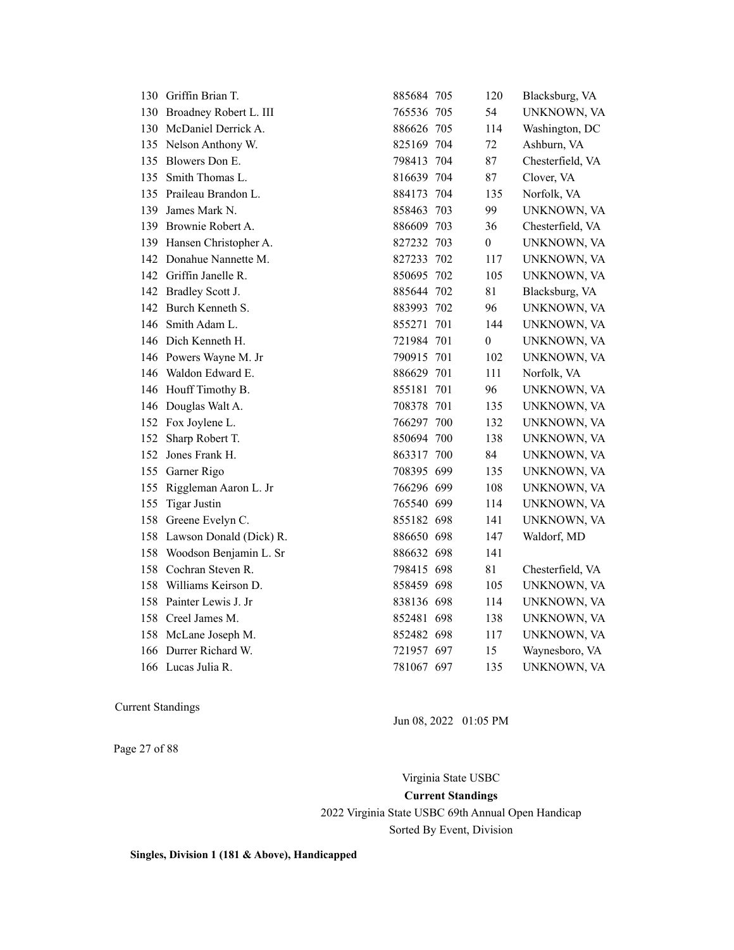|     | 130 Griffin Brian T.       | 885684 705 |                  | 120 | Blacksburg, VA   |
|-----|----------------------------|------------|------------------|-----|------------------|
|     | 130 Broadney Robert L. III | 765536 705 |                  | 54  | UNKNOWN, VA      |
| 130 | McDaniel Derrick A.        | 886626 705 |                  | 114 | Washington, DC   |
| 135 | Nelson Anthony W.          | 825169 704 |                  | 72  | Ashburn, VA      |
| 135 | Blowers Don E.             | 798413 704 |                  | 87  | Chesterfield, VA |
| 135 | Smith Thomas L.            | 816639 704 |                  | 87  | Clover, VA       |
| 135 | Praileau Brandon L.        | 884173 704 |                  | 135 | Norfolk, VA      |
| 139 | James Mark N.              | 858463 703 |                  | 99  | UNKNOWN, VA      |
|     | 139 Brownie Robert A.      | 886609 703 |                  | 36  | Chesterfield, VA |
|     | 139 Hansen Christopher A.  | 827232 703 | $\boldsymbol{0}$ |     | UNKNOWN, VA      |
| 142 | Donahue Nannette M.        | 827233 702 |                  | 117 | UNKNOWN, VA      |
|     | 142 Griffin Janelle R.     | 850695 702 |                  | 105 | UNKNOWN, VA      |
|     | 142 Bradley Scott J.       | 885644 702 |                  | 81  | Blacksburg, VA   |
| 142 | Burch Kenneth S.           | 883993 702 |                  | 96  | UNKNOWN, VA      |
| 146 | Smith Adam L.              | 855271 701 |                  | 144 | UNKNOWN, VA      |
|     | 146 Dich Kenneth H.        | 721984 701 | $\boldsymbol{0}$ |     | UNKNOWN, VA      |
|     | 146 Powers Wayne M. Jr     | 790915 701 |                  | 102 | UNKNOWN, VA      |
|     | 146 Waldon Edward E.       | 886629 701 |                  | 111 | Norfolk, VA      |
|     | 146 Houff Timothy B.       | 855181 701 |                  | 96  | UNKNOWN, VA      |
| 146 | Douglas Walt A.            | 708378 701 |                  | 135 | UNKNOWN, VA      |
| 152 | Fox Joylene L.             | 766297 700 |                  | 132 | UNKNOWN, VA      |
| 152 | Sharp Robert T.            | 850694 700 |                  | 138 | UNKNOWN, VA      |
| 152 | Jones Frank H.             | 863317 700 |                  | 84  | UNKNOWN, VA      |
| 155 | Garner Rigo                | 708395 699 |                  | 135 | UNKNOWN, VA      |
| 155 | Riggleman Aaron L. Jr      | 766296 699 |                  | 108 | UNKNOWN, VA      |
| 155 | <b>Tigar Justin</b>        | 765540 699 |                  | 114 | UNKNOWN, VA      |
| 158 | Greene Evelyn C.           | 855182 698 |                  | 141 | UNKNOWN, VA      |
| 158 | Lawson Donald (Dick) R.    | 886650 698 |                  | 147 | Waldorf, MD      |
|     | 158 Woodson Benjamin L. Sr | 886632 698 |                  | 141 |                  |
|     | 158 Cochran Steven R.      | 798415 698 |                  | 81  | Chesterfield, VA |
| 158 | Williams Keirson D.        | 858459 698 |                  | 105 | UNKNOWN, VA      |
| 158 | Painter Lewis J. Jr        | 838136 698 |                  | 114 | UNKNOWN, VA      |
|     | 158 Creel James M.         | 852481 698 |                  | 138 | UNKNOWN, VA      |
|     | 158 McLane Joseph M.       | 852482 698 |                  | 117 | UNKNOWN, VA      |
|     | 166 Durrer Richard W.      | 721957 697 |                  | 15  | Waynesboro, VA   |
|     | 166 Lucas Julia R.         | 781067 697 |                  | 135 | UNKNOWN, VA      |

Page 27 of 88

Jun 08, 2022 01:05 PM

Virginia State USBC **Current Standings** 2022 Virginia State USBC 69th Annual Open Handicap Sorted By Event, Division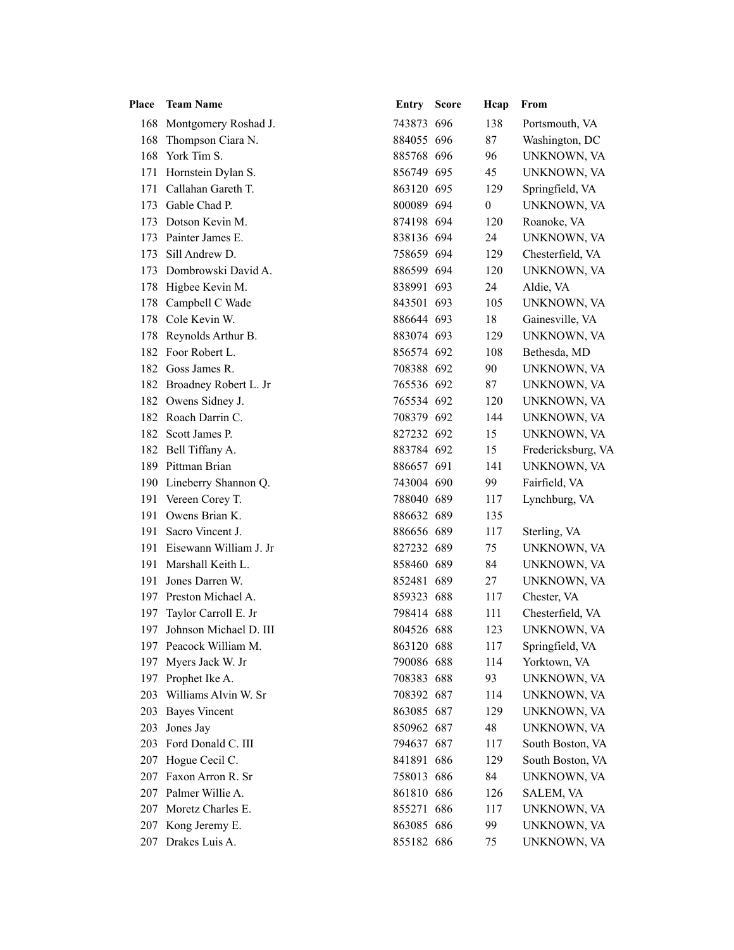|     | Place Team Name            | <b>Entry Score</b> | Hcap             | From               |
|-----|----------------------------|--------------------|------------------|--------------------|
|     | 168 Montgomery Roshad J.   | 743873 696         | 138              | Portsmouth, VA     |
| 168 | Thompson Ciara N.          | 884055 696         | 87               | Washington, DC     |
|     | 168 York Tim S.            | 885768 696         | 96               | UNKNOWN, VA        |
| 171 | Hornstein Dylan S.         | 856749 695         | 45               | UNKNOWN, VA        |
| 171 | Callahan Gareth T.         | 863120 695         | 129              | Springfield, VA    |
|     | 173 Gable Chad P.          | 800089 694         | $\boldsymbol{0}$ | UNKNOWN, VA        |
| 173 | Dotson Kevin M.            | 874198 694         | 120              | Roanoke, VA        |
|     | 173 Painter James E.       | 838136 694         | 24               | UNKNOWN, VA        |
| 173 | Sill Andrew D.             | 758659 694         | 129              | Chesterfield, VA   |
| 173 | Dombrowski David A.        | 886599 694         | 120              | UNKNOWN, VA        |
| 178 | Higbee Kevin M.            | 838991 693         | 24               | Aldie, VA          |
|     | 178 Campbell C Wade        | 843501 693         | 105              | UNKNOWN, VA        |
| 178 | Cole Kevin W.              | 886644 693         | 18               | Gainesville, VA    |
|     | 178 Reynolds Arthur B.     | 883074 693         | 129              | UNKNOWN, VA        |
|     | 182 Foor Robert L.         | 856574 692         | 108              | Bethesda, MD       |
|     | 182 Goss James R.          | 708388 692         | 90               | UNKNOWN, VA        |
|     | 182 Broadney Robert L. Jr  | 765536 692         | 87               | UNKNOWN, VA        |
|     | 182 Owens Sidney J.        | 765534 692         | 120              | UNKNOWN, VA        |
|     | 182 Roach Darrin C.        | 708379 692         | 144              | UNKNOWN, VA        |
|     | 182 Scott James P.         | 827232 692         | 15               | UNKNOWN, VA        |
|     | 182 Bell Tiffany A.        | 883784 692         | 15               | Fredericksburg, VA |
|     | 189 Pittman Brian          | 886657 691         | 141              | UNKNOWN, VA        |
|     | 190 Lineberry Shannon Q.   | 743004 690         | 99               | Fairfield, VA      |
|     | 191 Vereen Corey T.        | 788040 689         | 117              | Lynchburg, VA      |
|     | 191 Owens Brian K.         | 886632 689         | 135              |                    |
|     | 191 Sacro Vincent J.       | 886656 689         | 117              | Sterling, VA       |
|     | 191 Eisewann William J. Jr | 827232 689         | 75               | UNKNOWN, VA        |
| 191 | Marshall Keith L.          | 858460 689         | 84               | UNKNOWN, VA        |
|     | 191 Jones Darren W.        | 852481 689         | 27               | UNKNOWN, VA        |
|     | 197 Preston Michael A.     | 859323 688         | 117              | Chester, VA        |
|     | 197 Taylor Carroll E. Jr   | 798414 688         | 111              | Chesterfield, VA   |
|     | 197 Johnson Michael D. III | 804526 688         | 123              | UNKNOWN, VA        |
|     | 197 Peacock William M.     | 863120 688         | 117              | Springfield, VA    |
|     | 197 Myers Jack W. Jr       | 790086 688         | 114              | Yorktown, VA       |
|     | 197 Prophet Ike A.         | 708383 688         | 93               | UNKNOWN, VA        |
|     | 203 Williams Alvin W. Sr   | 708392 687         | 114              | UNKNOWN, VA        |
|     | 203 Bayes Vincent          | 863085 687         | 129              | UNKNOWN, VA        |
|     | 203 Jones Jay              | 850962 687         | 48               | UNKNOWN, VA        |
|     | 203 Ford Donald C. III     | 794637 687         | 117              | South Boston, VA   |
|     | 207 Hogue Cecil C.         | 841891 686         | 129              | South Boston, VA   |
|     | 207 Faxon Arron R. Sr      | 758013 686         | 84               | UNKNOWN, VA        |
|     | 207 Palmer Willie A.       | 861810 686         | 126              | SALEM, VA          |
|     | 207 Moretz Charles E.      | 855271 686         | 117              | UNKNOWN, VA        |
|     | 207 Kong Jeremy E.         | 863085 686         | 99               | UNKNOWN, VA        |
|     | 207 Drakes Luis A.         | 855182 686         | 75               | UNKNOWN, VA        |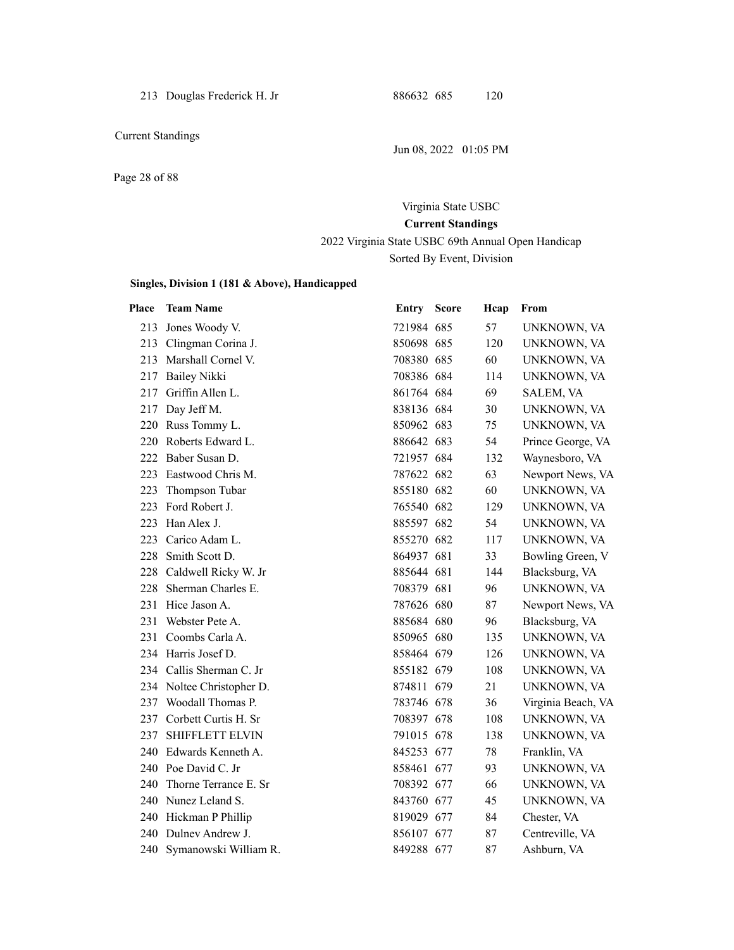Page 28 of 88

# Virginia State USBC **Current Standings**

# 2022 Virginia State USBC 69th Annual Open Handicap Sorted By Event, Division

#### **Singles, Division 1 (181 & Above), Handicapped**

| <b>Place</b> | <b>Team Name</b>          | Entry Score | Hcap | From               |
|--------------|---------------------------|-------------|------|--------------------|
| 213          | Jones Woody V.            | 721984 685  | 57   | UNKNOWN, VA        |
|              | 213 Clingman Corina J.    | 850698 685  | 120  | UNKNOWN, VA        |
| 213          | Marshall Cornel V.        | 708380 685  | 60   | UNKNOWN, VA        |
| 217          | <b>Bailey Nikki</b>       | 708386 684  | 114  | UNKNOWN, VA        |
| 217          | Griffin Allen L.          | 861764 684  | 69   | SALEM, VA          |
| 217          | Day Jeff M.               | 838136 684  | 30   | UNKNOWN, VA        |
|              | 220 Russ Tommy L.         | 850962 683  | 75   | UNKNOWN, VA        |
|              | 220 Roberts Edward L.     | 886642 683  | 54   | Prince George, VA  |
| 222          | Baber Susan D.            | 721957 684  | 132  | Waynesboro, VA     |
| 223          | Eastwood Chris M.         | 787622 682  | 63   | Newport News, VA   |
| 223          | Thompson Tubar            | 855180 682  | 60   | UNKNOWN, VA        |
| 223          | Ford Robert J.            | 765540 682  | 129  | UNKNOWN, VA        |
| 223          | Han Alex J.               | 885597 682  | 54   | UNKNOWN, VA        |
| 223          | Carico Adam L.            | 855270 682  | 117  | UNKNOWN, VA        |
| 228          | Smith Scott D.            | 864937 681  | 33   | Bowling Green, V   |
| 228          | Caldwell Ricky W. Jr      | 885644 681  | 144  | Blacksburg, VA     |
|              | 228 Sherman Charles E.    | 708379 681  | 96   | UNKNOWN, VA        |
| 231          | Hice Jason A.             | 787626 680  | 87   | Newport News, VA   |
| 231          | Webster Pete A.           | 885684 680  | 96   | Blacksburg, VA     |
| 231          | Coombs Carla A.           | 850965 680  | 135  | UNKNOWN, VA        |
|              | 234 Harris Josef D.       | 858464 679  | 126  | UNKNOWN, VA        |
|              | 234 Callis Sherman C. Jr  | 855182 679  | 108  | UNKNOWN, VA        |
|              | 234 Noltee Christopher D. | 874811 679  | 21   | UNKNOWN, VA        |
|              | 237 Woodall Thomas P.     | 783746 678  | 36   | Virginia Beach, VA |
| 237          | Corbett Curtis H. Sr      | 708397 678  | 108  | UNKNOWN, VA        |
| 237          | <b>SHIFFLETT ELVIN</b>    | 791015 678  | 138  | UNKNOWN, VA        |
|              | 240 Edwards Kenneth A.    | 845253 677  | 78   | Franklin, VA       |
|              | 240 Poe David C. Jr       | 858461 677  | 93   | UNKNOWN, VA        |
| 240          | Thorne Terrance E. Sr     | 708392 677  | 66   | UNKNOWN, VA        |
|              | 240 Nunez Leland S.       | 843760 677  | 45   | UNKNOWN, VA        |
|              | 240 Hickman P Phillip     | 819029 677  | 84   | Chester, VA        |
| 240          | Dulney Andrew J.          | 856107 677  | 87   | Centreville, VA    |
|              | 240 Symanowski William R. | 849288 677  | 87   | Ashburn, VA        |

Jun 08, 2022 01:05 PM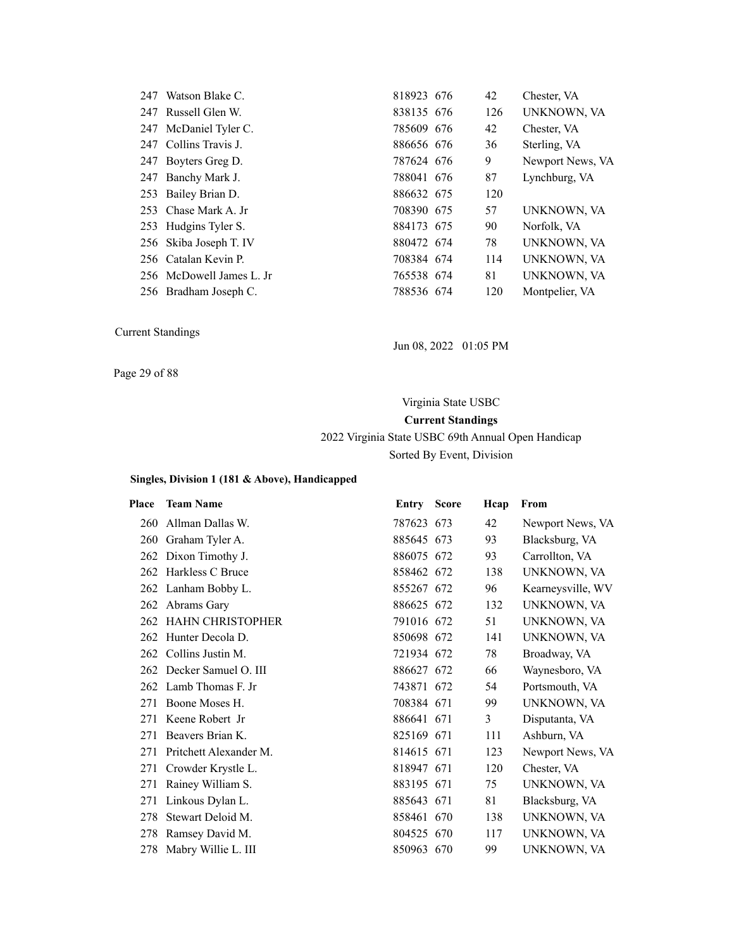| 247 | Watson Blake C.          | 818923 676 | 42  | Chester, VA      |
|-----|--------------------------|------------|-----|------------------|
|     | 247 Russell Glen W.      | 838135 676 | 126 | UNKNOWN, VA      |
|     | 247 McDaniel Tyler C.    | 785609 676 | 42  | Chester, VA      |
|     | 247 Collins Travis J.    | 886656 676 | 36  | Sterling, VA     |
| 247 | Boyters Greg D.          | 787624 676 | 9   | Newport News, VA |
|     | 247 Banchy Mark J.       | 788041 676 | 87  | Lynchburg, VA    |
|     | 253 Bailey Brian D.      | 886632 675 | 120 |                  |
|     | 253 Chase Mark A. Jr     | 708390 675 | 57  | UNKNOWN, VA      |
|     | 253 Hudgins Tyler S.     | 884173 675 | 90  | Norfolk, VA      |
|     | 256 Skiba Joseph T. IV   | 880472 674 | 78  | UNKNOWN, VA      |
|     | 256 Catalan Kevin P.     | 708384 674 | 114 | UNKNOWN, VA      |
|     | 256 McDowell James L. Jr | 765538 674 | 81  | UNKNOWN, VA      |
|     | 256 Bradham Joseph C.    | 788536 674 | 120 | Montpelier, VA   |

Jun 08, 2022 01:05 PM

Page 29 of 88

# Virginia State USBC **Current Standings** 2022 Virginia State USBC 69th Annual Open Handicap Sorted By Event, Division

| Place | <b>Team Name</b>         | Entry      | <b>Score</b> | Hcap | From              |
|-------|--------------------------|------------|--------------|------|-------------------|
| 260   | Allman Dallas W.         | 787623 673 |              | 42   | Newport News, VA  |
|       | 260 Graham Tyler A.      | 885645 673 |              | 93   | Blacksburg, VA    |
| 262   | Dixon Timothy J.         | 886075 672 |              | 93   | Carrollton, VA    |
|       | 262 Harkless C Bruce     | 858462 672 |              | 138  | UNKNOWN, VA       |
|       | 262 Lanham Bobby L.      | 855267 672 |              | 96   | Kearneysville, WV |
| 262   | Abrams Gary              | 886625 672 |              | 132  | UNKNOWN, VA       |
|       | 262 HAHN CHRISTOPHER     | 791016 672 |              | 51   | UNKNOWN, VA       |
|       | 262 Hunter Decola D.     | 850698 672 |              | 141  | UNKNOWN, VA       |
| 262   | Collins Justin M.        | 721934 672 |              | 78   | Broadway, VA      |
|       | 262 Decker Samuel O. III | 886627 672 |              | 66   | Waynesboro, VA    |
|       | 262 Lamb Thomas F. Jr    | 743871 672 |              | 54   | Portsmouth, VA    |
| 271   | Boone Moses H.           | 708384 671 |              | 99   | UNKNOWN, VA       |
| 271   | Keene Robert Jr          | 886641 671 |              | 3    | Disputanta, VA    |
| 271   | Beavers Brian K.         | 825169 671 |              | 111  | Ashburn, VA       |
| 271   | Pritchett Alexander M.   | 814615 671 |              | 123  | Newport News, VA  |
| 271   | Crowder Krystle L.       | 818947 671 |              | 120  | Chester, VA       |
| 271   | Rainey William S.        | 883195 671 |              | 75   | UNKNOWN, VA       |
| 271   | Linkous Dylan L.         | 885643 671 |              | 81   | Blacksburg, VA    |
| 278   | Stewart Deloid M.        | 858461 670 |              | 138  | UNKNOWN, VA       |
| 278   | Ramsey David M.          | 804525 670 |              | 117  | UNKNOWN, VA       |
|       | 278 Mabry Willie L. III  | 850963 670 |              | 99   | UNKNOWN, VA       |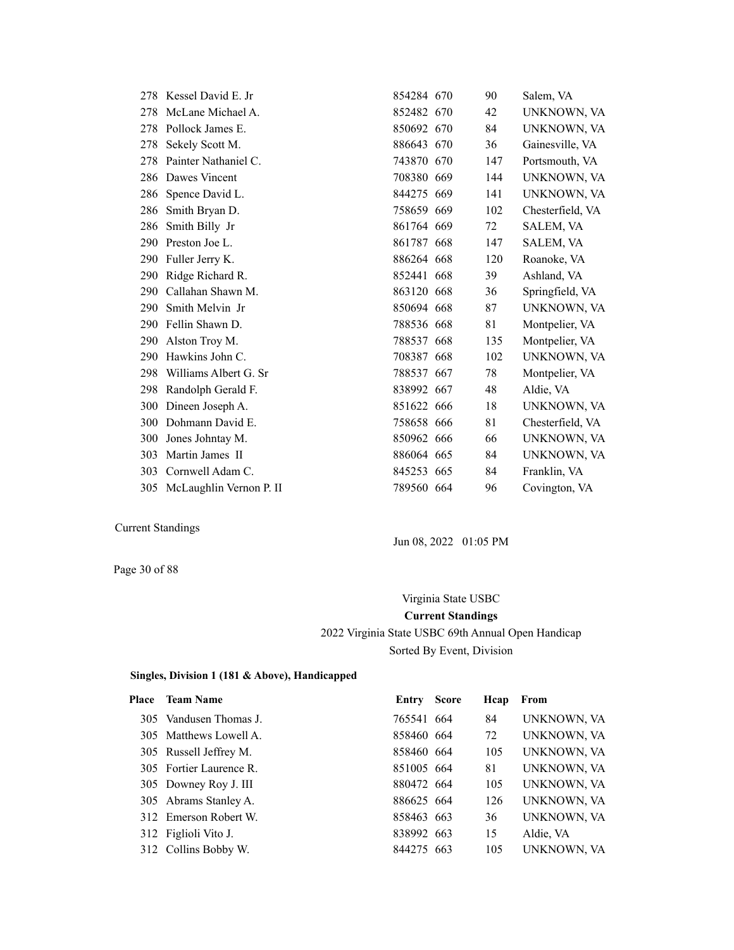|     | 278 Kessel David E. Jr      | 854284 670 | 90  | Salem, VA        |
|-----|-----------------------------|------------|-----|------------------|
| 278 | McLane Michael A.           | 852482 670 | 42  | UNKNOWN, VA      |
|     | 278 Pollock James E.        | 850692 670 | 84  | UNKNOWN, VA      |
| 278 | Sekely Scott M.             | 886643 670 | 36  | Gainesville, VA  |
|     | 278 Painter Nathaniel C.    | 743870 670 | 147 | Portsmouth, VA   |
|     | 286 Dawes Vincent           | 708380 669 | 144 | UNKNOWN, VA      |
|     | 286 Spence David L.         | 844275 669 | 141 | UNKNOWN, VA      |
| 286 | Smith Bryan D.              | 758659 669 | 102 | Chesterfield, VA |
| 286 | Smith Billy Jr              | 861764 669 | 72  | SALEM, VA        |
| 290 | Preston Joe L.              | 861787 668 | 147 | SALEM, VA        |
|     | 290 Fuller Jerry K.         | 886264 668 | 120 | Roanoke, VA      |
|     | 290 Ridge Richard R.        | 852441 668 | 39  | Ashland, VA      |
| 290 | Callahan Shawn M.           | 863120 668 | 36  | Springfield, VA  |
| 290 | Smith Melvin Jr             | 850694 668 | 87  | UNKNOWN, VA      |
| 290 | Fellin Shawn D.             | 788536 668 | 81  | Montpelier, VA   |
| 290 | Alston Troy M.              | 788537 668 | 135 | Montpelier, VA   |
| 290 | Hawkins John C.             | 708387 668 | 102 | UNKNOWN, VA      |
| 298 | Williams Albert G. Sr       | 788537 667 | 78  | Montpelier, VA   |
| 298 | Randolph Gerald F.          | 838992 667 | 48  | Aldie, VA        |
| 300 | Dineen Joseph A.            | 851622 666 | 18  | UNKNOWN, VA      |
| 300 | Dohmann David E.            | 758658 666 | 81  | Chesterfield, VA |
| 300 | Jones Johntay M.            | 850962 666 | 66  | UNKNOWN, VA      |
| 303 | Martin James II             | 886064 665 | 84  | UNKNOWN, VA      |
| 303 | Cornwell Adam C.            | 845253 665 | 84  | Franklin, VA     |
|     | 305 McLaughlin Vernon P. II | 789560 664 | 96  | Covington, VA    |

Jun 08, 2022 01:05 PM

Page 30 of 88

# Virginia State USBC **Current Standings** 2022 Virginia State USBC 69th Annual Open Handicap Sorted By Event, Division

| <b>Team Name</b> | Entry                                                                                                                                                                                                                            | Hcap                                                                                                                                | From        |
|------------------|----------------------------------------------------------------------------------------------------------------------------------------------------------------------------------------------------------------------------------|-------------------------------------------------------------------------------------------------------------------------------------|-------------|
|                  |                                                                                                                                                                                                                                  | 84                                                                                                                                  | UNKNOWN, VA |
|                  |                                                                                                                                                                                                                                  | 72                                                                                                                                  | UNKNOWN, VA |
|                  |                                                                                                                                                                                                                                  | 105                                                                                                                                 | UNKNOWN, VA |
|                  |                                                                                                                                                                                                                                  | 81                                                                                                                                  | UNKNOWN, VA |
|                  |                                                                                                                                                                                                                                  | 105                                                                                                                                 | UNKNOWN, VA |
|                  |                                                                                                                                                                                                                                  | 126                                                                                                                                 | UNKNOWN, VA |
|                  |                                                                                                                                                                                                                                  | 36                                                                                                                                  | UNKNOWN, VA |
|                  |                                                                                                                                                                                                                                  | 15                                                                                                                                  | Aldie, VA   |
|                  |                                                                                                                                                                                                                                  | 105                                                                                                                                 | UNKNOWN, VA |
|                  | 305 Vandusen Thomas J.<br>305 Matthews Lowell A.<br>305 Russell Jeffrey M.<br>305 Fortier Laurence R.<br>305 Downey Roy J. III<br>305 Abrams Stanley A.<br>312 Emerson Robert W.<br>312 Figlioli Vito J.<br>312 Collins Bobby W. | Score<br>765541 664<br>858460 664<br>858460 664<br>851005 664<br>880472 664<br>886625 664<br>858463 663<br>838992 663<br>844275 663 |             |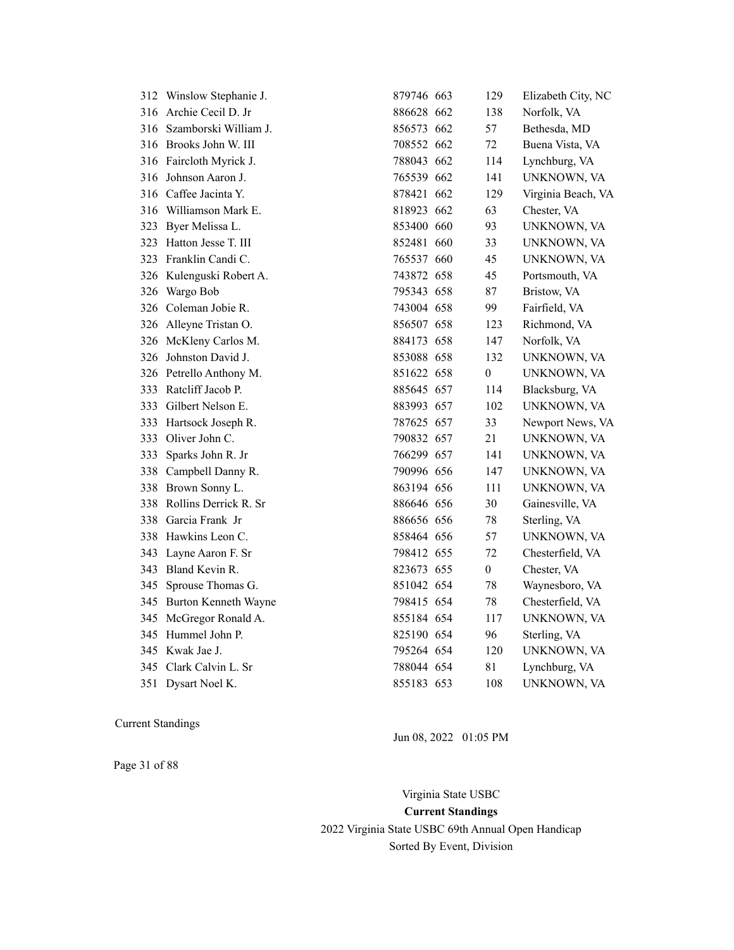|     | 312 Winslow Stephanie J.  | 879746 663 | 129              | Elizabeth City, NC |
|-----|---------------------------|------------|------------------|--------------------|
|     | 316 Archie Cecil D. Jr    | 886628 662 | 138              | Norfolk, VA        |
|     | 316 Szamborski William J. | 856573 662 | 57               | Bethesda, MD       |
|     | 316 Brooks John W. III    | 708552 662 | 72               | Buena Vista, VA    |
|     | 316 Faircloth Myrick J.   | 788043 662 | 114              | Lynchburg, VA      |
| 316 | Johnson Aaron J.          | 765539 662 | 141              | UNKNOWN, VA        |
|     | 316 Caffee Jacinta Y.     | 878421 662 | 129              | Virginia Beach, VA |
|     | 316 Williamson Mark E.    | 818923 662 | 63               | Chester, VA        |
|     | 323 Byer Melissa L.       | 853400 660 | 93               | UNKNOWN, VA        |
|     | 323 Hatton Jesse T. III   | 852481 660 | 33               | UNKNOWN, VA        |
|     | 323 Franklin Candi C.     | 765537 660 | 45               | UNKNOWN, VA        |
|     | 326 Kulenguski Robert A.  | 743872 658 | 45               | Portsmouth, VA     |
| 326 | Wargo Bob                 | 795343 658 | 87               | Bristow, VA        |
|     | 326 Coleman Jobie R.      | 743004 658 | 99               | Fairfield, VA      |
|     | 326 Alleyne Tristan O.    | 856507 658 | 123              | Richmond, VA       |
|     | 326 McKleny Carlos M.     | 884173 658 | 147              | Norfolk, VA        |
| 326 | Johnston David J.         | 853088 658 | 132              | UNKNOWN, VA        |
|     | 326 Petrello Anthony M.   | 851622 658 | $\boldsymbol{0}$ | UNKNOWN, VA        |
| 333 | Ratcliff Jacob P.         | 885645 657 | 114              | Blacksburg, VA     |
|     | 333 Gilbert Nelson E.     | 883993 657 | 102              | UNKNOWN, VA        |
| 333 | Hartsock Joseph R.        | 787625 657 | 33               | Newport News, VA   |
|     | 333 Oliver John C.        | 790832 657 | 21               | UNKNOWN, VA        |
| 333 | Sparks John R. Jr         | 766299 657 | 141              | UNKNOWN, VA        |
|     | 338 Campbell Danny R.     | 790996 656 | 147              | UNKNOWN, VA        |
| 338 | Brown Sonny L.            | 863194 656 | 111              | UNKNOWN, VA        |
|     | 338 Rollins Derrick R. Sr | 886646 656 | 30               | Gainesville, VA    |
|     | 338 Garcia Frank Jr       | 886656 656 | 78               | Sterling, VA       |
|     | 338 Hawkins Leon C.       | 858464 656 | 57               | UNKNOWN, VA        |
|     | 343 Layne Aaron F. Sr     | 798412 655 | 72               | Chesterfield, VA   |
|     | 343 Bland Kevin R.        | 823673 655 | $\boldsymbol{0}$ | Chester, VA        |
| 345 | Sprouse Thomas G.         | 851042 654 | 78               | Waynesboro, VA     |
|     | 345 Burton Kenneth Wayne  | 798415 654 | 78               | Chesterfield, VA   |
|     | 345 McGregor Ronald A.    | 855184 654 | 117              | UNKNOWN, VA        |
| 345 | Hummel John P.            | 825190 654 | 96               | Sterling, VA       |
| 345 | Kwak Jae J.               | 795264 654 | 120              | UNKNOWN, VA        |
|     | 345 Clark Calvin L. Sr    | 788044 654 | 81               | Lynchburg, VA      |
| 351 | Dysart Noel K.            | 855183 653 | 108              | UNKNOWN, VA        |

Jun 08, 2022 01:05 PM

Page 31 of 88

Virginia State USBC **Current Standings** 2022 Virginia State USBC 69th Annual Open Handicap Sorted By Event, Division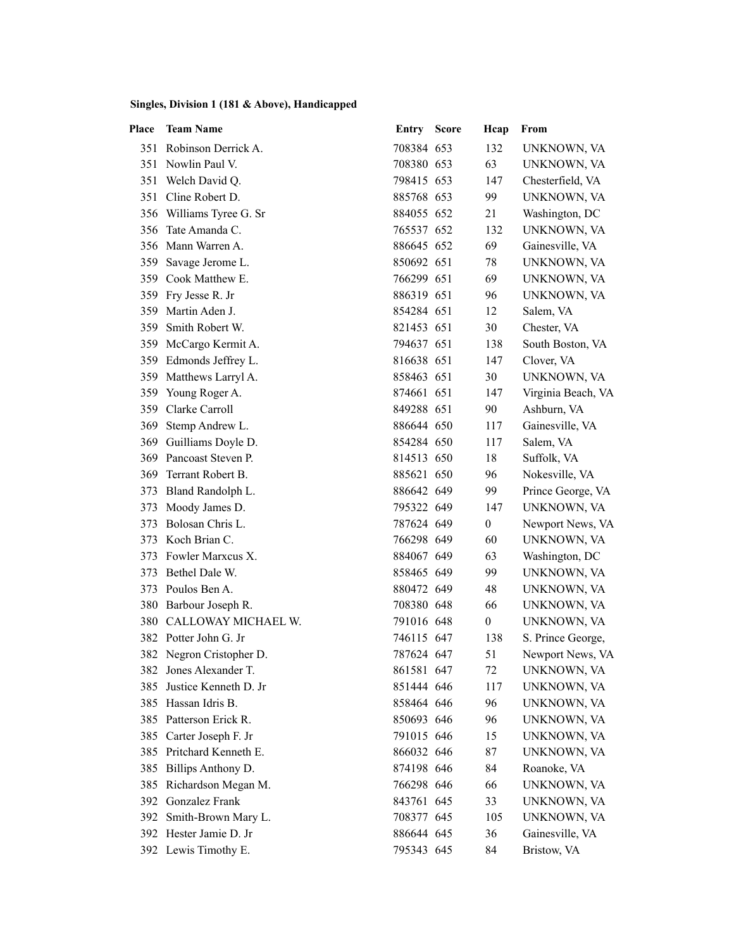| Place | <b>Team Name</b>         | <b>Entry Score</b> | Hcap             | From               |
|-------|--------------------------|--------------------|------------------|--------------------|
|       | 351 Robinson Derrick A.  | 708384 653         | 132              | UNKNOWN, VA        |
|       | 351 Nowlin Paul V.       | 708380 653         | 63               | UNKNOWN, VA        |
| 351   | Welch David Q.           | 798415 653         | 147              | Chesterfield, VA   |
| 351   | Cline Robert D.          | 885768 653         | 99               | UNKNOWN, VA        |
|       | 356 Williams Tyree G. Sr | 884055 652         | 21               | Washington, DC     |
| 356   | Tate Amanda C.           | 765537 652         | 132              | UNKNOWN, VA        |
|       | 356 Mann Warren A.       | 886645 652         | 69               | Gainesville, VA    |
| 359   | Savage Jerome L.         | 850692 651         | 78               | UNKNOWN, VA        |
|       | 359 Cook Matthew E.      | 766299 651         | 69               | UNKNOWN, VA        |
|       | 359 Fry Jesse R. Jr      | 886319 651         | 96               | UNKNOWN, VA        |
| 359   | Martin Aden J.           | 854284 651         | 12               | Salem, VA          |
| 359   | Smith Robert W.          | 821453 651         | 30               | Chester, VA        |
|       | 359 McCargo Kermit A.    | 794637 651         | 138              | South Boston, VA   |
|       | 359 Edmonds Jeffrey L.   | 816638 651         | 147              | Clover, VA         |
|       | 359 Matthews Larryl A.   | 858463 651         | 30               | UNKNOWN, VA        |
|       | 359 Young Roger A.       | 874661 651         | 147              | Virginia Beach, VA |
|       | 359 Clarke Carroll       | 849288 651         | 90               | Ashburn, VA        |
| 369   | Stemp Andrew L.          | 886644 650         | 117              | Gainesville, VA    |
| 369   | Guilliams Doyle D.       | 854284 650         | 117              | Salem, VA          |
|       | 369 Pancoast Steven P.   | 814513 650         | 18               | Suffolk, VA        |
|       | 369 Terrant Robert B.    | 885621 650         | 96               | Nokesville, VA     |
|       | 373 Bland Randolph L.    | 886642 649         | 99               | Prince George, VA  |
| 373   | Moody James D.           | 795322 649         | 147              | UNKNOWN, VA        |
| 373   | Bolosan Chris L.         | 787624 649         | $\boldsymbol{0}$ | Newport News, VA   |
| 373   | Koch Brian C.            | 766298 649         | 60               | UNKNOWN, VA        |
| 373   | Fowler Marxcus X.        | 884067 649         | 63               | Washington, DC     |
|       | 373 Bethel Dale W.       | 858465 649         | 99               | UNKNOWN, VA        |
|       | 373 Poulos Ben A.        | 880472 649         | 48               | UNKNOWN, VA        |
|       | 380 Barbour Joseph R.    | 708380 648         | 66               | UNKNOWN, VA        |
| 380   | CALLOWAY MICHAEL W.      | 791016 648         | $\boldsymbol{0}$ | UNKNOWN, VA        |
|       | 382 Potter John G. Jr    | 746115 647         | 138              | S. Prince George,  |
|       | 382 Negron Cristopher D. | 787624 647         | 51               | Newport News, VA   |
| 382   | Jones Alexander T.       | 861581 647         | 72               | UNKNOWN, VA        |
| 385   | Justice Kenneth D. Jr    | 851444 646         | 117              | UNKNOWN, VA        |
| 385   | Hassan Idris B.          | 858464 646         | 96               | UNKNOWN, VA        |
| 385   | Patterson Erick R.       | 850693 646         | 96               | UNKNOWN, VA        |
| 385   | Carter Joseph F. Jr      | 791015 646         | 15               | UNKNOWN, VA        |
| 385   | Pritchard Kenneth E.     | 866032 646         | 87               | UNKNOWN, VA        |
| 385   | Billips Anthony D.       | 874198 646         | 84               | Roanoke, VA        |
| 385   | Richardson Megan M.      | 766298 646         | 66               | UNKNOWN, VA        |
| 392   | Gonzalez Frank           | 843761 645         | 33               | UNKNOWN, VA        |
| 392   | Smith-Brown Mary L.      | 708377 645         | 105              | UNKNOWN, VA        |
|       | 392 Hester Jamie D. Jr   | 886644 645         | 36               | Gainesville, VA    |
|       | 392 Lewis Timothy E.     | 795343 645         | 84               | Bristow, VA        |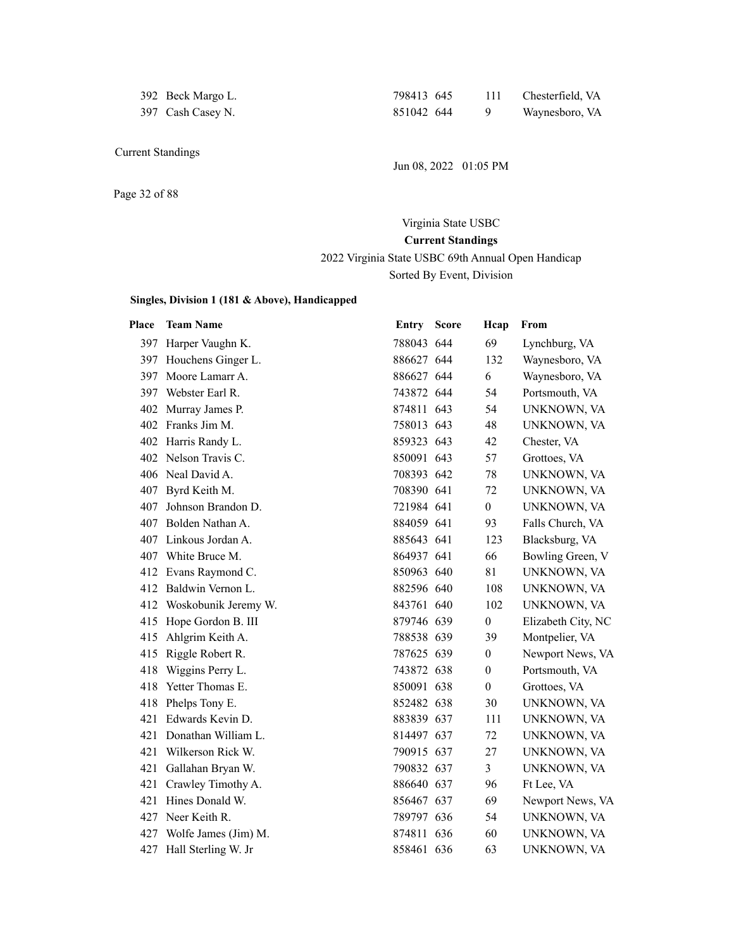| 392 Beck Margo L. | 798413 645 | 111 Chesterfield, VA |
|-------------------|------------|----------------------|
| 397 Cash Casey N. | 851042 644 | Waynesboro, VA       |

392 Beck Margo L.

Jun 08, 2022 01:05 PM

Page 32 of 88

# Virginia State USBC **Current Standings** 2022 Virginia State USBC 69th Annual Open Handicap Sorted By Event, Division

| Place | <b>Team Name</b>         | <b>Entry Score</b> | Hcap             | From               |
|-------|--------------------------|--------------------|------------------|--------------------|
|       | 397 Harper Vaughn K.     | 788043 644         | 69               | Lynchburg, VA      |
|       | 397 Houchens Ginger L.   | 886627 644         | 132              | Waynesboro, VA     |
| 397   | Moore Lamarr A.          | 886627 644         | 6                | Waynesboro, VA     |
|       | 397 Webster Earl R.      | 743872 644         | 54               | Portsmouth, VA     |
|       | 402 Murray James P.      | 874811 643         | 54               | UNKNOWN, VA        |
|       | 402 Franks Jim M.        | 758013 643         | 48               | UNKNOWN, VA        |
|       | 402 Harris Randy L.      | 859323 643         | 42               | Chester, VA        |
|       | 402 Nelson Travis C.     | 850091 643         | 57               | Grottoes, VA       |
|       | 406 Neal David A.        | 708393 642         | 78               | UNKNOWN, VA        |
|       | 407 Byrd Keith M.        | 708390 641         | 72               | UNKNOWN, VA        |
| 407   | Johnson Brandon D.       | 721984 641         | $\overline{0}$   | UNKNOWN, VA        |
|       | 407 Bolden Nathan A.     | 884059 641         | 93               | Falls Church, VA   |
|       | 407 Linkous Jordan A.    | 885643 641         | 123              | Blacksburg, VA     |
|       | 407 White Bruce M.       | 864937 641         | 66               | Bowling Green, V   |
|       | 412 Evans Raymond C.     | 850963 640         | 81               | UNKNOWN, VA        |
|       | 412 Baldwin Vernon L.    | 882596 640         | 108              | UNKNOWN, VA        |
|       | 412 Woskobunik Jeremy W. | 843761 640         | 102              | UNKNOWN, VA        |
| 415   | Hope Gordon B. III       | 879746 639         | $\boldsymbol{0}$ | Elizabeth City, NC |
| 415   | Ahlgrim Keith A.         | 788538 639         | 39               | Montpelier, VA     |
| 415   | Riggle Robert R.         | 787625 639         | $\boldsymbol{0}$ | Newport News, VA   |
| 418   | Wiggins Perry L.         | 743872 638         | $\overline{0}$   | Portsmouth, VA     |
| 418   | Yetter Thomas E.         | 850091 638         | $\theta$         | Grottoes, VA       |
| 418   | Phelps Tony E.           | 852482 638         | 30               | UNKNOWN, VA        |
| 421   | Edwards Kevin D.         | 883839 637         | 111              | UNKNOWN, VA        |
| 421   | Donathan William L.      | 814497 637         | 72               | UNKNOWN, VA        |
| 421   | Wilkerson Rick W.        | 790915 637         | 27               | UNKNOWN, VA        |
| 421   | Gallahan Bryan W.        | 790832 637         | 3                | UNKNOWN, VA        |
|       | 421 Crawley Timothy A.   | 886640 637         | 96               | Ft Lee, VA         |
| 421   | Hines Donald W.          | 856467 637         | 69               | Newport News, VA   |
| 427   | Neer Keith R.            | 789797 636         | 54               | UNKNOWN, VA        |
|       | 427 Wolfe James (Jim) M. | 874811 636         | 60               | UNKNOWN, VA        |
|       | 427 Hall Sterling W. Jr  | 858461 636         | 63               | UNKNOWN, VA        |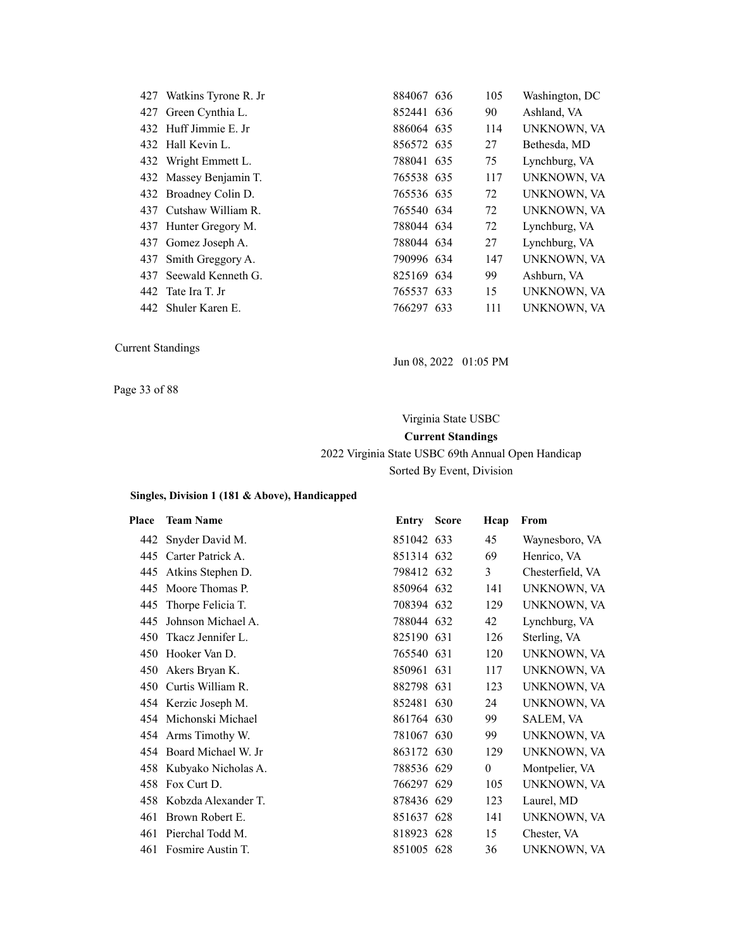| 427 Watkins Tyrone R. Jr | 884067 636 | 105 | Washington, DC     |
|--------------------------|------------|-----|--------------------|
| 427 Green Cynthia L.     | 852441 636 | 90  | Ashland, VA        |
| 432 Huff Jimmie E. Jr    | 886064 635 | 114 | <b>UNKNOWN, VA</b> |
| 432 Hall Kevin L.        | 856572 635 | 27  | Bethesda, MD       |
| 432 Wright Emmett L.     | 788041 635 | 75  | Lynchburg, VA      |
| 432 Massey Benjamin T.   | 765538 635 | 117 | UNKNOWN, VA        |
| 432 Broadney Colin D.    | 765536 635 | 72  | <b>UNKNOWN, VA</b> |
| 437 Cutshaw William R.   | 765540 634 | 72  | <b>UNKNOWN, VA</b> |
| 437 Hunter Gregory M.    | 788044 634 | 72  | Lynchburg, VA      |
| 437 Gomez Joseph A.      | 788044 634 | 27  | Lynchburg, VA      |
| 437 Smith Greggory A.    | 790996 634 | 147 | <b>UNKNOWN, VA</b> |
| 437 Seewald Kenneth G.   | 825169 634 | 99  | Ashburn, VA        |
| 442 Tate Ira T. Jr       | 765537 633 | 15  | <b>UNKNOWN, VA</b> |
| 442 Shuler Karen E.      | 766297 633 | 111 | <b>UNKNOWN, VA</b> |

Jun 08, 2022 01:05 PM

Page 33 of 88

# Virginia State USBC **Current Standings** 2022 Virginia State USBC 69th Annual Open Handicap

Sorted By Event, Division

| Place | <b>Team Name</b>        | <b>Entry Score</b> | Hcap         | From             |
|-------|-------------------------|--------------------|--------------|------------------|
|       | 442 Snyder David M.     | 851042 633         | 45           | Waynesboro, VA   |
|       | 445 Carter Patrick A.   | 851314 632         | 69           | Henrico, VA      |
| 445   | Atkins Stephen D.       | 798412 632         | 3            | Chesterfield, VA |
| 445   | Moore Thomas P.         | 850964 632         | 141          | UNKNOWN, VA      |
| 445   | Thorpe Felicia T.       | 708394 632         | 129          | UNKNOWN, VA      |
| 445   | Johnson Michael A.      | 788044 632         | 42           | Lynchburg, VA    |
| 450   | Tkacz Jennifer L.       | 825190 631         | 126          | Sterling, VA     |
| 450   | Hooker Van D.           | 765540 631         | 120          | UNKNOWN, VA      |
|       | 450 Akers Bryan K.      | 850961 631         | 117          | UNKNOWN, VA      |
|       | 450 Curtis William R.   | 882798 631         | 123          | UNKNOWN, VA      |
|       | 454 Kerzic Joseph M.    | 852481 630         | 24           | UNKNOWN, VA      |
|       | 454 Michonski Michael   | 861764 630         | 99           | SALEM, VA        |
|       | 454 Arms Timothy W.     | 781067 630         | 99           | UNKNOWN, VA      |
|       | 454 Board Michael W. Jr | 863172 630         | 129          | UNKNOWN, VA      |
|       | 458 Kubyako Nicholas A. | 788536 629         | $\mathbf{0}$ | Montpelier, VA   |
| 458   | Fox Curt D.             | 766297 629         | 105          | UNKNOWN, VA      |
| 458   | Kobzda Alexander T.     | 878436 629         | 123          | Laurel, MD       |
| 461   | Brown Robert E.         | 851637 628         | 141          | UNKNOWN, VA      |
|       | 461 Pierchal Todd M.    | 818923 628         | 15           | Chester, VA      |
|       | 461 Fosmire Austin T.   | 851005 628         | 36           | UNKNOWN, VA      |
|       |                         |                    |              |                  |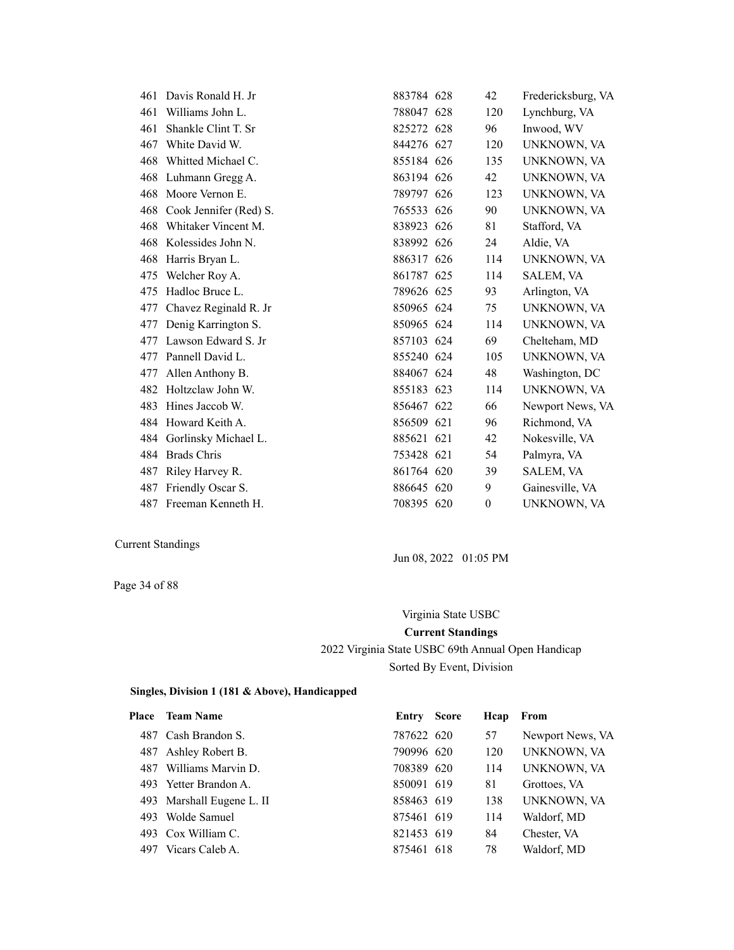| 461 | Davis Ronald H. Jr     | 883784 628 | 42       | Fredericksburg, VA |
|-----|------------------------|------------|----------|--------------------|
| 461 | Williams John L.       | 788047 628 | 120      | Lynchburg, VA      |
| 461 | Shankle Clint T. Sr    | 825272 628 | 96       | Inwood, WV         |
| 467 | White David W.         | 844276 627 | 120      | UNKNOWN, VA        |
| 468 | Whitted Michael C.     | 855184 626 | 135      | UNKNOWN, VA        |
| 468 | Luhmann Gregg A.       | 863194 626 | 42       | UNKNOWN, VA        |
| 468 | Moore Vernon E.        | 789797 626 | 123      | UNKNOWN, VA        |
| 468 | Cook Jennifer (Red) S. | 765533 626 | 90       | UNKNOWN, VA        |
| 468 | Whitaker Vincent M.    | 838923 626 | 81       | Stafford, VA       |
| 468 | Kolessides John N.     | 838992 626 | 24       | Aldie, VA          |
| 468 | Harris Bryan L.        | 886317 626 | 114      | UNKNOWN, VA        |
| 475 | Welcher Roy A.         | 861787 625 | 114      | SALEM, VA          |
| 475 | Hadloc Bruce L.        | 789626 625 | 93       | Arlington, VA      |
| 477 | Chavez Reginald R. Jr  | 850965 624 | 75       | UNKNOWN, VA        |
| 477 | Denig Karrington S.    | 850965 624 | 114      | UNKNOWN, VA        |
| 477 | Lawson Edward S. Jr    | 857103 624 | 69       | Chelteham, MD      |
| 477 | Pannell David L.       | 855240 624 | 105      | UNKNOWN, VA        |
| 477 | Allen Anthony B.       | 884067 624 | 48       | Washington, DC     |
| 482 | Holtzclaw John W.      | 855183 623 | 114      | UNKNOWN, VA        |
| 483 | Hines Jaccob W.        | 856467 622 | 66       | Newport News, VA   |
| 484 | Howard Keith A.        | 856509 621 | 96       | Richmond, VA       |
| 484 | Gorlinsky Michael L.   | 885621 621 | 42       | Nokesville, VA     |
| 484 | <b>Brads Chris</b>     | 753428 621 | 54       | Palmyra, VA        |
| 487 | Riley Harvey R.        | 861764 620 | 39       | SALEM, VA          |
| 487 | Friendly Oscar S.      | 886645 620 | 9        | Gainesville, VA    |
| 487 | Freeman Kenneth H.     | 708395 620 | $\theta$ | UNKNOWN, VA        |

Page 34 of 88

Jun 08, 2022 01:05 PM

# Virginia State USBC **Current Standings** 2022 Virginia State USBC 69th Annual Open Handicap Sorted By Event, Division

| <b>Place</b> | <b>Team Name</b>          | Entry      | Score | Hcap | From             |
|--------------|---------------------------|------------|-------|------|------------------|
|              | 487 Cash Brandon S.       | 787622 620 |       | 57   | Newport News, VA |
|              | 487 Ashley Robert B.      | 790996 620 |       | 120  | UNKNOWN, VA      |
| 487          | Williams Marvin D.        | 708389 620 |       | 114  | UNKNOWN, VA      |
|              | 493 Yetter Brandon A.     | 850091 619 |       | 81   | Grottoes, VA     |
|              | 493 Marshall Eugene L. II | 858463 619 |       | 138  | UNKNOWN, VA      |
| 493          | Wolde Samuel              | 875461 619 |       | 114  | Waldorf, MD      |
|              | 493 Cox William C.        | 821453 619 |       | 84   | Chester, VA      |
| 497          | Vicars Caleb A.           | 875461 618 |       | 78   | Waldorf, MD      |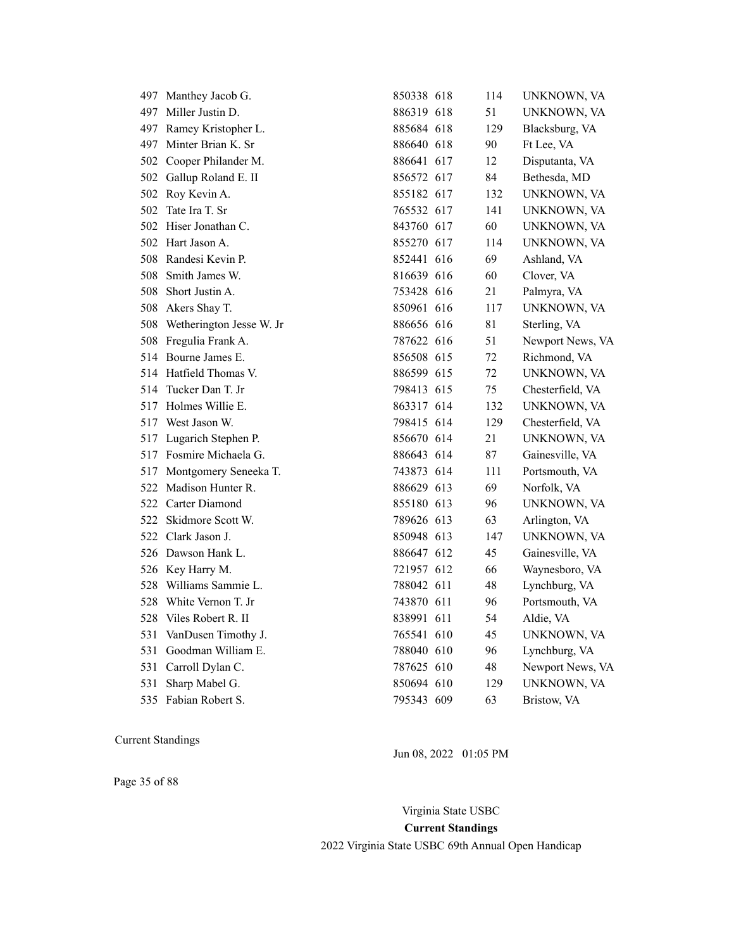|     | 497 Manthey Jacob G.         | 850338 618 | 114 | UNKNOWN, VA      |
|-----|------------------------------|------------|-----|------------------|
|     | 497 Miller Justin D.         | 886319 618 | 51  | UNKNOWN, VA      |
|     | 497 Ramey Kristopher L.      | 885684 618 | 129 | Blacksburg, VA   |
|     | 497 Minter Brian K. Sr       | 886640 618 | 90  | Ft Lee, VA       |
|     | 502 Cooper Philander M.      | 886641 617 | 12  | Disputanta, VA   |
| 502 | Gallup Roland E. II          | 856572 617 | 84  | Bethesda, MD     |
| 502 | Roy Kevin A.                 | 855182 617 | 132 | UNKNOWN, VA      |
| 502 | Tate Ira T. Sr               | 765532 617 | 141 | UNKNOWN, VA      |
| 502 | Hiser Jonathan C.            | 843760 617 | 60  | UNKNOWN, VA      |
| 502 | Hart Jason A.                | 855270 617 | 114 | UNKNOWN, VA      |
| 508 | Randesi Kevin P.             | 852441 616 | 69  | Ashland, VA      |
| 508 | Smith James W.               | 816639 616 | 60  | Clover, VA       |
| 508 | Short Justin A.              | 753428 616 | 21  | Palmyra, VA      |
|     | 508 Akers Shay T.            | 850961 616 | 117 | UNKNOWN, VA      |
|     | 508 Wetherington Jesse W. Jr | 886656 616 | 81  | Sterling, VA     |
|     | 508 Fregulia Frank A.        | 787622 616 | 51  | Newport News, VA |
|     | 514 Bourne James E.          | 856508 615 | 72  | Richmond, VA     |
|     | 514 Hatfield Thomas V.       | 886599 615 | 72  | UNKNOWN, VA      |
| 514 | Tucker Dan T. Jr             | 798413 615 | 75  | Chesterfield, VA |
| 517 | Holmes Willie E.             | 863317 614 | 132 | UNKNOWN, VA      |
|     | 517 West Jason W.            | 798415 614 | 129 | Chesterfield, VA |
|     | 517 Lugarich Stephen P.      | 856670 614 | 21  | UNKNOWN, VA      |
|     | 517 Fosmire Michaela G.      | 886643 614 | 87  | Gainesville, VA  |
| 517 | Montgomery Seneeka T.        | 743873 614 | 111 | Portsmouth, VA   |
| 522 | Madison Hunter R.            | 886629 613 | 69  | Norfolk, VA      |
|     | 522 Carter Diamond           | 855180 613 | 96  | UNKNOWN, VA      |
| 522 | Skidmore Scott W.            | 789626 613 | 63  | Arlington, VA    |
| 522 | Clark Jason J.               | 850948 613 | 147 | UNKNOWN, VA      |
|     | 526 Dawson Hank L.           | 886647 612 | 45  | Gainesville, VA  |
|     | 526 Key Harry M.             | 721957 612 | 66  | Waynesboro, VA   |
| 528 | Williams Sammie L.           | 788042 611 | 48  | Lynchburg, VA    |
| 528 | White Vernon T. Jr           | 743870 611 | 96  | Portsmouth, VA   |
| 528 | Viles Robert R. II           | 838991 611 | 54  | Aldie, VA        |
| 531 | VanDusen Timothy J.          | 765541 610 | 45  | UNKNOWN, VA      |
| 531 | Goodman William E.           | 788040 610 | 96  | Lynchburg, VA    |
| 531 | Carroll Dylan C.             | 787625 610 | 48  | Newport News, VA |
| 531 | Sharp Mabel G.               | 850694 610 | 129 | UNKNOWN, VA      |
| 535 | Fabian Robert S.             | 795343 609 | 63  | Bristow, VA      |

Jun 08, 2022 01:05 PM

Page 35 of 88

Virginia State USBC

**Current Standings**

2022 Virginia State USBC 69th Annual Open Handicap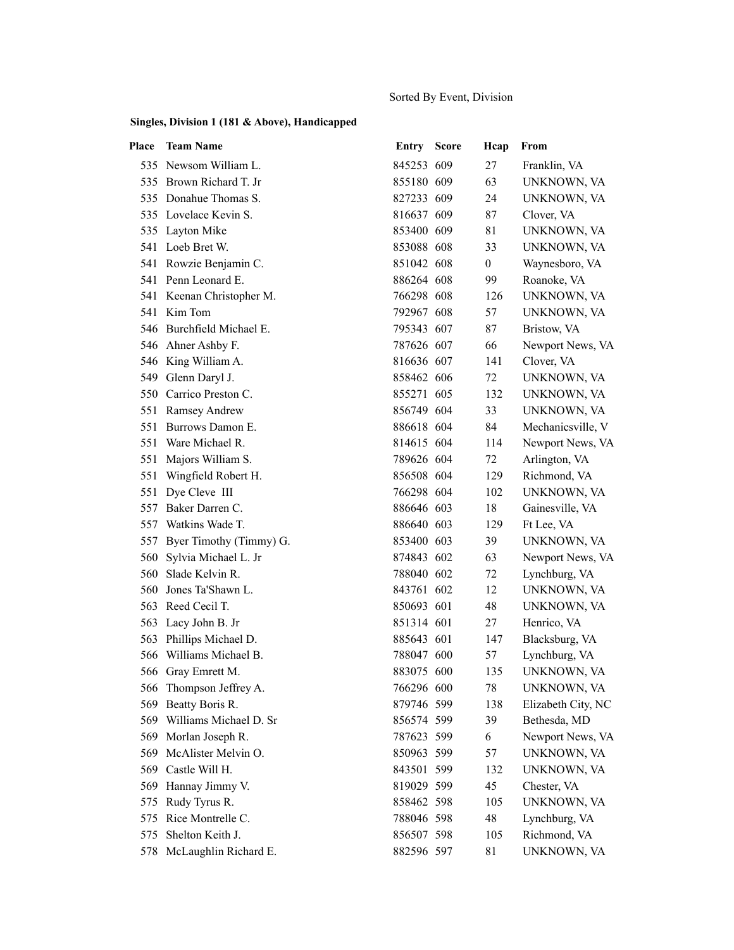### Sorted By Event, Division

| Place | <b>Team Name</b>            | Entry      | <b>Score</b> | Hcap         | From               |
|-------|-----------------------------|------------|--------------|--------------|--------------------|
|       | 535 Newsom William L.       | 845253 609 |              | 27           | Franklin, VA       |
|       | 535 Brown Richard T. Jr     | 855180 609 |              | 63           | UNKNOWN, VA        |
|       | 535 Donahue Thomas S.       | 827233 609 |              | 24           | UNKNOWN, VA        |
|       | 535 Lovelace Kevin S.       | 816637 609 |              | 87           | Clover, VA         |
|       | 535 Layton Mike             | 853400 609 |              | 81           | UNKNOWN, VA        |
|       | 541 Loeb Bret W.            | 853088 608 |              | 33           | UNKNOWN, VA        |
|       | 541 Rowzie Benjamin C.      | 851042 608 |              | $\mathbf{0}$ | Waynesboro, VA     |
|       | 541 Penn Leonard E.         | 886264 608 |              | 99           | Roanoke, VA        |
|       | 541 Keenan Christopher M.   | 766298 608 |              | 126          | UNKNOWN, VA        |
|       | 541 Kim Tom                 | 792967 608 |              | 57           | UNKNOWN, VA        |
|       | 546 Burchfield Michael E.   | 795343 607 |              | 87           | Bristow, VA        |
|       | 546 Ahner Ashby F.          | 787626 607 |              | 66           | Newport News, VA   |
|       | 546 King William A.         | 816636 607 |              | 141          | Clover, VA         |
|       | 549 Glenn Daryl J.          | 858462 606 |              | 72           | UNKNOWN, VA        |
|       | 550 Carrico Preston C.      | 855271 605 |              | 132          | UNKNOWN, VA        |
|       | 551 Ramsey Andrew           | 856749 604 |              | 33           | UNKNOWN, VA        |
|       | 551 Burrows Damon E.        | 886618 604 |              | 84           | Mechanicsville, V  |
|       | 551 Ware Michael R.         | 814615 604 |              | 114          | Newport News, VA   |
| 551   | Majors William S.           | 789626 604 |              | 72           | Arlington, VA      |
|       | 551 Wingfield Robert H.     | 856508 604 |              | 129          | Richmond, VA       |
| 551   | Dye Cleve III               | 766298 604 |              | 102          | UNKNOWN, VA        |
| 557   | Baker Darren C.             | 886646 603 |              | 18           | Gainesville, VA    |
|       | 557 Watkins Wade T.         | 886640 603 |              | 129          | Ft Lee, VA         |
|       | 557 Byer Timothy (Timmy) G. | 853400 603 |              | 39           | UNKNOWN, VA        |
| 560   | Sylvia Michael L. Jr        | 874843 602 |              | 63           | Newport News, VA   |
| 560   | Slade Kelvin R.             | 788040 602 |              | 72           | Lynchburg, VA      |
| 560   | Jones Ta'Shawn L.           | 843761 602 |              | 12           | UNKNOWN, VA        |
|       | 563 Reed Cecil T.           | 850693 601 |              | 48           | UNKNOWN, VA        |
| 563   | Lacy John B. Jr             | 851314 601 |              | 27           | Henrico, VA        |
| 563   | Phillips Michael D.         | 885643 601 |              | 147          | Blacksburg, VA     |
|       | 566 Williams Michael B.     | 788047 600 |              | 57           | Lynchburg, VA      |
|       | 566 Gray Emrett M.          | 883075 600 |              | 135          | UNKNOWN, VA        |
|       | 566 Thompson Jeffrey A.     | 766296 600 |              | 78           | UNKNOWN, VA        |
| 569   | Beatty Boris R.             | 879746 599 |              | 138          | Elizabeth City, NC |
| 569   | Williams Michael D. Sr      | 856574 599 |              | 39           | Bethesda, MD       |
| 569   | Morlan Joseph R.            | 787623 599 |              | 6            | Newport News, VA   |
| 569   | McAlister Melvin O.         | 850963 599 |              | 57           | UNKNOWN, VA        |
| 569   | Castle Will H.              | 843501 599 |              | 132          | UNKNOWN, VA        |
| 569   | Hannay Jimmy V.             | 819029 599 |              | 45           | Chester, VA        |
| 575   | Rudy Tyrus R.               | 858462 598 |              | 105          | UNKNOWN, VA        |
| 575   | Rice Montrelle C.           | 788046 598 |              | 48           | Lynchburg, VA      |
| 575   | Shelton Keith J.            | 856507 598 |              | 105          | Richmond, VA       |
| 578   | McLaughlin Richard E.       | 882596 597 |              | 81           | UNKNOWN, VA        |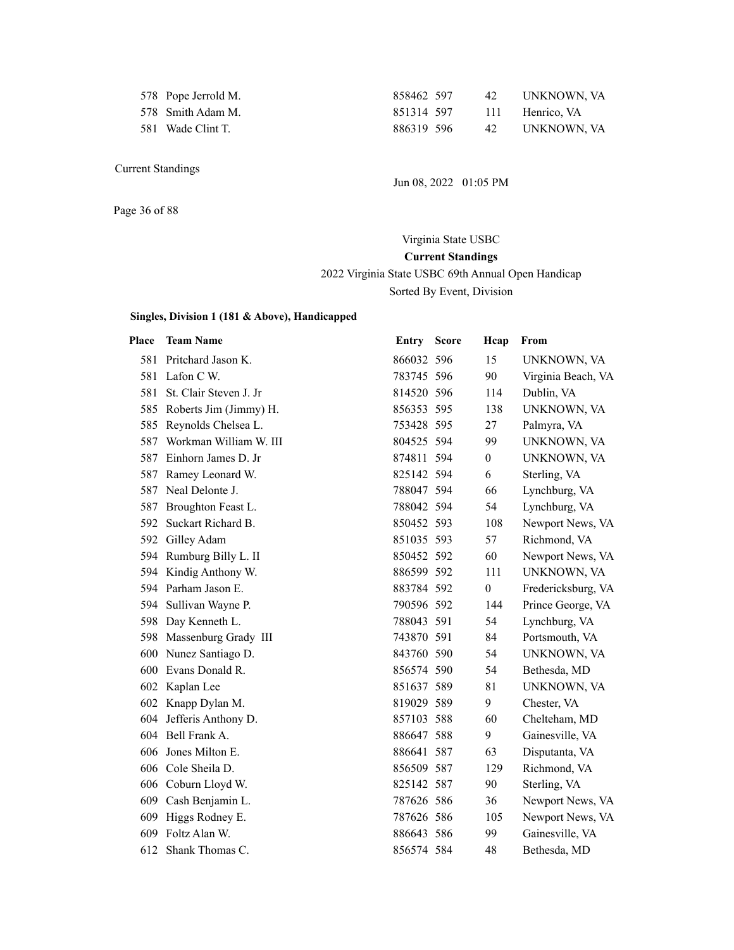| 578 Pope Jerrold M. |
|---------------------|
| 578 Smith Adam M.   |
| $581$ Wade Clint T  |

858462 597 42 UNKNOWN, VA 851314 597 111 Henrico, VA 581 Wade Clint T. 886319 596 42 UNKNOWN, VA

Jun 08, 2022 01:05 PM

Page 36 of 88

# Virginia State USBC **Current Standings** 2022 Virginia State USBC 69th Annual Open Handicap Sorted By Event, Division

| Place | <b>Team Name</b>           | Entry      | <b>Score</b> | Hcap             | From               |
|-------|----------------------------|------------|--------------|------------------|--------------------|
|       | 581 Pritchard Jason K.     | 866032 596 |              | 15               | UNKNOWN, VA        |
|       | 581 Lafon C W.             | 783745 596 |              | 90               | Virginia Beach, VA |
| 581   | St. Clair Steven J. Jr     | 814520 596 |              | 114              | Dublin, VA         |
|       | 585 Roberts Jim (Jimmy) H. | 856353 595 |              | 138              | UNKNOWN, VA        |
| 585   | Reynolds Chelsea L.        | 753428 595 |              | 27               | Palmyra, VA        |
| 587   | Workman William W. III     | 804525 594 |              | 99               | UNKNOWN, VA        |
| 587   | Einhorn James D. Jr        | 874811 594 |              | $\boldsymbol{0}$ | UNKNOWN, VA        |
| 587   | Ramey Leonard W.           | 825142 594 |              | 6                | Sterling, VA       |
| 587   | Neal Delonte J.            | 788047 594 |              | 66               | Lynchburg, VA      |
| 587   | Broughton Feast L.         | 788042 594 |              | 54               | Lynchburg, VA      |
| 592   | Suckart Richard B.         | 850452 593 |              | 108              | Newport News, VA   |
| 592   | Gilley Adam                | 851035 593 |              | 57               | Richmond, VA       |
|       | 594 Rumburg Billy L. II    | 850452 592 |              | 60               | Newport News, VA   |
|       | 594 Kindig Anthony W.      | 886599 592 |              | 111              | UNKNOWN, VA        |
|       | 594 Parham Jason E.        | 883784 592 |              | $\mathbf{0}$     | Fredericksburg, VA |
|       | 594 Sullivan Wayne P.      | 790596 592 |              | 144              | Prince George, VA  |
|       | 598 Day Kenneth L.         | 788043 591 |              | 54               | Lynchburg, VA      |
|       | 598 Massenburg Grady III   | 743870 591 |              | 84               | Portsmouth, VA     |
|       | 600 Nunez Santiago D.      | 843760 590 |              | 54               | UNKNOWN, VA        |
| 600   | Evans Donald R.            | 856574 590 |              | 54               | Bethesda, MD       |
|       | 602 Kaplan Lee             | 851637 589 |              | 81               | UNKNOWN, VA        |
|       | 602 Knapp Dylan M.         | 819029 589 |              | 9                | Chester, VA        |
|       | 604 Jefferis Anthony D.    | 857103 588 |              | 60               | Chelteham, MD      |
|       | 604 Bell Frank A.          | 886647 588 |              | 9                | Gainesville, VA    |
| 606   | Jones Milton E.            | 886641 587 |              | 63               | Disputanta, VA     |
|       | 606 Cole Sheila D.         | 856509 587 |              | 129              | Richmond, VA       |
|       | 606 Coburn Lloyd W.        | 825142 587 |              | 90               | Sterling, VA       |
|       | 609 Cash Benjamin L.       | 787626 586 |              | 36               | Newport News, VA   |
| 609   | Higgs Rodney E.            | 787626 586 |              | 105              | Newport News, VA   |
| 609   | Foltz Alan W.              | 886643 586 |              | 99               | Gainesville, VA    |
| 612   | Shank Thomas C.            | 856574 584 |              | 48               | Bethesda, MD       |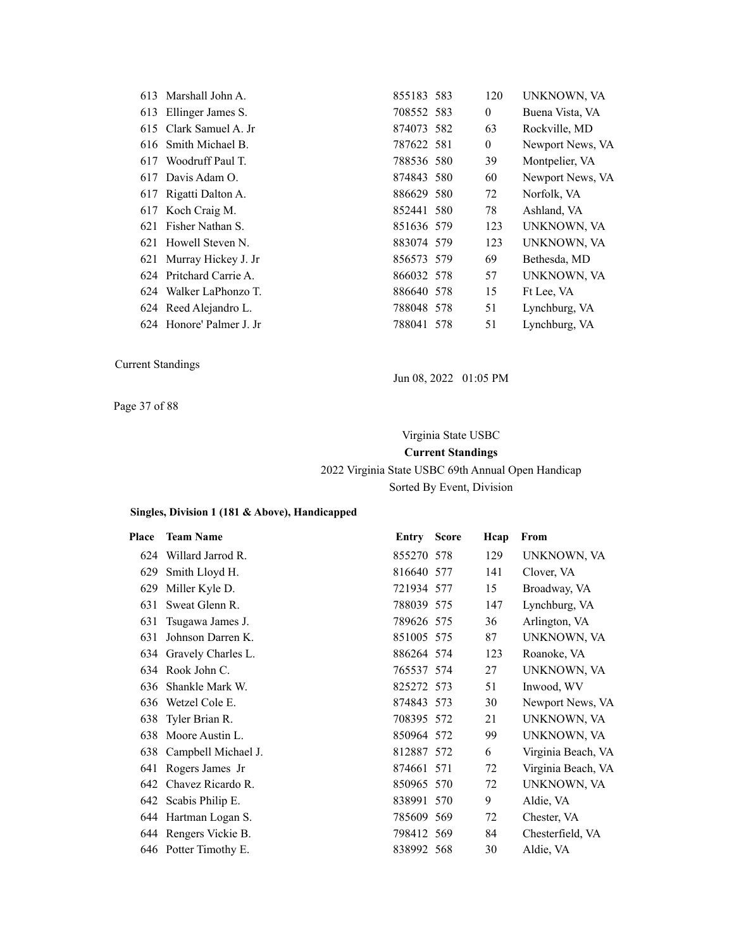|     | 613 Marshall John A.     | 855183 583 | 120            | UNKNOWN, VA      |
|-----|--------------------------|------------|----------------|------------------|
|     | 613 Ellinger James S.    | 708552 583 | $\overline{0}$ | Buena Vista, VA  |
|     | 615 Clark Samuel A. Jr   | 874073 582 | 63             | Rockville, MD    |
|     | 616 Smith Michael B.     | 787622 581 | $\overline{0}$ | Newport News, VA |
|     | 617 Woodruff Paul T.     | 788536 580 | 39             | Montpelier, VA   |
|     | 617 Davis Adam O.        | 874843 580 | 60             | Newport News, VA |
|     | 617 Rigatti Dalton A.    | 886629 580 | 72             | Norfolk, VA      |
|     | 617 Koch Craig M.        | 852441 580 | 78             | Ashland, VA      |
| 621 | Fisher Nathan S.         | 851636 579 | 123            | UNKNOWN, VA      |
|     | 621 Howell Steven N.     | 883074 579 | 123            | UNKNOWN, VA      |
|     | 621 Murray Hickey J. Jr  | 856573 579 | 69             | Bethesda, MD     |
|     | 624 Pritchard Carrie A.  | 866032 578 | 57             | UNKNOWN, VA      |
|     | 624 Walker LaPhonzo T.   | 886640 578 | 15             | Ft Lee, VA       |
|     | 624 Reed Alejandro L.    | 788048 578 | 51             | Lynchburg, VA    |
|     | 624 Honore' Palmer J. Jr | 788041 578 | 51             | Lynchburg, VA    |
|     |                          |            |                |                  |

Jun 08, 2022 01:05 PM

Page 37 of 88

#### Virginia State USBC

#### **Current Standings**

2022 Virginia State USBC 69th Annual Open Handicap Sorted By Event, Division

| Place | <b>Team Name</b>        | <b>Entry Score</b> | Hcap | From               |
|-------|-------------------------|--------------------|------|--------------------|
| 624   | Willard Jarrod R.       | 855270 578         | 129  | UNKNOWN, VA        |
| 629   | Smith Lloyd H.          | 816640 577         | 141  | Clover, VA         |
| 629   | Miller Kyle D.          | 721934 577         | 15   | Broadway, VA       |
| 631   | Sweat Glenn R.          | 788039 575         | 147  | Lynchburg, VA      |
| 631   | Tsugawa James J.        | 789626 575         | 36   | Arlington, VA      |
| 631   | Johnson Darren K.       | 851005 575         | 87   | UNKNOWN, VA        |
|       | 634 Gravely Charles L.  | 886264 574         | 123  | Roanoke, VA        |
|       | 634 Rook John C.        | 765537 574         | 27   | UNKNOWN, VA        |
| 636   | Shankle Mark W.         | 825272 573         | 51   | Inwood, WV         |
| 636   | Wetzel Cole E.          | 874843 573         | 30   | Newport News, VA   |
| 638   | Tyler Brian R.          | 708395 572         | 21   | UNKNOWN, VA        |
| 638   | Moore Austin L.         | 850964 572         | 99   | UNKNOWN, VA        |
|       | 638 Campbell Michael J. | 812887 572         | 6    | Virginia Beach, VA |
| 641   | Rogers James Jr         | 874661 571         | 72   | Virginia Beach, VA |
|       | 642 Chavez Ricardo R.   | 850965 570         | 72   | UNKNOWN, VA        |
|       | 642 Scabis Philip E.    | 838991 570         | 9    | Aldie, VA          |
|       | 644 Hartman Logan S.    | 785609 569         | 72   | Chester, VA        |
|       | 644 Rengers Vickie B.   | 798412 569         | 84   | Chesterfield, VA   |
|       | 646 Potter Timothy E.   | 838992 568         | 30   | Aldie, VA          |
|       |                         |                    |      |                    |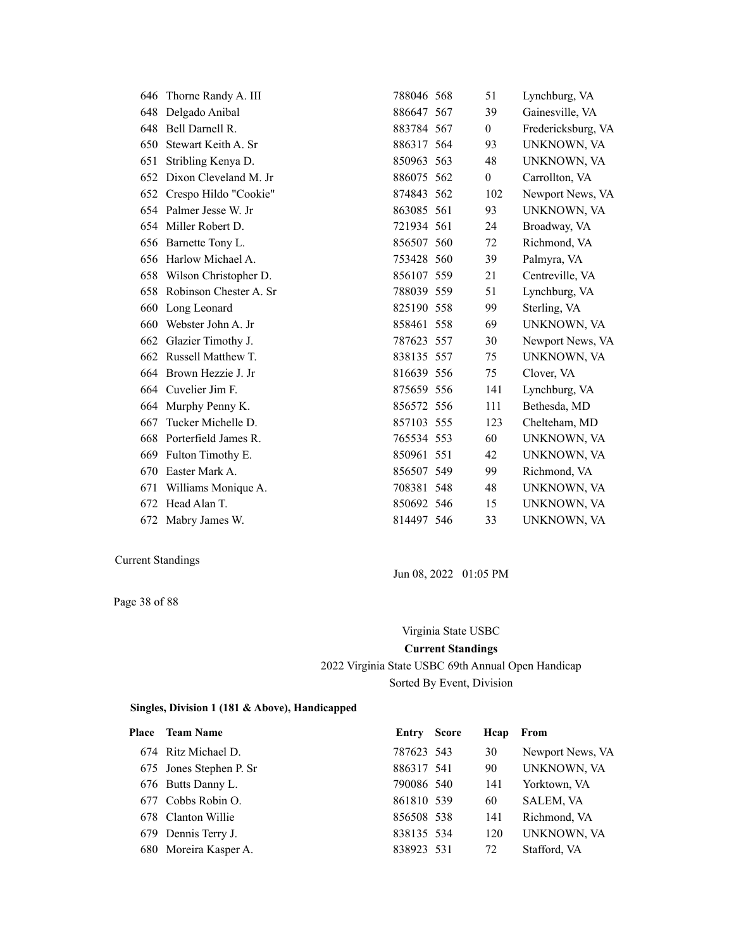| 646 | Thorne Randy A. III    | 788046 568 | 51               | Lynchburg, VA      |
|-----|------------------------|------------|------------------|--------------------|
| 648 | Delgado Anibal         | 886647 567 | 39               | Gainesville, VA    |
| 648 | Bell Darnell R.        | 883784 567 | $\overline{0}$   | Fredericksburg, VA |
| 650 | Stewart Keith A. Sr    | 886317 564 | 93               | UNKNOWN, VA        |
| 651 | Stribling Kenya D.     | 850963 563 | 48               | UNKNOWN, VA        |
| 652 | Dixon Cleveland M. Jr  | 886075 562 | $\boldsymbol{0}$ | Carrollton, VA     |
| 652 | Crespo Hildo "Cookie"  | 874843 562 | 102              | Newport News, VA   |
|     | 654 Palmer Jesse W. Jr | 863085 561 | 93               | UNKNOWN, VA        |
|     | 654 Miller Robert D.   | 721934 561 | 24               | Broadway, VA       |
| 656 | Barnette Tony L.       | 856507 560 | 72               | Richmond, VA       |
|     | 656 Harlow Michael A.  | 753428 560 | 39               | Palmyra, VA        |
| 658 | Wilson Christopher D.  | 856107 559 | 21               | Centreville, VA    |
| 658 | Robinson Chester A. Sr | 788039 559 | 51               | Lynchburg, VA      |
| 660 | Long Leonard           | 825190 558 | 99               | Sterling, VA       |
| 660 | Webster John A. Jr     | 858461 558 | 69               | UNKNOWN, VA        |
| 662 | Glazier Timothy J.     | 787623 557 | 30               | Newport News, VA   |
| 662 | Russell Matthew T.     | 838135 557 | 75               | UNKNOWN, VA        |
|     | 664 Brown Hezzie J. Jr | 816639 556 | 75               | Clover, VA         |
|     | 664 Cuvelier Jim F.    | 875659 556 | 141              | Lynchburg, VA      |
| 664 | Murphy Penny K.        | 856572 556 | 111              | Bethesda, MD       |
| 667 | Tucker Michelle D.     | 857103 555 | 123              | Chelteham, MD      |
| 668 | Porterfield James R.   | 765534 553 | 60               | UNKNOWN, VA        |
| 669 | Fulton Timothy E.      | 850961 551 | 42               | UNKNOWN, VA        |
| 670 | Easter Mark A.         | 856507 549 | 99               | Richmond, VA       |
| 671 | Williams Monique A.    | 708381 548 | 48               | UNKNOWN, VA        |
| 672 | Head Alan T.           | 850692 546 | 15               | UNKNOWN, VA        |
| 672 | Mabry James W.         | 814497 546 | 33               | UNKNOWN, VA        |

Page 38 of 88

Jun 08, 2022 01:05 PM

# Virginia State USBC **Current Standings** 2022 Virginia State USBC 69th Annual Open Handicap Sorted By Event, Division

| <b>Place</b> Team Name  | Entry      | <b>Score</b> | Hcap | From             |
|-------------------------|------------|--------------|------|------------------|
| 674 Ritz Michael D.     | 787623 543 |              | 30   | Newport News, VA |
| 675 Jones Stephen P. Sr | 886317 541 |              | 90   | UNKNOWN, VA      |
| 676 Butts Danny L.      | 790086 540 |              | 141  | Yorktown, VA     |
| 677 Cobbs Robin O.      | 861810 539 |              | 60   | <b>SALEM, VA</b> |
| 678 Clanton Willie      | 856508 538 |              | 141  | Richmond, VA     |
| 679 Dennis Terry J.     | 838135 534 |              | 120  | UNKNOWN, VA      |
| 680 Moreira Kasper A.   | 838923 531 |              | 72   | Stafford, VA     |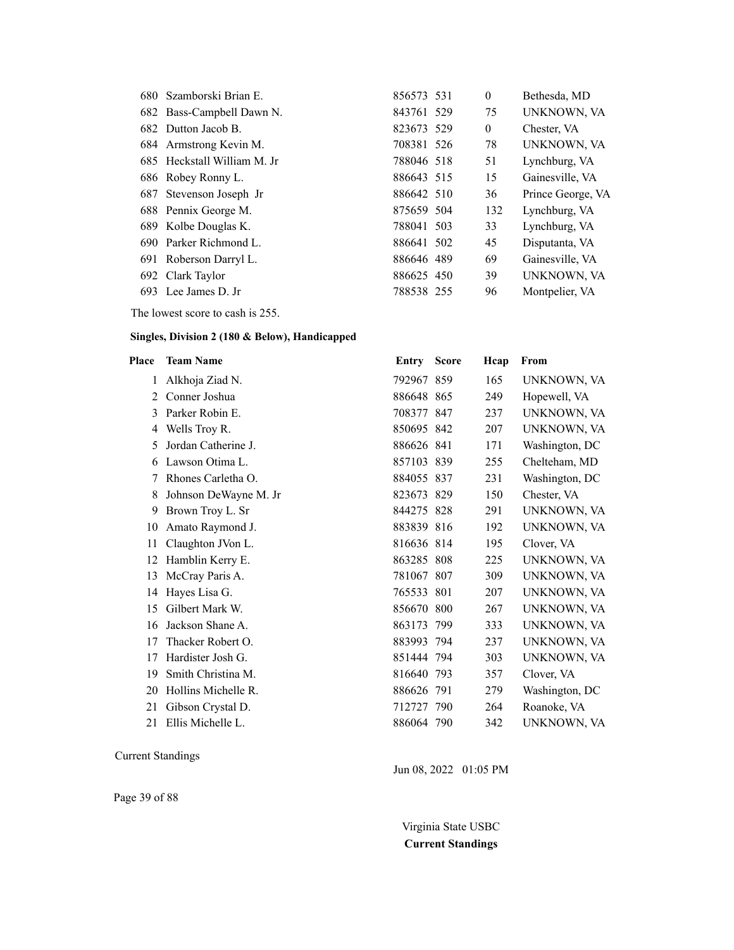| 680 Szamborski Brian E.     | 856573 531 | $\mathbf{0}$ | Bethesda, MD      |
|-----------------------------|------------|--------------|-------------------|
| 682 Bass-Campbell Dawn N.   | 843761 529 | 75           | UNKNOWN, VA       |
| 682 Dutton Jacob B.         | 823673 529 | $\mathbf{0}$ | Chester, VA       |
| 684 Armstrong Kevin M.      | 708381 526 | 78           | UNKNOWN, VA       |
| 685 Heckstall William M. Jr | 788046 518 | 51           | Lynchburg, VA     |
| 686 Robey Ronny L.          | 886643 515 | 15           | Gainesville, VA   |
| 687 Stevenson Joseph Jr     | 886642 510 | 36           | Prince George, VA |
| 688 Pennix George M.        | 875659 504 | 132          | Lynchburg, VA     |
| 689 Kolbe Douglas K.        | 788041 503 | 33           | Lynchburg, VA     |
| 690 Parker Richmond L.      | 886641 502 | 45           | Disputanta, VA    |
| 691 Roberson Darryl L.      | 886646 489 | 69           | Gainesville, VA   |
| 692 Clark Taylor            | 886625 450 | 39           | UNKNOWN, VA       |
| 693 Lee James D. Jr         | 788538 255 | 96           | Montpelier, VA    |

The lowest score to cash is 255.

#### **Singles, Division 2 (180 & Below), Handicapped**

| Place | <b>Team Name</b>      | Entry      | <b>Score</b> | Hcap | From           |
|-------|-----------------------|------------|--------------|------|----------------|
| 1     | Alkhoja Ziad N.       | 792967 859 |              | 165  | UNKNOWN, VA    |
| 2     | Conner Joshua         | 886648 865 |              | 249  | Hopewell, VA   |
| 3     | Parker Robin E.       | 708377 847 |              | 237  | UNKNOWN, VA    |
| 4     | Wells Troy R.         | 850695 842 |              | 207  | UNKNOWN, VA    |
| 5     | Jordan Catherine J.   | 886626 841 |              | 171  | Washington, DC |
| 6     | Lawson Otima L.       | 857103 839 |              | 255  | Chelteham, MD  |
| 7     | Rhones Carletha O.    | 884055 837 |              | 231  | Washington, DC |
| 8     | Johnson DeWayne M. Jr | 823673 829 |              | 150  | Chester, VA    |
| 9     | Brown Troy L. Sr      | 844275 828 |              | 291  | UNKNOWN, VA    |
| 10    | Amato Raymond J.      | 883839 816 |              | 192  | UNKNOWN, VA    |
| 11    | Claughton JVon L.     | 816636 814 |              | 195  | Clover, VA     |
| 12    | Hamblin Kerry E.      | 863285 808 |              | 225  | UNKNOWN, VA    |
| 13    | McCray Paris A.       | 781067 807 |              | 309  | UNKNOWN, VA    |
| 14    | Hayes Lisa G.         | 765533 801 |              | 207  | UNKNOWN, VA    |
| 15    | Gilbert Mark W.       | 856670 800 |              | 267  | UNKNOWN, VA    |
| 16    | Jackson Shane A.      | 863173 799 |              | 333  | UNKNOWN, VA    |
| 17    | Thacker Robert O.     | 883993 794 |              | 237  | UNKNOWN, VA    |
| 17    | Hardister Josh G.     | 851444 794 |              | 303  | UNKNOWN, VA    |
| 19    | Smith Christina M.    | 816640 793 |              | 357  | Clover, VA     |
| 20    | Hollins Michelle R.   | 886626 791 |              | 279  | Washington, DC |
| 21    | Gibson Crystal D.     | 712727 790 |              | 264  | Roanoke, VA    |
| 21    | Ellis Michelle L.     | 886064 790 |              | 342  | UNKNOWN, VA    |

Current Standings

Page 39 of 88

Jun 08, 2022 01:05 PM

Virginia State USBC **Current Standings**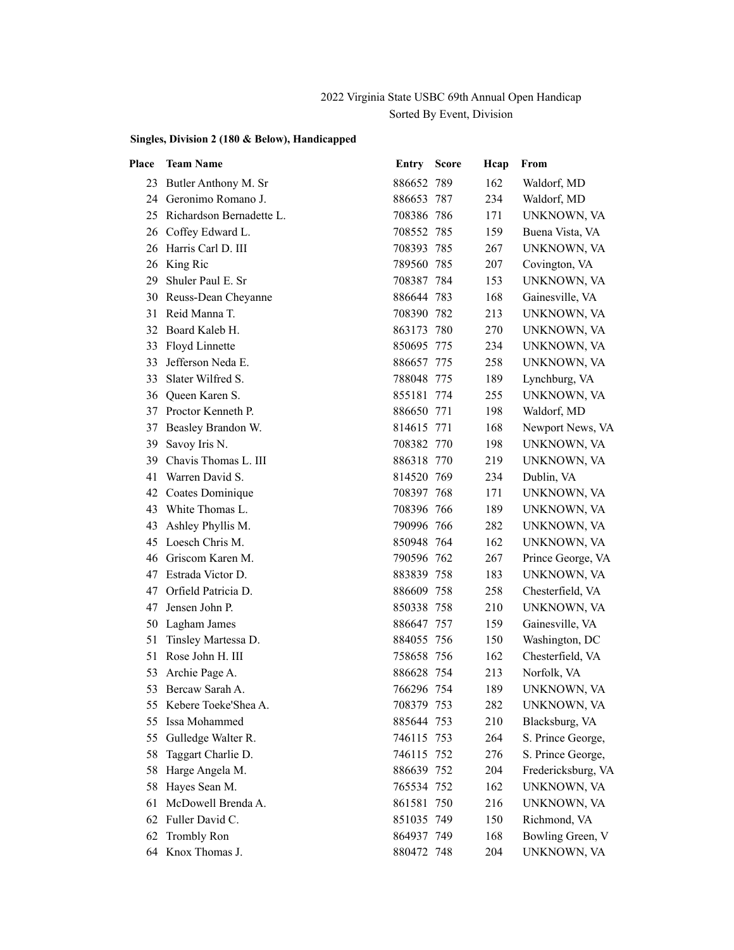## 2022 Virginia State USBC 69th Annual Open Handicap Sorted By Event, Division

| Place | <b>Team Name</b>         | Entry      | <b>Score</b> | Hcap | From               |
|-------|--------------------------|------------|--------------|------|--------------------|
| 23    | Butler Anthony M. Sr     | 886652 789 |              | 162  | Waldorf, MD        |
|       | 24 Geronimo Romano J.    | 886653 787 |              | 234  | Waldorf, MD        |
| 25    | Richardson Bernadette L. | 708386 786 |              | 171  | UNKNOWN, VA        |
| 26    | Coffey Edward L.         | 708552 785 |              | 159  | Buena Vista, VA    |
| 26    | Harris Carl D. III       | 708393 785 |              | 267  | UNKNOWN, VA        |
| 26    | King Ric                 | 789560 785 |              | 207  | Covington, VA      |
| 29    | Shuler Paul E. Sr        | 708387 784 |              | 153  | UNKNOWN, VA        |
| 30    | Reuss-Dean Cheyanne      | 886644 783 |              | 168  | Gainesville, VA    |
| 31    | Reid Manna T.            | 708390 782 |              | 213  | UNKNOWN, VA        |
| 32    | Board Kaleb H.           | 863173 780 |              | 270  | UNKNOWN, VA        |
| 33    | Floyd Linnette           | 850695 775 |              | 234  | UNKNOWN, VA        |
| 33    | Jefferson Neda E.        | 886657 775 |              | 258  | UNKNOWN, VA        |
| 33    | Slater Wilfred S.        | 788048 775 |              | 189  | Lynchburg, VA      |
| 36    | Queen Karen S.           | 855181 774 |              | 255  | UNKNOWN, VA        |
| 37    | Proctor Kenneth P.       | 886650 771 |              | 198  | Waldorf, MD        |
| 37    | Beasley Brandon W.       | 814615 771 |              | 168  | Newport News, VA   |
| 39    | Savoy Iris N.            | 708382 770 |              | 198  | UNKNOWN, VA        |
| 39    | Chavis Thomas L. III     | 886318 770 |              | 219  | UNKNOWN, VA        |
| 41    | Warren David S.          | 814520 769 |              | 234  | Dublin, VA         |
| 42    | Coates Dominique         | 708397 768 |              | 171  | UNKNOWN, VA        |
| 43    | White Thomas L.          | 708396 766 |              | 189  | UNKNOWN, VA        |
| 43    | Ashley Phyllis M.        | 790996 766 |              | 282  | UNKNOWN, VA        |
| 45    | Loesch Chris M.          | 850948 764 |              | 162  | UNKNOWN, VA        |
| 46    | Griscom Karen M.         | 790596 762 |              | 267  | Prince George, VA  |
| 47    | Estrada Victor D.        | 883839 758 |              | 183  | UNKNOWN, VA        |
| 47    | Orfield Patricia D.      | 886609 758 |              | 258  | Chesterfield, VA   |
| 47    | Jensen John P.           | 850338 758 |              | 210  | UNKNOWN, VA        |
| 50    | Lagham James             | 886647 757 |              | 159  | Gainesville, VA    |
| 51    | Tinsley Martessa D.      | 884055 756 |              | 150  | Washington, DC     |
| 51    | Rose John H. III         | 758658 756 |              | 162  | Chesterfield, VA   |
| 53    | Archie Page A.           | 886628 754 |              | 213  | Norfolk, VA        |
| 53    | Bercaw Sarah A.          | 766296 754 |              | 189  | UNKNOWN, VA        |
|       | 55 Kebere Toeke'Shea A.  | 708379 753 |              | 282  | UNKNOWN, VA        |
| 55    | Issa Mohammed            | 885644 753 |              | 210  | Blacksburg, VA     |
| 55    | Gulledge Walter R.       | 746115 753 |              | 264  | S. Prince George,  |
| 58    | Taggart Charlie D.       | 746115 752 |              | 276  | S. Prince George,  |
| 58    | Harge Angela M.          | 886639 752 |              | 204  | Fredericksburg, VA |
| 58    | Hayes Sean M.            | 765534 752 |              | 162  | UNKNOWN, VA        |
| 61    | McDowell Brenda A.       | 861581 750 |              | 216  | UNKNOWN, VA        |
| 62    | Fuller David C.          | 851035 749 |              | 150  | Richmond, VA       |
| 62    | <b>Trombly Ron</b>       | 864937 749 |              | 168  | Bowling Green, V   |
|       | 64 Knox Thomas J.        | 880472 748 |              | 204  | UNKNOWN, VA        |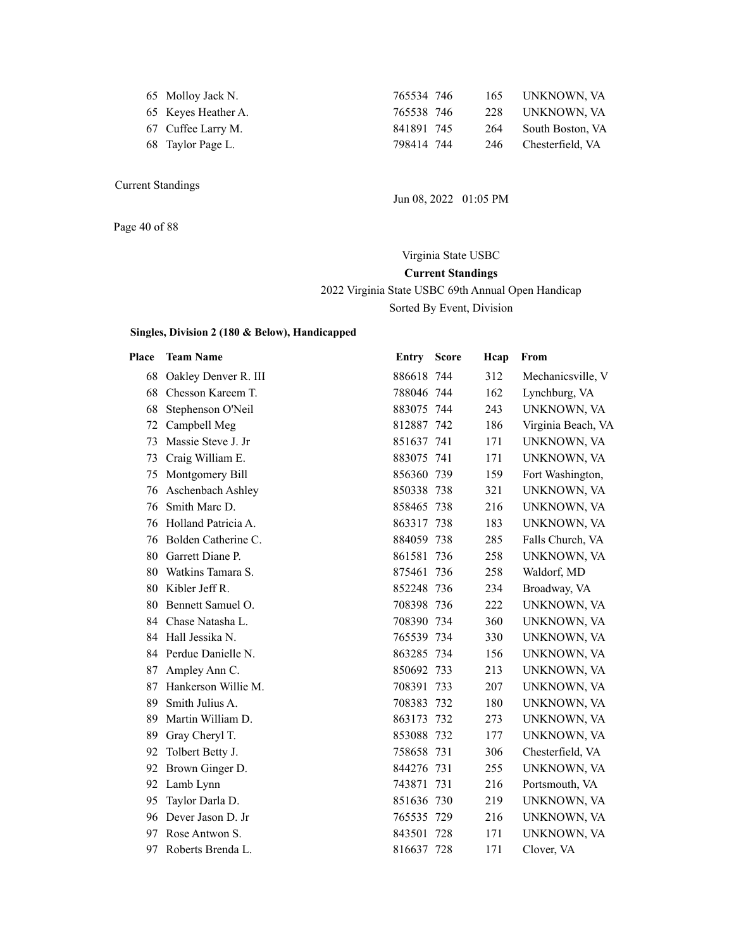| 65 Molloy Jack N. |  |  |
|-------------------|--|--|
|-------------------|--|--|

- 
- 
- 

765534 746 165 UNKNOWN, VA 65 Keyes Heather A. 765538 746 228 UNKNOWN, VA 67 Cuffee Larry M. 841891 745 264 South Boston, VA 68 Taylor Page L. 798414 744 246 Chesterfield, VA

Jun 08, 2022 01:05 PM

Page 40 of 88

Virginia State USBC **Current Standings** 2022 Virginia State USBC 69th Annual Open Handicap Sorted By Event, Division

| Place | <b>Team Name</b>      | Entry      | <b>Score</b> | Hcap | From               |
|-------|-----------------------|------------|--------------|------|--------------------|
| 68    | Oakley Denver R. III  | 886618 744 |              | 312  | Mechanicsville, V  |
| 68    | Chesson Kareem T.     | 788046 744 |              | 162  | Lynchburg, VA      |
| 68    | Stephenson O'Neil     | 883075 744 |              | 243  | UNKNOWN, VA        |
| 72    | Campbell Meg          | 812887 742 |              | 186  | Virginia Beach, VA |
| 73    | Massie Steve J. Jr    | 851637 741 |              | 171  | UNKNOWN, VA        |
| 73    | Craig William E.      | 883075 741 |              | 171  | UNKNOWN, VA        |
| 75    | Montgomery Bill       | 856360 739 |              | 159  | Fort Washington,   |
| 76    | Aschenbach Ashley     | 850338 738 |              | 321  | UNKNOWN, VA        |
| 76    | Smith Marc D.         | 858465 738 |              | 216  | UNKNOWN, VA        |
| 76    | Holland Patricia A.   | 863317 738 |              | 183  | UNKNOWN, VA        |
| 76    | Bolden Catherine C.   | 884059 738 |              | 285  | Falls Church, VA   |
| 80    | Garrett Diane P.      | 861581 736 |              | 258  | UNKNOWN, VA        |
| 80    | Watkins Tamara S.     | 875461 736 |              | 258  | Waldorf, MD        |
| 80    | Kibler Jeff R.        | 852248 736 |              | 234  | Broadway, VA       |
| 80    | Bennett Samuel O.     | 708398 736 |              | 222  | UNKNOWN, VA        |
| 84    | Chase Natasha L.      | 708390 734 |              | 360  | UNKNOWN, VA        |
| 84    | Hall Jessika N.       | 765539 734 |              | 330  | UNKNOWN, VA        |
|       | 84 Perdue Danielle N. | 863285 734 |              | 156  | UNKNOWN, VA        |
| 87    | Ampley Ann C.         | 850692 733 |              | 213  | UNKNOWN, VA        |
| 87    | Hankerson Willie M.   | 708391 733 |              | 207  | UNKNOWN, VA        |
| 89    | Smith Julius A.       | 708383 732 |              | 180  | UNKNOWN, VA        |
| 89    | Martin William D.     | 863173 732 |              | 273  | UNKNOWN, VA        |
| 89    | Gray Cheryl T.        | 853088 732 |              | 177  | UNKNOWN, VA        |
| 92    | Tolbert Betty J.      | 758658 731 |              | 306  | Chesterfield, VA   |
| 92    | Brown Ginger D.       | 844276 731 |              | 255  | UNKNOWN, VA        |
| 92    | Lamb Lynn             | 743871 731 |              | 216  | Portsmouth, VA     |
| 95    | Taylor Darla D.       | 851636 730 |              | 219  | UNKNOWN, VA        |
| 96    | Dever Jason D. Jr     | 765535 729 |              | 216  | UNKNOWN, VA        |
| 97    | Rose Antwon S.        | 843501 728 |              | 171  | UNKNOWN, VA        |
| 97    | Roberts Brenda L.     | 816637 728 |              | 171  | Clover, VA         |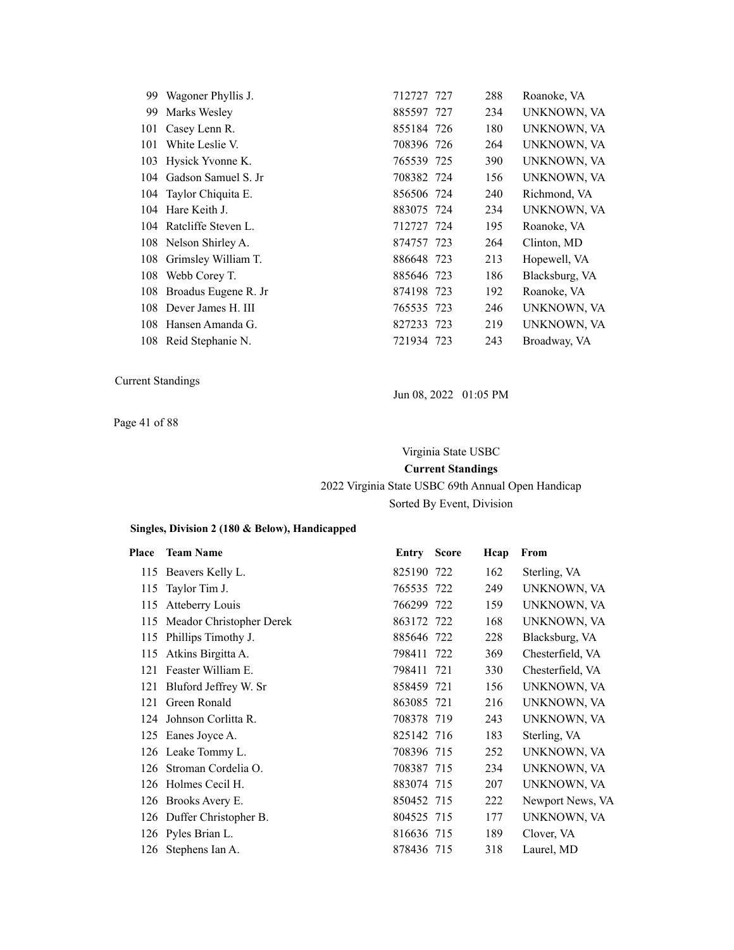| 99. | Wagoner Phyllis J.       | 712727 727 | 288 | Roanoke, VA    |
|-----|--------------------------|------------|-----|----------------|
| 99  | Marks Wesley             | 885597 727 | 234 | UNKNOWN, VA    |
|     | 101 Casey Lenn R.        | 855184 726 | 180 | UNKNOWN, VA    |
| 101 | White Leslie V.          | 708396 726 | 264 | UNKNOWN, VA    |
|     | 103 Hysick Yvonne K.     | 765539 725 | 390 | UNKNOWN, VA    |
|     | 104 Gadson Samuel S. Jr  | 708382 724 | 156 | UNKNOWN, VA    |
|     | 104 Taylor Chiquita E.   | 856506 724 | 240 | Richmond, VA   |
|     | 104 Hare Keith J.        | 883075 724 | 234 | UNKNOWN, VA    |
|     | 104 Ratcliffe Steven L.  | 712727 724 | 195 | Roanoke, VA    |
|     | 108 Nelson Shirley A.    | 874757 723 | 264 | Clinton, MD    |
|     | 108 Grimsley William T.  | 886648 723 | 213 | Hopewell, VA   |
|     | 108 Webb Corey T.        | 885646 723 | 186 | Blacksburg, VA |
|     | 108 Broadus Eugene R. Jr | 874198 723 | 192 | Roanoke, VA    |
|     | 108 Dever James H. III   | 765535 723 | 246 | UNKNOWN, VA    |
| 108 | Hansen Amanda G.         | 827233 723 | 219 | UNKNOWN, VA    |
|     | 108 Reid Stephanie N.    | 721934 723 | 243 | Broadway, VA   |

Jun 08, 2022 01:05 PM

Page 41 of 88

### Virginia State USBC

**Current Standings** 2022 Virginia State USBC 69th Annual Open Handicap Sorted By Event, Division

| Place | <b>Team Name</b>             | <b>Entry Score</b> | Hcap | From             |
|-------|------------------------------|--------------------|------|------------------|
|       | 115 Beavers Kelly L.         | 825190 722         | 162  | Sterling, VA     |
| 115   | Taylor Tim J.                | 765535 722         | 249  | UNKNOWN, VA      |
| 115   | Atteberry Louis              | 766299 722         | 159  | UNKNOWN, VA      |
|       | 115 Meador Christopher Derek | 863172 722         | 168  | UNKNOWN, VA      |
| 115   | Phillips Timothy J.          | 885646 722         | 228  | Blacksburg, VA   |
| 115   | Atkins Birgitta A.           | 798411 722         | 369  | Chesterfield, VA |
| 121   | Feaster William E.           | 798411 721         | 330  | Chesterfield, VA |
| 121   | Bluford Jeffrey W. Sr        | 858459 721         | 156  | UNKNOWN, VA      |
| 121   | Green Ronald                 | 863085 721         | 216  | UNKNOWN, VA      |
|       | 124 Johnson Corlitta R.      | 708378 719         | 243  | UNKNOWN, VA      |
|       | 125 Eanes Joyce A.           | 825142 716         | 183  | Sterling, VA     |
|       | 126 Leake Tommy L.           | 708396 715         | 252  | UNKNOWN, VA      |
|       | 126 Stroman Cordelia O.      | 708387 715         | 234  | UNKNOWN, VA      |
|       | 126 Holmes Cecil H.          | 883074 715         | 207  | UNKNOWN, VA      |
|       | 126 Brooks Avery E.          | 850452 715         | 222  | Newport News, VA |
|       | 126 Duffer Christopher B.    | 804525 715         | 177  | UNKNOWN, VA      |
|       | 126 Pyles Brian L.           | 816636 715         | 189  | Clover, VA       |
|       | 126 Stephens Ian A.          | 878436 715         | 318  | Laurel, MD       |
|       |                              |                    |      |                  |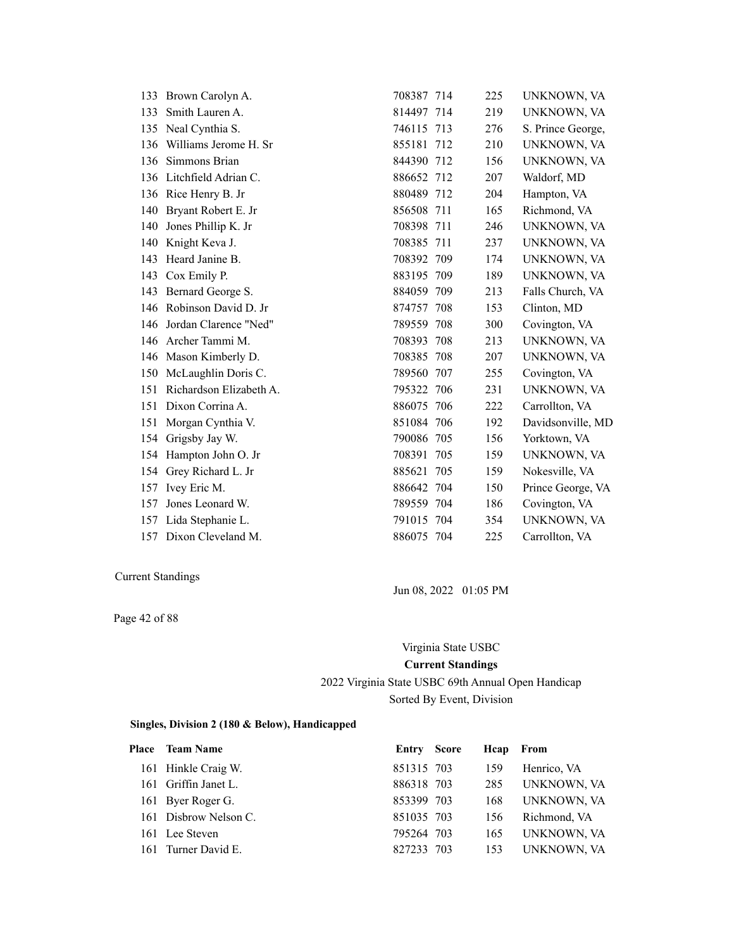| 133 | Brown Carolyn A.        | 708387 714 |     | 225 | UNKNOWN, VA       |
|-----|-------------------------|------------|-----|-----|-------------------|
| 133 | Smith Lauren A.         | 814497 714 |     | 219 | UNKNOWN, VA       |
| 135 | Neal Cynthia S.         | 746115 713 |     | 276 | S. Prince George, |
| 136 | Williams Jerome H. Sr   | 855181 712 |     | 210 | UNKNOWN, VA       |
| 136 | Simmons Brian           | 844390 712 |     | 156 | UNKNOWN, VA       |
| 136 | Litchfield Adrian C.    | 886652 712 |     | 207 | Waldorf, MD       |
|     | 136 Rice Henry B. Jr    | 880489 712 |     | 204 | Hampton, VA       |
| 140 | Bryant Robert E. Jr     | 856508 711 |     | 165 | Richmond, VA      |
| 140 | Jones Phillip K. Jr     | 708398     | 711 | 246 | UNKNOWN, VA       |
| 140 | Knight Keva J.          | 708385 711 |     | 237 | UNKNOWN, VA       |
| 143 | Heard Janine B.         | 708392 709 |     | 174 | UNKNOWN, VA       |
| 143 | Cox Emily P.            | 883195 709 |     | 189 | UNKNOWN, VA       |
| 143 | Bernard George S.       | 884059 709 |     | 213 | Falls Church, VA  |
| 146 | Robinson David D. Jr    | 874757 708 |     | 153 | Clinton, MD       |
| 146 | Jordan Clarence "Ned"   | 789559 708 |     | 300 | Covington, VA     |
| 146 | Archer Tammi M.         | 708393 708 |     | 213 | UNKNOWN, VA       |
| 146 | Mason Kimberly D.       | 708385 708 |     | 207 | UNKNOWN, VA       |
| 150 | McLaughlin Doris C.     | 789560     | 707 | 255 | Covington, VA     |
| 151 | Richardson Elizabeth A. | 795322 706 |     | 231 | UNKNOWN, VA       |
| 151 | Dixon Corrina A.        | 886075 706 |     | 222 | Carrollton, VA    |
| 151 | Morgan Cynthia V.       | 851084 706 |     | 192 | Davidsonville, MD |
| 154 | Grigsby Jay W.          | 790086 705 |     | 156 | Yorktown, VA      |
| 154 | Hampton John O. Jr      | 708391     | 705 | 159 | UNKNOWN, VA       |
| 154 | Grey Richard L. Jr      | 885621     | 705 | 159 | Nokesville, VA    |
| 157 | Ivey Eric M.            | 886642 704 |     | 150 | Prince George, VA |
| 157 | Jones Leonard W.        | 789559 704 |     | 186 | Covington, VA     |
| 157 | Lida Stephanie L.       | 791015 704 |     | 354 | UNKNOWN, VA       |
|     | 157 Dixon Cleveland M.  | 886075 704 |     | 225 | Carrollton, VA    |

Page 42 of 88

Jun 08, 2022 01:05 PM

#### Virginia State USBC

### **Current Standings**

### 2022 Virginia State USBC 69th Annual Open Handicap Sorted By Event, Division

| Place Team Name       | Entry Score | Heap From |              |
|-----------------------|-------------|-----------|--------------|
| 161 Hinkle Craig W.   | 851315 703  | 159       | Henrico, VA  |
| 161 Griffin Janet L.  | 886318 703  | 285       | UNKNOWN, VA  |
| 161 Byer Roger G.     | 853399 703  | 168       | UNKNOWN, VA  |
| 161 Disbrow Nelson C. | 851035 703  | 156       | Richmond, VA |
| 161 Lee Steven        | 795264 703  | 165       | UNKNOWN, VA  |
| 161 Turner David E.   | 827233 703  | 153       | UNKNOWN, VA  |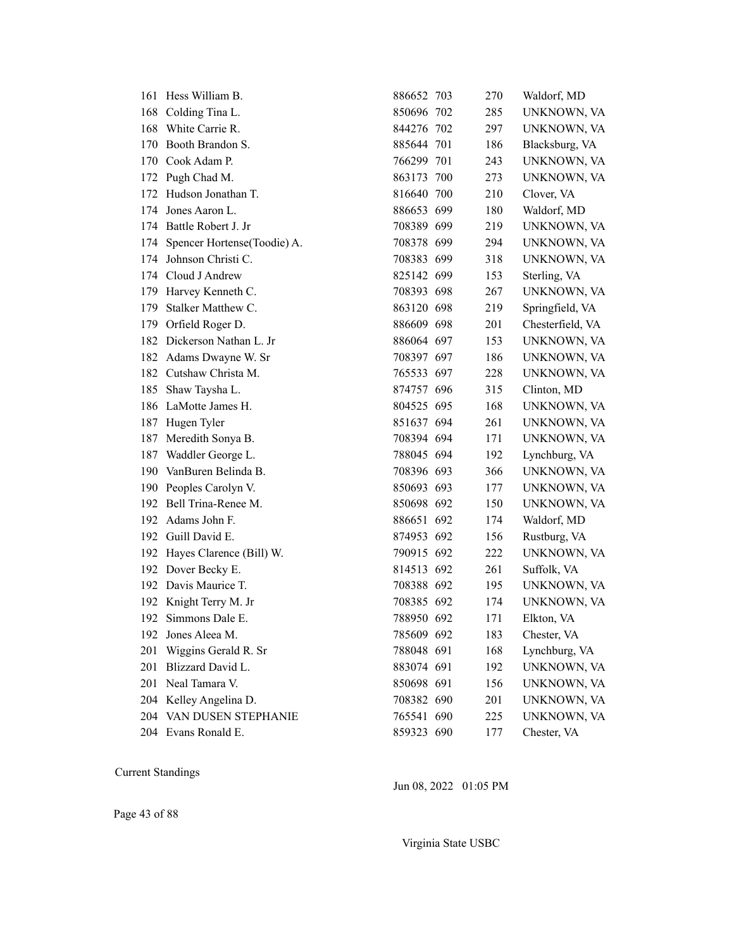|     | 161 Hess William B.             | 886652 703 | 270 | Waldorf, MD      |
|-----|---------------------------------|------------|-----|------------------|
|     | 168 Colding Tina L.             | 850696 702 | 285 | UNKNOWN, VA      |
| 168 | White Carrie R.                 | 844276 702 | 297 | UNKNOWN, VA      |
|     | 170 Booth Brandon S.            | 885644 701 | 186 | Blacksburg, VA   |
|     | 170 Cook Adam P.                | 766299 701 | 243 | UNKNOWN, VA      |
|     | 172 Pugh Chad M.                | 863173 700 | 273 | UNKNOWN, VA      |
|     | 172 Hudson Jonathan T.          | 816640 700 | 210 | Clover, VA       |
|     | 174 Jones Aaron L.              | 886653 699 | 180 | Waldorf, MD      |
|     | 174 Battle Robert J. Jr         | 708389 699 | 219 | UNKNOWN, VA      |
|     | 174 Spencer Hortense(Toodie) A. | 708378 699 | 294 | UNKNOWN, VA      |
|     | 174 Johnson Christi C.          | 708383 699 | 318 | UNKNOWN, VA      |
|     | 174 Cloud J Andrew              | 825142 699 | 153 | Sterling, VA     |
| 179 | Harvey Kenneth C.               | 708393 698 | 267 | UNKNOWN, VA      |
| 179 | Stalker Matthew C.              | 863120 698 | 219 | Springfield, VA  |
|     | 179 Orfield Roger D.            | 886609 698 | 201 | Chesterfield, VA |
|     | 182 Dickerson Nathan L. Jr      | 886064 697 | 153 | UNKNOWN, VA      |
|     | 182 Adams Dwayne W. Sr          | 708397 697 | 186 | UNKNOWN, VA      |
|     | 182 Cutshaw Christa M.          | 765533 697 | 228 | UNKNOWN, VA      |
|     | 185 Shaw Taysha L.              | 874757 696 | 315 | Clinton, MD      |
|     | 186 LaMotte James H.            | 804525 695 | 168 | UNKNOWN, VA      |
| 187 | Hugen Tyler                     | 851637 694 | 261 | UNKNOWN, VA      |
|     | 187 Meredith Sonya B.           | 708394 694 | 171 | UNKNOWN, VA      |
|     | 187 Waddler George L.           | 788045 694 | 192 | Lynchburg, VA    |
|     | 190 VanBuren Belinda B.         | 708396 693 | 366 | UNKNOWN, VA      |
|     | 190 Peoples Carolyn V.          | 850693 693 | 177 | UNKNOWN, VA      |
|     | 192 Bell Trina-Renee M.         | 850698 692 | 150 | UNKNOWN, VA      |
|     | 192 Adams John F.               | 886651 692 | 174 | Waldorf, MD      |
|     | 192 Guill David E.              | 874953 692 | 156 | Rustburg, VA     |
|     | 192 Hayes Clarence (Bill) W.    | 790915 692 | 222 | UNKNOWN, VA      |
|     | 192 Dover Becky E.              | 814513 692 | 261 | Suffolk, VA      |
|     | 192 Davis Maurice T.            | 708388 692 | 195 | UNKNOWN, VA      |
|     | 192 Knight Terry M. Jr          | 708385 692 | 174 | UNKNOWN, VA      |
|     | 192 Simmons Dale E.             | 788950 692 | 171 | Elkton, VA       |
| 192 | Jones Aleea M.                  | 785609 692 | 183 | Chester, VA      |
| 201 | Wiggins Gerald R. Sr            | 788048 691 | 168 | Lynchburg, VA    |
| 201 | Blizzard David L.               | 883074 691 | 192 | UNKNOWN, VA      |
| 201 | Neal Tamara V.                  | 850698 691 | 156 | UNKNOWN, VA      |
|     | 204 Kelley Angelina D.          | 708382 690 | 201 | UNKNOWN, VA      |
| 204 | VAN DUSEN STEPHANIE             | 765541 690 | 225 | UNKNOWN, VA      |
|     | 204 Evans Ronald E.             | 859323 690 | 177 | Chester, VA      |
|     |                                 |            |     |                  |

Jun 08, 2022 01:05 PM

Page 43 of 88

Virginia State USBC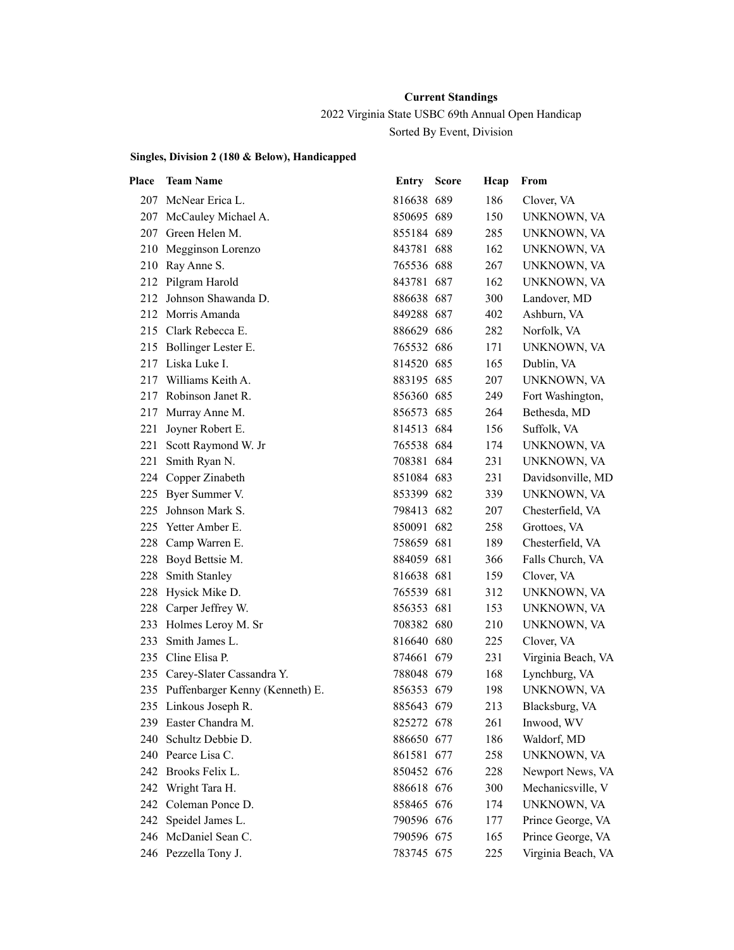2022 Virginia State USBC 69th Annual Open Handicap

Sorted By Event, Division

| Place | <b>Team Name</b>                    | Entry      | <b>Score</b> | Hcap | From               |
|-------|-------------------------------------|------------|--------------|------|--------------------|
| 207   | McNear Erica L.                     | 816638 689 |              | 186  | Clover, VA         |
|       | 207 McCauley Michael A.             | 850695 689 |              | 150  | UNKNOWN, VA        |
|       | 207 Green Helen M.                  | 855184 689 |              | 285  | UNKNOWN, VA        |
| 210   | Megginson Lorenzo                   | 843781 688 |              | 162  | UNKNOWN, VA        |
| 210   | Ray Anne S.                         | 765536 688 |              | 267  | UNKNOWN, VA        |
|       | 212 Pilgram Harold                  | 843781 687 |              | 162  | UNKNOWN, VA        |
| 212   | Johnson Shawanda D.                 | 886638 687 |              | 300  | Landover, MD       |
| 212   | Morris Amanda                       | 849288 687 |              | 402  | Ashburn, VA        |
|       | 215 Clark Rebecca E.                | 886629 686 |              | 282  | Norfolk, VA        |
|       | 215 Bollinger Lester E.             | 765532 686 |              | 171  | UNKNOWN, VA        |
|       | 217 Liska Luke I.                   | 814520 685 |              | 165  | Dublin, VA         |
| 217   | Williams Keith A.                   | 883195 685 |              | 207  | UNKNOWN, VA        |
| 217   | Robinson Janet R.                   | 856360 685 |              | 249  | Fort Washington,   |
| 217   | Murray Anne M.                      | 856573 685 |              | 264  | Bethesda, MD       |
| 221   | Joyner Robert E.                    | 814513 684 |              | 156  | Suffolk, VA        |
| 221   | Scott Raymond W. Jr                 | 765538 684 |              | 174  | UNKNOWN, VA        |
| 221   | Smith Ryan N.                       | 708381 684 |              | 231  | UNKNOWN, VA        |
|       | 224 Copper Zinabeth                 | 851084 683 |              | 231  | Davidsonville, MD  |
| 225   | Byer Summer V.                      | 853399 682 |              | 339  | UNKNOWN, VA        |
| 225   | Johnson Mark S.                     | 798413 682 |              | 207  | Chesterfield, VA   |
| 225   | Yetter Amber E.                     | 850091 682 |              | 258  | Grottoes, VA       |
| 228   | Camp Warren E.                      | 758659 681 |              | 189  | Chesterfield, VA   |
| 228   | Boyd Bettsie M.                     | 884059 681 |              | 366  | Falls Church, VA   |
| 228   | Smith Stanley                       | 816638 681 |              | 159  | Clover, VA         |
| 228   | Hysick Mike D.                      | 765539 681 |              | 312  | UNKNOWN, VA        |
| 228   | Carper Jeffrey W.                   | 856353 681 |              | 153  | UNKNOWN, VA        |
| 233   | Holmes Leroy M. Sr                  | 708382 680 |              | 210  | UNKNOWN, VA        |
| 233   | Smith James L.                      | 816640 680 |              | 225  | Clover, VA         |
| 235   | Cline Elisa P.                      | 874661 679 |              | 231  | Virginia Beach, VA |
|       | 235 Carey-Slater Cassandra Y.       | 788048 679 |              | 168  | Lynchburg, VA      |
|       | 235 Puffenbarger Kenny (Kenneth) E. | 856353 679 |              | 198  | UNKNOWN, VA        |
|       | 235 Linkous Joseph R.               | 885643 679 |              | 213  | Blacksburg, VA     |
|       | 239 Easter Chandra M.               | 825272 678 |              | 261  | Inwood, WV         |
| 240   | Schultz Debbie D.                   | 886650 677 |              | 186  | Waldorf, MD        |
| 240   | Pearce Lisa C.                      | 861581 677 |              | 258  | UNKNOWN, VA        |
|       | 242 Brooks Felix L.                 | 850452 676 |              | 228  | Newport News, VA   |
| 242   | Wright Tara H.                      | 886618 676 |              | 300  | Mechanicsville, V  |
| 242.  | Coleman Ponce D.                    | 858465 676 |              | 174  | UNKNOWN, VA        |
| 242   | Speidel James L.                    | 790596 676 |              | 177  | Prince George, VA  |
| 246   | McDaniel Sean C.                    | 790596 675 |              | 165  | Prince George, VA  |
|       | 246 Pezzella Tony J.                | 783745 675 |              | 225  | Virginia Beach, VA |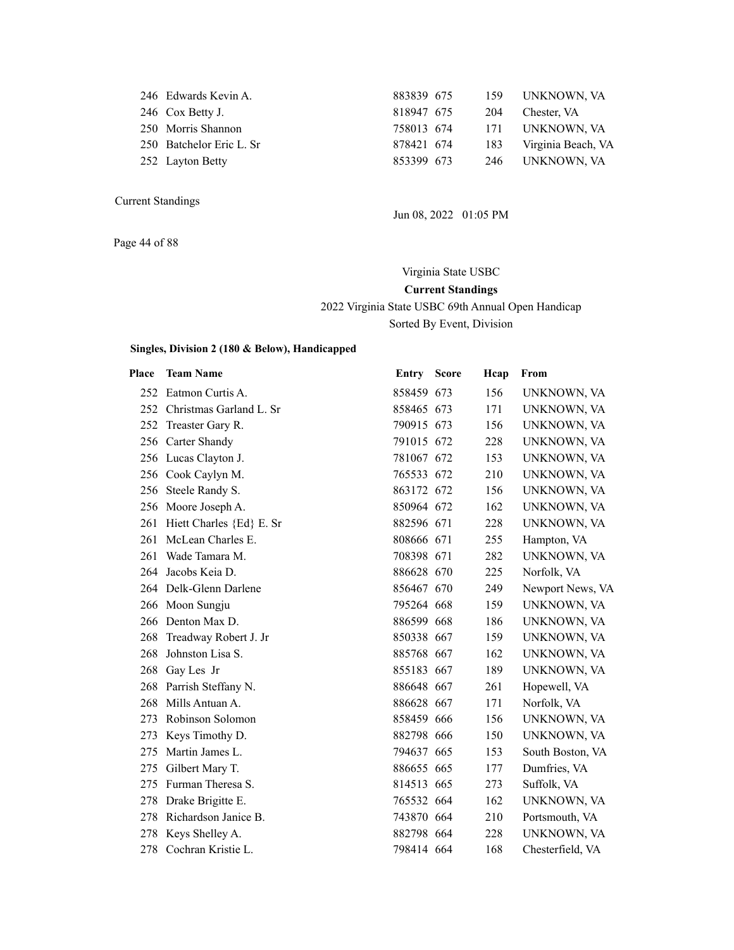| 246 Edwards Kevin A.     | 883839 675 |     | 159 UNKNOWN, VA    |
|--------------------------|------------|-----|--------------------|
| 246 Cox Betty J.         | 818947 675 | 204 | Chester, VA        |
| 250 Morris Shannon       | 758013 674 |     | 171 UNKNOWN, VA    |
| 250 Batchelor Eric L. Sr | 878421 674 | 183 | Virginia Beach, VA |
| 252 Layton Betty         | 853399 673 | 246 | UNKNOWN, VA        |
|                          |            |     |                    |

Page 44 of 88

Jun 08, 2022 01:05 PM

Virginia State USBC **Current Standings** 2022 Virginia State USBC 69th Annual Open Handicap Sorted By Event, Division

| Place | <b>Team Name</b>             | <b>Entry Score</b> | Hcap | From             |
|-------|------------------------------|--------------------|------|------------------|
|       | 252 Eatmon Curtis A.         | 858459 673         | 156  | UNKNOWN, VA      |
|       | 252 Christmas Garland L. Sr  | 858465 673         | 171  | UNKNOWN, VA      |
| 252   | Treaster Gary R.             | 790915 673         | 156  | UNKNOWN, VA      |
| 256   | Carter Shandy                | 791015 672         | 228  | UNKNOWN, VA      |
|       | 256 Lucas Clayton J.         | 781067 672         | 153  | UNKNOWN, VA      |
|       | 256 Cook Caylyn M.           | 765533 672         | 210  | UNKNOWN, VA      |
| 256   | Steele Randy S.              | 863172 672         | 156  | UNKNOWN, VA      |
|       | 256 Moore Joseph A.          | 850964 672         | 162  | UNKNOWN, VA      |
|       | 261 Hiett Charles {Ed} E. Sr | 882596 671         | 228  | UNKNOWN, VA      |
| 261   | McLean Charles E.            | 808666 671         | 255  | Hampton, VA      |
| 261   | Wade Tamara M.               | 708398 671         | 282  | UNKNOWN, VA      |
| 264   | Jacobs Keia D.               | 886628 670         | 225  | Norfolk, VA      |
|       | 264 Delk-Glenn Darlene       | 856467 670         | 249  | Newport News, VA |
|       | 266 Moon Sungju              | 795264 668         | 159  | UNKNOWN, VA      |
|       | 266 Denton Max D.            | 886599 668         | 186  | UNKNOWN, VA      |
| 268   | Treadway Robert J. Jr        | 850338 667         | 159  | UNKNOWN, VA      |
| 268   | Johnston Lisa S.             | 885768 667         | 162  | UNKNOWN, VA      |
| 268   | Gay Les Jr                   | 855183 667         | 189  | UNKNOWN, VA      |
| 268   | Parrish Steffany N.          | 886648 667         | 261  | Hopewell, VA     |
| 268   | Mills Antuan A.              | 886628 667         | 171  | Norfolk, VA      |
| 273   | Robinson Solomon             | 858459 666         | 156  | UNKNOWN, VA      |
| 273   | Keys Timothy D.              | 882798 666         | 150  | UNKNOWN, VA      |
| 275   | Martin James L.              | 794637 665         | 153  | South Boston, VA |
| 275   | Gilbert Mary T.              | 886655 665         | 177  | Dumfries, VA     |
| 275   | Furman Theresa S.            | 814513 665         | 273  | Suffolk, VA      |
| 278   | Drake Brigitte E.            | 765532 664         | 162  | UNKNOWN, VA      |
| 278   | Richardson Janice B.         | 743870 664         | 210  | Portsmouth, VA   |
| 278   | Keys Shelley A.              | 882798 664         | 228  | UNKNOWN, VA      |
| 278   | Cochran Kristie L.           | 798414 664         | 168  | Chesterfield, VA |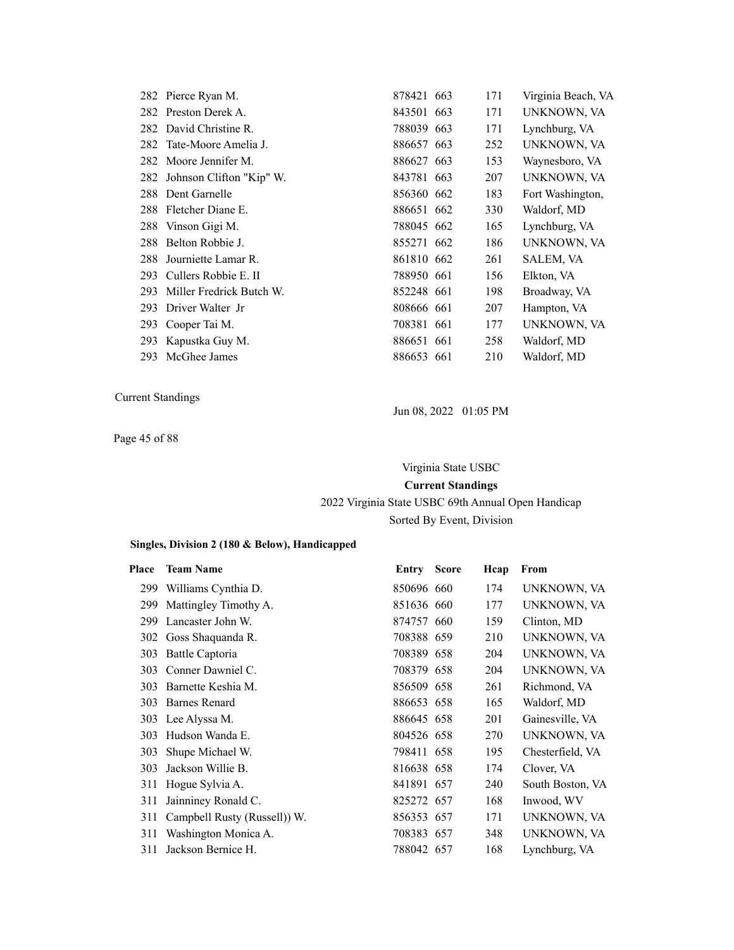|     | 282 Pierce Ryan M.           | 878421 663 | 171 | Virginia Beach, VA |
|-----|------------------------------|------------|-----|--------------------|
|     | 282 Preston Derek A.         | 843501 663 | 171 | UNKNOWN, VA        |
|     | 282 David Christine R.       | 788039 663 | 171 | Lynchburg, VA      |
|     | 282 Tate-Moore Amelia J.     | 886657 663 | 252 | UNKNOWN, VA        |
|     | 282 Moore Jennifer M.        | 886627 663 | 153 | Waynesboro, VA     |
|     | 282 Johnson Clifton "Kip" W. | 843781 663 | 207 | UNKNOWN, VA        |
|     | 288 Dent Garnelle            | 856360 662 | 183 | Fort Washington,   |
|     | 288 Fletcher Diane E.        | 886651 662 | 330 | Waldorf, MD        |
|     | 288 Vinson Gigi M.           | 788045 662 | 165 | Lynchburg, VA      |
|     | 288 Belton Robbie J.         | 855271 662 | 186 | UNKNOWN, VA        |
| 288 | Journiette Lamar R.          | 861810 662 | 261 | SALEM, VA          |
| 293 | Cullers Robbie E. II         | 788950 661 | 156 | Elkton, VA         |
| 293 | Miller Fredrick Butch W.     | 852248 661 | 198 | Broadway, VA       |
| 293 | Driver Walter Jr             | 808666 661 | 207 | Hampton, VA        |
| 293 | Cooper Tai M.                | 708381 661 | 177 | UNKNOWN, VA        |
| 293 | Kapustka Guy M.              | 886651 661 | 258 | Waldorf, MD        |
|     | 293 McGhee James             | 886653 661 | 210 | Waldorf, MD        |

Page 45 of 88

Jun 08, 2022 01:05 PM

Virginia State USBC **Current Standings** 2022 Virginia State USBC 69th Annual Open Handicap Sorted By Event, Division

| Place | <b>Team Name</b>             | Entry      | <b>Score</b> | Hcap | From             |
|-------|------------------------------|------------|--------------|------|------------------|
| 299   | Williams Cynthia D.          | 850696 660 |              | 174  | UNKNOWN, VA      |
| 299   | Mattingley Timothy A.        | 851636 660 |              | 177  | UNKNOWN, VA      |
| 299   | Lancaster John W.            | 874757 660 |              | 159  | Clinton, MD      |
|       | 302 Goss Shaquanda R.        | 708388 659 |              | 210  | UNKNOWN, VA      |
| 303   | Battle Captoria              | 708389 658 |              | 204  | UNKNOWN, VA      |
| 303   | Conner Dawniel C.            | 708379 658 |              | 204  | UNKNOWN, VA      |
| 303   | Barnette Keshia M.           | 856509 658 |              | 261  | Richmond, VA     |
| 303   | Barnes Renard                | 886653 658 |              | 165  | Waldorf, MD      |
|       | 303 Lee Alyssa M.            | 886645 658 |              | 201  | Gainesville, VA  |
| 303   | Hudson Wanda E.              | 804526 658 |              | 270  | UNKNOWN, VA      |
| 303   | Shupe Michael W.             | 798411 658 |              | 195  | Chesterfield, VA |
| 303   | Jackson Willie B.            | 816638 658 |              | 174  | Clover, VA       |
| 311   | Hogue Sylvia A.              | 841891 657 |              | 240  | South Boston, VA |
| 311   | Jainniney Ronald C.          | 825272 657 |              | 168  | Inwood, WV       |
| 311   | Campbell Rusty (Russell)) W. | 856353 657 |              | 171  | UNKNOWN, VA      |
| 311   | Washington Monica A.         | 708383 657 |              | 348  | UNKNOWN, VA      |
| 311   | Jackson Bernice H.           | 788042 657 |              | 168  | Lynchburg, VA    |
|       |                              |            |              |      |                  |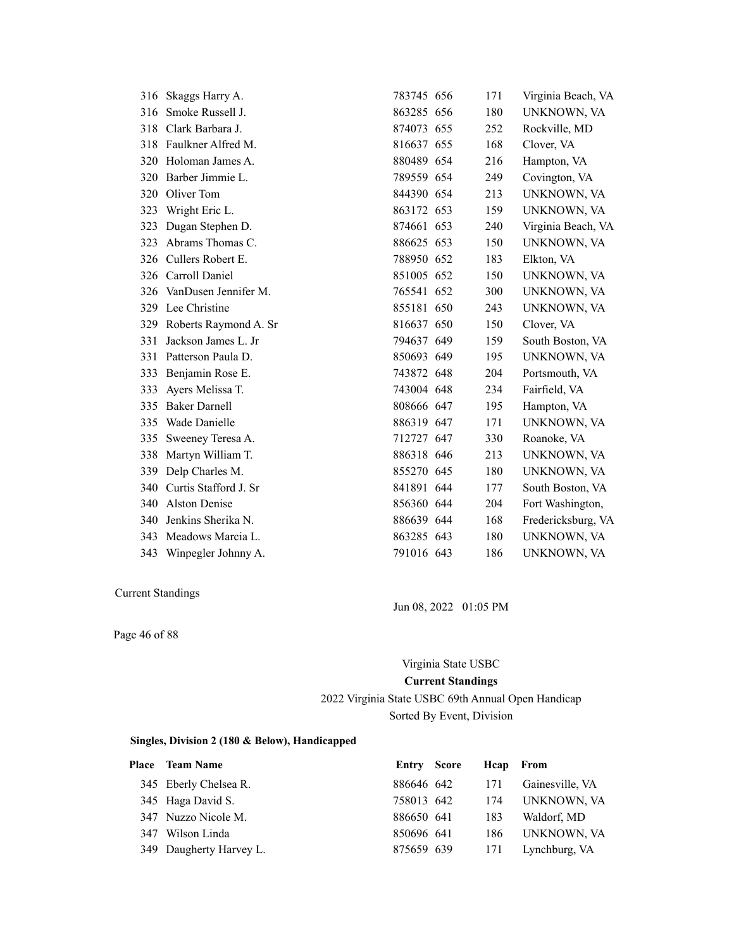| 316 | Skaggs Harry A.          | 783745 656 | 171 | Virginia Beach, VA |
|-----|--------------------------|------------|-----|--------------------|
| 316 | Smoke Russell J.         | 863285 656 | 180 | UNKNOWN, VA        |
| 318 | Clark Barbara J.         | 874073 655 | 252 | Rockville, MD      |
| 318 | Faulkner Alfred M.       | 816637 655 | 168 | Clover, VA         |
|     | 320 Holoman James A.     | 880489 654 | 216 | Hampton, VA        |
| 320 | Barber Jimmie L.         | 789559 654 | 249 | Covington, VA      |
| 320 | Oliver Tom               | 844390 654 | 213 | UNKNOWN, VA        |
| 323 | Wright Eric L.           | 863172 653 | 159 | UNKNOWN, VA        |
| 323 | Dugan Stephen D.         | 874661 653 | 240 | Virginia Beach, VA |
| 323 | Abrams Thomas C.         | 886625 653 | 150 | UNKNOWN, VA        |
|     | 326 Cullers Robert E.    | 788950 652 | 183 | Elkton, VA         |
|     | 326 Carroll Daniel       | 851005 652 | 150 | UNKNOWN, VA        |
|     | 326 VanDusen Jennifer M. | 765541 652 | 300 | UNKNOWN, VA        |
|     | 329 Lee Christine        | 855181 650 | 243 | UNKNOWN, VA        |
| 329 | Roberts Raymond A. Sr    | 816637 650 | 150 | Clover, VA         |
| 331 | Jackson James L. Jr      | 794637 649 | 159 | South Boston, VA   |
| 331 | Patterson Paula D.       | 850693 649 | 195 | UNKNOWN, VA        |
| 333 | Benjamin Rose E.         | 743872 648 | 204 | Portsmouth, VA     |
| 333 | Ayers Melissa T.         | 743004 648 | 234 | Fairfield, VA      |
| 335 | <b>Baker Darnell</b>     | 808666 647 | 195 | Hampton, VA        |
| 335 | Wade Danielle            | 886319 647 | 171 | UNKNOWN, VA        |
| 335 | Sweeney Teresa A.        | 712727 647 | 330 | Roanoke, VA        |
| 338 | Martyn William T.        | 886318 646 | 213 | UNKNOWN, VA        |
| 339 | Delp Charles M.          | 855270 645 | 180 | UNKNOWN, VA        |
| 340 | Curtis Stafford J. Sr    | 841891 644 | 177 | South Boston, VA   |
| 340 | <b>Alston Denise</b>     | 856360 644 | 204 | Fort Washington,   |
| 340 | Jenkins Sherika N.       | 886639 644 | 168 | Fredericksburg, VA |
| 343 | Meadows Marcia L.        | 863285 643 | 180 | UNKNOWN, VA        |
| 343 | Winpegler Johnny A.      | 791016 643 | 186 | UNKNOWN, VA        |

Current Standings

Page 46 of 88

Jun 08, 2022 01:05 PM

# Virginia State USBC **Current Standings**

2022 Virginia State USBC 69th Annual Open Handicap Sorted By Event, Division

| <b>Place</b> Team Name  | Entry Score | Heap From |                 |
|-------------------------|-------------|-----------|-----------------|
| 345 Eberly Chelsea R.   | 886646 642  | 171       | Gainesville, VA |
| 345 Haga David S.       | 758013 642  | 174       | UNKNOWN, VA     |
| 347 Nuzzo Nicole M.     | 886650 641  | 183       | Waldorf, MD     |
| 347 Wilson Linda        | 850696 641  | 186       | UNKNOWN, VA     |
| 349 Daugherty Harvey L. | 875659 639  | 171       | Lynchburg, VA   |
|                         |             |           |                 |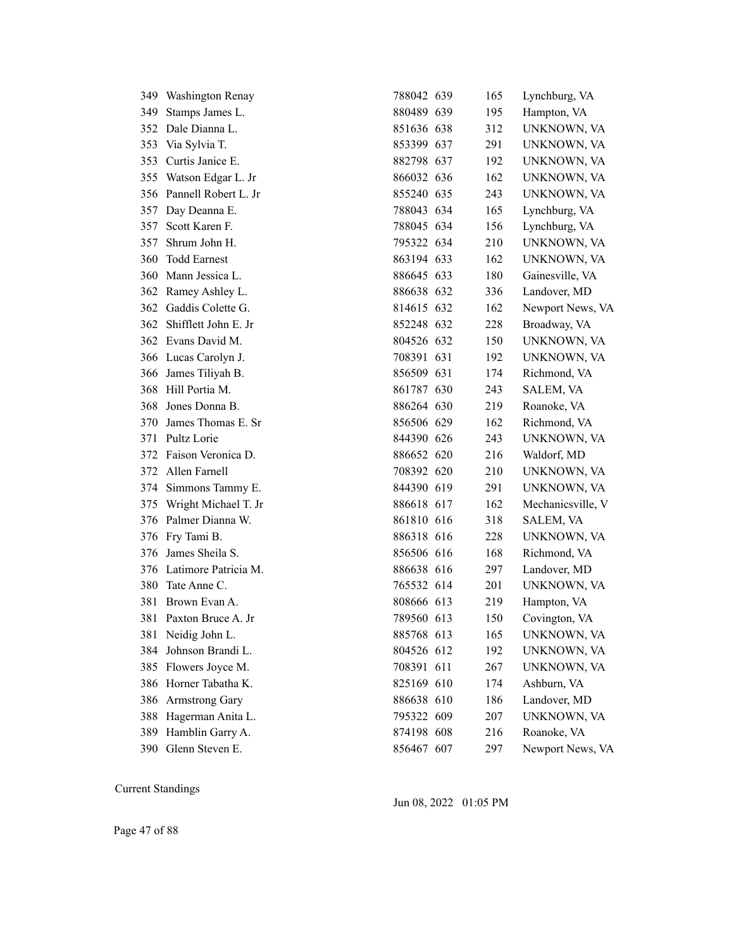| 349. | Washington Renay     | 788042 639 | 165 | Lynchburg, VA     |
|------|----------------------|------------|-----|-------------------|
| 349  | Stamps James L.      | 880489 639 | 195 | Hampton, VA       |
| 352  | Dale Dianna L.       | 851636 638 | 312 | UNKNOWN, VA       |
| 353  | Via Sylvia T.        | 853399 637 | 291 | UNKNOWN, VA       |
| 353  | Curtis Janice E.     | 882798 637 | 192 | UNKNOWN, VA       |
| 355  | Watson Edgar L. Jr   | 866032 636 | 162 | UNKNOWN, VA       |
| 356  | Pannell Robert L. Jr | 855240 635 | 243 | UNKNOWN, VA       |
| 357  | Day Deanna E.        | 788043 634 | 165 | Lynchburg, VA     |
| 357  | Scott Karen F.       | 788045 634 | 156 | Lynchburg, VA     |
| 357  | Shrum John H.        | 795322 634 | 210 | UNKNOWN, VA       |
| 360  | <b>Todd Earnest</b>  | 863194 633 | 162 | UNKNOWN, VA       |
| 360  | Mann Jessica L.      | 886645 633 | 180 | Gainesville, VA   |
| 362  | Ramey Ashley L.      | 886638 632 | 336 | Landover, MD      |
| 362  | Gaddis Colette G.    | 814615 632 | 162 | Newport News, VA  |
| 362  | Shifflett John E. Jr | 852248 632 | 228 | Broadway, VA      |
|      | 362 Evans David M.   | 804526 632 | 150 | UNKNOWN, VA       |
|      | 366 Lucas Carolyn J. | 708391 631 | 192 | UNKNOWN, VA       |
| 366  | James Tiliyah B.     | 856509 631 | 174 | Richmond, VA      |
| 368  | Hill Portia M.       | 861787 630 | 243 | SALEM, VA         |
| 368  | Jones Donna B.       | 886264 630 | 219 | Roanoke, VA       |
| 370  | James Thomas E. Sr   | 856506 629 | 162 | Richmond, VA      |
| 371  | Pultz Lorie          | 844390 626 | 243 | UNKNOWN, VA       |
| 372  | Faison Veronica D.   | 886652 620 | 216 | Waldorf, MD       |
| 372  | Allen Farnell        | 708392 620 | 210 | UNKNOWN, VA       |
| 374  | Simmons Tammy E.     | 844390 619 | 291 | UNKNOWN, VA       |
| 375  | Wright Michael T. Jr | 886618 617 | 162 | Mechanicsville, V |
| 376  | Palmer Dianna W.     | 861810 616 | 318 | SALEM, VA         |
| 376  | Fry Tami B.          | 886318 616 | 228 | UNKNOWN, VA       |
| 376  | James Sheila S.      | 856506 616 | 168 | Richmond, VA      |
| 376  | Latimore Patricia M. | 886638 616 | 297 | Landover, MD      |
| 380  | Tate Anne C.         | 765532 614 | 201 | UNKNOWN, VA       |
| 381  | Brown Evan A.        | 808666 613 | 219 | Hampton, VA       |
| 381  | Paxton Bruce A. Jr   | 789560 613 | 150 | Covington, VA     |
| 381  | Neidig John L.       | 885768 613 | 165 | UNKNOWN, VA       |
| 384  | Johnson Brandi L.    | 804526 612 | 192 | UNKNOWN, VA       |
| 385  | Flowers Joyce M.     | 708391 611 | 267 | UNKNOWN, VA       |
| 386  | Horner Tabatha K.    | 825169 610 | 174 | Ashburn, VA       |
| 386  | Armstrong Gary       | 886638 610 | 186 | Landover, MD      |
| 388  | Hagerman Anita L.    | 795322 609 | 207 | UNKNOWN, VA       |
| 389  | Hamblin Garry A.     | 874198 608 | 216 | Roanoke, VA       |
|      | 390 Glenn Steven E.  | 856467 607 | 297 | Newport News, VA  |

Jun 08, 2022 01:05 PM

Page 47 of 88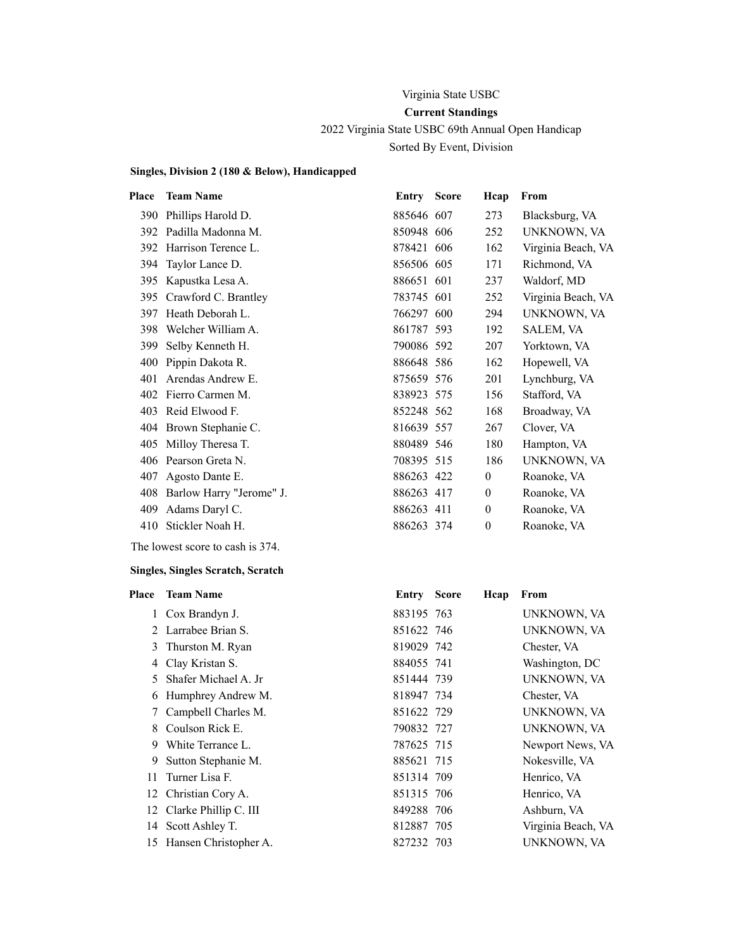# Virginia State USBC **Current Standings** 2022 Virginia State USBC 69th Annual Open Handicap Sorted By Event, Division

#### **Singles, Division 2 (180 & Below), Handicapped**

| Place | <b>Team Name</b>         | Entry      | <b>Score</b> | Hcap           | From               |
|-------|--------------------------|------------|--------------|----------------|--------------------|
| 390   | Phillips Harold D.       | 885646 607 |              | 273            | Blacksburg, VA     |
| 392   | Padilla Madonna M.       | 850948 606 |              | 252            | UNKNOWN, VA        |
| 392   | Harrison Terence L.      | 878421 606 |              | 162            | Virginia Beach, VA |
| 394   | Taylor Lance D.          | 856506 605 |              | 171            | Richmond, VA       |
| 395   | Kapustka Lesa A.         | 886651 601 |              | 237            | Waldorf, MD        |
| 395   | Crawford C. Brantley     | 783745 601 |              | 252            | Virginia Beach, VA |
| 397   | Heath Deborah L.         | 766297 600 |              | 294            | UNKNOWN, VA        |
| 398   | Welcher William A.       | 861787 593 |              | 192            | SALEM, VA          |
| 399   | Selby Kenneth H.         | 790086 592 |              | 207            | Yorktown, VA       |
| 400   | Pippin Dakota R.         | 886648 586 |              | 162            | Hopewell, VA       |
| 401   | Arendas Andrew E.        | 875659 576 |              | 201            | Lynchburg, VA      |
| 402   | Fierro Carmen M.         | 838923 575 |              | 156            | Stafford, VA       |
| 403   | Reid Elwood F.           | 852248 562 |              | 168            | Broadway, VA       |
| 404   | Brown Stephanie C.       | 816639 557 |              | 267            | Clover, VA         |
| 405   | Milloy Theresa T.        | 880489 546 |              | 180            | Hampton, VA        |
| 406   | Pearson Greta N.         | 708395 515 |              | 186            | UNKNOWN, VA        |
| 407   | Agosto Dante E.          | 886263 422 |              | $\overline{0}$ | Roanoke, VA        |
| 408   | Barlow Harry "Jerome" J. | 886263 417 |              | $\theta$       | Roanoke, VA        |
| 409   | Adams Daryl C.           | 886263 411 |              | $\theta$       | Roanoke, VA        |
| 410   | Stickler Noah H.         | 886263 374 |              | $\theta$       | Roanoke, VA        |
|       |                          |            |              |                |                    |

The lowest score to cash is 374.

| Place | <b>Team Name</b>         | <b>Entry Score</b> | Hcap | From               |
|-------|--------------------------|--------------------|------|--------------------|
|       | 1 Cox Brandyn J.         | 883195 763         |      | UNKNOWN, VA        |
|       | 2 Larrabee Brian S.      | 851622 746         |      | UNKNOWN, VA        |
| 3     | Thurston M. Ryan         | 819029 742         |      | Chester, VA        |
| 4     | Clay Kristan S.          | 884055 741         |      | Washington, DC     |
| 5.    | Shafer Michael A. Jr.    | 851444 739         |      | UNKNOWN, VA        |
| 6     | Humphrey Andrew M.       | 818947 734         |      | Chester, VA        |
| 7     | Campbell Charles M.      | 851622 729         |      | UNKNOWN, VA        |
| 8     | Coulson Rick E.          | 790832 727         |      | UNKNOWN, VA        |
| 9     | White Terrance L.        | 787625 715         |      | Newport News, VA   |
| 9     | Sutton Stephanie M.      | 885621 715         |      | Nokesville, VA     |
| 11    | Turner Lisa F.           | 851314 709         |      | Henrico, VA        |
|       | 12 Christian Cory A.     | 851315 706         |      | Henrico, VA        |
|       | 12 Clarke Phillip C. III | 849288 706         |      | Ashburn, VA        |
|       | 14 Scott Ashley T.       | 812887 705         |      | Virginia Beach, VA |
| 15    | Hansen Christopher A.    | 827232 703         |      | UNKNOWN, VA        |
|       |                          |                    |      |                    |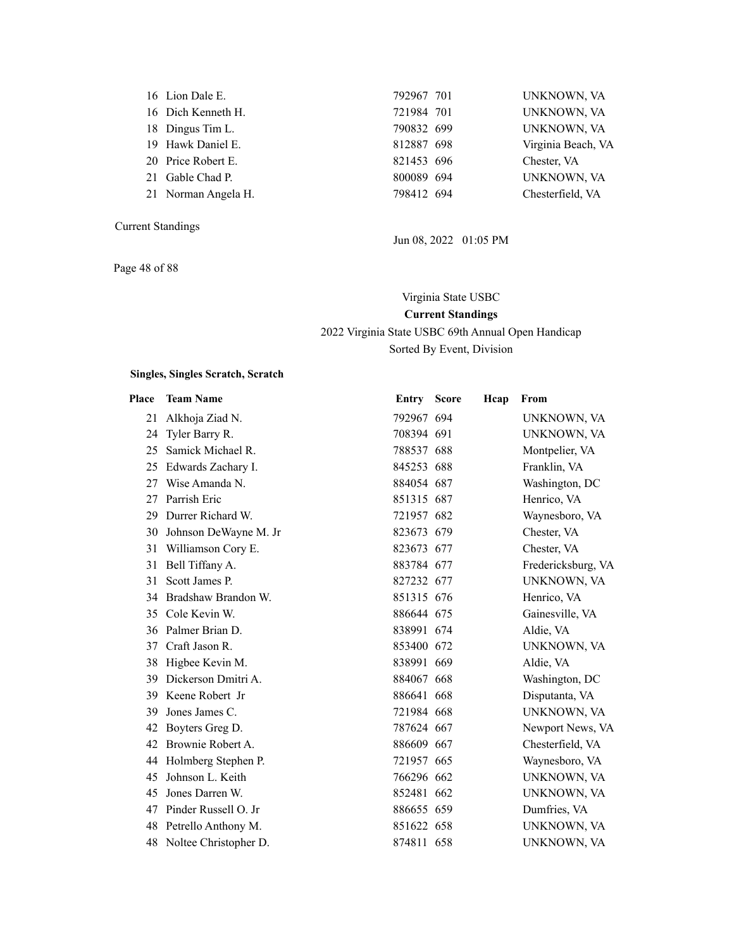| 16 Lion Dale E.     |
|---------------------|
| 16 Dich Kenneth H.  |
| 18 Dingus Tim L.    |
| 19 Hawk Daniel E.   |
| 20 Price Robert E.  |
| 21 Gable Chad P.    |
| 21 Norman Angela H. |

Page 48 of 88

| 16 Lion Dale E.<br>792967 701<br>721984 701<br>16 Dich Kenneth H.<br>790832 699<br>18 Dingus Tim L.<br>812887 698<br>19 Hawk Daniel E.<br>20 Price Robert E.<br>821453 696<br>Chester, VA<br>21 Gable Chad P.<br>800089 694<br>798412 694<br>21 Norman Angela H. |  |  |                    |
|------------------------------------------------------------------------------------------------------------------------------------------------------------------------------------------------------------------------------------------------------------------|--|--|--------------------|
|                                                                                                                                                                                                                                                                  |  |  | UNKNOWN, VA        |
|                                                                                                                                                                                                                                                                  |  |  | UNKNOWN, VA        |
|                                                                                                                                                                                                                                                                  |  |  | UNKNOWN, VA        |
|                                                                                                                                                                                                                                                                  |  |  | Virginia Beach, VA |
|                                                                                                                                                                                                                                                                  |  |  |                    |
|                                                                                                                                                                                                                                                                  |  |  | UNKNOWN, VA        |
|                                                                                                                                                                                                                                                                  |  |  | Chesterfield, VA   |

Jun 08, 2022 01:05 PM

# Virginia State USBC **Current Standings** 2022 Virginia State USBC 69th Annual Open Handicap Sorted By Event, Division

| Place | <b>Team Name</b>      | <b>Entry Score</b> | Hcap | From               |
|-------|-----------------------|--------------------|------|--------------------|
| 21    | Alkhoja Ziad N.       | 792967 694         |      | UNKNOWN, VA        |
| 24    | Tyler Barry R.        | 708394 691         |      | UNKNOWN, VA        |
| 25    | Samick Michael R.     | 788537 688         |      | Montpelier, VA     |
| 25    | Edwards Zachary I.    | 845253 688         |      | Franklin, VA       |
| 27    | Wise Amanda N.        | 884054 687         |      | Washington, DC     |
| 27    | Parrish Eric          | 851315 687         |      | Henrico, VA        |
| 29    | Durrer Richard W.     | 721957 682         |      | Waynesboro, VA     |
| 30    | Johnson DeWayne M. Jr | 823673 679         |      | Chester, VA        |
| 31    | Williamson Cory E.    | 823673 677         |      | Chester, VA        |
| 31    | Bell Tiffany A.       | 883784 677         |      | Fredericksburg, VA |
| 31    | Scott James P.        | 827232 677         |      | UNKNOWN, VA        |
| 34    | Bradshaw Brandon W.   | 851315 676         |      | Henrico, VA        |
|       | 35 Cole Kevin W.      | 886644 675         |      | Gainesville, VA    |
| 36    | Palmer Brian D.       | 838991 674         |      | Aldie, VA          |
| 37    | Craft Jason R.        | 853400 672         |      | UNKNOWN, VA        |
| 38    | Higbee Kevin M.       | 838991 669         |      | Aldie, VA          |
| 39    | Dickerson Dmitri A.   | 884067 668         |      | Washington, DC     |
| 39    | Keene Robert Jr       | 886641 668         |      | Disputanta, VA     |
| 39    | Jones James C.        | 721984 668         |      | UNKNOWN, VA        |
| 42    | Boyters Greg D.       | 787624 667         |      | Newport News, VA   |
| 42    | Brownie Robert A.     | 886609 667         |      | Chesterfield, VA   |
| 44    | Holmberg Stephen P.   | 721957 665         |      | Waynesboro, VA     |
| 45    | Johnson L. Keith      | 766296 662         |      | UNKNOWN, VA        |
| 45    | Jones Darren W.       | 852481 662         |      | UNKNOWN, VA        |
| 47    | Pinder Russell O. Jr  | 886655 659         |      | Dumfries, VA       |
| 48    | Petrello Anthony M.   | 851622 658         |      | UNKNOWN, VA        |
| 48    | Noltee Christopher D. | 874811 658         |      | UNKNOWN, VA        |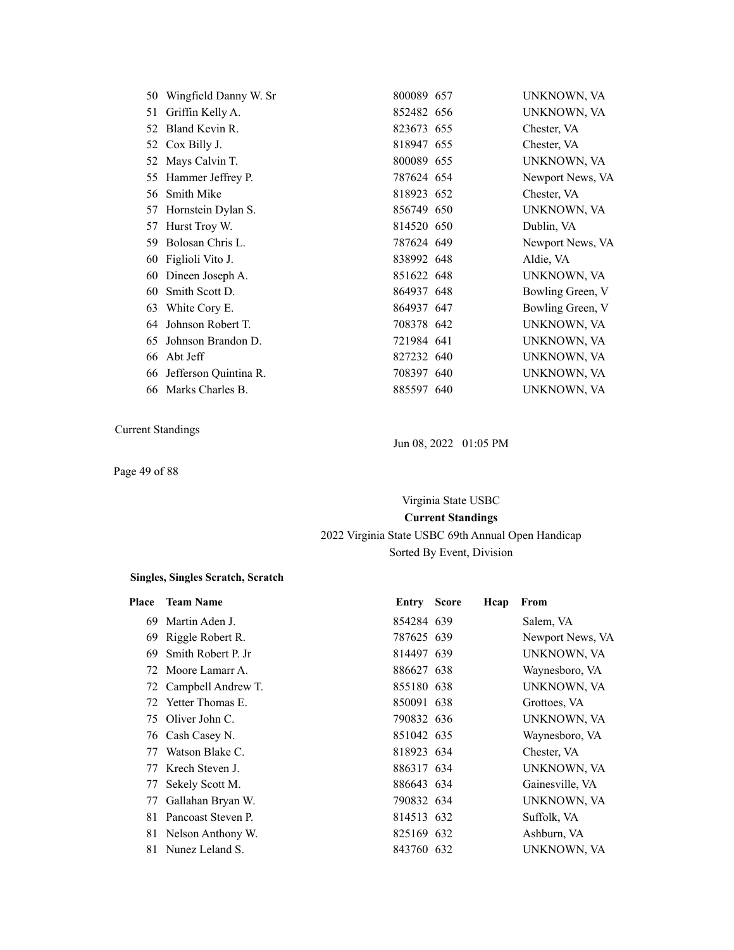|    | 50 Wingfield Danny W. Sr | 800089 657 | UNKNOWN, VA      |
|----|--------------------------|------------|------------------|
| 51 | Griffin Kelly A.         | 852482 656 | UNKNOWN, VA      |
|    | 52 Bland Kevin R.        | 823673 655 | Chester, VA      |
|    | 52 Cox Billy J.          | 818947 655 | Chester, VA      |
| 52 | Mays Calvin T.           | 800089 655 | UNKNOWN, VA      |
|    | 55 Hammer Jeffrey P.     | 787624 654 | Newport News, VA |
|    | 56 Smith Mike            | 818923 652 | Chester, VA      |
| 57 | Hornstein Dylan S.       | 856749 650 | UNKNOWN, VA      |
| 57 | Hurst Troy W.            | 814520 650 | Dublin, VA       |
|    | 59 Bolosan Chris L.      | 787624 649 | Newport News, VA |
|    | 60 Figlioli Vito J.      | 838992 648 | Aldie, VA        |
|    | 60 Dineen Joseph A.      | 851622 648 | UNKNOWN, VA      |
| 60 | Smith Scott D.           | 864937 648 | Bowling Green, V |
| 63 | White Cory E.            | 864937 647 | Bowling Green, V |
| 64 | Johnson Robert T.        | 708378 642 | UNKNOWN, VA      |
| 65 | Johnson Brandon D.       | 721984 641 | UNKNOWN, VA      |
| 66 | Abt Jeff                 | 827232 640 | UNKNOWN, VA      |
| 66 | Jefferson Quintina R.    | 708397 640 | UNKNOWN, VA      |
|    | 66 Marks Charles B.      | 885597 640 | UNKNOWN, VA      |
|    |                          |            |                  |

Page 49 of 88

Jun 08, 2022 01:05 PM

# Virginia State USBC **Current Standings** 2022 Virginia State USBC 69th Annual Open Handicap Sorted By Event, Division

| Place | <b>Team Name</b>      | <b>Entry Score</b> | Hcap | From             |
|-------|-----------------------|--------------------|------|------------------|
| 69    | Martin Aden J.        | 854284 639         |      | Salem, VA        |
| 69    | Riggle Robert R.      | 787625 639         |      | Newport News, VA |
| 69    | Smith Robert P. Jr    | 814497 639         |      | UNKNOWN, VA      |
|       | 72 Moore Lamarr A.    | 886627 638         |      | Waynesboro, VA   |
|       | 72 Campbell Andrew T. | 855180 638         |      | UNKNOWN, VA      |
| 72    | Yetter Thomas E.      | 850091 638         |      | Grottoes, VA     |
|       | 75 Oliver John C.     | 790832 636         |      | UNKNOWN, VA      |
|       | 76 Cash Casey N.      | 851042 635         |      | Waynesboro, VA   |
| 77    | Watson Blake C.       | 818923 634         |      | Chester, VA      |
| 77    | Krech Steven J.       | 886317 634         |      | UNKNOWN, VA      |
| 77    | Sekely Scott M.       | 886643 634         |      | Gainesville, VA  |
| 77    | Gallahan Bryan W.     | 790832 634         |      | UNKNOWN, VA      |
| 81    | Pancoast Steven P.    | 814513 632         |      | Suffolk, VA      |
|       | 81 Nelson Anthony W.  | 825169 632         |      | Ashburn, VA      |
| 81    | Nunez Leland S.       | 843760 632         |      | UNKNOWN, VA      |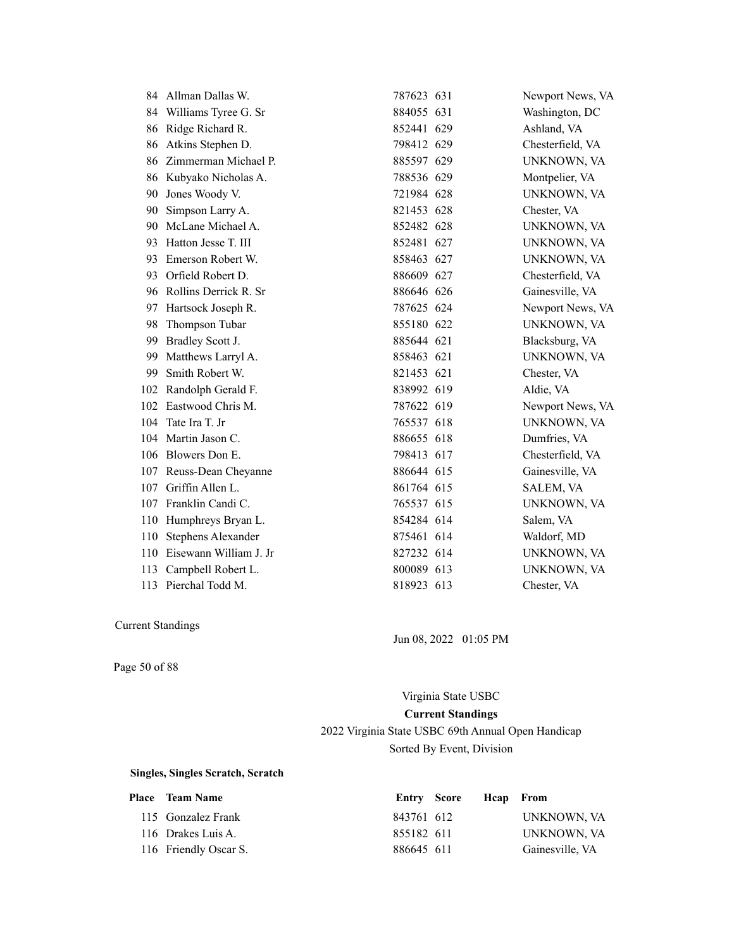| 84  | Allman Dallas W.          | 787623 631 | Newport News, VA |
|-----|---------------------------|------------|------------------|
| 84  | Williams Tyree G. Sr      | 884055 631 | Washington, DC   |
| 86  | Ridge Richard R.          | 852441 629 | Ashland, VA      |
| 86  | Atkins Stephen D.         | 798412 629 | Chesterfield, VA |
| 86  | Zimmerman Michael P.      | 885597 629 | UNKNOWN, VA      |
|     | 86 Kubyako Nicholas A.    | 788536 629 | Montpelier, VA   |
| 90  | Jones Woody V.            | 721984 628 | UNKNOWN, VA      |
| 90  | Simpson Larry A.          | 821453 628 | Chester, VA      |
| 90  | McLane Michael A.         | 852482 628 | UNKNOWN, VA      |
| 93  | Hatton Jesse T. III       | 852481 627 | UNKNOWN, VA      |
| 93  | Emerson Robert W.         | 858463 627 | UNKNOWN, VA      |
| 93  | Orfield Robert D.         | 886609 627 | Chesterfield, VA |
| 96  | Rollins Derrick R. Sr     | 886646 626 | Gainesville, VA  |
| 97  | Hartsock Joseph R.        | 787625 624 | Newport News, VA |
| 98  | Thompson Tubar            | 855180 622 | UNKNOWN, VA      |
| 99  | Bradley Scott J.          | 885644 621 | Blacksburg, VA   |
| 99  | Matthews Larryl A.        | 858463 621 | UNKNOWN, VA      |
| 99  | Smith Robert W.           | 821453 621 | Chester, VA      |
| 102 | Randolph Gerald F.        | 838992 619 | Aldie, VA        |
| 102 | Eastwood Chris M.         | 787622 619 | Newport News, VA |
| 104 | Tate Ira T. Jr            | 765537 618 | UNKNOWN, VA      |
| 104 | Martin Jason C.           | 886655 618 | Dumfries, VA     |
|     | 106 Blowers Don E.        | 798413 617 | Chesterfield, VA |
| 107 | Reuss-Dean Cheyanne       | 886644 615 | Gainesville, VA  |
| 107 | Griffin Allen L.          | 861764 615 | SALEM, VA        |
| 107 | Franklin Candi C.         | 765537 615 | UNKNOWN, VA      |
| 110 | Humphreys Bryan L.        | 854284 614 | Salem, VA        |
| 110 | <b>Stephens Alexander</b> | 875461 614 | Waldorf, MD      |
| 110 | Eisewann William J. Jr    | 827232 614 | UNKNOWN, VA      |
| 113 | Campbell Robert L.        | 800089 613 | UNKNOWN, VA      |
|     | 113 Pierchal Todd M.      | 818923 613 | Chester, VA      |

Jun 08, 2022 01:05 PM

Page 50 of 88

Virginia State USBC **Current Standings** 2022 Virginia State USBC 69th Annual Open Handicap Sorted By Event, Division

| <b>Place</b> Team Name | Entry Score | <b>Hcap</b> From |                 |
|------------------------|-------------|------------------|-----------------|
| 115 Gonzalez Frank     | 843761 612  |                  | UNKNOWN, VA     |
| 116 Drakes Luis A.     | 855182 611  |                  | UNKNOWN, VA     |
| 116 Friendly Oscar S.  | 886645 611  |                  | Gainesville, VA |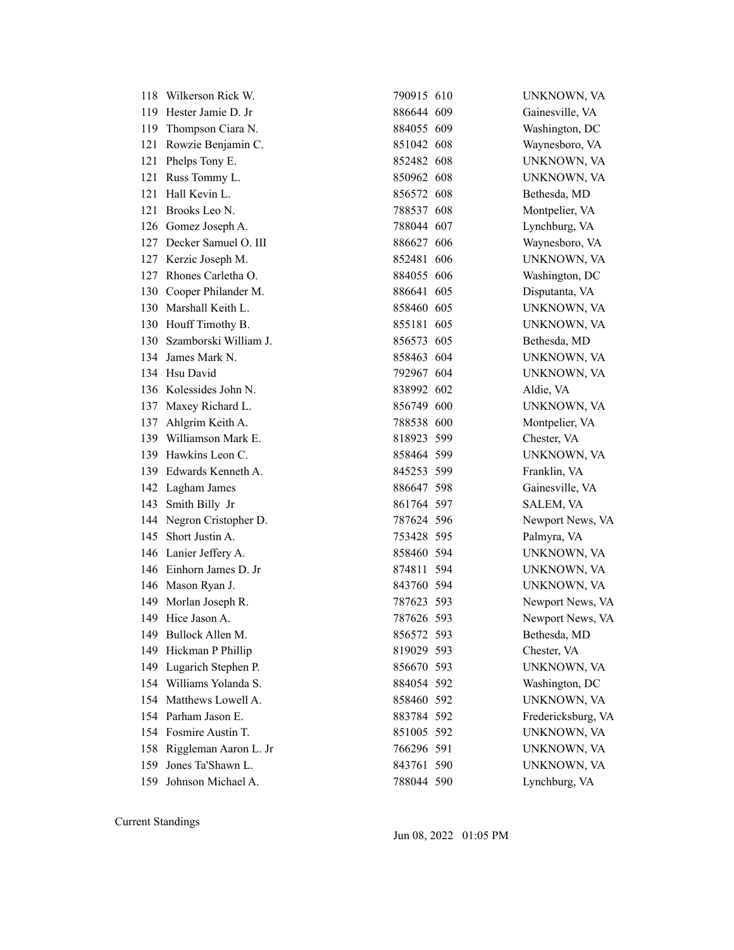|     | 118 Wilkerson Rick W.     | 790915 610 | UNKNOWN, VA        |
|-----|---------------------------|------------|--------------------|
|     | 119 Hester Jamie D. Jr    | 886644 609 | Gainesville, VA    |
|     | 119 Thompson Ciara N.     | 884055 609 | Washington, DC     |
| 121 | Rowzie Benjamin C.        | 851042 608 | Waynesboro, VA     |
|     | 121 Phelps Tony E.        | 852482 608 | UNKNOWN, VA        |
|     | 121 Russ Tommy L.         | 850962 608 | UNKNOWN, VA        |
| 121 | Hall Kevin L.             | 856572 608 | Bethesda, MD       |
| 121 | Brooks Leo N.             | 788537 608 | Montpelier, VA     |
|     | 126 Gomez Joseph A.       | 788044 607 | Lynchburg, VA      |
|     | 127 Decker Samuel O. III  | 886627 606 | Waynesboro, VA     |
|     | 127 Kerzic Joseph M.      | 852481 606 | UNKNOWN, VA        |
|     | 127 Rhones Carletha O.    | 884055 606 | Washington, DC     |
|     | 130 Cooper Philander M.   | 886641 605 | Disputanta, VA     |
|     | 130 Marshall Keith L.     | 858460 605 | UNKNOWN, VA        |
|     | 130 Houff Timothy B.      | 855181 605 | UNKNOWN, VA        |
|     | 130 Szamborski William J. | 856573 605 | Bethesda, MD       |
|     | 134 James Mark N.         | 858463 604 | UNKNOWN, VA        |
|     | 134 Hsu David             | 792967 604 | UNKNOWN, VA        |
|     | 136 Kolessides John N.    | 838992 602 | Aldie, VA          |
|     | 137 Maxey Richard L.      | 856749 600 | UNKNOWN, VA        |
| 137 | Ahlgrim Keith A.          | 788538 600 | Montpelier, VA     |
|     | 139 Williamson Mark E.    | 818923 599 | Chester, VA        |
|     | 139 Hawkins Leon C.       | 858464 599 | UNKNOWN, VA        |
|     | 139 Edwards Kenneth A.    | 845253 599 | Franklin, VA       |
|     | 142 Lagham James          | 886647 598 | Gainesville, VA    |
|     | 143 Smith Billy Jr        | 861764 597 | SALEM, VA          |
|     | 144 Negron Cristopher D.  | 787624 596 | Newport News, VA   |
|     | 145 Short Justin A.       | 753428 595 | Palmyra, VA        |
|     | 146 Lanier Jeffery A.     | 858460 594 | UNKNOWN, VA        |
|     | 146 Einhorn James D. Jr   | 874811 594 | UNKNOWN, VA        |
|     | 146 Mason Ryan J.         | 843760 594 | UNKNOWN, VA        |
|     | 149 Morlan Joseph R.      | 787623 593 | Newport News, VA   |
|     | 149 Hice Jason A.         | 787626 593 | Newport News, VA   |
|     | 149 Bullock Allen M.      | 856572 593 | Bethesda, MD       |
| 149 | Hickman P Phillip         | 819029 593 | Chester, VA        |
|     | 149 Lugarich Stephen P.   | 856670 593 | UNKNOWN, VA        |
|     | 154 Williams Yolanda S.   | 884054 592 | Washington, DC     |
|     | 154 Matthews Lowell A.    | 858460 592 | UNKNOWN, VA        |
|     | 154 Parham Jason E.       | 883784 592 | Fredericksburg, VA |
|     | 154 Fosmire Austin T.     | 851005 592 | UNKNOWN, VA        |
|     | 158 Riggleman Aaron L. Jr | 766296 591 | UNKNOWN, VA        |
| 159 | Jones Ta'Shawn L.         | 843761 590 | UNKNOWN, VA        |
|     | 159 Johnson Michael A.    | 788044 590 | Lynchburg, VA      |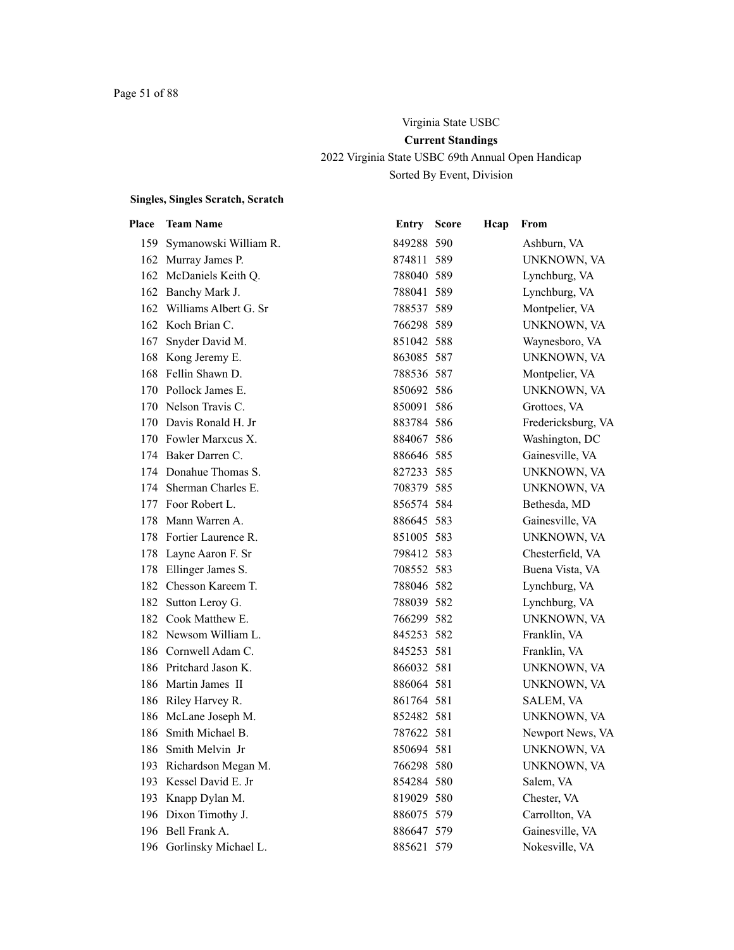# Virginia State USBC **Current Standings** 2022 Virginia State USBC 69th Annual Open Handicap Sorted By Event, Division

| Place | <b>Team Name</b>          | <b>Entry Score</b> | Hcap | From               |
|-------|---------------------------|--------------------|------|--------------------|
|       | 159 Symanowski William R. | 849288 590         |      | Ashburn, VA        |
|       | 162 Murray James P.       | 874811 589         |      | UNKNOWN, VA        |
|       | 162 McDaniels Keith Q.    | 788040 589         |      | Lynchburg, VA      |
|       | 162 Banchy Mark J.        | 788041 589         |      | Lynchburg, VA      |
|       | 162 Williams Albert G. Sr | 788537 589         |      | Montpelier, VA     |
|       | 162 Koch Brian C.         | 766298 589         |      | UNKNOWN, VA        |
| 167   | Snyder David M.           | 851042 588         |      | Waynesboro, VA     |
|       | 168 Kong Jeremy E.        | 863085 587         |      | UNKNOWN, VA        |
|       | 168 Fellin Shawn D.       | 788536 587         |      | Montpelier, VA     |
|       | 170 Pollock James E.      | 850692 586         |      | UNKNOWN, VA        |
|       | 170 Nelson Travis C.      | 850091 586         |      | Grottoes, VA       |
|       | 170 Davis Ronald H. Jr    | 883784 586         |      | Fredericksburg, VA |
|       | 170 Fowler Marxcus X.     | 884067 586         |      | Washington, DC     |
|       | 174 Baker Darren C.       | 886646 585         |      | Gainesville, VA    |
|       | 174 Donahue Thomas S.     | 827233 585         |      | UNKNOWN, VA        |
|       | 174 Sherman Charles E.    | 708379 585         |      | UNKNOWN, VA        |
|       | 177 Foor Robert L.        | 856574 584         |      | Bethesda, MD       |
| 178   | Mann Warren A.            | 886645 583         |      | Gainesville, VA    |
|       | 178 Fortier Laurence R.   | 851005 583         |      | UNKNOWN, VA        |
|       | 178 Layne Aaron F. Sr     | 798412 583         |      | Chesterfield, VA   |
|       | 178 Ellinger James S.     | 708552 583         |      | Buena Vista, VA    |
|       | 182 Chesson Kareem T.     | 788046 582         |      | Lynchburg, VA      |
|       | 182 Sutton Leroy G.       | 788039 582         |      | Lynchburg, VA      |
|       | 182 Cook Matthew E.       | 766299 582         |      | UNKNOWN, VA        |
|       | 182 Newsom William L.     | 845253 582         |      | Franklin, VA       |
|       | 186 Cornwell Adam C.      | 845253 581         |      | Franklin, VA       |
|       | 186 Pritchard Jason K.    | 866032 581         |      | UNKNOWN, VA        |
|       | 186 Martin James II       | 886064 581         |      | UNKNOWN, VA        |
|       | 186 Riley Harvey R.       | 861764 581         |      | SALEM, VA          |
|       | 186 McLane Joseph M.      | 852482 581         |      | UNKNOWN, VA        |
| 186   | Smith Michael B.          | 787622 581         |      | Newport News, VA   |
|       | 186 Smith Melvin Jr       | 850694 581         |      | UNKNOWN, VA        |
|       | 193 Richardson Megan M.   | 766298 580         |      | UNKNOWN, VA        |
| 193   | Kessel David E. Jr        | 854284 580         |      | Salem, VA          |
| 193   | Knapp Dylan M.            | 819029 580         |      | Chester, VA        |
|       | 196 Dixon Timothy J.      | 886075 579         |      | Carrollton, VA     |
|       | 196 Bell Frank A.         | 886647 579         |      | Gainesville, VA    |
|       | 196 Gorlinsky Michael L.  | 885621 579         |      | Nokesville, VA     |
|       |                           |                    |      |                    |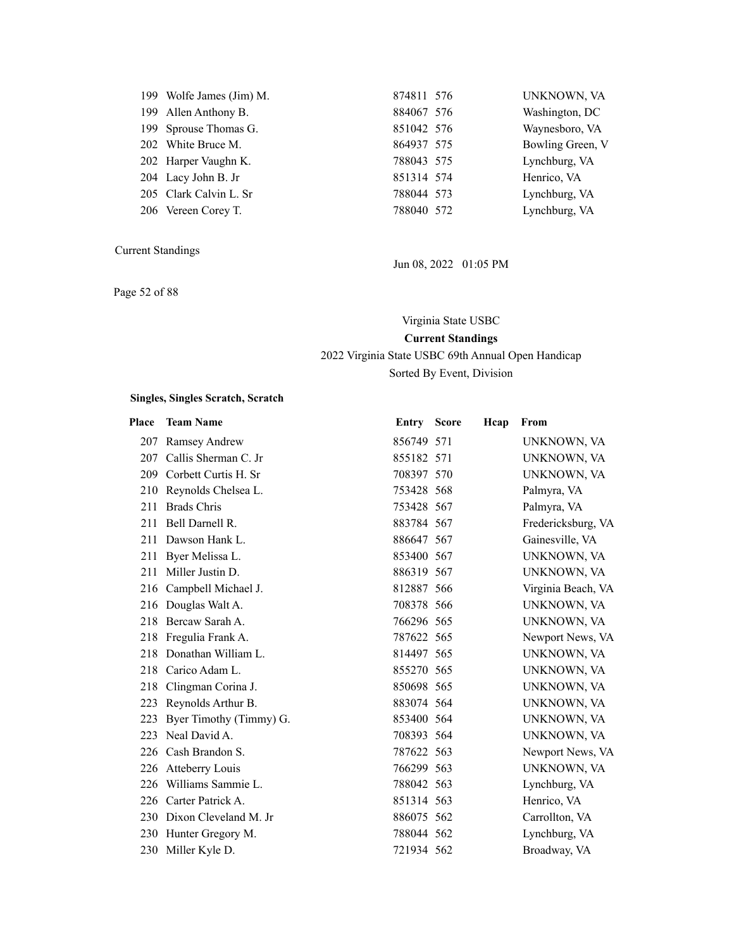| 199 Wolfe James (Jim) M. | 81 |
|--------------------------|----|
| 199 Allen Anthony B.     | 88 |
| 199 Sprouse Thomas G.    | 8. |
| 202 White Bruce M.       | 86 |
| 202 Harper Vaughn K.     | 78 |
| 204 Lacy John B. Jr      | 8: |
| 205 Clark Calvin L. Sr   | 78 |
| 206 Vereen Corey T.      | 78 |

Page 52 of 88

| 199 Wolfe James (Jim) M. | 874811 576 | UNKNOWN, VA      |
|--------------------------|------------|------------------|
| 199 Allen Anthony B.     | 884067 576 | Washington, DC   |
| 199 Sprouse Thomas G.    | 851042 576 | Waynesboro, VA   |
| 202 White Bruce M.       | 864937 575 | Bowling Green, V |
| 202 Harper Vaughn K.     | 788043 575 | Lynchburg, VA    |
| 204 Lacy John B. Jr      | 851314 574 | Henrico, VA      |
| 205 Clark Calvin L. Sr   | 788044 573 | Lynchburg, VA    |
| 206 Vereen Corey T.      | 788040 572 | Lynchburg, VA    |

Jun 08, 2022 01:05 PM

Virginia State USBC **Current Standings** 2022 Virginia State USBC 69th Annual Open Handicap

Sorted By Event, Division

| Place | <b>Team Name</b>          | Entry      | <b>Score</b> | Hcap | From               |
|-------|---------------------------|------------|--------------|------|--------------------|
| 207   | <b>Ramsey Andrew</b>      | 856749 571 |              |      | UNKNOWN, VA        |
|       | 207 Callis Sherman C. Jr  | 855182 571 |              |      | UNKNOWN, VA        |
| 209   | Corbett Curtis H. Sr      | 708397 570 |              |      | UNKNOWN, VA        |
| 210   | Reynolds Chelsea L.       | 753428 568 |              |      | Palmyra, VA        |
| 211   | <b>Brads Chris</b>        | 753428 567 |              |      | Palmyra, VA        |
| 211   | Bell Darnell R.           | 883784 567 |              |      | Fredericksburg, VA |
| 211   | Dawson Hank L.            | 886647 567 |              |      | Gainesville, VA    |
|       | 211 Byer Melissa L.       | 853400 567 |              |      | UNKNOWN, VA        |
| 211   | Miller Justin D.          | 886319 567 |              |      | UNKNOWN, VA        |
|       | 216 Campbell Michael J.   | 812887 566 |              |      | Virginia Beach, VA |
|       | 216 Douglas Walt A.       | 708378 566 |              |      | UNKNOWN, VA        |
| 218   | Bercaw Sarah A.           | 766296 565 |              |      | UNKNOWN, VA        |
|       | 218 Fregulia Frank A.     | 787622 565 |              |      | Newport News, VA   |
|       | 218 Donathan William L.   | 814497 565 |              |      | UNKNOWN, VA        |
| 218   | Carico Adam L.            | 855270 565 |              |      | UNKNOWN, VA        |
|       | 218 Clingman Corina J.    | 850698 565 |              |      | UNKNOWN, VA        |
|       | 223 Reynolds Arthur B.    | 883074 564 |              |      | UNKNOWN, VA        |
| 223   | Byer Timothy (Timmy) G.   | 853400 564 |              |      | UNKNOWN, VA        |
|       | 223 Neal David A.         | 708393 564 |              |      | UNKNOWN, VA        |
|       | 226 Cash Brandon S.       | 787622 563 |              |      | Newport News, VA   |
| 226   | <b>Atteberry Louis</b>    | 766299 563 |              |      | UNKNOWN, VA        |
| 226   | Williams Sammie L.        | 788042 563 |              |      | Lynchburg, VA      |
|       | 226 Carter Patrick A.     | 851314 563 |              |      | Henrico, VA        |
|       | 230 Dixon Cleveland M. Jr | 886075 562 |              |      | Carrollton, VA     |
|       | 230 Hunter Gregory M.     | 788044 562 |              |      | Lynchburg, VA      |
| 230   | Miller Kyle D.            | 721934 562 |              |      | Broadway, VA       |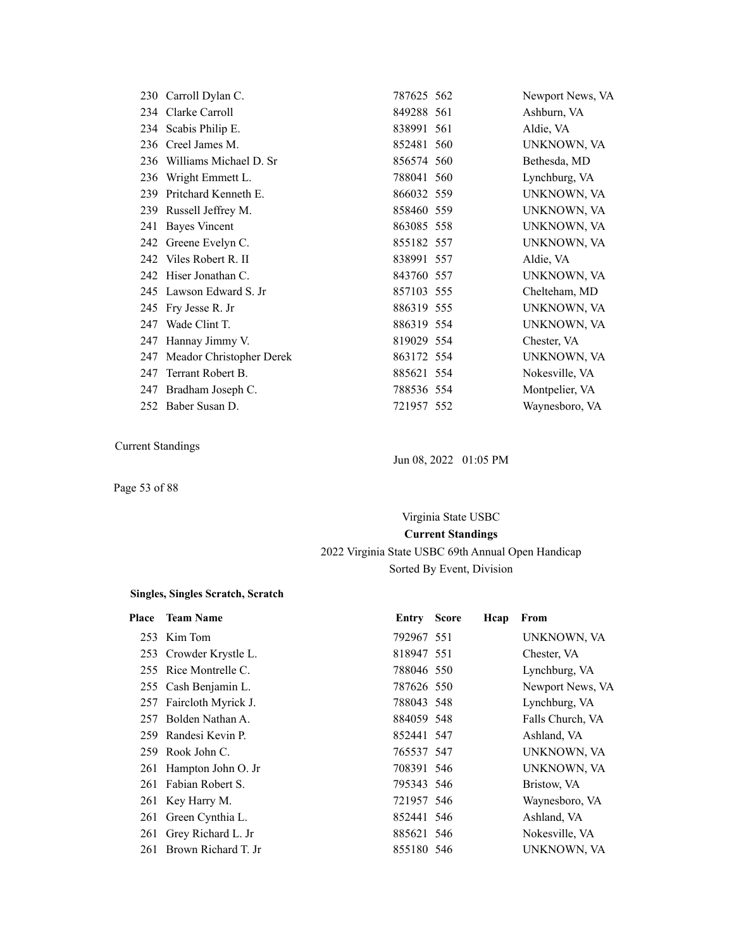|     | 230 Carroll Dylan C.     | 787625 562 | Newport News, VA |
|-----|--------------------------|------------|------------------|
|     | 234 Clarke Carroll       | 849288 561 | Ashburn, VA      |
|     | 234 Scabis Philip E.     | 838991 561 | Aldie, VA        |
| 236 | Creel James M.           | 852481 560 | UNKNOWN, VA      |
| 236 | Williams Michael D. Sr   | 856574 560 | Bethesda, MD     |
| 236 | Wright Emmett L.         | 788041 560 | Lynchburg, VA    |
| 239 | Pritchard Kenneth E.     | 866032 559 | UNKNOWN, VA      |
|     | 239 Russell Jeffrey M.   | 858460 559 | UNKNOWN, VA      |
| 241 | <b>Bayes Vincent</b>     | 863085 558 | UNKNOWN, VA      |
|     | 242 Greene Evelyn C.     | 855182 557 | UNKNOWN, VA      |
|     | 242 Viles Robert R. II   | 838991 557 | Aldie, VA        |
| 242 | Hiser Jonathan C.        | 843760 557 | UNKNOWN, VA      |
| 245 | Lawson Edward S. Jr      | 857103 555 | Chelteham, MD    |
| 245 | Fry Jesse R. Jr          | 886319 555 | UNKNOWN, VA      |
| 247 | Wade Clint T.            | 886319 554 | UNKNOWN, VA      |
| 247 | Hannay Jimmy V.          | 819029 554 | Chester, VA      |
| 247 | Meador Christopher Derek | 863172 554 | UNKNOWN, VA      |
| 247 | Terrant Robert B.        | 885621 554 | Nokesville, VA   |
| 247 | Bradham Joseph C.        | 788536 554 | Montpelier, VA   |
|     | 252 Baber Susan D.       | 721957 552 | Waynesboro, VA   |

Page 53 of 88

Jun 08, 2022 01:05 PM

# Virginia State USBC **Current Standings** 2022 Virginia State USBC 69th Annual Open Handicap Sorted By Event, Division

| Place | <b>Team Name</b>        | <b>Entry Score</b> | Hcap | From             |
|-------|-------------------------|--------------------|------|------------------|
|       | 253 Kim Tom             | 792967 551         |      | UNKNOWN, VA      |
|       | 253 Crowder Krystle L.  | 818947 551         |      | Chester, VA      |
|       | 255 Rice Montrelle C.   | 788046 550         |      | Lynchburg, VA    |
|       | 255 Cash Benjamin L.    | 787626 550         |      | Newport News, VA |
|       | 257 Faircloth Myrick J. | 788043 548         |      | Lynchburg, VA    |
|       | 257 Bolden Nathan A.    | 884059 548         |      | Falls Church, VA |
|       | 259 Randesi Kevin P.    | 852441 547         |      | Ashland, VA      |
|       | 259 Rook John C.        | 765537 547         |      | UNKNOWN, VA      |
|       | 261 Hampton John O. Jr  | 708391 546         |      | UNKNOWN, VA      |
|       | 261 Fabian Robert S.    | 795343 546         |      | Bristow, VA      |
|       | 261 Key Harry M.        | 721957 546         |      | Waynesboro, VA   |
|       | 261 Green Cynthia L.    | 852441 546         |      | Ashland, VA      |
|       | 261 Grey Richard L. Jr  | 885621 546         |      | Nokesville, VA   |
| 261   | Brown Richard T. Jr     | 855180 546         |      | UNKNOWN, VA      |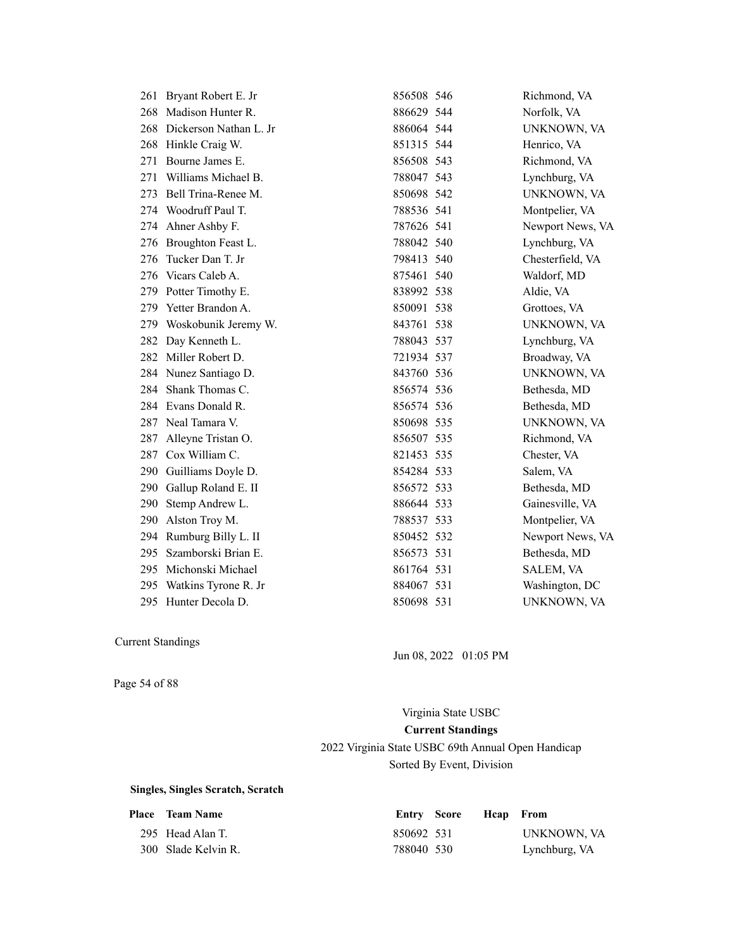| 261 | Bryant Robert E. Jr        | 856508 546 | Richmond, VA     |
|-----|----------------------------|------------|------------------|
| 268 | Madison Hunter R.          | 886629 544 | Norfolk, VA      |
|     | 268 Dickerson Nathan L. Jr | 886064 544 | UNKNOWN, VA      |
| 268 | Hinkle Craig W.            | 851315 544 | Henrico, VA      |
| 271 | Bourne James E.            | 856508 543 | Richmond, VA     |
| 271 | Williams Michael B.        | 788047 543 | Lynchburg, VA    |
| 273 | Bell Trina-Renee M.        | 850698 542 | UNKNOWN, VA      |
|     | 274 Woodruff Paul T.       | 788536 541 | Montpelier, VA   |
|     | 274 Ahner Ashby F.         | 787626 541 | Newport News, VA |
| 276 | Broughton Feast L.         | 788042 540 | Lynchburg, VA    |
| 276 | Tucker Dan T. Jr           | 798413 540 | Chesterfield, VA |
|     | 276 Vicars Caleb A.        | 875461 540 | Waldorf, MD      |
|     | 279 Potter Timothy E.      | 838992 538 | Aldie, VA        |
| 279 | Yetter Brandon A.          | 850091 538 | Grottoes, VA     |
| 279 | Woskobunik Jeremy W.       | 843761 538 | UNKNOWN, VA      |
| 282 | Day Kenneth L.             | 788043 537 | Lynchburg, VA    |
| 282 | Miller Robert D.           | 721934 537 | Broadway, VA     |
|     | 284 Nunez Santiago D.      | 843760 536 | UNKNOWN, VA      |
|     | 284 Shank Thomas C.        | 856574 536 | Bethesda, MD     |
|     | 284 Evans Donald R.        | 856574 536 | Bethesda, MD     |
| 287 | Neal Tamara V.             | 850698 535 | UNKNOWN, VA      |
| 287 | Alleyne Tristan O.         | 856507 535 | Richmond, VA     |
| 287 | Cox William C.             | 821453 535 | Chester, VA      |
|     | 290 Guilliams Doyle D.     | 854284 533 | Salem, VA        |
| 290 | Gallup Roland E. II        | 856572 533 | Bethesda, MD     |
| 290 | Stemp Andrew L.            | 886644 533 | Gainesville, VA  |
| 290 | Alston Troy M.             | 788537 533 | Montpelier, VA   |
| 294 | Rumburg Billy L. II        | 850452 532 | Newport News, VA |
| 295 | Szamborski Brian E.        | 856573 531 | Bethesda, MD     |
| 295 | Michonski Michael          | 861764 531 | SALEM, VA        |
| 295 | Watkins Tyrone R. Jr       | 884067 531 | Washington, DC   |
| 295 | Hunter Decola D.           | 850698 531 | UNKNOWN, VA      |

Jun 08, 2022 01:05 PM

Page 54 of 88

Virginia State USBC **Current Standings** 2022 Virginia State USBC 69th Annual Open Handicap Sorted By Event, Division

| <b>Place</b> Team Name |            | Entry Score Heap From |               |
|------------------------|------------|-----------------------|---------------|
| 295 Head Alan T.       | 850692 531 |                       | UNKNOWN, VA   |
| 300 Slade Kelvin R.    | 788040 530 |                       | Lynchburg, VA |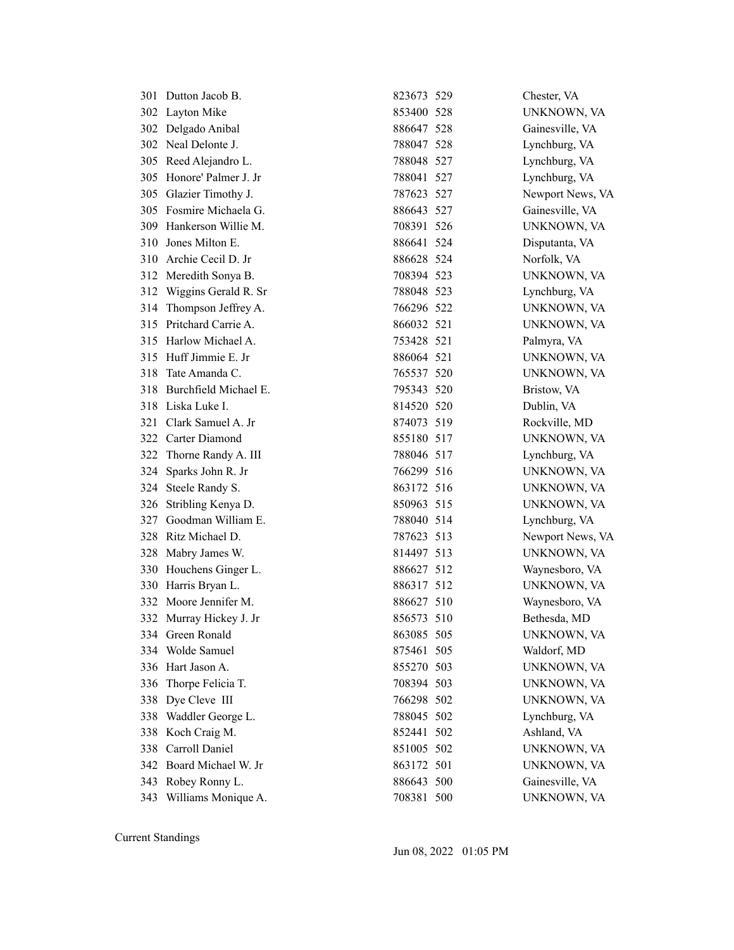| 301 | Dutton Jacob B.         | 823673 529 | Chester, VA      |
|-----|-------------------------|------------|------------------|
| 302 | Layton Mike             | 853400 528 | UNKNOWN, VA      |
| 302 | Delgado Anibal          | 886647 528 | Gainesville, VA  |
|     | 302 Neal Delonte J.     | 788047 528 | Lynchburg, VA    |
| 305 | Reed Alejandro L.       | 788048 527 | Lynchburg, VA    |
| 305 | Honore' Palmer J. Jr    | 788041 527 | Lynchburg, VA    |
|     | 305 Glazier Timothy J.  | 787623 527 | Newport News, VA |
|     | 305 Fosmire Michaela G. | 886643 527 | Gainesville, VA  |
|     | 309 Hankerson Willie M. | 708391 526 | UNKNOWN, VA      |
| 310 | Jones Milton E.         | 886641 524 | Disputanta, VA   |
|     | 310 Archie Cecil D. Jr  | 886628 524 | Norfolk, VA      |
|     | 312 Meredith Sonya B.   | 708394 523 | UNKNOWN, VA      |
| 312 | Wiggins Gerald R. Sr    | 788048 523 | Lynchburg, VA    |
| 314 | Thompson Jeffrey A.     | 766296 522 | UNKNOWN, VA      |
|     | 315 Pritchard Carrie A. | 866032 521 | UNKNOWN, VA      |
|     | 315 Harlow Michael A.   | 753428 521 | Palmyra, VA      |
|     | 315 Huff Jimmie E. Jr   | 886064 521 | UNKNOWN, VA      |
| 318 | Tate Amanda C.          | 765537 520 | UNKNOWN, VA      |
| 318 | Burchfield Michael E.   | 795343 520 | Bristow, VA      |
| 318 | Liska Luke I.           | 814520 520 | Dublin, VA       |
| 321 | Clark Samuel A. Jr      | 874073 519 | Rockville, MD    |
|     | 322 Carter Diamond      | 855180 517 | UNKNOWN, VA      |
|     | 322 Thorne Randy A. III | 788046 517 | Lynchburg, VA    |
| 324 | Sparks John R. Jr       | 766299 516 | UNKNOWN, VA      |
| 324 | Steele Randy S.         | 863172 516 | UNKNOWN, VA      |
|     | 326 Stribling Kenya D.  | 850963 515 | UNKNOWN, VA      |
| 327 | Goodman William E.      | 788040 514 | Lynchburg, VA    |
| 328 | Ritz Michael D.         | 787623 513 | Newport News, VA |
| 328 | Mabry James W.          | 814497 513 | UNKNOWN, VA      |
|     | 330 Houchens Ginger L.  | 886627 512 | Waynesboro, VA   |
| 330 | Harris Bryan L.         | 886317 512 | UNKNOWN, VA      |
|     | 332 Moore Jennifer M.   | 886627 510 | Waynesboro, VA   |
|     | 332 Murray Hickey J. Jr | 856573 510 | Bethesda, MD     |
|     | 334 Green Ronald        | 863085 505 | UNKNOWN, VA      |
|     | 334 Wolde Samuel        | 875461 505 | Waldorf, MD      |
|     | 336 Hart Jason A.       | 855270 503 | UNKNOWN, VA      |
| 336 | Thorpe Felicia T.       | 708394 503 | UNKNOWN, VA      |
| 338 | Dye Cleve III           | 766298 502 | UNKNOWN, VA      |
| 338 | Waddler George L.       | 788045 502 | Lynchburg, VA    |
| 338 | Koch Craig M.           | 852441 502 | Ashland, VA      |
| 338 | Carroll Daniel          | 851005 502 | UNKNOWN, VA      |
| 342 | Board Michael W. Jr     | 863172 501 | UNKNOWN, VA      |
| 343 | Robey Ronny L.          | 886643 500 | Gainesville, VA  |
|     | 343 Williams Monique A. | 708381 500 | UNKNOWN, VA      |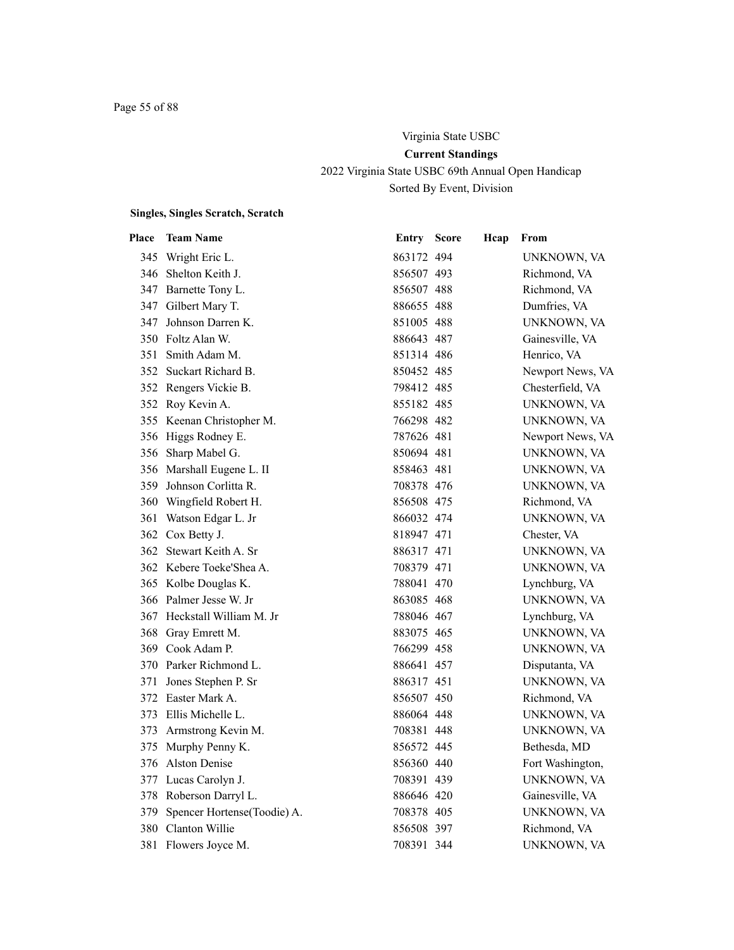# Virginia State USBC **Current Standings** 2022 Virginia State USBC 69th Annual Open Handicap Sorted By Event, Division

| Place | <b>Team Name</b>                | Entry      | <b>Score</b> | Hcap | From             |
|-------|---------------------------------|------------|--------------|------|------------------|
|       | 345 Wright Eric L.              | 863172 494 |              |      | UNKNOWN, VA      |
|       | 346 Shelton Keith J.            | 856507 493 |              |      | Richmond, VA     |
|       | 347 Barnette Tony L.            | 856507 488 |              |      | Richmond, VA     |
|       | 347 Gilbert Mary T.             | 886655 488 |              |      | Dumfries, VA     |
|       | 347 Johnson Darren K.           | 851005 488 |              |      | UNKNOWN, VA      |
|       | 350 Foltz Alan W.               | 886643 487 |              |      | Gainesville, VA  |
|       | 351 Smith Adam M.               | 851314 486 |              |      | Henrico, VA      |
|       | 352 Suckart Richard B.          | 850452 485 |              |      | Newport News, VA |
|       | 352 Rengers Vickie B.           | 798412 485 |              |      | Chesterfield, VA |
|       | 352 Roy Kevin A.                | 855182 485 |              |      | UNKNOWN, VA      |
|       | 355 Keenan Christopher M.       | 766298 482 |              |      | UNKNOWN, VA      |
|       | 356 Higgs Rodney E.             | 787626 481 |              |      | Newport News, VA |
|       | 356 Sharp Mabel G.              | 850694 481 |              |      | UNKNOWN, VA      |
|       | 356 Marshall Eugene L. II       | 858463 481 |              |      | UNKNOWN, VA      |
|       | 359 Johnson Corlitta R.         | 708378 476 |              |      | UNKNOWN, VA      |
|       | 360 Wingfield Robert H.         | 856508 475 |              |      | Richmond, VA     |
|       | 361 Watson Edgar L. Jr          | 866032 474 |              |      | UNKNOWN, VA      |
|       | 362 Cox Betty J.                | 818947 471 |              |      | Chester, VA      |
|       | 362 Stewart Keith A. Sr         | 886317 471 |              |      | UNKNOWN, VA      |
|       | 362 Kebere Toeke'Shea A.        | 708379 471 |              |      | UNKNOWN, VA      |
|       | 365 Kolbe Douglas K.            | 788041 470 |              |      | Lynchburg, VA    |
|       | 366 Palmer Jesse W. Jr          | 863085 468 |              |      | UNKNOWN, VA      |
|       | 367 Heckstall William M. Jr     | 788046 467 |              |      | Lynchburg, VA    |
|       | 368 Gray Emrett M.              | 883075 465 |              |      | UNKNOWN, VA      |
|       | 369 Cook Adam P.                | 766299 458 |              |      | UNKNOWN, VA      |
|       | 370 Parker Richmond L.          | 886641 457 |              |      | Disputanta, VA   |
|       | 371 Jones Stephen P. Sr         | 886317 451 |              |      | UNKNOWN, VA      |
|       | 372 Easter Mark A.              | 856507 450 |              |      | Richmond, VA     |
|       | 373 Ellis Michelle L.           | 886064 448 |              |      | UNKNOWN, VA      |
|       | 373 Armstrong Kevin M.          | 708381 448 |              |      | UNKNOWN, VA      |
|       | 375 Murphy Penny K.             | 856572 445 |              |      | Bethesda, MD     |
|       | 376 Alston Denise               | 856360 440 |              |      | Fort Washington, |
|       | 377 Lucas Carolyn J.            | 708391 439 |              |      | UNKNOWN, VA      |
|       | 378 Roberson Darryl L.          | 886646 420 |              |      | Gainesville, VA  |
|       | 379 Spencer Hortense(Toodie) A. | 708378 405 |              |      | UNKNOWN, VA      |
|       | 380 Clanton Willie              | 856508 397 |              |      | Richmond, VA     |
| 381   | Flowers Joyce M.                | 708391 344 |              |      | UNKNOWN, VA      |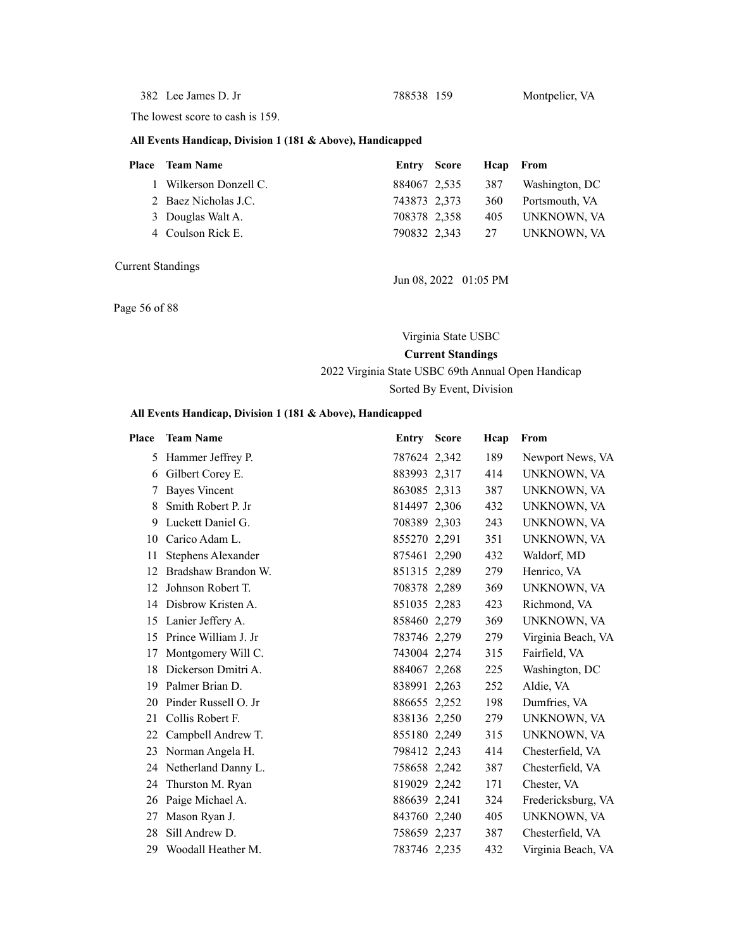382 Lee James D. Jr 788538 159 Montpelier, VA

The lowest score to cash is 159.

#### **All Events Handicap, Division 1 (181 & Above), Handicapped**

| Place | <b>Team Name</b>       | Entry Score  | Heap From |                |
|-------|------------------------|--------------|-----------|----------------|
|       | 1 Wilkerson Donzell C. | 884067 2,535 | 387       | Washington, DC |
|       | 2 Baez Nicholas J.C.   | 743873 2,373 | 360       | Portsmouth, VA |
|       | 3 Douglas Walt A.      | 708378 2,358 | 405       | UNKNOWN, VA    |
|       | 4 Coulson Rick E.      | 790832 2,343 | 27        | UNKNOWN, VA    |
|       |                        |              |           |                |

Current Standings

Jun 08, 2022 01:05 PM

Page 56 of 88

#### Virginia State USBC

**Current Standings** 2022 Virginia State USBC 69th Annual Open Handicap

Sorted By Event, Division

#### **All Events Handicap, Division 1 (181 & Above), Handicapped**

| Place | <b>Team Name</b>          | Entry        | <b>Score</b> | Hcap | From               |
|-------|---------------------------|--------------|--------------|------|--------------------|
| 5     | Hammer Jeffrey P.         | 787624 2,342 |              | 189  | Newport News, VA   |
| 6     | Gilbert Corey E.          | 883993 2,317 |              | 414  | UNKNOWN, VA        |
| 7     | <b>Bayes Vincent</b>      | 863085 2,313 |              | 387  | UNKNOWN, VA        |
| 8     | Smith Robert P. Jr        | 814497 2,306 |              | 432  | UNKNOWN, VA        |
| 9     | Luckett Daniel G.         | 708389 2,303 |              | 243  | UNKNOWN, VA        |
| 10    | Carico Adam L.            | 855270 2,291 |              | 351  | UNKNOWN, VA        |
| 11    | <b>Stephens Alexander</b> | 875461 2,290 |              | 432  | Waldorf, MD        |
| 12    | Bradshaw Brandon W.       | 851315 2,289 |              | 279  | Henrico, VA        |
| 12    | Johnson Robert T.         | 708378 2,289 |              | 369  | UNKNOWN, VA        |
| 14    | Disbrow Kristen A.        | 851035 2,283 |              | 423  | Richmond, VA       |
| 15    | Lanier Jeffery A.         | 858460 2,279 |              | 369  | UNKNOWN, VA        |
| 15    | Prince William J. Jr      | 783746 2,279 |              | 279  | Virginia Beach, VA |
| 17    | Montgomery Will C.        | 743004 2,274 |              | 315  | Fairfield, VA      |
| 18    | Dickerson Dmitri A.       | 884067 2,268 |              | 225  | Washington, DC     |
| 19    | Palmer Brian D.           | 838991 2,263 |              | 252  | Aldie, VA          |
| 20    | Pinder Russell O. Jr      | 886655 2,252 |              | 198  | Dumfries, VA       |
| 21    | Collis Robert F.          | 838136 2,250 |              | 279  | UNKNOWN, VA        |
| 22    | Campbell Andrew T.        | 855180 2,249 |              | 315  | UNKNOWN, VA        |
| 23    | Norman Angela H.          | 798412 2,243 |              | 414  | Chesterfield, VA   |
|       | 24 Netherland Danny L.    | 758658 2,242 |              | 387  | Chesterfield, VA   |
| 24    | Thurston M. Ryan          | 819029 2,242 |              | 171  | Chester, VA        |
| 26    | Paige Michael A.          | 886639 2,241 |              | 324  | Fredericksburg, VA |
| 27    | Mason Ryan J.             | 843760 2,240 |              | 405  | UNKNOWN, VA        |
| 28    | Sill Andrew D.            | 758659 2,237 |              | 387  | Chesterfield, VA   |
| 29    | Woodall Heather M.        | 783746 2,235 |              | 432  | Virginia Beach, VA |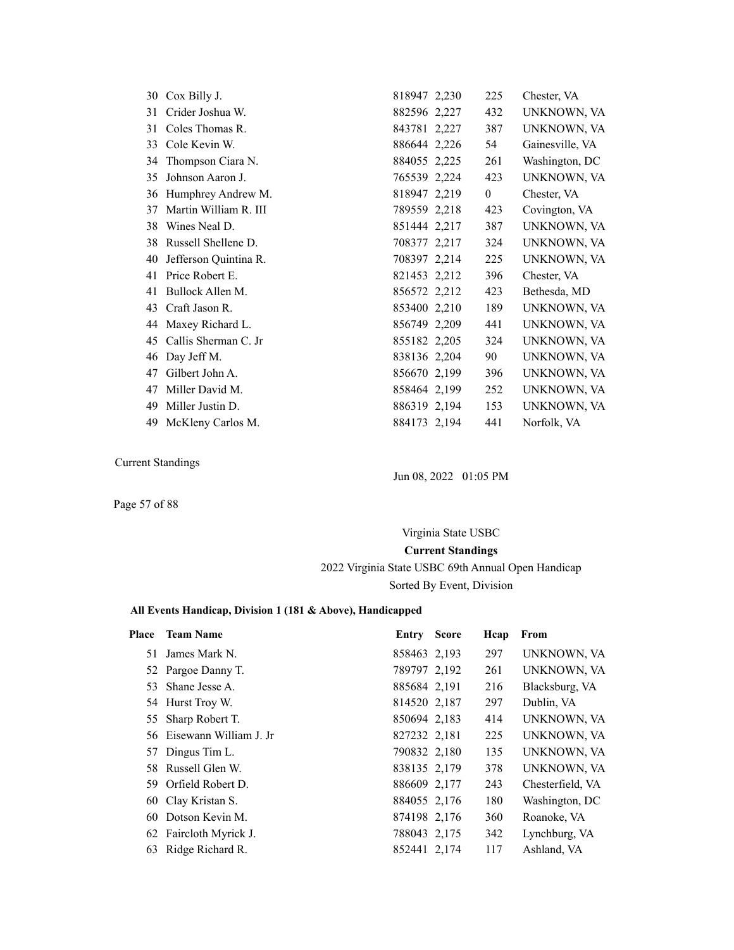|    | 30 Cox Billy J.         | 818947 2,230 | 225            | Chester, VA     |
|----|-------------------------|--------------|----------------|-----------------|
|    | 31 Crider Joshua W.     | 882596 2,227 | 432            | UNKNOWN, VA     |
| 31 | Coles Thomas R.         | 843781 2,227 | 387            | UNKNOWN, VA     |
|    | 33 Cole Kevin W.        | 886644 2,226 | 54             | Gainesville, VA |
| 34 | Thompson Ciara N.       | 884055 2,225 | 261            | Washington, DC  |
| 35 | Johnson Aaron J.        | 765539 2,224 | 423            | UNKNOWN, VA     |
|    | 36 Humphrey Andrew M.   | 818947 2,219 | $\overline{0}$ | Chester, VA     |
| 37 | Martin William R. III   | 789559 2,218 | 423            | Covington, VA   |
| 38 | Wines Neal D.           | 851444 2,217 | 387            | UNKNOWN, VA     |
| 38 | Russell Shellene D.     | 708377 2,217 | 324            | UNKNOWN, VA     |
| 40 | Jefferson Quintina R.   | 708397 2,214 | 225            | UNKNOWN, VA     |
|    | 41 Price Robert E.      | 821453 2,212 | 396            | Chester, VA     |
| 41 | Bullock Allen M.        | 856572 2,212 | 423            | Bethesda, MD    |
| 43 | Craft Jason R.          | 853400 2,210 | 189            | UNKNOWN, VA     |
|    | 44 Maxey Richard L.     | 856749 2,209 | 441            | UNKNOWN, VA     |
|    | 45 Callis Sherman C. Jr | 855182 2,205 | 324            | UNKNOWN, VA     |
|    | 46 Day Jeff M.          | 838136 2,204 | 90             | UNKNOWN, VA     |
| 47 | Gilbert John A.         | 856670 2,199 | 396            | UNKNOWN, VA     |
| 47 | Miller David M.         | 858464 2,199 | 252            | UNKNOWN, VA     |
| 49 | Miller Justin D.        | 886319 2,194 | 153            | UNKNOWN, VA     |
|    | 49 McKleny Carlos M.    | 884173 2,194 | 441            | Norfolk, VA     |

Jun 08, 2022 01:05 PM

Page 57 of 88

# Virginia State USBC **Current Standings** 2022 Virginia State USBC 69th Annual Open Handicap Sorted By Event, Division

### **All Events Handicap, Division 1 (181 & Above), Handicapped**

| Place | <b>Team Name</b>          | Entry        | <b>Score</b> | Hcap | From             |
|-------|---------------------------|--------------|--------------|------|------------------|
|       | 51 James Mark N.          | 858463 2,193 |              | 297  | UNKNOWN, VA      |
|       | 52 Pargoe Danny T.        | 789797 2,192 |              | 261  | UNKNOWN, VA      |
| 53    | Shane Jesse A.            | 885684 2,191 |              | 216  | Blacksburg, VA   |
|       | 54 Hurst Troy W.          | 814520 2,187 |              | 297  | Dublin, VA       |
|       | 55 Sharp Robert T.        | 850694 2,183 |              | 414  | UNKNOWN, VA      |
|       | 56 Eisewann William J. Jr | 827232 2,181 |              | 225  | UNKNOWN, VA      |
| 57    | Dingus Tim L.             | 790832 2,180 |              | 135  | UNKNOWN, VA      |
|       | 58 Russell Glen W.        | 838135 2,179 |              | 378  | UNKNOWN, VA      |
|       | 59 Orfield Robert D.      | 886609 2,177 |              | 243  | Chesterfield, VA |
|       | 60 Clay Kristan S.        | 884055 2,176 |              | 180  | Washington, DC   |
| 60    | Dotson Kevin M.           | 874198 2,176 |              | 360  | Roanoke, VA      |
|       | 62 Faircloth Myrick J.    | 788043 2,175 |              | 342  | Lynchburg, VA    |
| 63    | Ridge Richard R.          | 852441 2,174 |              | 117  | Ashland, VA      |
|       |                           |              |              |      |                  |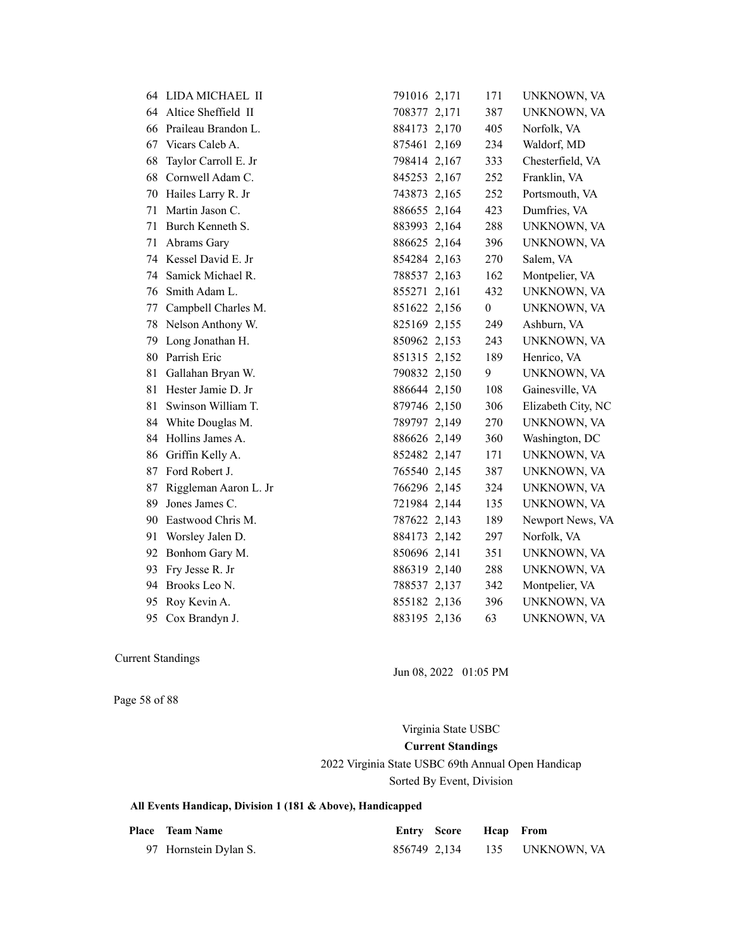|    | 64 LIDA MICHAEL II     | 791016 2,171 | 171              | UNKNOWN, VA        |
|----|------------------------|--------------|------------------|--------------------|
|    | 64 Altice Sheffield II | 708377 2,171 | 387              | UNKNOWN, VA        |
| 66 | Praileau Brandon L.    | 884173 2,170 | 405              | Norfolk, VA        |
| 67 | Vicars Caleb A.        | 875461 2,169 | 234              | Waldorf, MD        |
| 68 | Taylor Carroll E. Jr   | 798414 2,167 | 333              | Chesterfield, VA   |
| 68 | Cornwell Adam C.       | 845253 2,167 | 252              | Franklin, VA       |
| 70 | Hailes Larry R. Jr     | 743873 2,165 | 252              | Portsmouth, VA     |
| 71 | Martin Jason C.        | 886655 2,164 | 423              | Dumfries, VA       |
| 71 | Burch Kenneth S.       | 883993 2,164 | 288              | UNKNOWN, VA        |
| 71 | Abrams Gary            | 886625 2,164 | 396              | UNKNOWN, VA        |
| 74 | Kessel David E. Jr     | 854284 2,163 | 270              | Salem, VA          |
| 74 | Samick Michael R.      | 788537 2,163 | 162              | Montpelier, VA     |
| 76 | Smith Adam L.          | 855271 2,161 | 432              | UNKNOWN, VA        |
| 77 | Campbell Charles M.    | 851622 2,156 | $\boldsymbol{0}$ | UNKNOWN, VA        |
| 78 | Nelson Anthony W.      | 825169 2,155 | 249              | Ashburn, VA        |
| 79 | Long Jonathan H.       | 850962 2,153 | 243              | UNKNOWN, VA        |
| 80 | Parrish Eric           | 851315 2,152 | 189              | Henrico, VA        |
| 81 | Gallahan Bryan W.      | 790832 2,150 | 9                | UNKNOWN, VA        |
| 81 | Hester Jamie D. Jr     | 886644 2,150 | 108              | Gainesville, VA    |
| 81 | Swinson William T.     | 879746 2,150 | 306              | Elizabeth City, NC |
| 84 | White Douglas M.       | 789797 2,149 | 270              | UNKNOWN, VA        |
| 84 | Hollins James A.       | 886626 2,149 | 360              | Washington, DC     |
| 86 | Griffin Kelly A.       | 852482 2,147 | 171              | UNKNOWN, VA        |
| 87 | Ford Robert J.         | 765540 2,145 | 387              | UNKNOWN, VA        |
| 87 | Riggleman Aaron L. Jr  | 766296 2,145 | 324              | UNKNOWN, VA        |
| 89 | Jones James C.         | 721984 2,144 | 135              | UNKNOWN, VA        |
| 90 | Eastwood Chris M.      | 787622 2,143 | 189              | Newport News, VA   |
| 91 | Worsley Jalen D.       | 884173 2,142 | 297              | Norfolk, VA        |
| 92 | Bonhom Gary M.         | 850696 2,141 | 351              | UNKNOWN, VA        |
| 93 | Fry Jesse R. Jr        | 886319 2,140 | 288              | UNKNOWN, VA        |
| 94 | Brooks Leo N.          | 788537 2,137 | 342              | Montpelier, VA     |
| 95 | Roy Kevin A.           | 855182 2,136 | 396              | UNKNOWN, VA        |
| 95 | Cox Brandyn J.         | 883195 2,136 | 63               | UNKNOWN, VA        |

Jun 08, 2022 01:05 PM

Page 58 of 88

Virginia State USBC **Current Standings**

2022 Virginia State USBC 69th Annual Open Handicap

Sorted By Event, Division

| <b>Place</b> Team Name | <b>Entry Score Heap</b> From |                              |
|------------------------|------------------------------|------------------------------|
| 97 Hornstein Dylan S.  |                              | 856749 2,134 135 UNKNOWN, VA |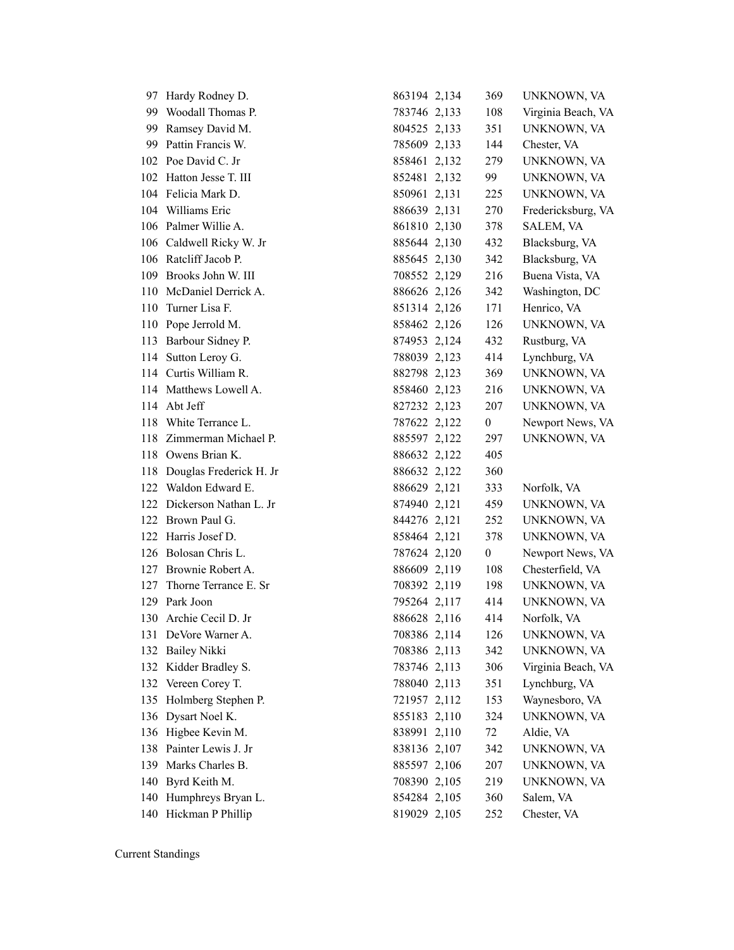|     | 97 Hardy Rodney D.          | 863194 2,134 | 369              | UNKNOWN, VA        |
|-----|-----------------------------|--------------|------------------|--------------------|
|     | 99 Woodall Thomas P.        | 783746 2,133 | 108              | Virginia Beach, VA |
|     | 99 Ramsey David M.          | 804525 2,133 | 351              | UNKNOWN, VA        |
|     | 99 Pattin Francis W.        | 785609 2,133 | 144              | Chester, VA        |
|     | 102 Poe David C. Jr         | 858461 2,132 | 279              | UNKNOWN, VA        |
| 102 | Hatton Jesse T. III         | 852481 2,132 | 99               | UNKNOWN, VA        |
|     | 104 Felicia Mark D.         | 850961 2,131 | 225              | UNKNOWN, VA        |
|     | 104 Williams Eric           | 886639 2,131 | 270              | Fredericksburg, VA |
|     | 106 Palmer Willie A.        | 861810 2,130 | 378              | SALEM, VA          |
|     | 106 Caldwell Ricky W. Jr    | 885644 2,130 | 432              | Blacksburg, VA     |
|     | 106 Ratcliff Jacob P.       | 885645 2,130 | 342              | Blacksburg, VA     |
| 109 | Brooks John W. III          | 708552 2,129 | 216              | Buena Vista, VA    |
| 110 | McDaniel Derrick A.         | 886626 2,126 | 342              | Washington, DC     |
| 110 | Turner Lisa F.              | 851314 2,126 | 171              | Henrico, VA        |
|     | 110 Pope Jerrold M.         | 858462 2,126 | 126              | UNKNOWN, VA        |
|     | 113 Barbour Sidney P.       | 874953 2,124 | 432              | Rustburg, VA       |
|     | 114 Sutton Leroy G.         | 788039 2,123 | 414              | Lynchburg, VA      |
|     | 114 Curtis William R.       | 882798 2,123 | 369              | UNKNOWN, VA        |
|     | 114 Matthews Lowell A.      | 858460 2,123 | 216              | UNKNOWN, VA        |
| 114 | Abt Jeff                    | 827232 2,123 | 207              | UNKNOWN, VA        |
| 118 | White Terrance L.           | 787622 2,122 | $\boldsymbol{0}$ | Newport News, VA   |
|     | 118 Zimmerman Michael P.    | 885597 2,122 | 297              | UNKNOWN, VA        |
|     | 118 Owens Brian K.          | 886632 2,122 | 405              |                    |
|     | 118 Douglas Frederick H. Jr | 886632 2,122 | 360              |                    |
|     | 122 Waldon Edward E.        | 886629 2,121 | 333              | Norfolk, VA        |
|     | 122 Dickerson Nathan L. Jr  | 874940 2,121 | 459              | UNKNOWN, VA        |
|     | 122 Brown Paul G.           | 844276 2,121 | 252              | UNKNOWN, VA        |
| 122 | Harris Josef D.             | 858464 2,121 | 378              | UNKNOWN, VA        |
|     | 126 Bolosan Chris L.        | 787624 2,120 | $\boldsymbol{0}$ | Newport News, VA   |
|     | 127 Brownie Robert A.       | 886609 2,119 | 108              | Chesterfield, VA   |
| 127 | Thorne Terrance E. Sr       | 708392 2,119 | 198              | UNKNOWN, VA        |
|     | 129 Park Joon               | 795264 2,117 | 414              | UNKNOWN, VA        |
| 130 | Archie Cecil D. Jr          | 886628 2,116 | 414              | Norfolk, VA        |
|     | 131 DeVore Warner A.        | 708386 2,114 | 126              | UNKNOWN, VA        |
| 132 | <b>Bailey Nikki</b>         | 708386 2,113 | 342              | UNKNOWN, VA        |
|     | 132 Kidder Bradley S.       | 783746 2,113 | 306              | Virginia Beach, VA |
|     | 132 Vereen Corey T.         | 788040 2,113 | 351              | Lynchburg, VA      |
| 135 | Holmberg Stephen P.         | 721957 2,112 | 153              | Waynesboro, VA     |
| 136 | Dysart Noel K.              | 855183 2,110 | 324              | UNKNOWN, VA        |
| 136 | Higbee Kevin M.             | 838991 2,110 | 72               | Aldie, VA          |
| 138 | Painter Lewis J. Jr         | 838136 2,107 | 342              | UNKNOWN, VA        |
| 139 | Marks Charles B.            | 885597 2,106 | 207              | UNKNOWN, VA        |
| 140 | Byrd Keith M.               | 708390 2,105 | 219              | UNKNOWN, VA        |
| 140 | Humphreys Bryan L.          | 854284 2,105 | 360              | Salem, VA          |
|     | 140 Hickman P Phillip       | 819029 2,105 | 252              | Chester, VA        |
|     |                             |              |                  |                    |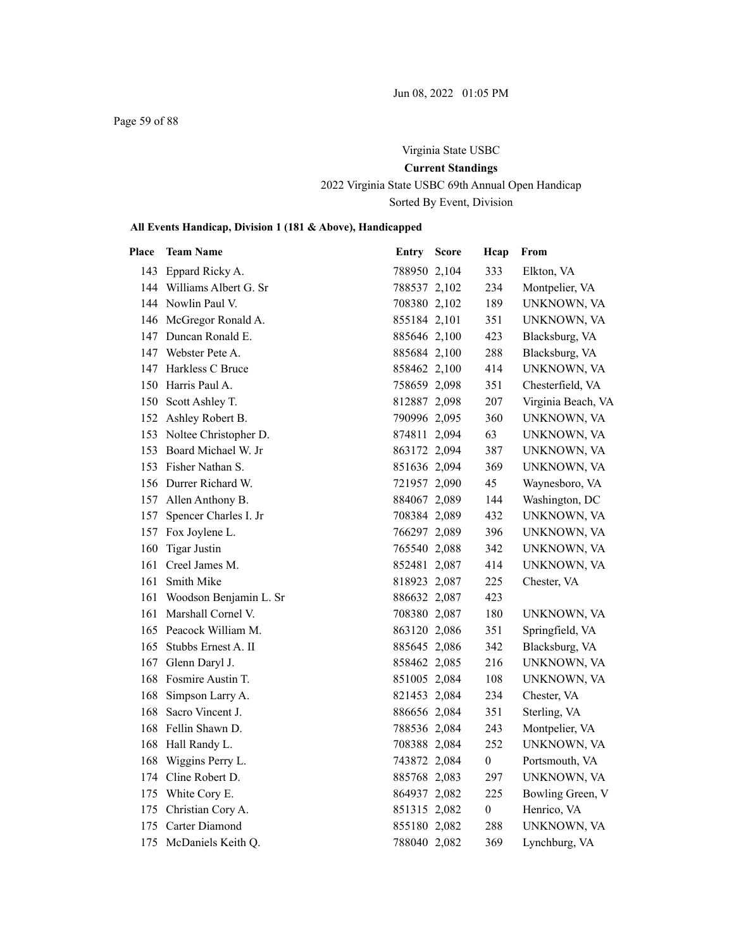Page 59 of 88

# Virginia State USBC **Current Standings** 2022 Virginia State USBC 69th Annual Open Handicap

Sorted By Event, Division

| <b>Place</b> | <b>Team Name</b>          | Entry        | <b>Score</b> | Hcap             | From               |
|--------------|---------------------------|--------------|--------------|------------------|--------------------|
|              | 143 Eppard Ricky A.       | 788950 2,104 |              | 333              | Elkton, VA         |
|              | 144 Williams Albert G. Sr | 788537 2,102 |              | 234              | Montpelier, VA     |
|              | 144 Nowlin Paul V.        | 708380 2,102 |              | 189              | UNKNOWN, VA        |
|              | 146 McGregor Ronald A.    | 855184 2,101 |              | 351              | UNKNOWN, VA        |
|              | 147 Duncan Ronald E.      | 885646 2,100 |              | 423              | Blacksburg, VA     |
|              | 147 Webster Pete A.       | 885684 2,100 |              | 288              | Blacksburg, VA     |
|              | 147 Harkless C Bruce      | 858462 2,100 |              | 414              | UNKNOWN, VA        |
|              | 150 Harris Paul A.        | 758659 2,098 |              | 351              | Chesterfield, VA   |
|              | 150 Scott Ashley T.       | 812887 2,098 |              | 207              | Virginia Beach, VA |
|              | 152 Ashley Robert B.      | 790996 2,095 |              | 360              | UNKNOWN, VA        |
|              | 153 Noltee Christopher D. | 874811 2,094 |              | 63               | UNKNOWN, VA        |
| 153          | Board Michael W. Jr       | 863172 2,094 |              | 387              | UNKNOWN, VA        |
| 153          | Fisher Nathan S.          | 851636 2,094 |              | 369              | UNKNOWN, VA        |
|              | 156 Durrer Richard W.     | 721957 2,090 |              | 45               | Waynesboro, VA     |
|              | 157 Allen Anthony B.      | 884067 2,089 |              | 144              | Washington, DC     |
| 157          | Spencer Charles I. Jr     | 708384 2,089 |              | 432              | UNKNOWN, VA        |
|              | 157 Fox Joylene L.        | 766297 2,089 |              | 396              | UNKNOWN, VA        |
|              | 160 Tigar Justin          | 765540 2,088 |              | 342              | UNKNOWN, VA        |
| 161          | Creel James M.            | 852481 2,087 |              | 414              | UNKNOWN, VA        |
| 161          | Smith Mike                | 818923 2,087 |              | 225              | Chester, VA        |
| 161          | Woodson Benjamin L. Sr    | 886632 2,087 |              | 423              |                    |
| 161          | Marshall Cornel V.        | 708380 2,087 |              | 180              | UNKNOWN, VA        |
|              | 165 Peacock William M.    | 863120 2,086 |              | 351              | Springfield, VA    |
|              | 165 Stubbs Ernest A. II   | 885645 2,086 |              | 342              | Blacksburg, VA     |
|              | 167 Glenn Daryl J.        | 858462 2,085 |              | 216              | UNKNOWN, VA        |
|              | 168 Fosmire Austin T.     | 851005 2,084 |              | 108              | UNKNOWN, VA        |
|              | 168 Simpson Larry A.      | 821453 2,084 |              | 234              | Chester, VA        |
|              | 168 Sacro Vincent J.      | 886656 2,084 |              | 351              | Sterling, VA       |
|              | 168 Fellin Shawn D.       | 788536 2,084 |              | 243              | Montpelier, VA     |
| 168          | Hall Randy L.             | 708388 2,084 |              | 252              | UNKNOWN, VA        |
| 168          | Wiggins Perry L.          | 743872 2,084 |              | $\boldsymbol{0}$ | Portsmouth, VA     |
|              | 174 Cline Robert D.       | 885768 2,083 |              | 297              | UNKNOWN, VA        |
|              | 175 White Cory E.         | 864937 2,082 |              | 225              | Bowling Green, V   |
|              | 175 Christian Cory A.     | 851315 2,082 |              | $\boldsymbol{0}$ | Henrico, VA        |
|              | 175 Carter Diamond        | 855180 2,082 |              | 288              | UNKNOWN, VA        |
| 175          | McDaniels Keith Q.        | 788040 2,082 |              | 369              | Lynchburg, VA      |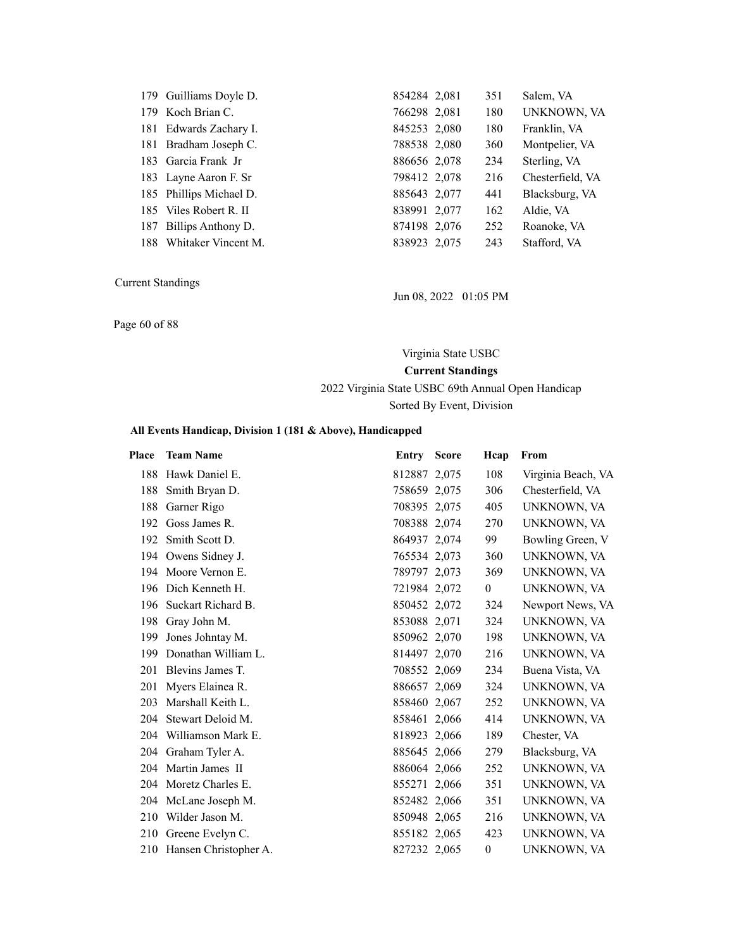| 179 Guilliams Doyle D.  | 854284 2,081 | 351 | Salem, VA        |
|-------------------------|--------------|-----|------------------|
| 179 Koch Brian C.       | 766298 2,081 | 180 | UNKNOWN, VA      |
| 181 Edwards Zachary I.  | 845253 2,080 | 180 | Franklin, VA     |
| 181 Bradham Joseph C.   | 788538 2,080 | 360 | Montpelier, VA   |
| 183 Garcia Frank Jr     | 886656 2,078 | 234 | Sterling, VA     |
| 183 Layne Aaron F. Sr   | 798412 2,078 | 216 | Chesterfield, VA |
| 185 Phillips Michael D. | 885643 2,077 | 441 | Blacksburg, VA   |
| 185 Viles Robert R. II  | 838991 2,077 | 162 | Aldie, VA        |
| 187 Billips Anthony D.  | 874198 2,076 | 252 | Roanoke, VA      |
| 188 Whitaker Vincent M. | 838923 2,075 | 243 | Stafford, VA     |

Page 60 of 88

Jun 08, 2022 01:05 PM

Virginia State USBC **Current Standings** 2022 Virginia State USBC 69th Annual Open Handicap

Sorted By Event, Division

| Place | <b>Team Name</b>          | <b>Entry Score</b> | Hcap           | From               |
|-------|---------------------------|--------------------|----------------|--------------------|
| 188   | Hawk Daniel E.            | 812887 2,075       | 108            | Virginia Beach, VA |
| 188   | Smith Bryan D.            | 758659 2,075       | 306            | Chesterfield, VA   |
| 188   | Garner Rigo               | 708395 2,075       | 405            | UNKNOWN, VA        |
| 192   | Goss James R.             | 708388 2,074       | 270            | UNKNOWN, VA        |
| 192   | Smith Scott D.            | 864937 2,074       | 99             | Bowling Green, V   |
|       | 194 Owens Sidney J.       | 765534 2,073       | 360            | UNKNOWN, VA        |
|       | 194 Moore Vernon E.       | 789797 2,073       | 369            | UNKNOWN, VA        |
| 196   | Dich Kenneth H.           | 721984 2,072       | $\overline{0}$ | UNKNOWN, VA        |
| 196   | Suckart Richard B.        | 850452 2,072       | 324            | Newport News, VA   |
| 198   | Gray John M.              | 853088 2,071       | 324            | UNKNOWN, VA        |
| 199   | Jones Johntay M.          | 850962 2,070       | 198            | UNKNOWN, VA        |
| 199   | Donathan William L.       | 814497 2,070       | 216            | UNKNOWN, VA        |
| 201   | Blevins James T.          | 708552 2,069       | 234            | Buena Vista, VA    |
| 201   | Myers Elainea R.          | 886657 2,069       | 324            | UNKNOWN, VA        |
| 203   | Marshall Keith L.         | 858460 2,067       | 252            | UNKNOWN, VA        |
| 204   | Stewart Deloid M.         | 858461 2,066       | 414            | UNKNOWN, VA        |
| 204   | Williamson Mark E.        | 818923 2,066       | 189            | Chester, VA        |
| 204   | Graham Tyler A.           | 885645 2,066       | 279            | Blacksburg, VA     |
| 204   | Martin James II           | 886064 2,066       | 252            | UNKNOWN, VA        |
|       | 204 Moretz Charles E.     | 855271 2,066       | 351            | UNKNOWN, VA        |
|       | 204 McLane Joseph M.      | 852482 2,066       | 351            | UNKNOWN, VA        |
| 210   | Wilder Jason M.           | 850948 2,065       | 216            | UNKNOWN, VA        |
| 210   | Greene Evelyn C.          | 855182 2,065       | 423            | UNKNOWN, VA        |
|       | 210 Hansen Christopher A. | 827232 2,065       | 0              | UNKNOWN, VA        |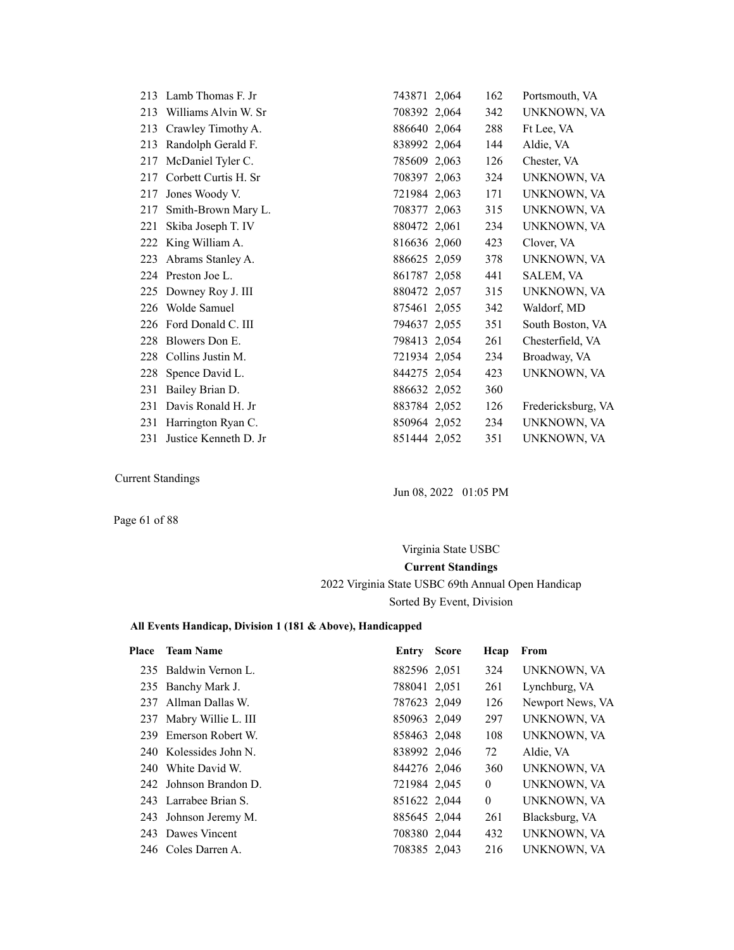|     | 213 Lamb Thomas F. Jr | 743871 2,064 | 162 | Portsmouth, VA     |
|-----|-----------------------|--------------|-----|--------------------|
| 213 | Williams Alvin W. Sr  | 708392 2,064 | 342 | UNKNOWN, VA        |
| 213 | Crawley Timothy A.    | 886640 2,064 | 288 | Ft Lee, VA         |
| 213 | Randolph Gerald F.    | 838992 2,064 | 144 | Aldie, VA          |
| 217 | McDaniel Tyler C.     | 785609 2,063 | 126 | Chester, VA        |
| 217 | Corbett Curtis H. Sr  | 708397 2,063 | 324 | UNKNOWN, VA        |
| 217 | Jones Woody V.        | 721984 2,063 | 171 | UNKNOWN, VA        |
| 217 | Smith-Brown Mary L.   | 708377 2,063 | 315 | UNKNOWN, VA        |
| 221 | Skiba Joseph T. IV    | 880472 2,061 | 234 | UNKNOWN, VA        |
| 222 | King William A.       | 816636 2,060 | 423 | Clover, VA         |
| 223 | Abrams Stanley A.     | 886625 2,059 | 378 | UNKNOWN, VA        |
|     | 224 Preston Joe L.    | 861787 2,058 | 441 | SALEM, VA          |
| 225 | Downey Roy J. III     | 880472 2,057 | 315 | UNKNOWN, VA        |
| 226 | Wolde Samuel          | 875461 2,055 | 342 | Waldorf, MD        |
| 226 | Ford Donald C. III    | 794637 2,055 | 351 | South Boston, VA   |
| 228 | Blowers Don E.        | 798413 2,054 | 261 | Chesterfield, VA   |
| 228 | Collins Justin M.     | 721934 2,054 | 234 | Broadway, VA       |
| 228 | Spence David L.       | 844275 2,054 | 423 | UNKNOWN, VA        |
| 231 | Bailey Brian D.       | 886632 2,052 | 360 |                    |
| 231 | Davis Ronald H. Jr    | 883784 2,052 | 126 | Fredericksburg, VA |
| 231 | Harrington Ryan C.    | 850964 2,052 | 234 | UNKNOWN, VA        |
| 231 | Justice Kenneth D. Jr | 851444 2,052 | 351 | UNKNOWN, VA        |

Jun 08, 2022 01:05 PM

Page 61 of 88

## Virginia State USBC **Current Standings** 2022 Virginia State USBC 69th Annual Open Handicap Sorted By Event, Division

| <b>Place</b> | <b>Team Name</b>        | Entry        | <b>Score</b> | Hcap         | From             |
|--------------|-------------------------|--------------|--------------|--------------|------------------|
|              | 235 Baldwin Vernon L.   | 882596 2,051 |              | 324          | UNKNOWN, VA      |
|              | 235 Banchy Mark J.      | 788041 2,051 |              | 261          | Lynchburg, VA    |
|              | 237 Allman Dallas W.    | 787623 2,049 |              | 126          | Newport News, VA |
|              | 237 Mabry Willie L. III | 850963 2,049 |              | 297          | UNKNOWN, VA      |
|              | 239 Emerson Robert W.   | 858463 2,048 |              | 108          | UNKNOWN, VA      |
|              | 240 Kolessides John N.  | 838992 2,046 |              | 72           | Aldie, VA        |
|              | 240 White David W.      | 844276 2,046 |              | 360          | UNKNOWN, VA      |
|              | 242 Johnson Brandon D.  | 721984 2,045 |              | $\mathbf{0}$ | UNKNOWN, VA      |
|              | 243 Larrabee Brian S.   | 851622 2,044 |              | $\mathbf{0}$ | UNKNOWN, VA      |
|              | 243 Johnson Jeremy M.   | 885645 2,044 |              | 261          | Blacksburg, VA   |
|              | 243 Dawes Vincent       | 708380 2,044 |              | 432          | UNKNOWN, VA      |
|              | 246 Coles Darren A.     | 708385 2,043 |              | 216          | UNKNOWN, VA      |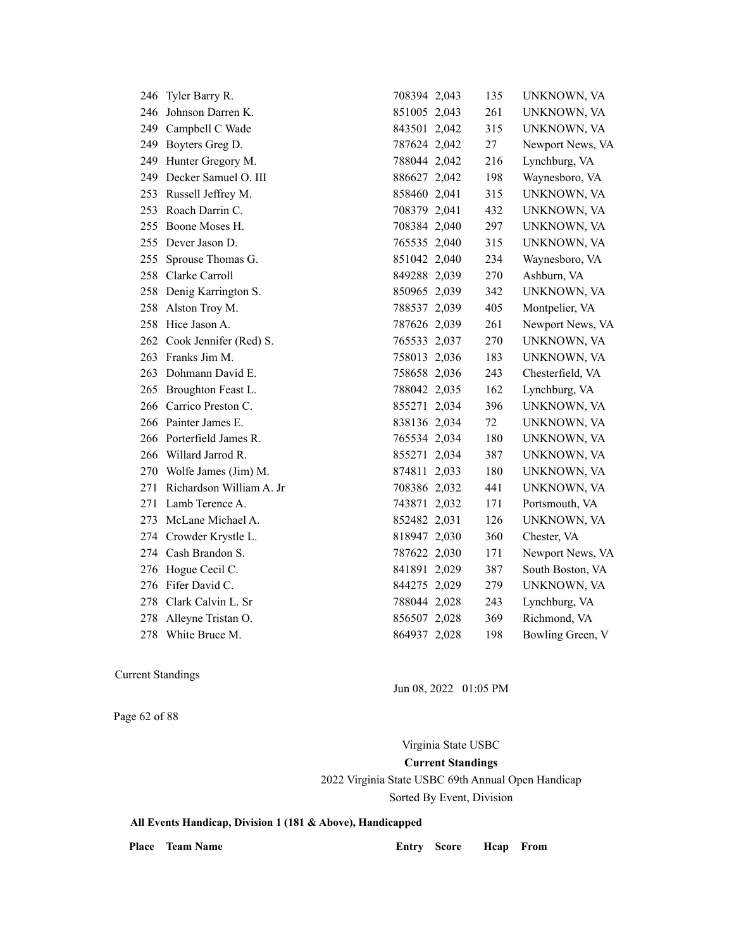| 246 | Tyler Barry R.             | 708394 2,043 | 135 | UNKNOWN, VA      |
|-----|----------------------------|--------------|-----|------------------|
| 246 | Johnson Darren K.          | 851005 2,043 | 261 | UNKNOWN, VA      |
| 249 | Campbell C Wade            | 843501 2,042 | 315 | UNKNOWN, VA      |
| 249 | Boyters Greg D.            | 787624 2,042 | 27  | Newport News, VA |
|     | 249 Hunter Gregory M.      | 788044 2,042 | 216 | Lynchburg, VA    |
| 249 | Decker Samuel O. III       | 886627 2,042 | 198 | Waynesboro, VA   |
| 253 | Russell Jeffrey M.         | 858460 2,041 | 315 | UNKNOWN, VA      |
| 253 | Roach Darrin C.            | 708379 2,041 | 432 | UNKNOWN, VA      |
| 255 | Boone Moses H.             | 708384 2,040 | 297 | UNKNOWN, VA      |
|     | 255 Dever Jason D.         | 765535 2,040 | 315 | UNKNOWN, VA      |
| 255 | Sprouse Thomas G.          | 851042 2,040 | 234 | Waynesboro, VA   |
| 258 | Clarke Carroll             | 849288 2,039 | 270 | Ashburn, VA      |
| 258 | Denig Karrington S.        | 850965 2,039 | 342 | UNKNOWN, VA      |
|     | 258 Alston Troy M.         | 788537 2,039 | 405 | Montpelier, VA   |
|     | 258 Hice Jason A.          | 787626 2,039 | 261 | Newport News, VA |
|     | 262 Cook Jennifer (Red) S. | 765533 2,037 | 270 | UNKNOWN, VA      |
| 263 | Franks Jim M.              | 758013 2,036 | 183 | UNKNOWN, VA      |
| 263 | Dohmann David E.           | 758658 2,036 | 243 | Chesterfield, VA |
| 265 | Broughton Feast L.         | 788042 2,035 | 162 | Lynchburg, VA    |
|     | 266 Carrico Preston C.     | 855271 2,034 | 396 | UNKNOWN, VA      |
|     | 266 Painter James E.       | 838136 2,034 | 72  | UNKNOWN, VA      |
|     | 266 Porterfield James R.   | 765534 2,034 | 180 | UNKNOWN, VA      |
| 266 | Willard Jarrod R.          | 855271 2,034 | 387 | UNKNOWN, VA      |
| 270 | Wolfe James (Jim) M.       | 874811 2,033 | 180 | UNKNOWN, VA      |
| 271 | Richardson William A. Jr   | 708386 2,032 | 441 | UNKNOWN, VA      |
| 271 | Lamb Terence A.            | 743871 2,032 | 171 | Portsmouth, VA   |
| 273 | McLane Michael A.          | 852482 2,031 | 126 | UNKNOWN, VA      |
| 274 | Crowder Krystle L.         | 818947 2,030 | 360 | Chester, VA      |
|     | 274 Cash Brandon S.        | 787622 2,030 | 171 | Newport News, VA |
| 276 | Hogue Cecil C.             | 841891 2,029 | 387 | South Boston, VA |
| 276 | Fifer David C.             | 844275 2,029 | 279 | UNKNOWN, VA      |
| 278 | Clark Calvin L. Sr         | 788044 2,028 | 243 | Lynchburg, VA    |
| 278 | Alleyne Tristan O.         | 856507 2,028 | 369 | Richmond, VA     |
|     | 278 White Bruce M.         | 864937 2,028 | 198 | Bowling Green, V |
|     |                            |              |     |                  |

Jun 08, 2022 01:05 PM

Page 62 of 88

Virginia State USBC **Current Standings** 2022 Virginia State USBC 69th Annual Open Handicap Sorted By Event, Division

**All Events Handicap, Division 1 (181 & Above), Handicapped**

Place Team Name **Entry Score Hcap From**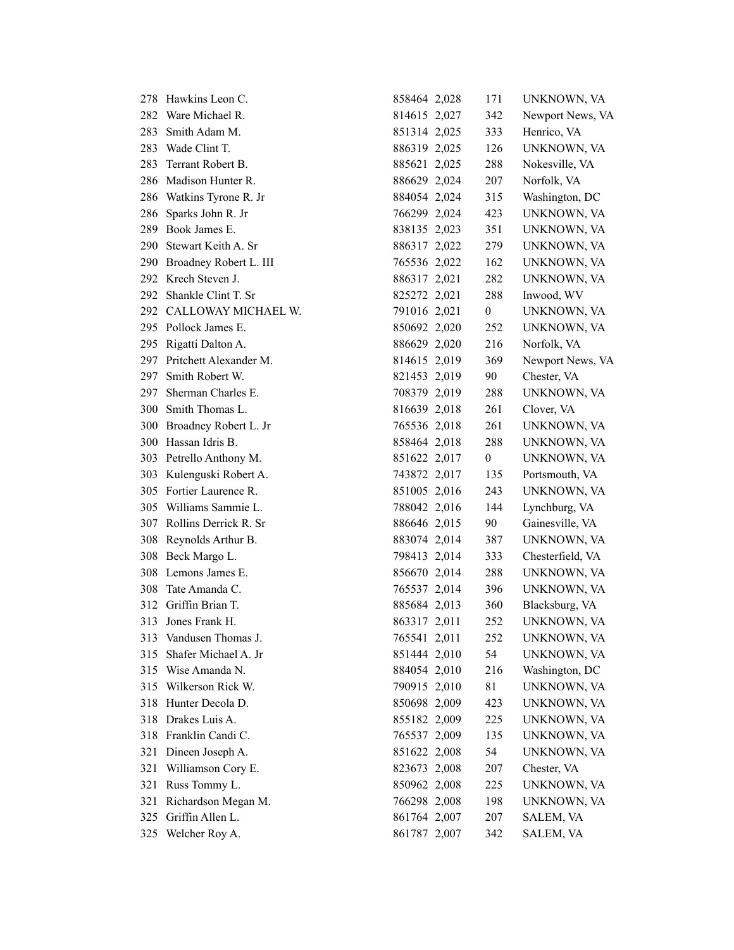| 278. | Hawkins Leon C.            | 858464 2,028 | 171              | UNKNOWN, VA      |
|------|----------------------------|--------------|------------------|------------------|
|      | 282 Ware Michael R.        | 814615 2,027 | 342              | Newport News, VA |
| 283  | Smith Adam M.              | 851314 2,025 | 333              | Henrico, VA      |
| 283  | Wade Clint T.              | 886319 2,025 | 126              | UNKNOWN, VA      |
| 283  | Terrant Robert B.          | 885621 2,025 | 288              | Nokesville, VA   |
| 286  | Madison Hunter R.          | 886629 2,024 | 207              | Norfolk, VA      |
| 286  | Watkins Tyrone R. Jr       | 884054 2,024 | 315              | Washington, DC   |
| 286  | Sparks John R. Jr          | 766299 2,024 | 423              | UNKNOWN, VA      |
|      | 289 Book James E.          | 838135 2,023 | 351              | UNKNOWN, VA      |
|      | 290 Stewart Keith A. Sr    | 886317 2,022 | 279              | UNKNOWN, VA      |
|      | 290 Broadney Robert L. III | 765536 2,022 | 162              | UNKNOWN, VA      |
|      | 292 Krech Steven J.        | 886317 2,021 | 282              | UNKNOWN, VA      |
| 292. | Shankle Clint T. Sr        | 825272 2,021 | 288              | Inwood, WV       |
| 292  | CALLOWAY MICHAEL W.        | 791016 2,021 | $\boldsymbol{0}$ | UNKNOWN, VA      |
|      | 295 Pollock James E.       | 850692 2,020 | 252              | UNKNOWN, VA      |
|      | 295 Rigatti Dalton A.      | 886629 2,020 | 216              | Norfolk, VA      |
| 297  | Pritchett Alexander M.     | 814615 2,019 | 369              | Newport News, VA |
| 297  | Smith Robert W.            | 821453 2,019 | 90               | Chester, VA      |
| 297  | Sherman Charles E.         | 708379 2,019 | 288              | UNKNOWN, VA      |
|      | 300 Smith Thomas L.        | 816639 2,018 | 261              | Clover, VA       |
| 300  | Broadney Robert L. Jr      | 765536 2,018 | 261              | UNKNOWN, VA      |
| 300  | Hassan Idris B.            | 858464 2,018 | 288              | UNKNOWN, VA      |
|      | 303 Petrello Anthony M.    | 851622 2,017 | $\boldsymbol{0}$ | UNKNOWN, VA      |
|      | 303 Kulenguski Robert A.   | 743872 2,017 | 135              | Portsmouth, VA   |
|      | 305 Fortier Laurence R.    | 851005 2,016 | 243              | UNKNOWN, VA      |
|      | 305 Williams Sammie L.     | 788042 2,016 | 144              | Lynchburg, VA    |
|      | 307 Rollins Derrick R. Sr  | 886646 2,015 | 90               | Gainesville, VA  |
| 308  | Reynolds Arthur B.         | 883074 2,014 | 387              | UNKNOWN, VA      |
| 308  | Beck Margo L.              | 798413 2,014 | 333              | Chesterfield, VA |
|      | 308 Lemons James E.        | 856670 2,014 | 288              | UNKNOWN, VA      |
| 308  | Tate Amanda C.             | 765537 2,014 | 396              | UNKNOWN, VA      |
| 312  | Griffin Brian T.           | 885684 2,013 | 360              | Blacksburg, VA   |
| 313  | Jones Frank H.             | 863317 2,011 | 252              | UNKNOWN, VA      |
| 313  | Vandusen Thomas J.         | 765541 2,011 | 252              | UNKNOWN, VA      |
| 315  | Shafer Michael A. Jr       | 851444 2,010 | 54               | UNKNOWN, VA      |
| 315  | Wise Amanda N.             | 884054 2,010 | 216              | Washington, DC   |
| 315  | Wilkerson Rick W.          | 790915 2,010 | 81               | UNKNOWN, VA      |
| 318  | Hunter Decola D.           | 850698 2,009 | 423              | UNKNOWN, VA      |
| 318  | Drakes Luis A.             | 855182 2,009 | 225              | UNKNOWN, VA      |
| 318  | Franklin Candi C.          | 765537 2,009 | 135              | UNKNOWN, VA      |
| 321  | Dineen Joseph A.           | 851622 2,008 | 54               | UNKNOWN, VA      |
| 321  | Williamson Cory E.         | 823673 2,008 | 207              | Chester, VA      |
| 321  | Russ Tommy L.              | 850962 2,008 | 225              | UNKNOWN, VA      |
| 321  | Richardson Megan M.        | 766298 2,008 | 198              | UNKNOWN, VA      |
| 325  | Griffin Allen L.           | 861764 2,007 | 207              | SALEM, VA        |
| 325  | Welcher Roy A.             | 861787 2,007 | 342              | SALEM, VA        |
|      |                            |              |                  |                  |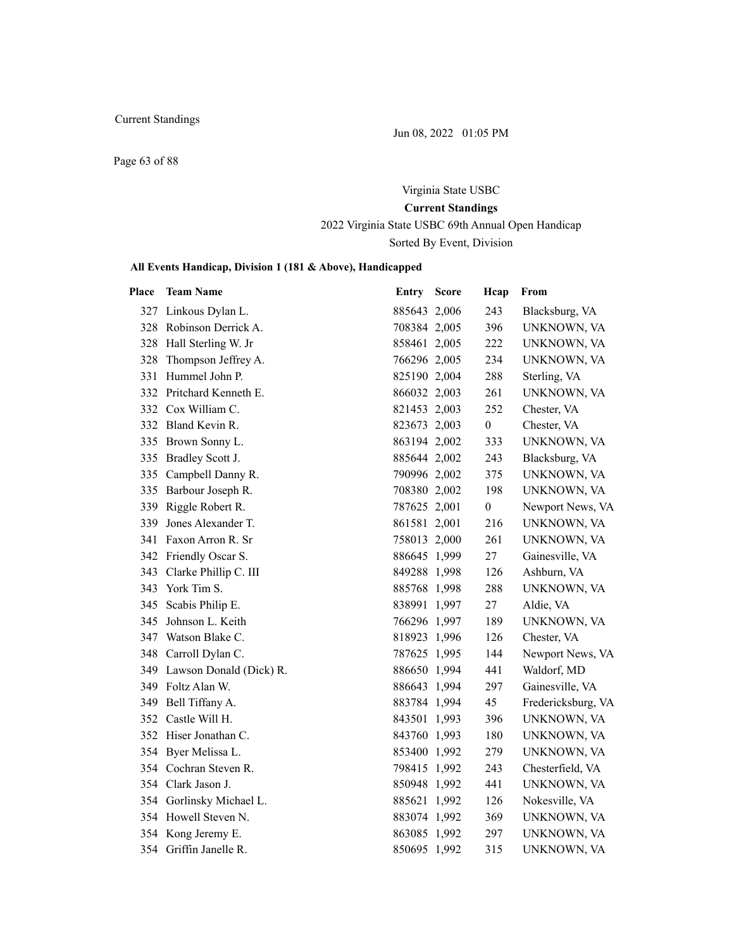Jun 08, 2022 01:05 PM

Page 63 of 88

# Virginia State USBC **Current Standings**

2022 Virginia State USBC 69th Annual Open Handicap Sorted By Event, Division

| Place | <b>Team Name</b>            | Entry Score  | Hcap             | From               |
|-------|-----------------------------|--------------|------------------|--------------------|
| 327   | Linkous Dylan L.            | 885643 2,006 | 243              | Blacksburg, VA     |
|       | 328 Robinson Derrick A.     | 708384 2,005 | 396              | UNKNOWN, VA        |
|       | 328 Hall Sterling W. Jr     | 858461 2,005 | 222              | UNKNOWN, VA        |
|       | 328 Thompson Jeffrey A.     | 766296 2,005 | 234              | UNKNOWN, VA        |
|       | 331 Hummel John P.          | 825190 2,004 | 288              | Sterling, VA       |
|       | 332 Pritchard Kenneth E.    | 866032 2,003 | 261              | UNKNOWN, VA        |
|       | 332 Cox William C.          | 821453 2,003 | 252              | Chester, VA        |
|       | 332 Bland Kevin R.          | 823673 2,003 | $\boldsymbol{0}$ | Chester, VA        |
|       | 335 Brown Sonny L.          | 863194 2,002 | 333              | UNKNOWN, VA        |
|       | 335 Bradley Scott J.        | 885644 2,002 | 243              | Blacksburg, VA     |
|       | 335 Campbell Danny R.       | 790996 2,002 | 375              | UNKNOWN, VA        |
|       | 335 Barbour Joseph R.       | 708380 2,002 | 198              | UNKNOWN, VA        |
|       | 339 Riggle Robert R.        | 787625 2,001 | $\overline{0}$   | Newport News, VA   |
| 339   | Jones Alexander T.          | 861581 2,001 | 216              | UNKNOWN, VA        |
|       | 341 Faxon Arron R. Sr       | 758013 2,000 | 261              | UNKNOWN, VA        |
|       | 342 Friendly Oscar S.       | 886645 1,999 | 27               | Gainesville, VA    |
|       | 343 Clarke Phillip C. III   | 849288 1,998 | 126              | Ashburn, VA        |
|       | 343 York Tim S.             | 885768 1,998 | 288              | UNKNOWN, VA        |
|       | 345 Scabis Philip E.        | 838991 1,997 | 27               | Aldie, VA          |
|       | 345 Johnson L. Keith        | 766296 1,997 | 189              | UNKNOWN, VA        |
|       | 347 Watson Blake C.         | 818923 1,996 | 126              | Chester, VA        |
|       | 348 Carroll Dylan C.        | 787625 1,995 | 144              | Newport News, VA   |
|       | 349 Lawson Donald (Dick) R. | 886650 1,994 | 441              | Waldorf, MD        |
|       | 349 Foltz Alan W.           | 886643 1,994 | 297              | Gainesville, VA    |
| 349   | Bell Tiffany A.             | 883784 1,994 | 45               | Fredericksburg, VA |
|       | 352 Castle Will H.          | 843501 1,993 | 396              | UNKNOWN, VA        |
|       | 352 Hiser Jonathan C.       | 843760 1,993 | 180              | UNKNOWN, VA        |
|       | 354 Byer Melissa L.         | 853400 1,992 | 279              | UNKNOWN, VA        |
|       | 354 Cochran Steven R.       | 798415 1,992 | 243              | Chesterfield, VA   |
|       | 354 Clark Jason J.          | 850948 1,992 | 441              | UNKNOWN, VA        |
|       | 354 Gorlinsky Michael L.    | 885621 1,992 | 126              | Nokesville, VA     |
|       | 354 Howell Steven N.        | 883074 1,992 | 369              | UNKNOWN, VA        |
|       | 354 Kong Jeremy E.          | 863085 1,992 | 297              | UNKNOWN, VA        |
|       | 354 Griffin Janelle R.      | 850695 1,992 | 315              | UNKNOWN, VA        |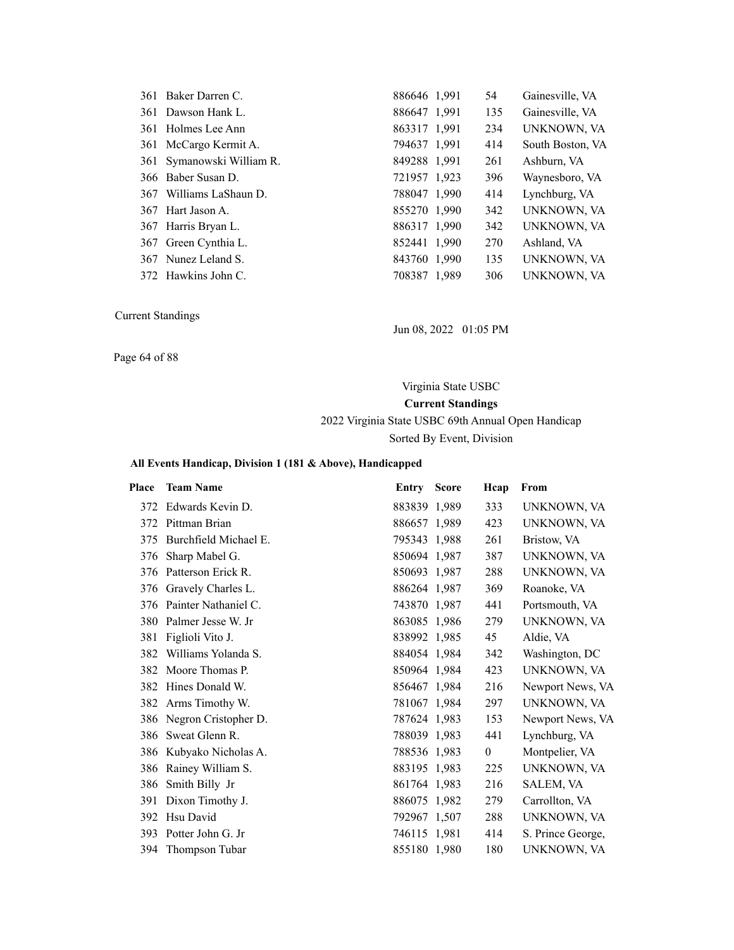| 361 Baker Darren C.       | 886646 1.991 | 54  | Gainesville, VA  |
|---------------------------|--------------|-----|------------------|
| 361 Dawson Hank L.        | 886647 1,991 | 135 | Gainesville, VA  |
| 361 Holmes Lee Ann        | 863317 1,991 | 234 | UNKNOWN, VA      |
| 361 McCargo Kermit A.     | 794637 1,991 | 414 | South Boston, VA |
| 361 Symanowski William R. | 849288 1,991 | 261 | Ashburn, VA      |
| 366 Baber Susan D.        | 721957 1,923 | 396 | Waynesboro, VA   |
| 367 Williams LaShaun D.   | 788047 1,990 | 414 | Lynchburg, VA    |
| 367 Hart Jason A.         | 855270 1,990 | 342 | UNKNOWN, VA      |
| 367 Harris Bryan L.       | 886317 1,990 | 342 | UNKNOWN, VA      |
| 367 Green Cynthia L.      | 852441 1.990 | 270 | Ashland, VA      |
| 367 Nunez Leland S.       | 843760 1,990 | 135 | UNKNOWN, VA      |
| 372 Hawkins John C.       | 708387 1,989 | 306 | UNKNOWN, VA      |

Jun 08, 2022 01:05 PM

Page 64 of 88

# Virginia State USBC **Current Standings** 2022 Virginia State USBC 69th Annual Open Handicap

Sorted By Event, Division

| <b>Place</b> | <b>Team Name</b>         | Entry        | <b>Score</b> | Hcap           | From              |
|--------------|--------------------------|--------------|--------------|----------------|-------------------|
| 372          | Edwards Kevin D.         | 883839 1,989 |              | 333            | UNKNOWN, VA       |
|              | 372 Pittman Brian        | 886657 1,989 |              | 423            | UNKNOWN, VA       |
| 375          | Burchfield Michael E.    | 795343 1,988 |              | 261            | Bristow, VA       |
| 376          | Sharp Mabel G.           | 850694 1.987 |              | 387            | UNKNOWN, VA       |
|              | 376 Patterson Erick R.   | 850693 1,987 |              | 288            | UNKNOWN, VA       |
|              | 376 Gravely Charles L.   | 886264 1,987 |              | 369            | Roanoke, VA       |
| 376          | Painter Nathaniel C.     | 743870 1,987 |              | 441            | Portsmouth, VA    |
| 380          | Palmer Jesse W. Jr       | 863085 1,986 |              | 279            | UNKNOWN, VA       |
| 381          | Figlioli Vito J.         | 838992 1,985 |              | 45             | Aldie, VA         |
| 382          | Williams Yolanda S.      | 884054 1,984 |              | 342            | Washington, DC    |
|              | 382 Moore Thomas P.      | 850964 1,984 |              | 423            | UNKNOWN, VA       |
| 382          | Hines Donald W.          | 856467 1,984 |              | 216            | Newport News, VA  |
|              | 382 Arms Timothy W.      | 781067 1,984 |              | 297            | UNKNOWN, VA       |
|              | 386 Negron Cristopher D. | 787624 1,983 |              | 153            | Newport News, VA  |
| 386          | Sweat Glenn R.           | 788039 1,983 |              | 441            | Lynchburg, VA     |
|              | 386 Kubyako Nicholas A.  | 788536 1,983 |              | $\overline{0}$ | Montpelier, VA    |
| 386          | Rainey William S.        | 883195 1,983 |              | 225            | UNKNOWN, VA       |
| 386          | Smith Billy Jr           | 861764 1,983 |              | 216            | SALEM, VA         |
| 391          | Dixon Timothy J.         | 886075 1,982 |              | 279            | Carrollton, VA    |
| 392          | Hsu David                | 792967 1,507 |              | 288            | UNKNOWN, VA       |
| 393          | Potter John G. Jr        | 746115 1,981 |              | 414            | S. Prince George, |
|              | 394 Thompson Tubar       | 855180 1,980 |              | 180            | UNKNOWN, VA       |
|              |                          |              |              |                |                   |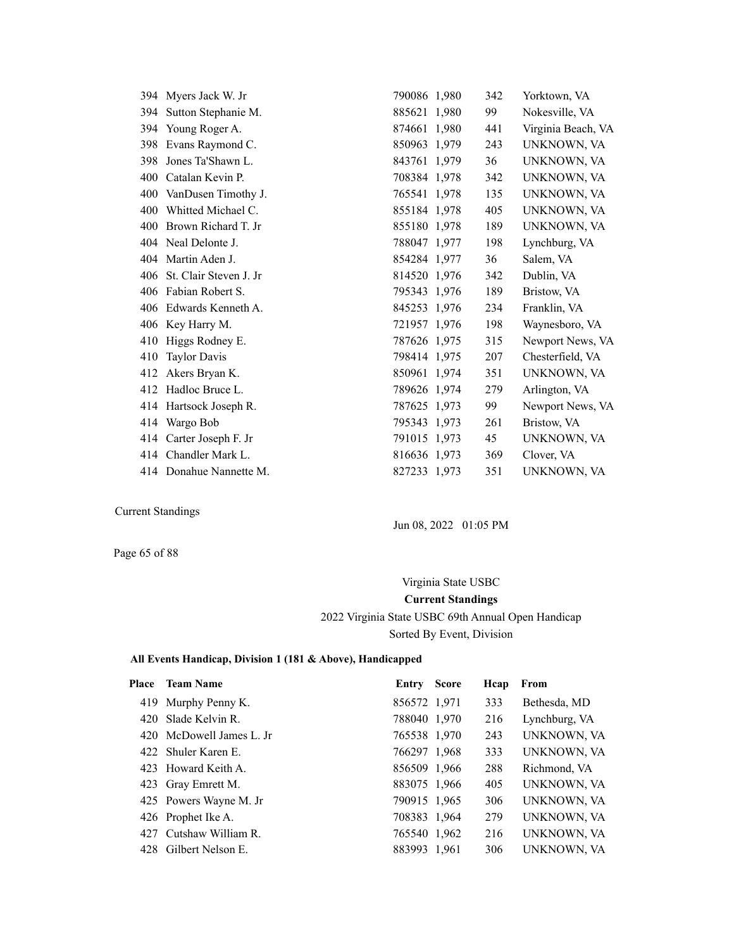|     | 394 Myers Jack W. Jr    | 790086 1,980 | 342 | Yorktown, VA       |
|-----|-------------------------|--------------|-----|--------------------|
| 394 | Sutton Stephanie M.     | 885621 1,980 | 99  | Nokesville, VA     |
| 394 | Young Roger A.          | 874661 1,980 | 441 | Virginia Beach, VA |
| 398 | Evans Raymond C.        | 850963 1,979 | 243 | UNKNOWN, VA        |
| 398 | Jones Ta'Shawn L.       | 843761 1,979 | 36  | UNKNOWN, VA        |
| 400 | Catalan Kevin P.        | 708384 1,978 | 342 | UNKNOWN, VA        |
| 400 | VanDusen Timothy J.     | 765541 1,978 | 135 | UNKNOWN, VA        |
| 400 | Whitted Michael C.      | 855184 1,978 | 405 | UNKNOWN, VA        |
| 400 | Brown Richard T. Jr     | 855180 1.978 | 189 | UNKNOWN, VA        |
|     | 404 Neal Delonte J.     | 788047 1,977 | 198 | Lynchburg, VA      |
| 404 | Martin Aden J.          | 854284 1,977 | 36  | Salem, VA          |
| 406 | St. Clair Steven J. Jr  | 814520 1,976 | 342 | Dublin, VA         |
| 406 | Fabian Robert S.        | 795343 1,976 | 189 | Bristow, VA        |
| 406 | Edwards Kenneth A.      | 845253 1,976 | 234 | Franklin, VA       |
|     | 406 Key Harry M.        | 721957 1,976 | 198 | Waynesboro, VA     |
| 410 | Higgs Rodney E.         | 787626 1,975 | 315 | Newport News, VA   |
| 410 | <b>Taylor Davis</b>     | 798414 1,975 | 207 | Chesterfield, VA   |
| 412 | Akers Bryan K.          | 850961 1,974 | 351 | UNKNOWN, VA        |
|     | 412 Hadloc Bruce L.     | 789626 1,974 | 279 | Arlington, VA      |
|     | 414 Hartsock Joseph R.  | 787625 1.973 | 99  | Newport News, VA   |
|     | 414 Wargo Bob           | 795343 1,973 | 261 | Bristow, VA        |
|     | 414 Carter Joseph F. Jr | 791015 1,973 | 45  | UNKNOWN, VA        |
|     | 414 Chandler Mark L.    | 816636 1,973 | 369 | Clover, VA         |
|     | 414 Donahue Nannette M. | 827233 1,973 | 351 | UNKNOWN, VA        |

Jun 08, 2022 01:05 PM

Page 65 of 88

Virginia State USBC **Current Standings** 2022 Virginia State USBC 69th Annual Open Handicap Sorted By Event, Division

| <b>Place</b> | <b>Team Name</b>         | Entry        | <b>Score</b> | Hcap | From          |
|--------------|--------------------------|--------------|--------------|------|---------------|
|              | 419 Murphy Penny K.      | 856572 1,971 |              | 333  | Bethesda, MD  |
|              | 420 Slade Kelvin R.      | 788040 1,970 |              | 216  | Lynchburg, VA |
|              | 420 McDowell James L. Jr | 765538 1,970 |              | 243  | UNKNOWN, VA   |
|              | 422 Shuler Karen E.      | 766297 1,968 |              | 333  | UNKNOWN, VA   |
|              | 423 Howard Keith A.      | 856509 1,966 |              | 288  | Richmond, VA  |
|              | 423 Gray Emrett M.       | 883075 1,966 |              | 405  | UNKNOWN, VA   |
|              | 425 Powers Wayne M. Jr   | 790915 1,965 |              | 306  | UNKNOWN, VA   |
|              | 426 Prophet Ike A.       | 708383 1,964 |              | 279  | UNKNOWN, VA   |
|              | 427 Cutshaw William R.   | 765540 1,962 |              | 216  | UNKNOWN, VA   |
|              | 428 Gilbert Nelson E.    | 883993 1,961 |              | 306  | UNKNOWN, VA   |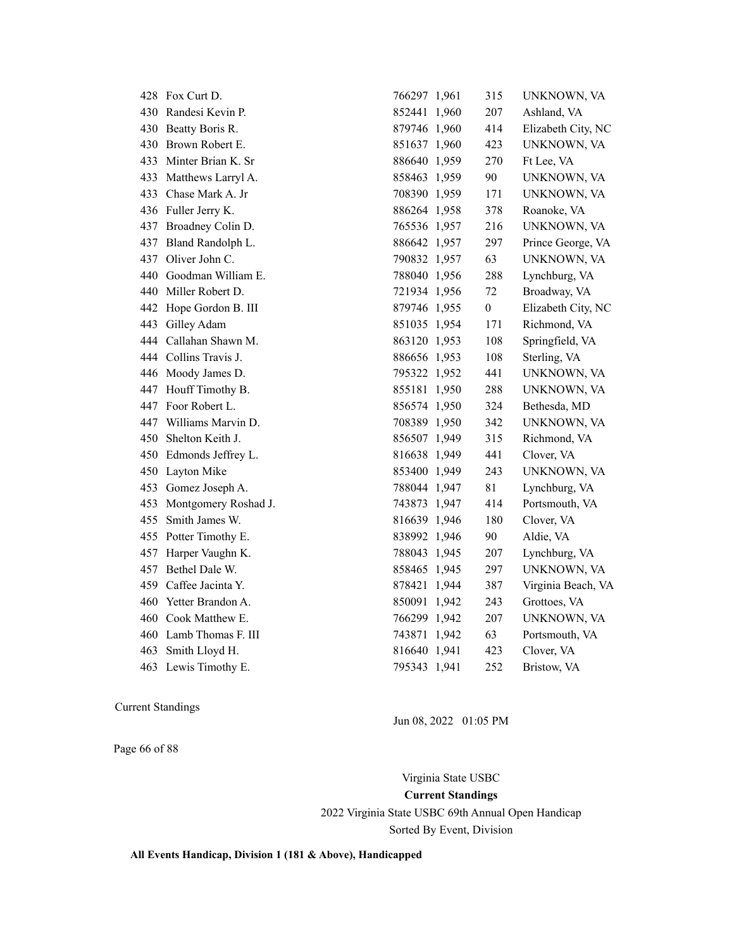|     | 428 Fox Curt D.        | 766297 1,961 | 315              | UNKNOWN, VA        |
|-----|------------------------|--------------|------------------|--------------------|
|     | 430 Randesi Kevin P.   | 852441 1,960 | 207              | Ashland, VA        |
| 430 | Beatty Boris R.        | 879746 1,960 | 414              | Elizabeth City, NC |
| 430 | Brown Robert E.        | 851637 1,960 | 423              | UNKNOWN, VA        |
|     | 433 Minter Brian K. Sr | 886640 1,959 | 270              | Ft Lee, VA         |
|     | 433 Matthews Larryl A. | 858463 1,959 | 90               | UNKNOWN, VA        |
|     | 433 Chase Mark A. Jr   | 708390 1,959 | 171              | UNKNOWN, VA        |
|     | 436 Fuller Jerry K.    | 886264 1,958 | 378              | Roanoke, VA        |
|     | 437 Broadney Colin D.  | 765536 1,957 | 216              | UNKNOWN, VA        |
|     | 437 Bland Randolph L.  | 886642 1,957 | 297              | Prince George, VA  |
|     | 437 Oliver John C.     | 790832 1,957 | 63               | UNKNOWN, VA        |
|     | 440 Goodman William E. | 788040 1,956 | 288              | Lynchburg, VA      |
|     | 440 Miller Robert D.   | 721934 1,956 | 72               | Broadway, VA       |
| 442 | Hope Gordon B. III     | 879746 1,955 | $\boldsymbol{0}$ | Elizabeth City, NC |
| 443 | Gilley Adam            | 851035 1,954 | 171              | Richmond, VA       |
|     | 444 Callahan Shawn M.  | 863120 1,953 | 108              | Springfield, VA    |
|     | 444 Collins Travis J.  | 886656 1,953 | 108              | Sterling, VA       |
|     | 446 Moody James D.     | 795322 1,952 | 441              | UNKNOWN, VA        |
|     | 447 Houff Timothy B.   | 855181 1,950 | 288              | UNKNOWN, VA        |
|     | 447 Foor Robert L.     | 856574 1,950 | 324              | Bethesda, MD       |
| 447 | Williams Marvin D.     | 708389 1,950 | 342              | UNKNOWN, VA        |
|     | 450 Shelton Keith J.   | 856507 1,949 | 315              | Richmond, VA       |
| 450 | Edmonds Jeffrey L.     | 816638 1,949 | 441              | Clover, VA         |
|     | 450 Layton Mike        | 853400 1,949 | 243              | UNKNOWN, VA        |
|     | 453 Gomez Joseph A.    | 788044 1,947 | 81               | Lynchburg, VA      |
| 453 | Montgomery Roshad J.   | 743873 1,947 | 414              | Portsmouth, VA     |
| 455 | Smith James W.         | 816639 1,946 | 180              | Clover, VA         |
|     | 455 Potter Timothy E.  | 838992 1,946 | 90               | Aldie, VA          |
| 457 | Harper Vaughn K.       | 788043 1,945 | 207              | Lynchburg, VA      |
|     | 457 Bethel Dale W.     | 858465 1,945 | 297              | UNKNOWN, VA        |
|     | 459 Caffee Jacinta Y.  | 878421 1,944 | 387              | Virginia Beach, VA |
| 460 | Yetter Brandon A.      | 850091 1,942 | 243              | Grottoes, VA       |
|     | 460 Cook Matthew E.    | 766299 1,942 | 207              | UNKNOWN, VA        |
|     | 460 Lamb Thomas F. III | 743871 1,942 | 63               | Portsmouth, VA     |
| 463 | Smith Lloyd H.         | 816640 1,941 | 423              | Clover, VA         |
|     | 463 Lewis Timothy E.   | 795343 1,941 | 252              | Bristow, VA        |

Page 66 of 88

Jun 08, 2022 01:05 PM

Virginia State USBC **Current Standings** 2022 Virginia State USBC 69th Annual Open Handicap Sorted By Event, Division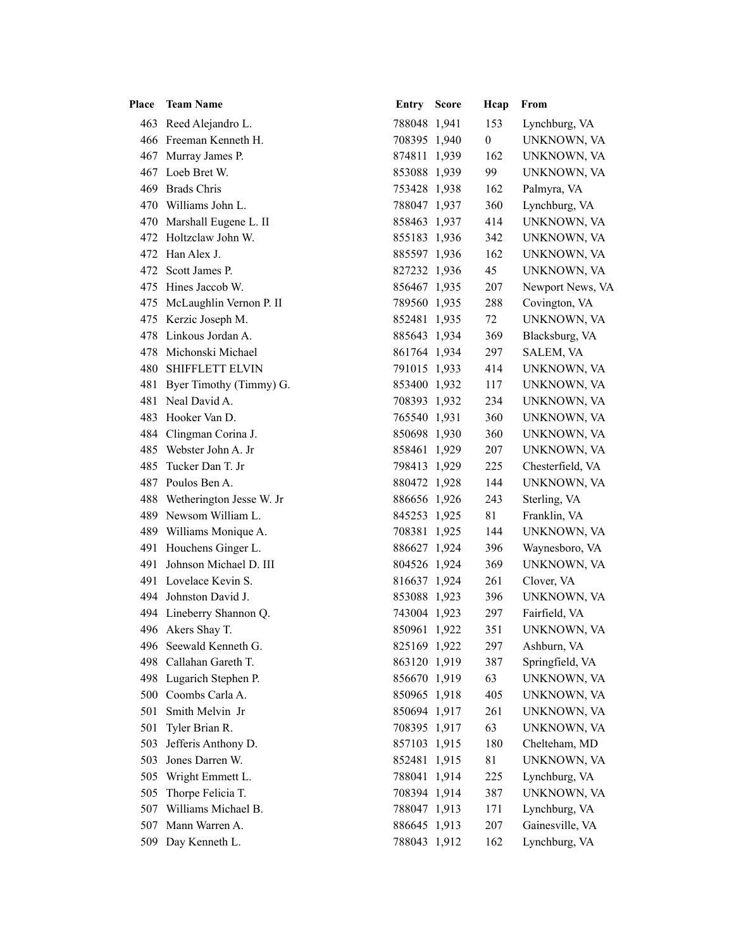| Place | <b>Team Name</b>             | <b>Entry Score</b> | Hcap           | From             |
|-------|------------------------------|--------------------|----------------|------------------|
|       | 463 Reed Alejandro L.        | 788048 1,941       | 153            | Lynchburg, VA    |
|       | 466 Freeman Kenneth H.       | 708395 1,940       | $\overline{0}$ | UNKNOWN, VA      |
|       | 467 Murray James P.          | 874811 1,939       | 162            | UNKNOWN, VA      |
|       | 467 Loeb Bret W.             | 853088 1,939       | 99             | UNKNOWN, VA      |
|       | 469 Brads Chris              | 753428 1,938       | 162            | Palmyra, VA      |
|       | 470 Williams John L.         | 788047 1,937       | 360            | Lynchburg, VA    |
|       | 470 Marshall Eugene L. II    | 858463 1,937       | 414            | UNKNOWN, VA      |
|       | 472 Holtzclaw John W.        | 855183 1,936       | 342            | UNKNOWN, VA      |
|       | 472 Han Alex J.              | 885597 1,936       | 162            | UNKNOWN, VA      |
|       | 472 Scott James P.           | 827232 1,936       | 45             | UNKNOWN, VA      |
|       | 475 Hines Jaccob W.          | 856467 1,935       | 207            | Newport News, VA |
|       | 475 McLaughlin Vernon P. II  | 789560 1,935       | 288            | Covington, VA    |
|       | 475 Kerzic Joseph M.         | 852481 1,935       | 72             | UNKNOWN, VA      |
|       | 478 Linkous Jordan A.        | 885643 1,934       | 369            | Blacksburg, VA   |
|       | 478 Michonski Michael        | 861764 1,934       | 297            | SALEM, VA        |
|       | <b>480 SHIFFLETT ELVIN</b>   | 791015 1,933       | 414            | UNKNOWN, VA      |
|       | 481 Byer Timothy (Timmy) G.  | 853400 1,932       | 117            | UNKNOWN, VA      |
| 481   | Neal David A.                | 708393 1,932       | 234            | UNKNOWN, VA      |
|       | 483 Hooker Van D.            | 765540 1,931       | 360            | UNKNOWN, VA      |
|       | 484 Clingman Corina J.       | 850698 1,930       | 360            | UNKNOWN, VA      |
|       | 485 Webster John A. Jr       | 858461 1,929       | 207            | UNKNOWN, VA      |
| 485   | Tucker Dan T. Jr             | 798413 1,929       | 225            | Chesterfield, VA |
|       | 487 Poulos Ben A.            | 880472 1,928       | 144            | UNKNOWN, VA      |
|       | 488 Wetherington Jesse W. Jr | 886656 1,926       | 243            | Sterling, VA     |
|       | 489 Newsom William L.        | 845253 1,925       | 81             | Franklin, VA     |
|       | 489 Williams Monique A.      | 708381 1,925       | 144            | UNKNOWN, VA      |
|       | 491 Houchens Ginger L.       | 886627 1,924       | 396            | Waynesboro, VA   |
|       | 491 Johnson Michael D. III   | 804526 1,924       | 369            | UNKNOWN, VA      |
|       | 491 Lovelace Kevin S.        | 816637 1,924       | 261            | Clover, VA       |
|       | 494 Johnston David J.        | 853088 1,923       | 396            | UNKNOWN, VA      |
|       | 494 Lineberry Shannon Q.     | 743004 1,923       | 297            | Fairfield, VA    |
|       | 496 Akers Shay T.            | 850961 1,922       | 351            | UNKNOWN, VA      |
|       | 496 Seewald Kenneth G.       | 825169 1,922       | 297            | Ashburn, VA      |
| 498   | Callahan Gareth T.           | 863120 1,919       | 387            | Springfield, VA  |
|       | 498 Lugarich Stephen P.      | 856670 1,919       | 63             | UNKNOWN, VA      |
| 500   | Coombs Carla A.              | 850965 1,918       | 405            | UNKNOWN, VA      |
| 501   | Smith Melvin Jr              | 850694 1,917       | 261            | UNKNOWN, VA      |
| 501   | Tyler Brian R.               | 708395 1,917       | 63             | UNKNOWN, VA      |
| 503   | Jefferis Anthony D.          | 857103 1,915       | 180            | Chelteham, MD    |
| 503   | Jones Darren W.              | 852481 1,915       | 81             | UNKNOWN, VA      |
| 505   | Wright Emmett L.             | 788041 1,914       | 225            | Lynchburg, VA    |
| 505   | Thorpe Felicia T.            | 708394 1,914       | 387            | UNKNOWN, VA      |
| 507   | Williams Michael B.          | 788047 1,913       | 171            | Lynchburg, VA    |
| 507   | Mann Warren A.               | 886645 1,913       | 207            | Gainesville, VA  |
| 509   | Day Kenneth L.               | 788043 1,912       | 162            | Lynchburg, VA    |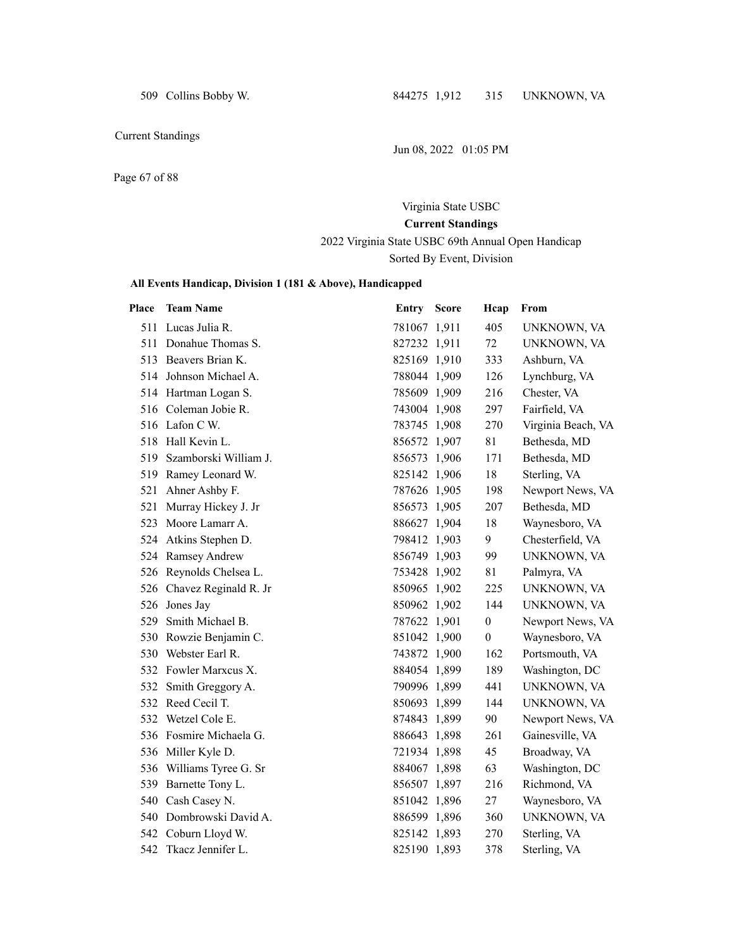509 Collins Bobby W. 844275 1,912 315 UNKNOWN, VA

Current Standings

Jun 08, 2022 01:05 PM

Page 67 of 88

# Virginia State USBC **Current Standings**

2022 Virginia State USBC 69th Annual Open Handicap Sorted By Event, Division

| Place | <b>Team Name</b>          | Entry Score  | Hcap             | From               |
|-------|---------------------------|--------------|------------------|--------------------|
|       | 511 Lucas Julia R.        | 781067 1,911 | 405              | UNKNOWN, VA        |
|       | 511 Donahue Thomas S.     | 827232 1,911 | 72               | UNKNOWN, VA        |
|       | 513 Beavers Brian K.      | 825169 1,910 | 333              | Ashburn, VA        |
|       | 514 Johnson Michael A.    | 788044 1,909 | 126              | Lynchburg, VA      |
|       | 514 Hartman Logan S.      | 785609 1,909 | 216              | Chester, VA        |
|       | 516 Coleman Jobie R.      | 743004 1,908 | 297              | Fairfield, VA      |
|       | 516 Lafon C W.            | 783745 1,908 | 270              | Virginia Beach, VA |
|       | 518 Hall Kevin L.         | 856572 1,907 | 81               | Bethesda, MD       |
|       | 519 Szamborski William J. | 856573 1,906 | 171              | Bethesda, MD       |
|       | 519 Ramey Leonard W.      | 825142 1,906 | 18               | Sterling, VA       |
|       | 521 Ahner Ashby F.        | 787626 1,905 | 198              | Newport News, VA   |
|       | 521 Murray Hickey J. Jr   | 856573 1,905 | 207              | Bethesda, MD       |
|       | 523 Moore Lamarr A.       | 886627 1,904 | 18               | Waynesboro, VA     |
|       | 524 Atkins Stephen D.     | 798412 1,903 | 9                | Chesterfield, VA   |
|       | 524 Ramsey Andrew         | 856749 1,903 | 99               | UNKNOWN, VA        |
|       | 526 Reynolds Chelsea L.   | 753428 1,902 | 81               | Palmyra, VA        |
|       | 526 Chavez Reginald R. Jr | 850965 1,902 | 225              | UNKNOWN, VA        |
|       | 526 Jones Jay             | 850962 1,902 | 144              | UNKNOWN, VA        |
| 529   | Smith Michael B.          | 787622 1,901 | $\boldsymbol{0}$ | Newport News, VA   |
|       | 530 Rowzie Benjamin C.    | 851042 1,900 | $\boldsymbol{0}$ | Waynesboro, VA     |
|       | 530 Webster Earl R.       | 743872 1,900 | 162              | Portsmouth, VA     |
|       | 532 Fowler Marxcus X.     | 884054 1,899 | 189              | Washington, DC     |
|       | 532 Smith Greggory A.     | 790996 1,899 | 441              | UNKNOWN, VA        |
|       | 532 Reed Cecil T.         | 850693 1,899 | 144              | UNKNOWN, VA        |
|       | 532 Wetzel Cole E.        | 874843 1,899 | 90               | Newport News, VA   |
|       | 536 Fosmire Michaela G.   | 886643 1,898 | 261              | Gainesville, VA    |
|       | 536 Miller Kyle D.        | 721934 1,898 | 45               | Broadway, VA       |
|       | 536 Williams Tyree G. Sr  | 884067 1,898 | 63               | Washington, DC     |
|       | 539 Barnette Tony L.      | 856507 1,897 | 216              | Richmond, VA       |
|       | 540 Cash Casey N.         | 851042 1,896 | 27               | Waynesboro, VA     |
|       | 540 Dombrowski David A.   | 886599 1,896 | 360              | UNKNOWN, VA        |
|       | 542 Coburn Lloyd W.       | 825142 1,893 | 270              | Sterling, VA       |
|       | 542 Tkacz Jennifer L.     | 825190 1,893 | 378              | Sterling, VA       |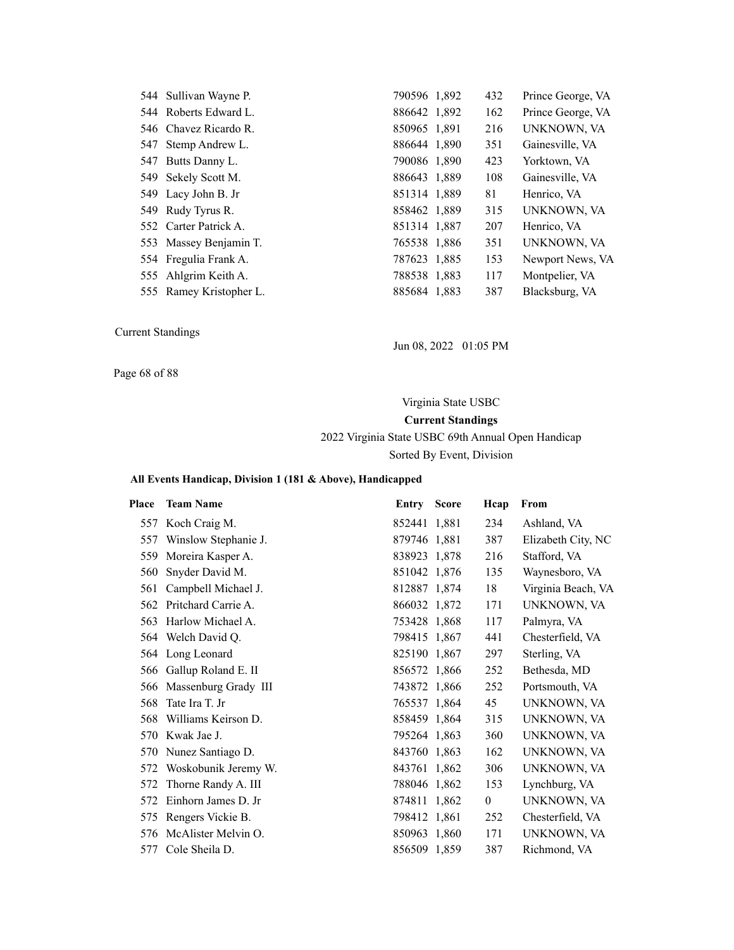| 544 Sullivan Wayne P.   | 790596 1,892 | 432 | Prince George, VA |
|-------------------------|--------------|-----|-------------------|
| 544 Roberts Edward L.   | 886642 1,892 | 162 | Prince George, VA |
| 546 Chavez Ricardo R.   | 850965 1,891 | 216 | UNKNOWN, VA       |
| 547 Stemp Andrew L.     | 886644 1,890 | 351 | Gainesville, VA   |
| 547 Butts Danny L.      | 790086 1,890 | 423 | Yorktown, VA      |
| 549 Sekely Scott M.     | 886643 1,889 | 108 | Gainesville, VA   |
| 549 Lacy John B. Jr     | 851314 1,889 | 81  | Henrico, VA       |
| 549 Rudy Tyrus R.       | 858462 1,889 | 315 | UNKNOWN, VA       |
| 552 Carter Patrick A.   | 851314 1,887 | 207 | Henrico, VA       |
| 553 Massey Benjamin T.  | 765538 1,886 | 351 | UNKNOWN, VA       |
| 554 Fregulia Frank A.   | 787623 1,885 | 153 | Newport News, VA  |
| 555 Ahlgrim Keith A.    | 788538 1,883 | 117 | Montpelier, VA    |
| 555 Ramey Kristopher L. | 885684 1,883 | 387 | Blacksburg, VA    |

Jun 08, 2022 01:05 PM

Page 68 of 88

Virginia State USBC **Current Standings** 2022 Virginia State USBC 69th Annual Open Handicap Sorted By Event, Division

| Place | <b>Team Name</b>     | Entry        | <b>Score</b> | Hcap         | From               |
|-------|----------------------|--------------|--------------|--------------|--------------------|
| 557   | Koch Craig M.        | 852441 1,881 |              | 234          | Ashland, VA        |
| 557   | Winslow Stephanie J. | 879746 1,881 |              | 387          | Elizabeth City, NC |
| 559   | Moreira Kasper A.    | 838923 1,878 |              | 216          | Stafford, VA       |
| 560   | Snyder David M.      | 851042 1,876 |              | 135          | Waynesboro, VA     |
| 561   | Campbell Michael J.  | 812887 1,874 |              | 18           | Virginia Beach, VA |
| 562   | Pritchard Carrie A.  | 866032 1,872 |              | 171          | UNKNOWN, VA        |
| 563   | Harlow Michael A.    | 753428 1,868 |              | 117          | Palmyra, VA        |
|       | 564 Welch David Q.   | 798415 1,867 |              | 441          | Chesterfield, VA   |
| 564   | Long Leonard         | 825190 1,867 |              | 297          | Sterling, VA       |
| 566   | Gallup Roland E. II  | 856572 1,866 |              | 252          | Bethesda, MD       |
| 566   | Massenburg Grady III | 743872 1,866 |              | 252          | Portsmouth, VA     |
| 568   | Tate Ira T. Jr       | 765537 1,864 |              | 45           | UNKNOWN, VA        |
| 568   | Williams Keirson D.  | 858459 1,864 |              | 315          | UNKNOWN, VA        |
| 570   | Kwak Jae J.          | 795264 1,863 |              | 360          | UNKNOWN, VA        |
| 570   | Nunez Santiago D.    | 843760 1,863 |              | 162          | UNKNOWN, VA        |
| 572   | Woskobunik Jeremy W. | 843761 1,862 |              | 306          | UNKNOWN, VA        |
| 572   | Thorne Randy A. III  | 788046 1,862 |              | 153          | Lynchburg, VA      |
| 572   | Einhorn James D. Jr  | 874811 1,862 |              | $\mathbf{0}$ | UNKNOWN, VA        |
| 575   | Rengers Vickie B.    | 798412 1,861 |              | 252          | Chesterfield, VA   |
| 576   | McAlister Melvin O.  | 850963 1,860 |              | 171          | UNKNOWN, VA        |
| 577   | Cole Sheila D.       | 856509 1,859 |              | 387          | Richmond, VA       |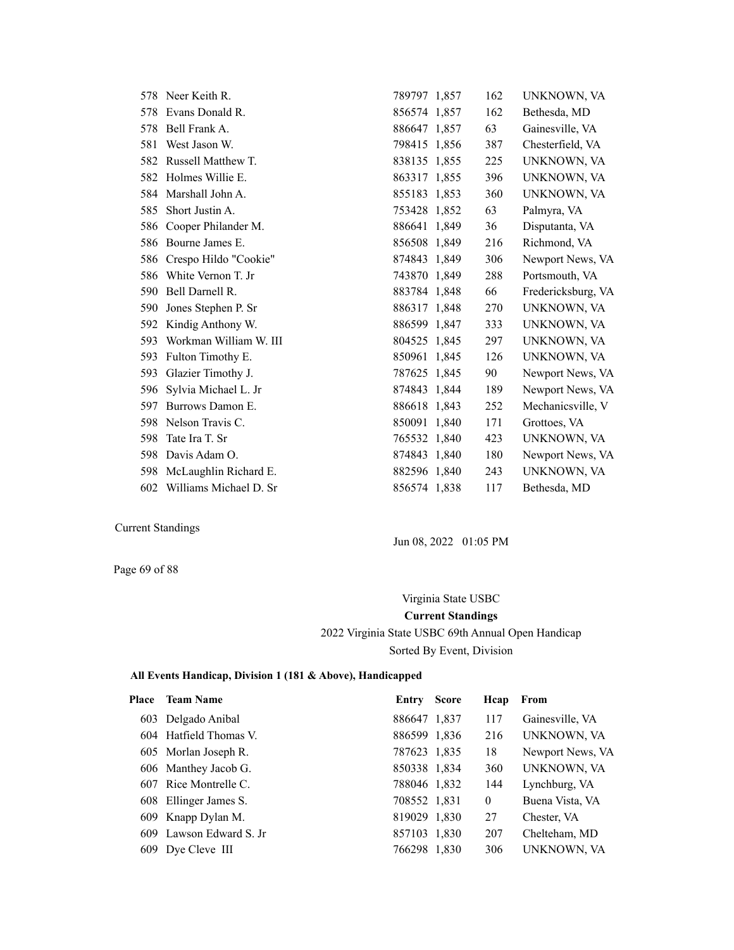|     | 578 Neer Keith R.         | 789797 1,857 | 162 | UNKNOWN, VA        |
|-----|---------------------------|--------------|-----|--------------------|
| 578 | Evans Donald R.           | 856574 1,857 | 162 | Bethesda, MD       |
|     | 578 Bell Frank A.         | 886647 1,857 | 63  | Gainesville, VA    |
| 581 | West Jason W.             | 798415 1,856 | 387 | Chesterfield, VA   |
| 582 | Russell Matthew T.        | 838135 1,855 | 225 | UNKNOWN, VA        |
|     | 582 Holmes Willie E.      | 863317 1,855 | 396 | UNKNOWN, VA        |
|     | 584 Marshall John A.      | 855183 1,853 | 360 | UNKNOWN, VA        |
| 585 | Short Justin A.           | 753428 1,852 | 63  | Palmyra, VA        |
|     | 586 Cooper Philander M.   | 886641 1,849 | 36  | Disputanta, VA     |
|     | 586 Bourne James E.       | 856508 1,849 | 216 | Richmond, VA       |
|     | 586 Crespo Hildo "Cookie" | 874843 1,849 | 306 | Newport News, VA   |
| 586 | White Vernon T. Jr        | 743870 1,849 | 288 | Portsmouth, VA     |
| 590 | Bell Darnell R.           | 883784 1,848 | 66  | Fredericksburg, VA |
| 590 | Jones Stephen P. Sr       | 886317 1,848 | 270 | UNKNOWN, VA        |
| 592 | Kindig Anthony W.         | 886599 1,847 | 333 | UNKNOWN, VA        |
| 593 | Workman William W. III    | 804525 1,845 | 297 | UNKNOWN, VA        |
| 593 | Fulton Timothy E.         | 850961 1,845 | 126 | UNKNOWN, VA        |
| 593 | Glazier Timothy J.        | 787625 1,845 | 90  | Newport News, VA   |
| 596 | Sylvia Michael L. Jr      | 874843 1,844 | 189 | Newport News, VA   |
| 597 | Burrows Damon E.          | 886618 1,843 | 252 | Mechanicsville, V  |
|     | 598 Nelson Travis C.      | 850091 1,840 | 171 | Grottoes, VA       |
| 598 | Tate Ira T. Sr            | 765532 1,840 | 423 | UNKNOWN, VA        |
| 598 | Davis Adam O.             | 874843 1,840 | 180 | Newport News, VA   |
| 598 | McLaughlin Richard E.     | 882596 1,840 | 243 | UNKNOWN, VA        |
| 602 | Williams Michael D. Sr    | 856574 1,838 | 117 | Bethesda, MD       |

Jun 08, 2022 01:05 PM

Page 69 of 88

Virginia State USBC **Current Standings** 2022 Virginia State USBC 69th Annual Open Handicap Sorted By Event, Division

| Place | <b>Team Name</b>        | Entry        | <b>Score</b> | Hcap     | From             |
|-------|-------------------------|--------------|--------------|----------|------------------|
|       | 603 Delgado Anibal      | 886647 1,837 |              | 117      | Gainesville, VA  |
|       | 604 Hatfield Thomas V.  | 886599 1.836 |              | 216      | UNKNOWN, VA      |
|       | 605 Morlan Joseph R.    | 787623 1,835 |              | 18       | Newport News, VA |
|       | 606 Manthey Jacob G.    | 850338 1,834 |              | 360      | UNKNOWN, VA      |
|       | 607 Rice Montrelle C.   | 788046 1,832 |              | 144      | Lynchburg, VA    |
|       | 608 Ellinger James S.   | 708552 1,831 |              | $\theta$ | Buena Vista, VA  |
|       | 609 Knapp Dylan M.      | 819029 1,830 |              | 27       | Chester, VA      |
|       | 609 Lawson Edward S. Jr | 857103 1,830 |              | 207      | Chelteham, MD    |
|       | 609 Dye Cleve III       | 766298 1,830 |              | 306      | UNKNOWN, VA      |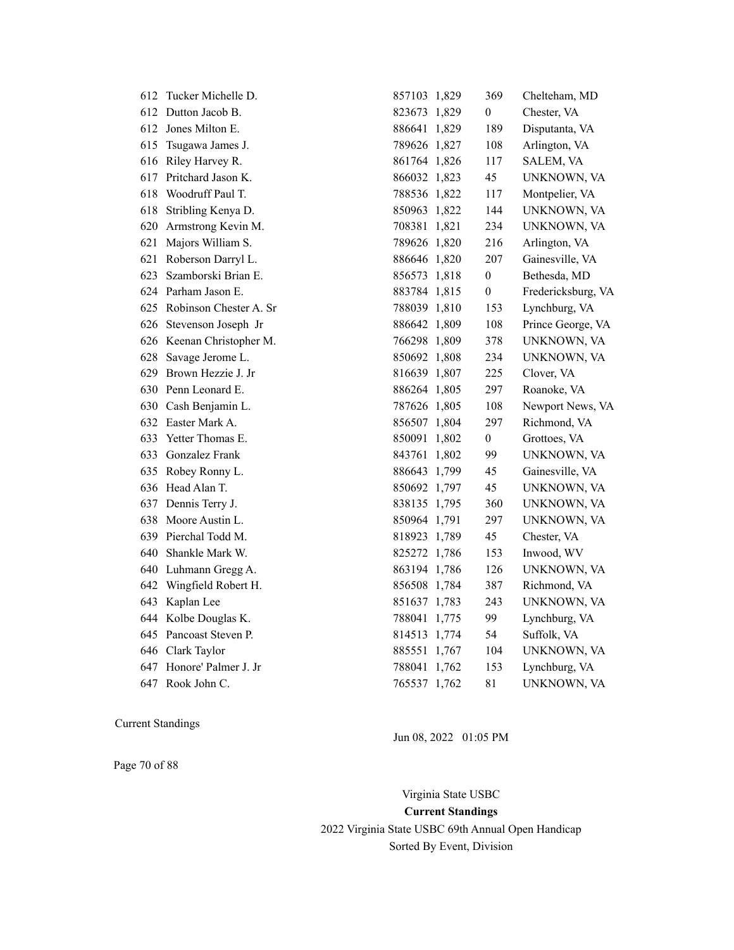| 612 | Tucker Michelle D.        | 857103 1,829 | 369              | Chelteham, MD      |
|-----|---------------------------|--------------|------------------|--------------------|
| 612 | Dutton Jacob B.           | 823673 1,829 | $\overline{0}$   | Chester, VA        |
| 612 | Jones Milton E.           | 886641 1,829 | 189              | Disputanta, VA     |
| 615 | Tsugawa James J.          | 789626 1,827 | 108              | Arlington, VA      |
| 616 | Riley Harvey R.           | 861764 1,826 | 117              | SALEM, VA          |
| 617 | Pritchard Jason K.        | 866032 1,823 | 45               | UNKNOWN, VA        |
| 618 | Woodruff Paul T.          | 788536 1,822 | 117              | Montpelier, VA     |
| 618 | Stribling Kenya D.        | 850963 1,822 | 144              | UNKNOWN, VA        |
| 620 | Armstrong Kevin M.        | 708381 1,821 | 234              | UNKNOWN, VA        |
| 621 | Majors William S.         | 789626 1,820 | 216              | Arlington, VA      |
| 621 | Roberson Darryl L.        | 886646 1,820 | 207              | Gainesville, VA    |
| 623 | Szamborski Brian E.       | 856573 1,818 | $\boldsymbol{0}$ | Bethesda, MD       |
|     | 624 Parham Jason E.       | 883784 1,815 | $\boldsymbol{0}$ | Fredericksburg, VA |
| 625 | Robinson Chester A. Sr    | 788039 1,810 | 153              | Lynchburg, VA      |
|     | 626 Stevenson Joseph Jr   | 886642 1,809 | 108              | Prince George, VA  |
|     | 626 Keenan Christopher M. | 766298 1,809 | 378              | UNKNOWN, VA        |
| 628 | Savage Jerome L.          | 850692 1,808 | 234              | UNKNOWN, VA        |
| 629 | Brown Hezzie J. Jr        | 816639 1,807 | 225              | Clover, VA         |
|     | 630 Penn Leonard E.       | 886264 1,805 | 297              | Roanoke, VA        |
|     | 630 Cash Benjamin L.      | 787626 1,805 | 108              | Newport News, VA   |
|     | 632 Easter Mark A.        | 856507 1,804 | 297              | Richmond, VA       |
| 633 | Yetter Thomas E.          | 850091 1,802 | $\boldsymbol{0}$ | Grottoes, VA       |
| 633 | Gonzalez Frank            | 843761 1,802 | 99               | UNKNOWN, VA        |
| 635 | Robey Ronny L.            | 886643 1,799 | 45               | Gainesville, VA    |
|     | 636 Head Alan T.          | 850692 1,797 | 45               | UNKNOWN, VA        |
| 637 | Dennis Terry J.           | 838135 1,795 | 360              | UNKNOWN, VA        |
| 638 | Moore Austin L.           | 850964 1,791 | 297              | UNKNOWN, VA        |
| 639 | Pierchal Todd M.          | 818923 1,789 | 45               | Chester, VA        |
| 640 | Shankle Mark W.           | 825272 1,786 | 153              | Inwood, WV         |
|     | 640 Luhmann Gregg A.      | 863194 1,786 | 126              | UNKNOWN, VA        |
| 642 | Wingfield Robert H.       | 856508 1,784 | 387              | Richmond, VA       |
| 643 | Kaplan Lee                | 851637 1,783 | 243              | UNKNOWN, VA        |
|     | 644 Kolbe Douglas K.      | 788041 1,775 | 99               | Lynchburg, VA      |
| 645 | Pancoast Steven P.        | 814513 1,774 | 54               | Suffolk, VA        |
| 646 | Clark Taylor              | 885551 1,767 | 104              | UNKNOWN, VA        |
| 647 | Honore' Palmer J. Jr      | 788041 1,762 | 153              | Lynchburg, VA      |
|     | 647 Rook John C.          | 765537 1,762 | 81               | UNKNOWN, VA        |

Jun 08, 2022 01:05 PM

Page 70 of 88

Virginia State USBC **Current Standings** 2022 Virginia State USBC 69th Annual Open Handicap Sorted By Event, Division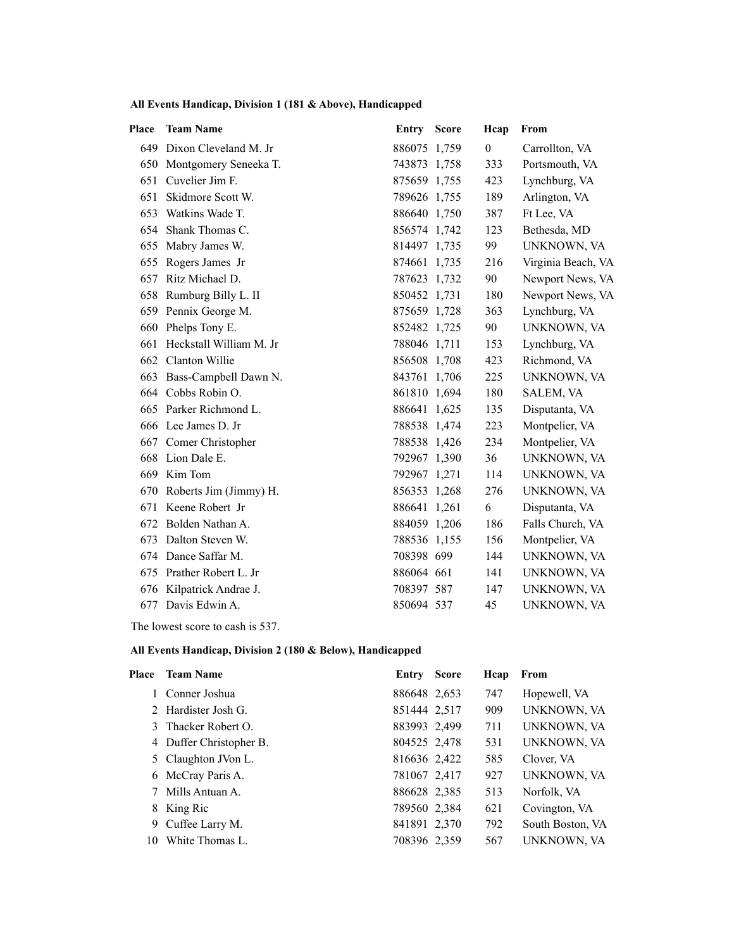### **All Events Handicap, Division 1 (181 & Above), Handicapped**

| <b>Place</b> | <b>Team Name</b>          | Entry        | <b>Score</b> | Hcap           | From               |
|--------------|---------------------------|--------------|--------------|----------------|--------------------|
|              | 649 Dixon Cleveland M. Jr | 886075 1,759 |              | $\overline{0}$ | Carrollton, VA     |
|              | 650 Montgomery Seneeka T. | 743873 1,758 |              | 333            | Portsmouth, VA     |
| 651          | Cuvelier Jim F.           | 875659 1,755 |              | 423            | Lynchburg, VA      |
| 651          | Skidmore Scott W.         | 789626 1,755 |              | 189            | Arlington, VA      |
| 653          | Watkins Wade T.           | 886640 1,750 |              | 387            | Ft Lee, VA         |
| 654          | Shank Thomas C.           | 856574 1,742 |              | 123            | Bethesda, MD       |
| 655          | Mabry James W.            | 814497 1,735 |              | 99             | UNKNOWN, VA        |
| 655          | Rogers James Jr           | 874661 1,735 |              | 216            | Virginia Beach, VA |
| 657          | Ritz Michael D.           | 787623 1,732 |              | 90             | Newport News, VA   |
|              | 658 Rumburg Billy L. II   | 850452 1,731 |              | 180            | Newport News, VA   |
|              | 659 Pennix George M.      | 875659 1,728 |              | 363            | Lynchburg, VA      |
| 660          | Phelps Tony E.            | 852482 1,725 |              | 90             | UNKNOWN, VA        |
| 661          | Heckstall William M. Jr   | 788046 1,711 |              | 153            | Lynchburg, VA      |
| 662          | Clanton Willie            | 856508 1,708 |              | 423            | Richmond, VA       |
| 663          | Bass-Campbell Dawn N.     | 843761 1,706 |              | 225            | UNKNOWN, VA        |
|              | 664 Cobbs Robin O.        | 861810 1,694 |              | 180            | SALEM, VA          |
|              | 665 Parker Richmond L.    | 886641 1,625 |              | 135            | Disputanta, VA     |
|              | 666 Lee James D. Jr       | 788538 1,474 |              | 223            | Montpelier, VA     |
|              | 667 Comer Christopher     | 788538 1,426 |              | 234            | Montpelier, VA     |
| 668          | Lion Dale E.              | 792967 1,390 |              | 36             | UNKNOWN, VA        |
| 669          | Kim Tom                   | 792967 1,271 |              | 114            | UNKNOWN, VA        |
| 670          | Roberts Jim (Jimmy) H.    | 856353 1,268 |              | 276            | UNKNOWN, VA        |
| 671          | Keene Robert Jr           | 886641 1,261 |              | 6              | Disputanta, VA     |
| 672          | Bolden Nathan A.          | 884059 1,206 |              | 186            | Falls Church, VA   |
| 673          | Dalton Steven W.          | 788536 1,155 |              | 156            | Montpelier, VA     |
| 674          | Dance Saffar M.           | 708398 699   |              | 144            | UNKNOWN, VA        |
| 675          | Prather Robert L. Jr      | 886064 661   |              | 141            | UNKNOWN, VA        |
| 676          | Kilpatrick Andrae J.      | 708397 587   |              | 147            | UNKNOWN, VA        |
| 677          | Davis Edwin A.            | 850694 537   |              | 45             | UNKNOWN, VA        |

The lowest score to cash is 537.

| Place | <b>Team Name</b>        | Entry        | <b>Score</b> | Hcap | From             |
|-------|-------------------------|--------------|--------------|------|------------------|
|       | 1 Conner Joshua         | 886648 2,653 |              | 747  | Hopewell, VA     |
|       | 2 Hardister Josh G.     | 851444 2,517 |              | 909  | UNKNOWN, VA      |
|       | 3 Thacker Robert O.     | 883993 2,499 |              | 711  | UNKNOWN, VA      |
|       | 4 Duffer Christopher B. | 804525 2,478 |              | 531  | UNKNOWN, VA      |
|       | 5 Claughton JVon L.     | 816636 2,422 |              | 585  | Clover, VA       |
|       | 6 McCray Paris A.       | 781067 2,417 |              | 927  | UNKNOWN, VA      |
|       | 7 Mills Antuan A.       | 886628 2,385 |              | 513  | Norfolk, VA      |
| 8     | King Ric                | 789560 2,384 |              | 621  | Covington, VA    |
|       | 9 Cuffee Larry M.       | 841891 2,370 |              | 792  | South Boston, VA |
| 10    | White Thomas L.         | 708396 2,359 |              | 567  | UNKNOWN, VA      |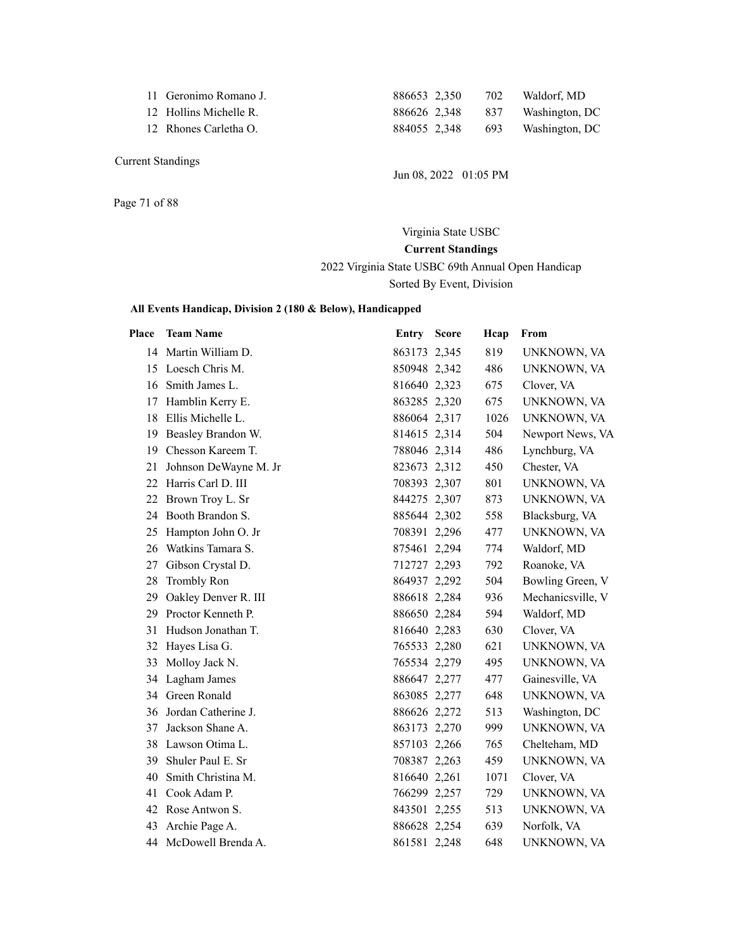|  |  |  |  |  | 11 Geronimo Romano J. |  |  |
|--|--|--|--|--|-----------------------|--|--|
|--|--|--|--|--|-----------------------|--|--|

Page 71 of 88

886653 2,350 702 Waldorf, MD 12 Hollins Michelle R. 886626 2,348 837 Washington, DC 12 Rhones Carletha O. 884055 2,348 693 Washington, DC

Jun 08, 2022 01:05 PM

Virginia State USBC **Current Standings** 2022 Virginia State USBC 69th Annual Open Handicap Sorted By Event, Division

| Place | <b>Team Name</b>      | Entry Score  | Hcap | From              |
|-------|-----------------------|--------------|------|-------------------|
|       | 14 Martin William D.  | 863173 2,345 | 819  | UNKNOWN, VA       |
| 15    | Loesch Chris M.       | 850948 2,342 | 486  | UNKNOWN, VA       |
| 16    | Smith James L.        | 816640 2,323 | 675  | Clover, VA        |
| 17    | Hamblin Kerry E.      | 863285 2,320 | 675  | UNKNOWN, VA       |
| 18    | Ellis Michelle L.     | 886064 2,317 | 1026 | UNKNOWN, VA       |
| 19    | Beasley Brandon W.    | 814615 2,314 | 504  | Newport News, VA  |
| 19    | Chesson Kareem T.     | 788046 2,314 | 486  | Lynchburg, VA     |
| 21    | Johnson DeWayne M. Jr | 823673 2,312 | 450  | Chester, VA       |
| 22    | Harris Carl D. III    | 708393 2,307 | 801  | UNKNOWN, VA       |
| 22    | Brown Troy L. Sr      | 844275 2,307 | 873  | UNKNOWN, VA       |
| 24    | Booth Brandon S.      | 885644 2,302 | 558  | Blacksburg, VA    |
| 25    | Hampton John O. Jr    | 708391 2,296 | 477  | UNKNOWN, VA       |
| 26    | Watkins Tamara S.     | 875461 2,294 | 774  | Waldorf, MD       |
| 27    | Gibson Crystal D.     | 712727 2,293 | 792  | Roanoke, VA       |
| 28    | <b>Trombly Ron</b>    | 864937 2,292 | 504  | Bowling Green, V  |
| 29    | Oakley Denver R. III  | 886618 2,284 | 936  | Mechanicsville, V |
| 29    | Proctor Kenneth P.    | 886650 2,284 | 594  | Waldorf, MD       |
| 31    | Hudson Jonathan T.    | 816640 2,283 | 630  | Clover, VA        |
| 32    | Hayes Lisa G.         | 765533 2,280 | 621  | UNKNOWN, VA       |
| 33    | Molloy Jack N.        | 765534 2,279 | 495  | UNKNOWN, VA       |
| 34    | Lagham James          | 886647 2,277 | 477  | Gainesville, VA   |
| 34    | Green Ronald          | 863085 2,277 | 648  | UNKNOWN, VA       |
| 36    | Jordan Catherine J.   | 886626 2,272 | 513  | Washington, DC    |
| 37    | Jackson Shane A.      | 863173 2,270 | 999  | UNKNOWN, VA       |
| 38    | Lawson Otima L.       | 857103 2,266 | 765  | Chelteham, MD     |
| 39    | Shuler Paul E. Sr     | 708387 2,263 | 459  | UNKNOWN, VA       |
| 40    | Smith Christina M.    | 816640 2,261 | 1071 | Clover, VA        |
| 41    | Cook Adam P.          | 766299 2,257 | 729  | UNKNOWN, VA       |
| 42    | Rose Antwon S.        | 843501 2,255 | 513  | UNKNOWN, VA       |
| 43    | Archie Page A.        | 886628 2,254 | 639  | Norfolk, VA       |
| 44    | McDowell Brenda A.    | 861581 2,248 | 648  | UNKNOWN, VA       |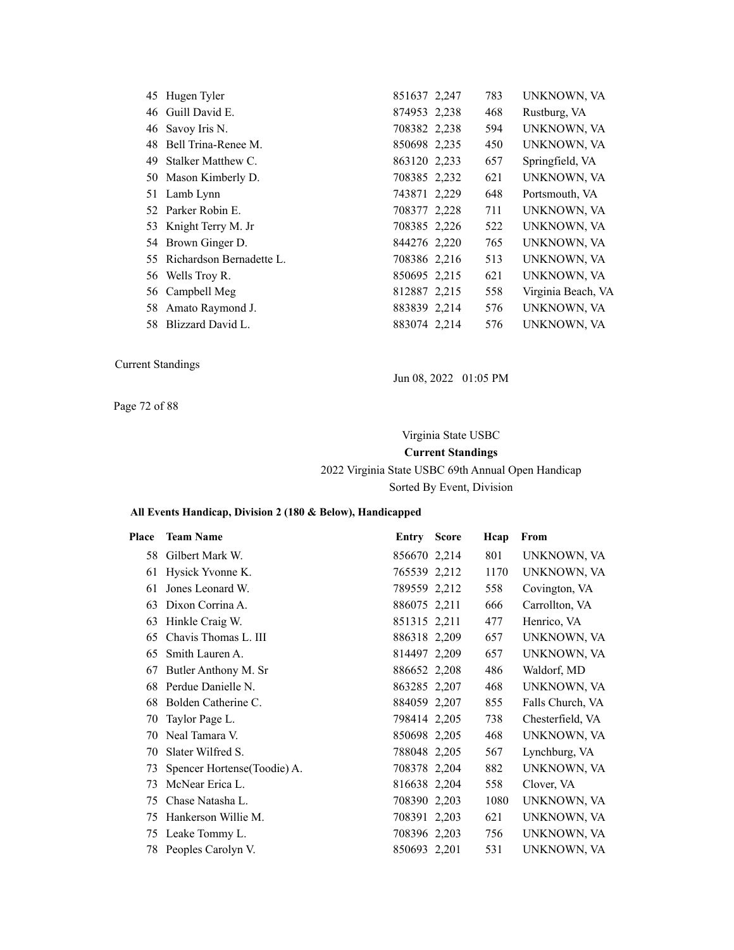| 45 Hugen Tyler              | 851637 2,247 | 783 | UNKNOWN, VA        |
|-----------------------------|--------------|-----|--------------------|
| 46 Guill David E.           | 874953 2,238 | 468 | Rustburg, VA       |
| 46 Savoy Iris N.            | 708382 2,238 | 594 | UNKNOWN, VA        |
| 48 Bell Trina-Renee M.      | 850698 2,235 | 450 | UNKNOWN, VA        |
| 49 Stalker Matthew C.       | 863120 2,233 | 657 | Springfield, VA    |
| 50 Mason Kimberly D.        | 708385 2,232 | 621 | UNKNOWN, VA        |
| 51 Lamb Lynn                | 743871 2,229 | 648 | Portsmouth, VA     |
| 52 Parker Robin E.          | 708377 2,228 | 711 | UNKNOWN, VA        |
| 53 Knight Terry M. Jr       | 708385 2,226 | 522 | UNKNOWN, VA        |
| 54 Brown Ginger D.          | 844276 2,220 | 765 | UNKNOWN, VA        |
| 55 Richardson Bernadette L. | 708386 2.216 | 513 | UNKNOWN, VA        |
| 56 Wells Troy R.            | 850695 2,215 | 621 | UNKNOWN, VA        |
| 56 Campbell Meg             | 812887 2,215 | 558 | Virginia Beach, VA |
| 58 Amato Raymond J.         | 883839 2.214 | 576 | UNKNOWN, VA        |
| 58 Blizzard David L.        | 883074 2,214 | 576 | UNKNOWN, VA        |

Jun 08, 2022 01:05 PM

Page 72 of 88

### Virginia State USBC

### **Current Standings**

### 2022 Virginia State USBC 69th Annual Open Handicap Sorted By Event, Division

| Place | <b>Team Name</b>             | Entry        | <b>Score</b> | Hcap | From             |
|-------|------------------------------|--------------|--------------|------|------------------|
| 58    | Gilbert Mark W.              | 856670 2,214 |              | 801  | UNKNOWN, VA      |
| 61    | Hysick Yvonne K.             | 765539 2,212 |              | 1170 | UNKNOWN, VA      |
| 61    | Jones Leonard W.             | 789559 2,212 |              | 558  | Covington, VA    |
| 63    | Dixon Corrina A.             | 886075 2,211 |              | 666  | Carrollton, VA   |
| 63    | Hinkle Craig W.              | 851315 2,211 |              | 477  | Henrico, VA      |
| 65    | Chavis Thomas L. III         | 886318 2,209 |              | 657  | UNKNOWN, VA      |
| 65    | Smith Lauren A.              | 814497 2,209 |              | 657  | UNKNOWN, VA      |
| 67    | Butler Anthony M. Sr         | 886652 2,208 |              | 486  | Waldorf, MD      |
| 68    | Perdue Danielle N.           | 863285 2,207 |              | 468  | UNKNOWN, VA      |
| 68    | Bolden Catherine C.          | 884059 2,207 |              | 855  | Falls Church, VA |
| 70    | Taylor Page L.               | 798414 2,205 |              | 738  | Chesterfield, VA |
| 70    | Neal Tamara V.               | 850698 2,205 |              | 468  | UNKNOWN, VA      |
| 70    | Slater Wilfred S.            | 788048 2,205 |              | 567  | Lynchburg, VA    |
| 73    | Spencer Hortense (Toodie) A. | 708378 2,204 |              | 882  | UNKNOWN, VA      |
| 73    | McNear Erica L.              | 816638 2,204 |              | 558  | Clover, VA       |
| 75    | Chase Natasha L.             | 708390 2,203 |              | 1080 | UNKNOWN, VA      |
| 75    | Hankerson Willie M.          | 708391 2,203 |              | 621  | UNKNOWN, VA      |
| 75    | Leake Tommy L.               | 708396 2,203 |              | 756  | UNKNOWN, VA      |
| 78    | Peoples Carolyn V.           | 850693 2,201 |              | 531  | UNKNOWN, VA      |
|       |                              |              |              |      |                  |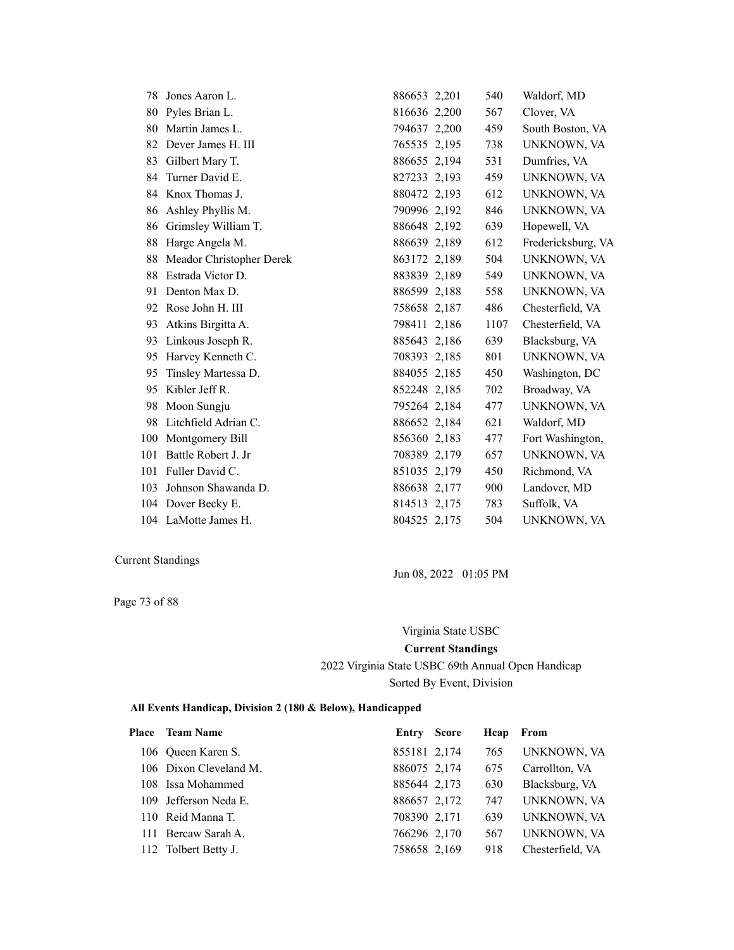| 78  | Jones Aaron L.           | 886653 2,201 | 540  | Waldorf, MD        |
|-----|--------------------------|--------------|------|--------------------|
| 80  | Pyles Brian L.           | 816636 2,200 | 567  | Clover, VA         |
| 80  | Martin James L.          | 794637 2,200 | 459  | South Boston, VA   |
| 82  | Dever James H. III       | 765535 2,195 | 738  | UNKNOWN, VA        |
| 83  | Gilbert Mary T.          | 886655 2,194 | 531  | Dumfries, VA       |
| 84  | Turner David E.          | 827233 2,193 | 459  | UNKNOWN, VA        |
| 84  | Knox Thomas J.           | 880472 2,193 | 612  | UNKNOWN, VA        |
| 86  | Ashley Phyllis M.        | 790996 2,192 | 846  | UNKNOWN, VA        |
| 86  | Grimsley William T.      | 886648 2,192 | 639  | Hopewell, VA       |
| 88  | Harge Angela M.          | 886639 2,189 | 612  | Fredericksburg, VA |
| 88  | Meador Christopher Derek | 863172 2,189 | 504  | UNKNOWN, VA        |
| 88  | Estrada Victor D.        | 883839 2,189 | 549  | UNKNOWN, VA        |
| 91  | Denton Max D.            | 886599 2,188 | 558  | UNKNOWN, VA        |
| 92  | Rose John H. III         | 758658 2,187 | 486  | Chesterfield, VA   |
| 93  | Atkins Birgitta A.       | 798411 2,186 | 1107 | Chesterfield, VA   |
| 93  | Linkous Joseph R.        | 885643 2,186 | 639  | Blacksburg, VA     |
| 95  | Harvey Kenneth C.        | 708393 2,185 | 801  | UNKNOWN, VA        |
| 95  | Tinsley Martessa D.      | 884055 2.185 | 450  | Washington, DC     |
| 95  | Kibler Jeff R.           | 852248 2,185 | 702  | Broadway, VA       |
| 98  | Moon Sungju              | 795264 2,184 | 477  | UNKNOWN, VA        |
| 98  | Litchfield Adrian C.     | 886652 2,184 | 621  | Waldorf, MD        |
| 100 | Montgomery Bill          | 856360 2,183 | 477  | Fort Washington,   |
| 101 | Battle Robert J. Jr      | 708389 2,179 | 657  | UNKNOWN, VA        |
| 101 | Fuller David C.          | 851035 2,179 | 450  | Richmond, VA       |
| 103 | Johnson Shawanda D.      | 886638 2,177 | 900  | Landover, MD       |
| 104 | Dover Becky E.           | 814513 2,175 | 783  | Suffolk, VA        |
|     | 104 LaMotte James H.     | 804525 2,175 | 504  | UNKNOWN, VA        |

Page 73 of 88

Jun 08, 2022 01:05 PM

Virginia State USBC **Current Standings** 2022 Virginia State USBC 69th Annual Open Handicap Sorted By Event, Division

| Place | <b>Team Name</b>       | Entry        | <b>Score</b> | Hcap | From             |
|-------|------------------------|--------------|--------------|------|------------------|
|       | 106 Oueen Karen S.     | 855181 2,174 |              | 765  | UNKNOWN, VA      |
|       | 106 Dixon Cleveland M. | 886075 2,174 |              | 675  | Carrollton, VA   |
|       | 108 Issa Mohammed      | 885644 2,173 |              | 630  | Blacksburg, VA   |
|       | 109 Jefferson Neda E.  | 886657 2,172 |              | 747  | UNKNOWN, VA      |
|       | 110 Reid Manna T.      | 708390 2,171 |              | 639  | UNKNOWN, VA      |
|       | 111 Bercaw Sarah A.    | 766296 2,170 |              | 567  | UNKNOWN, VA      |
|       | 112 Tolbert Betty J.   | 758658 2,169 |              | 918  | Chesterfield, VA |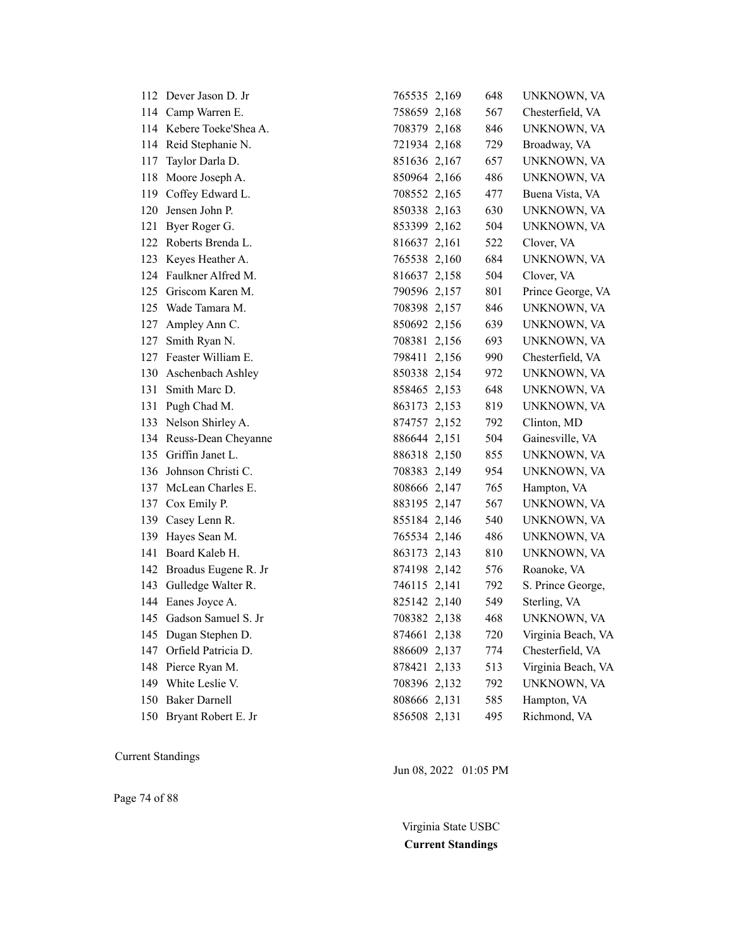|     | 112 Dever Jason D. Jr    | 765535 2,169 | 648 | UNKNOWN, VA        |
|-----|--------------------------|--------------|-----|--------------------|
|     | 114 Camp Warren E.       | 758659 2,168 | 567 | Chesterfield, VA   |
|     | 114 Kebere Toeke'Shea A. | 708379 2,168 | 846 | UNKNOWN, VA        |
|     | 114 Reid Stephanie N.    | 721934 2,168 | 729 | Broadway, VA       |
| 117 | Taylor Darla D.          | 851636 2,167 | 657 | UNKNOWN, VA        |
| 118 | Moore Joseph A.          | 850964 2,166 | 486 | UNKNOWN, VA        |
| 119 | Coffey Edward L.         | 708552 2,165 | 477 | Buena Vista, VA    |
| 120 | Jensen John P.           | 850338 2,163 | 630 | UNKNOWN, VA        |
| 121 | Byer Roger G.            | 853399 2,162 | 504 | UNKNOWN, VA        |
| 122 | Roberts Brenda L.        | 816637 2,161 | 522 | Clover, VA         |
| 123 | Keyes Heather A.         | 765538 2,160 | 684 | UNKNOWN, VA        |
| 124 | Faulkner Alfred M.       | 816637 2,158 | 504 | Clover, VA         |
| 125 | Griscom Karen M.         | 790596 2,157 | 801 | Prince George, VA  |
| 125 | Wade Tamara M.           | 708398 2,157 | 846 | UNKNOWN, VA        |
| 127 | Ampley Ann C.            | 850692 2,156 | 639 | UNKNOWN, VA        |
| 127 | Smith Ryan N.            | 708381 2,156 | 693 | UNKNOWN, VA        |
| 127 | Feaster William E.       | 798411 2,156 | 990 | Chesterfield, VA   |
| 130 | Aschenbach Ashley        | 850338 2,154 | 972 | UNKNOWN, VA        |
| 131 | Smith Marc D.            | 858465 2,153 | 648 | UNKNOWN, VA        |
| 131 | Pugh Chad M.             | 863173 2,153 | 819 | UNKNOWN, VA        |
| 133 | Nelson Shirley A.        | 874757 2,152 | 792 | Clinton, MD        |
|     | 134 Reuss-Dean Cheyanne  | 886644 2,151 | 504 | Gainesville, VA    |
| 135 | Griffin Janet L.         | 886318 2,150 | 855 | UNKNOWN, VA        |
| 136 | Johnson Christi C.       | 708383 2,149 | 954 | UNKNOWN, VA        |
| 137 | McLean Charles E.        | 808666 2,147 | 765 | Hampton, VA        |
| 137 | Cox Emily P.             | 883195 2,147 | 567 | UNKNOWN, VA        |
| 139 | Casey Lenn R.            | 855184 2,146 | 540 | UNKNOWN, VA        |
| 139 | Hayes Sean M.            | 765534 2,146 | 486 | UNKNOWN, VA        |
| 141 | Board Kaleb H.           | 863173 2,143 | 810 | UNKNOWN, VA        |
| 142 | Broadus Eugene R. Jr     | 874198 2,142 | 576 | Roanoke, VA        |
| 143 | Gulledge Walter R.       | 746115 2,141 | 792 | S. Prince George,  |
| 144 | Eanes Joyce A.           | 825142 2,140 | 549 | Sterling, VA       |
|     | 145 Gadson Samuel S. Jr  | 708382 2,138 | 468 | UNKNOWN, VA        |
| 145 | Dugan Stephen D.         | 874661 2,138 | 720 | Virginia Beach, VA |
| 147 | Orfield Patricia D.      | 886609 2,137 | 774 | Chesterfield, VA   |
| 148 | Pierce Ryan M.           | 878421 2,133 | 513 | Virginia Beach, VA |
| 149 | White Leslie V.          | 708396 2,132 | 792 | UNKNOWN, VA        |
| 150 | <b>Baker Darnell</b>     | 808666 2,131 | 585 | Hampton, VA        |
|     | 150 Bryant Robert E. Jr  | 856508 2,131 | 495 | Richmond, VA       |

Page 74 of 88

Jun 08, 2022 01:05 PM

Virginia State USBC **Current Standings**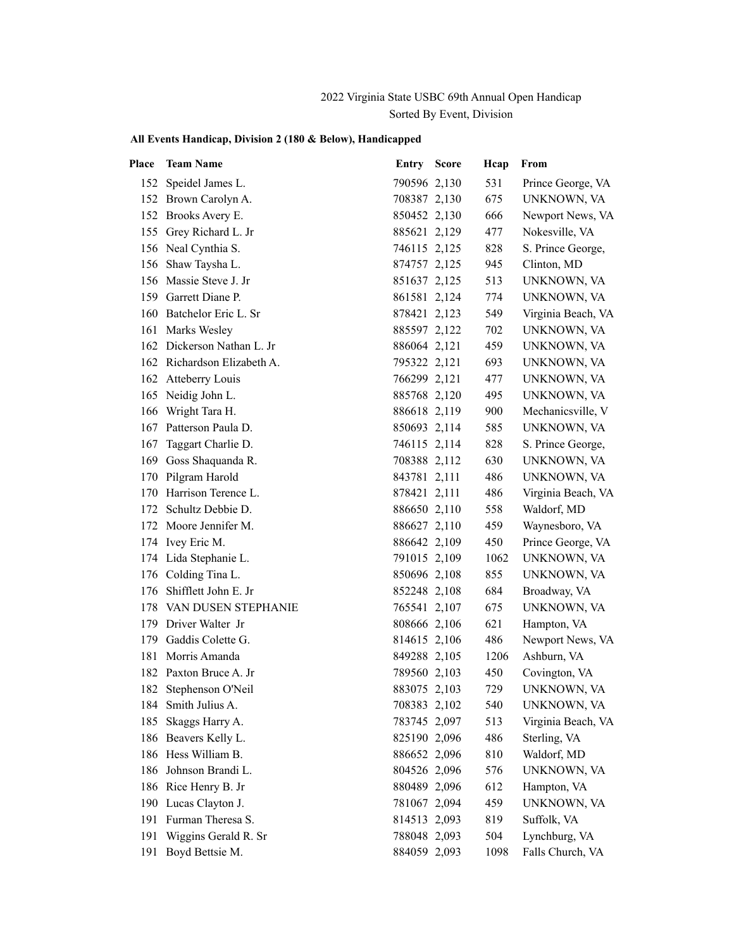## 2022 Virginia State USBC 69th Annual Open Handicap Sorted By Event, Division

| Place | <b>Team Name</b>            | <b>Entry Score</b> | Hcap | From               |
|-------|-----------------------------|--------------------|------|--------------------|
|       | 152 Speidel James L.        | 790596 2,130       | 531  | Prince George, VA  |
|       | 152 Brown Carolyn A.        | 708387 2,130       | 675  | UNKNOWN, VA        |
|       | 152 Brooks Avery E.         | 850452 2,130       | 666  | Newport News, VA   |
|       | 155 Grey Richard L. Jr      | 885621 2,129       | 477  | Nokesville, VA     |
|       | 156 Neal Cynthia S.         | 746115 2,125       | 828  | S. Prince George,  |
|       | 156 Shaw Taysha L.          | 874757 2,125       | 945  | Clinton, MD        |
|       | 156 Massie Steve J. Jr      | 851637 2,125       | 513  | UNKNOWN, VA        |
|       | 159 Garrett Diane P.        | 861581 2,124       | 774  | UNKNOWN, VA        |
|       | 160 Batchelor Eric L. Sr    | 878421 2,123       | 549  | Virginia Beach, VA |
| 161   | Marks Wesley                | 885597 2,122       | 702  | UNKNOWN, VA        |
|       | 162 Dickerson Nathan L. Jr  | 886064 2,121       | 459  | UNKNOWN, VA        |
|       | 162 Richardson Elizabeth A. | 795322 2,121       | 693  | UNKNOWN, VA        |
|       | 162 Atteberry Louis         | 766299 2,121       | 477  | UNKNOWN, VA        |
|       | 165 Neidig John L.          | 885768 2,120       | 495  | UNKNOWN, VA        |
|       | 166 Wright Tara H.          | 886618 2,119       | 900  | Mechanicsville, V  |
|       | 167 Patterson Paula D.      | 850693 2,114       | 585  | UNKNOWN, VA        |
| 167   | Taggart Charlie D.          | 746115 2,114       | 828  | S. Prince George,  |
| 169   | Goss Shaquanda R.           | 708388 2,112       | 630  | UNKNOWN, VA        |
|       | 170 Pilgram Harold          | 843781 2,111       | 486  | UNKNOWN, VA        |
|       | 170 Harrison Terence L.     | 878421 2,111       | 486  | Virginia Beach, VA |
|       | 172 Schultz Debbie D.       | 886650 2,110       | 558  | Waldorf, MD        |
|       | 172 Moore Jennifer M.       | 886627 2,110       | 459  | Waynesboro, VA     |
|       | 174 Ivey Eric M.            | 886642 2,109       | 450  | Prince George, VA  |
|       | 174 Lida Stephanie L.       | 791015 2,109       | 1062 | UNKNOWN, VA        |
|       | 176 Colding Tina L.         | 850696 2,108       | 855  | UNKNOWN, VA        |
|       | 176 Shifflett John E. Jr    | 852248 2,108       | 684  | Broadway, VA       |
|       | 178 VAN DUSEN STEPHANIE     | 765541 2,107       | 675  | UNKNOWN, VA        |
|       | 179 Driver Walter Jr        | 808666 2,106       | 621  | Hampton, VA        |
|       | 179 Gaddis Colette G.       | 814615 2,106       | 486  | Newport News, VA   |
| 181   | Morris Amanda               | 849288 2,105       | 1206 | Ashburn, VA        |
|       | 182 Paxton Bruce A. Jr      | 789560 2,103       | 450  | Covington, VA      |
|       | 182 Stephenson O'Neil       | 883075 2,103       | 729  | UNKNOWN, VA        |
|       | 184 Smith Julius A.         | 708383 2,102       | 540  | UNKNOWN, VA        |
|       | 185 Skaggs Harry A.         | 783745 2,097       | 513  | Virginia Beach, VA |
|       | 186 Beavers Kelly L.        | 825190 2,096       | 486  | Sterling, VA       |
|       | 186 Hess William B.         | 886652 2,096       | 810  | Waldorf, MD        |
| 186   | Johnson Brandi L.           | 804526 2,096       | 576  | UNKNOWN, VA        |
|       | 186 Rice Henry B. Jr        | 880489 2,096       | 612  | Hampton, VA        |
| 190   | Lucas Clayton J.            | 781067 2,094       | 459  | UNKNOWN, VA        |
| 191   | Furman Theresa S.           | 814513 2,093       | 819  | Suffolk, VA        |
| 191   | Wiggins Gerald R. Sr        | 788048 2,093       | 504  | Lynchburg, VA      |
| 191   | Boyd Bettsie M.             | 884059 2,093       | 1098 | Falls Church, VA   |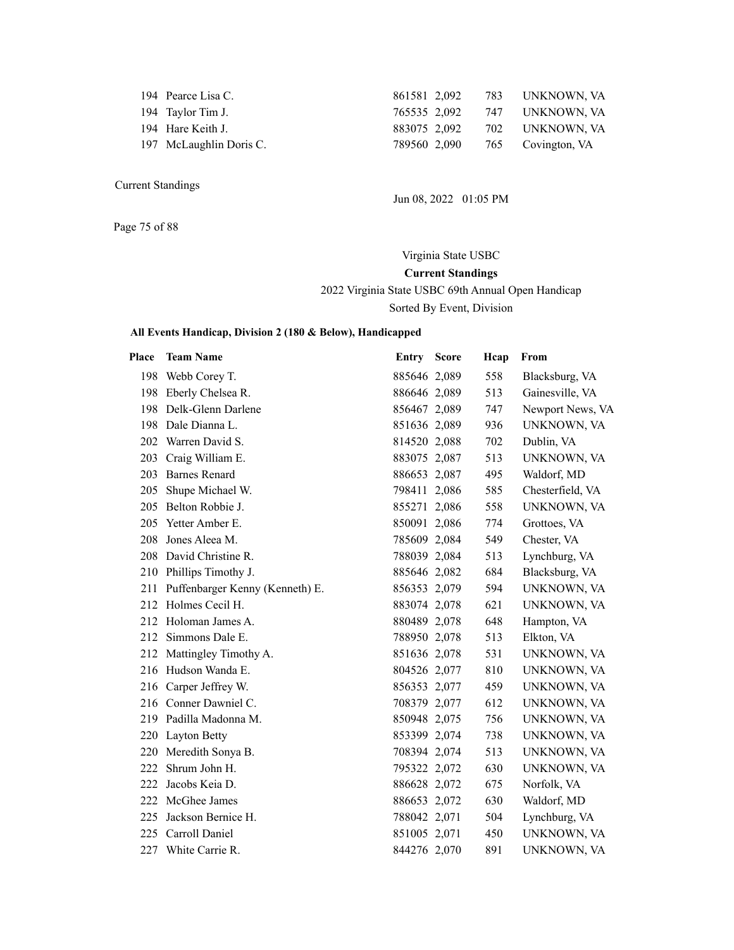| 194 Pearce Lisa C.      | 861581 2,092 |  | 783 UNKNOWN, VA      |
|-------------------------|--------------|--|----------------------|
| 194 Taylor Tim J.       | 765535 2,092 |  | 747      UNKNOWN, VA |
| 194 Hare Keith J.       | 883075 2.092 |  | 702 UNKNOWN, VA      |
| 197 McLaughlin Doris C. | 789560 2,090 |  | 765 Covington, VA    |
|                         |              |  |                      |

Jun 08, 2022 01:05 PM

Page 75 of 88

Virginia State USBC **Current Standings** 2022 Virginia State USBC 69th Annual Open Handicap Sorted By Event, Division

| Place | <b>Team Name</b>                | Entry Score  | Hcap | From             |
|-------|---------------------------------|--------------|------|------------------|
|       | 198 Webb Corey T.               | 885646 2,089 | 558  | Blacksburg, VA   |
| 198   | Eberly Chelsea R.               | 886646 2,089 | 513  | Gainesville, VA  |
| 198   | Delk-Glenn Darlene              | 856467 2,089 | 747  | Newport News, VA |
| 198   | Dale Dianna L.                  | 851636 2,089 | 936  | UNKNOWN, VA      |
| 202   | Warren David S.                 | 814520 2,088 | 702  | Dublin, VA       |
|       | 203 Craig William E.            | 883075 2,087 | 513  | UNKNOWN, VA      |
| 203   | <b>Barnes Renard</b>            | 886653 2,087 | 495  | Waldorf, MD      |
|       | 205 Shupe Michael W.            | 798411 2,086 | 585  | Chesterfield, VA |
| 205   | Belton Robbie J.                | 855271 2,086 | 558  | UNKNOWN, VA      |
| 205   | Yetter Amber E.                 | 850091 2,086 | 774  | Grottoes, VA     |
| 208   | Jones Aleea M.                  | 785609 2,084 | 549  | Chester, VA      |
|       | 208 David Christine R.          | 788039 2,084 | 513  | Lynchburg, VA    |
|       | 210 Phillips Timothy J.         | 885646 2,082 | 684  | Blacksburg, VA   |
| 211   | Puffenbarger Kenny (Kenneth) E. | 856353 2,079 | 594  | UNKNOWN, VA      |
| 212   | Holmes Cecil H.                 | 883074 2,078 | 621  | UNKNOWN, VA      |
| 212   | Holoman James A.                | 880489 2,078 | 648  | Hampton, VA      |
| 212   | Simmons Dale E.                 | 788950 2,078 | 513  | Elkton, VA       |
|       | 212 Mattingley Timothy A.       | 851636 2,078 | 531  | UNKNOWN, VA      |
|       | 216 Hudson Wanda E.             | 804526 2,077 | 810  | UNKNOWN, VA      |
|       | 216 Carper Jeffrey W.           | 856353 2,077 | 459  | UNKNOWN, VA      |
|       | 216 Conner Dawniel C.           | 708379 2,077 | 612  | UNKNOWN, VA      |
|       | 219 Padilla Madonna M.          | 850948 2,075 | 756  | UNKNOWN, VA      |
|       | 220 Layton Betty                | 853399 2,074 | 738  | UNKNOWN, VA      |
| 220   | Meredith Sonya B.               | 708394 2,074 | 513  | UNKNOWN, VA      |
| 222   | Shrum John H.                   | 795322 2,072 | 630  | UNKNOWN, VA      |
| 222   | Jacobs Keia D.                  | 886628 2,072 | 675  | Norfolk, VA      |
|       | 222 McGhee James                | 886653 2,072 | 630  | Waldorf, MD      |
| 225   | Jackson Bernice H.              | 788042 2,071 | 504  | Lynchburg, VA    |
| 225   | Carroll Daniel                  | 851005 2,071 | 450  | UNKNOWN, VA      |
| 227   | White Carrie R.                 | 844276 2,070 | 891  | UNKNOWN, VA      |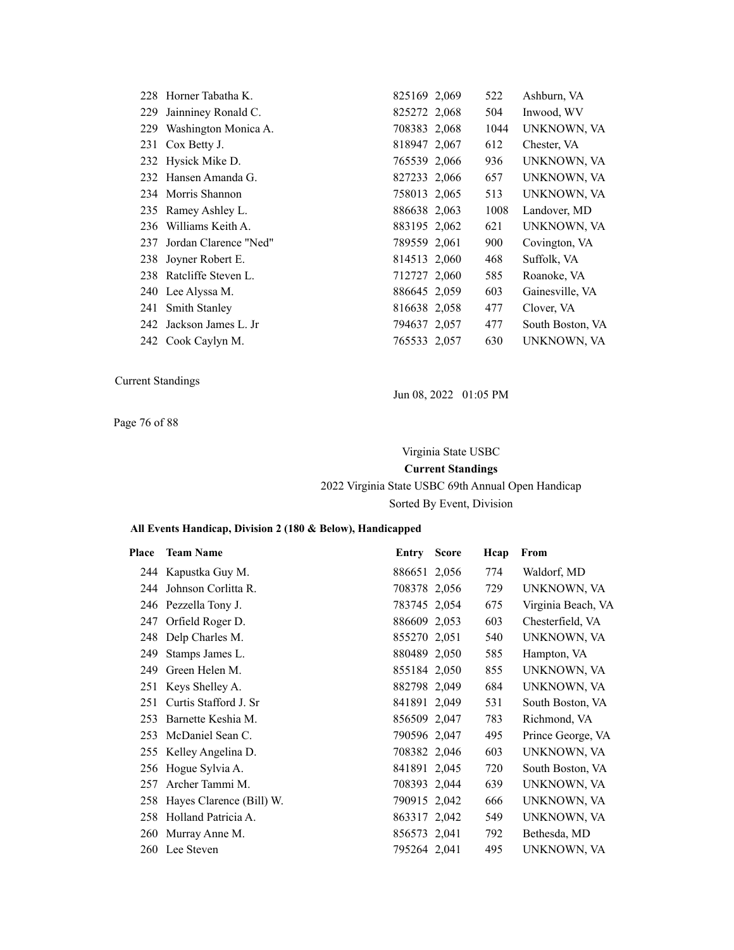|     | 228 Horner Tabatha K.    | 825169 2,069 | 522  | Ashburn, VA      |
|-----|--------------------------|--------------|------|------------------|
| 229 | Jainniney Ronald C.      | 825272 2,068 | 504  | Inwood, WV       |
|     | 229 Washington Monica A. | 708383 2,068 | 1044 | UNKNOWN, VA      |
|     | 231 Cox Betty J.         | 818947 2,067 | 612  | Chester, VA      |
|     | 232 Hysick Mike D.       | 765539 2,066 | 936  | UNKNOWN, VA      |
|     | 232 Hansen Amanda G.     | 827233 2,066 | 657  | UNKNOWN, VA      |
|     | 234 Morris Shannon       | 758013 2,065 | 513  | UNKNOWN, VA      |
|     | 235 Ramey Ashley L.      | 886638 2,063 | 1008 | Landover, MD     |
|     | 236 Williams Keith A.    | 883195 2,062 | 621  | UNKNOWN, VA      |
| 237 | Jordan Clarence "Ned"    | 789559 2,061 | 900  | Covington, VA    |
|     | 238 Joyner Robert E.     | 814513 2,060 | 468  | Suffolk, VA      |
|     | 238 Ratcliffe Steven L.  | 712727 2,060 | 585  | Roanoke, VA      |
|     | 240 Lee Alyssa M.        | 886645 2,059 | 603  | Gainesville, VA  |
|     | 241 Smith Stanley        | 816638 2,058 | 477  | Clover, VA       |
|     | 242 Jackson James L. Jr  | 794637 2,057 | 477  | South Boston, VA |
|     | 242 Cook Caylyn M.       | 765533 2,057 | 630  | UNKNOWN, VA      |

Page 76 of 88

Jun 08, 2022 01:05 PM

Virginia State USBC

**Current Standings**

## 2022 Virginia State USBC 69th Annual Open Handicap Sorted By Event, Division

| Place | <b>Team Name</b>         | Entry        | <b>Score</b> | Hcap | From               |
|-------|--------------------------|--------------|--------------|------|--------------------|
|       | 244 Kapustka Guy M.      | 886651 2,056 |              | 774  | Waldorf, MD        |
| 244   | Johnson Corlitta R.      | 708378 2,056 |              | 729  | UNKNOWN, VA        |
|       | 246 Pezzella Tony J.     | 783745 2,054 |              | 675  | Virginia Beach, VA |
| 247   | Orfield Roger D.         | 886609 2,053 |              | 603  | Chesterfield, VA   |
| 248   | Delp Charles M.          | 855270 2,051 |              | 540  | UNKNOWN, VA        |
| 249   | Stamps James L.          | 880489 2,050 |              | 585  | Hampton, VA        |
| 249   | Green Helen M.           | 855184 2,050 |              | 855  | UNKNOWN, VA        |
| 251   | Keys Shelley A.          | 882798 2,049 |              | 684  | UNKNOWN, VA        |
| 251   | Curtis Stafford J. Sr    | 841891 2,049 |              | 531  | South Boston, VA   |
| 253   | Barnette Keshia M.       | 856509 2,047 |              | 783  | Richmond, VA       |
| 253   | McDaniel Sean C.         | 790596 2,047 |              | 495  | Prince George, VA  |
|       | 255 Kelley Angelina D.   | 708382 2,046 |              | 603  | UNKNOWN, VA        |
|       | 256 Hogue Sylvia A.      | 841891 2,045 |              | 720  | South Boston, VA   |
| 257   | Archer Tammi M.          | 708393 2,044 |              | 639  | UNKNOWN, VA        |
| 258   | Hayes Clarence (Bill) W. | 790915 2,042 |              | 666  | UNKNOWN, VA        |
| 258   | Holland Patricia A.      | 863317 2,042 |              | 549  | UNKNOWN, VA        |
| 260   | Murray Anne M.           | 856573 2,041 |              | 792  | Bethesda, MD       |
| 260   | Lee Steven               | 795264 2,041 |              | 495  | UNKNOWN, VA        |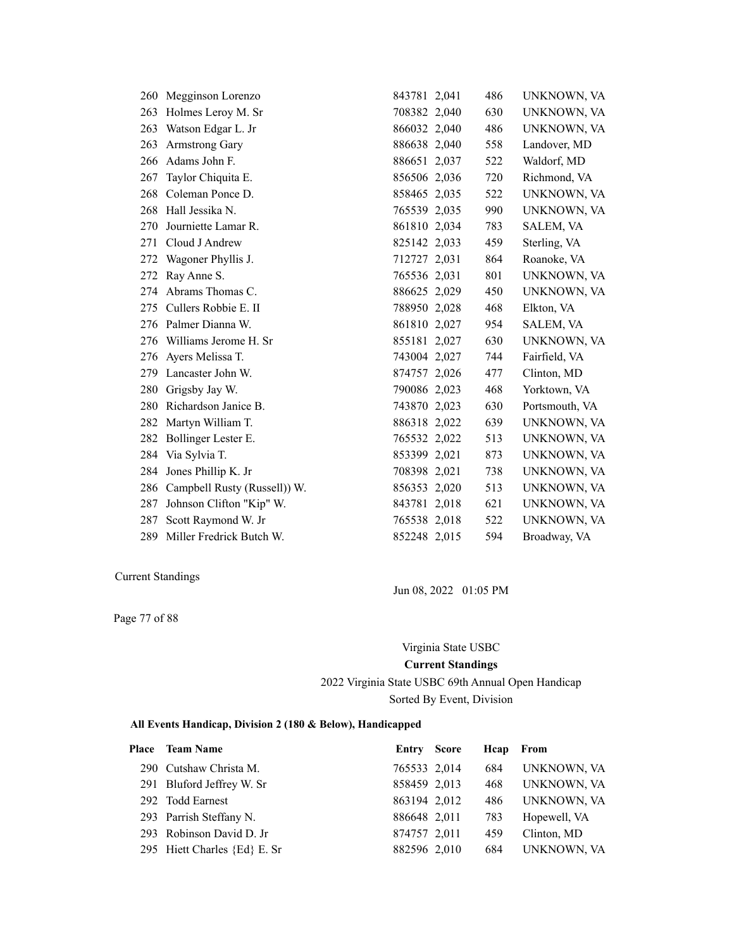| 260 | Megginson Lorenzo            | 843781 2,041 | 486 | UNKNOWN, VA    |
|-----|------------------------------|--------------|-----|----------------|
| 263 | Holmes Leroy M. Sr           | 708382 2,040 | 630 | UNKNOWN, VA    |
| 263 | Watson Edgar L. Jr           | 866032 2,040 | 486 | UNKNOWN, VA    |
| 263 | <b>Armstrong Gary</b>        | 886638 2,040 | 558 | Landover, MD   |
| 266 | Adams John F.                | 886651 2,037 | 522 | Waldorf, MD    |
| 267 | Taylor Chiquita E.           | 856506 2,036 | 720 | Richmond, VA   |
| 268 | Coleman Ponce D.             | 858465 2,035 | 522 | UNKNOWN, VA    |
| 268 | Hall Jessika N.              | 765539 2,035 | 990 | UNKNOWN, VA    |
| 270 | Journiette Lamar R.          | 861810 2,034 | 783 | SALEM, VA      |
| 271 | Cloud J Andrew               | 825142 2,033 | 459 | Sterling, VA   |
| 272 | Wagoner Phyllis J.           | 712727 2,031 | 864 | Roanoke, VA    |
| 272 | Ray Anne S.                  | 765536 2,031 | 801 | UNKNOWN, VA    |
|     | 274 Abrams Thomas C.         | 886625 2,029 | 450 | UNKNOWN, VA    |
| 275 | Cullers Robbie E. II         | 788950 2,028 | 468 | Elkton, VA     |
| 276 | Palmer Dianna W.             | 861810 2,027 | 954 | SALEM, VA      |
| 276 | Williams Jerome H. Sr        | 855181 2,027 | 630 | UNKNOWN, VA    |
| 276 | Ayers Melissa T.             | 743004 2,027 | 744 | Fairfield, VA  |
| 279 | Lancaster John W.            | 874757 2,026 | 477 | Clinton, MD    |
| 280 | Grigsby Jay W.               | 790086 2,023 | 468 | Yorktown, VA   |
| 280 | Richardson Janice B.         | 743870 2,023 | 630 | Portsmouth, VA |
| 282 | Martyn William T.            | 886318 2,022 | 639 | UNKNOWN, VA    |
| 282 | Bollinger Lester E.          | 765532 2,022 | 513 | UNKNOWN, VA    |
| 284 | Via Sylvia T.                | 853399 2,021 | 873 | UNKNOWN, VA    |
| 284 | Jones Phillip K. Jr          | 708398 2,021 | 738 | UNKNOWN, VA    |
| 286 | Campbell Rusty (Russell)) W. | 856353 2,020 | 513 | UNKNOWN, VA    |
| 287 | Johnson Clifton "Kip" W.     | 843781 2,018 | 621 | UNKNOWN, VA    |
| 287 | Scott Raymond W. Jr          | 765538 2,018 | 522 | UNKNOWN, VA    |
| 289 | Miller Fredrick Butch W.     | 852248 2,015 | 594 | Broadway, VA   |

Page 77 of 88

Jun 08, 2022 01:05 PM

### Virginia State USBC

### **Current Standings**

2022 Virginia State USBC 69th Annual Open Handicap Sorted By Event, Division

| Place Team Name              | <b>Entry Score</b> | Heap From |              |
|------------------------------|--------------------|-----------|--------------|
| 290 Cutshaw Christa M.       | 765533 2,014       | 684       | UNKNOWN, VA  |
| 291 Bluford Jeffrey W. Sr    | 858459 2,013       | 468       | UNKNOWN, VA  |
| 292 Todd Earnest             | 863194 2,012       | 486       | UNKNOWN, VA  |
| 293 Parrish Steffany N.      | 886648 2,011       | 783       | Hopewell, VA |
| 293 Robinson David D. Jr     | 874757 2,011       | 459       | Clinton, MD  |
| 295 Hiett Charles {Ed} E. Sr | 882596 2,010       | 684       | UNKNOWN, VA  |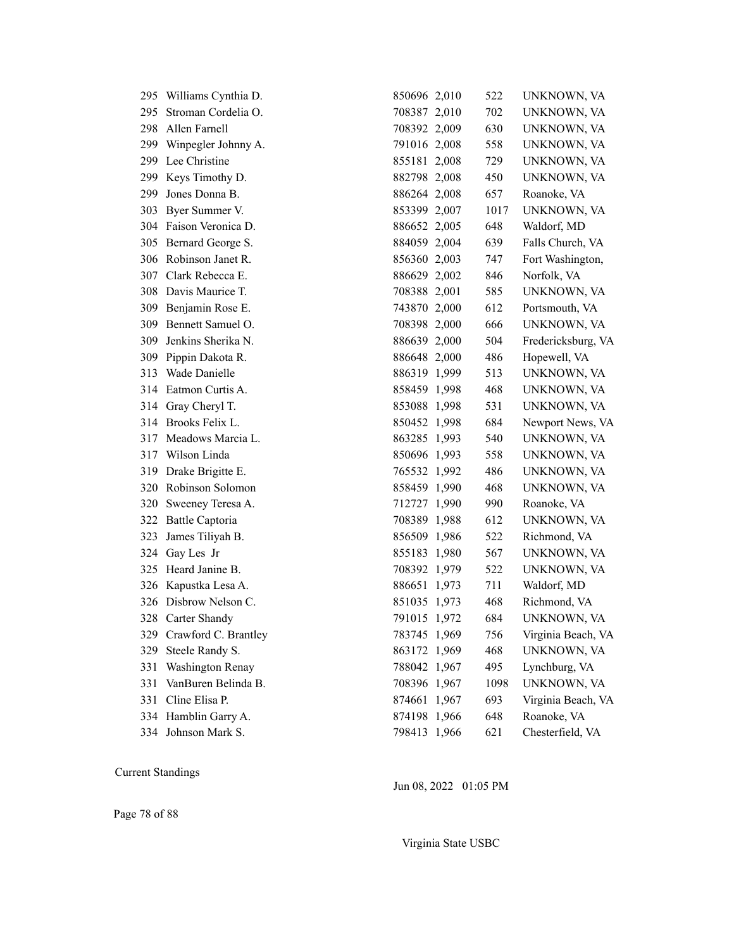|     | 295 Williams Cynthia D. | 850696 2,010 | 522  | UNKNOWN, VA        |
|-----|-------------------------|--------------|------|--------------------|
| 295 | Stroman Cordelia O.     | 708387 2,010 | 702  | UNKNOWN, VA        |
| 298 | Allen Farnell           | 708392 2,009 | 630  | UNKNOWN, VA        |
| 299 | Winpegler Johnny A.     | 791016 2,008 | 558  | UNKNOWN, VA        |
| 299 | Lee Christine           | 855181 2,008 | 729  | UNKNOWN, VA        |
| 299 | Keys Timothy D.         | 882798 2,008 | 450  | UNKNOWN, VA        |
| 299 | Jones Donna B.          | 886264 2,008 | 657  | Roanoke, VA        |
| 303 | Byer Summer V.          | 853399 2,007 | 1017 | UNKNOWN, VA        |
| 304 | Faison Veronica D.      | 886652 2,005 | 648  | Waldorf, MD        |
| 305 | Bernard George S.       | 884059 2,004 | 639  | Falls Church, VA   |
| 306 | Robinson Janet R.       | 856360 2,003 | 747  | Fort Washington,   |
| 307 | Clark Rebecca E.        | 886629 2,002 | 846  | Norfolk, VA        |
| 308 | Davis Maurice T.        | 708388 2,001 | 585  | UNKNOWN, VA        |
| 309 | Benjamin Rose E.        | 743870 2,000 | 612  | Portsmouth, VA     |
| 309 | Bennett Samuel O.       | 708398 2,000 | 666  | UNKNOWN, VA        |
| 309 | Jenkins Sherika N.      | 886639 2,000 | 504  | Fredericksburg, VA |
| 309 | Pippin Dakota R.        | 886648 2,000 | 486  | Hopewell, VA       |
| 313 | Wade Danielle           | 886319 1,999 | 513  | UNKNOWN, VA        |
| 314 | Eatmon Curtis A.        | 858459 1,998 | 468  | UNKNOWN, VA        |
| 314 | Gray Cheryl T.          | 853088 1,998 | 531  | UNKNOWN, VA        |
| 314 | Brooks Felix L.         | 850452 1,998 | 684  | Newport News, VA   |
| 317 | Meadows Marcia L.       | 863285 1,993 | 540  | UNKNOWN, VA        |
| 317 | Wilson Linda            | 850696 1,993 | 558  | UNKNOWN, VA        |
| 319 | Drake Brigitte E.       | 765532 1,992 | 486  | UNKNOWN, VA        |
| 320 | Robinson Solomon        | 858459 1,990 | 468  | UNKNOWN, VA        |
| 320 | Sweeney Teresa A.       | 712727 1,990 | 990  | Roanoke, VA        |
| 322 | <b>Battle Captoria</b>  | 708389 1,988 | 612  | UNKNOWN, VA        |
| 323 | James Tiliyah B.        | 856509 1,986 | 522  | Richmond, VA       |
| 324 | Gay Les Jr              | 855183 1,980 | 567  | UNKNOWN, VA        |
| 325 | Heard Janine B.         | 708392 1,979 | 522  | UNKNOWN, VA        |
| 326 | Kapustka Lesa A.        | 886651 1,973 | 711  | Waldorf, MD        |
| 326 | Disbrow Nelson C.       | 851035 1,973 | 468  | Richmond, VA       |
| 328 | Carter Shandy           | 791015 1,972 | 684  | UNKNOWN, VA        |
| 329 | Crawford C. Brantley    | 783745 1,969 | 756  | Virginia Beach, VA |
| 329 | Steele Randy S.         | 863172 1,969 | 468  | UNKNOWN, VA        |
| 331 | <b>Washington Renay</b> | 788042 1,967 | 495  | Lynchburg, VA      |
| 331 | VanBuren Belinda B.     | 708396 1,967 | 1098 | UNKNOWN, VA        |
| 331 | Cline Elisa P.          | 874661 1,967 | 693  | Virginia Beach, VA |
| 334 | Hamblin Garry A.        | 874198 1,966 | 648  | Roanoke, VA        |
|     | 334 Johnson Mark S.     | 798413 1,966 | 621  | Chesterfield, VA   |

Jun 08, 2022 01:05 PM

Virginia State USBC

Page 78 of 88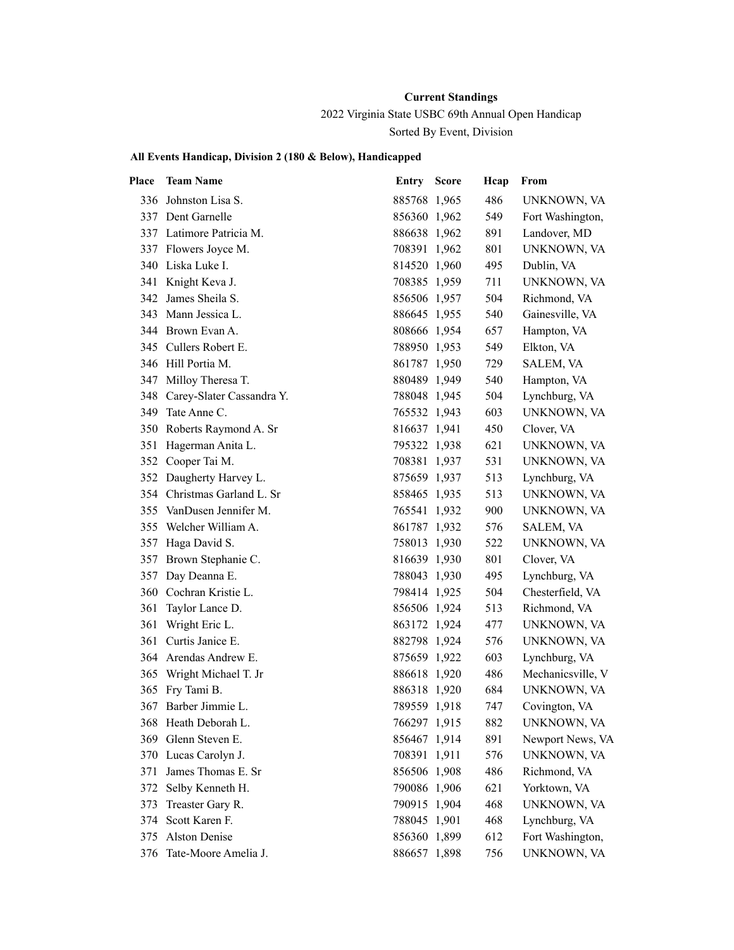2022 Virginia State USBC 69th Annual Open Handicap Sorted By Event, Division

| Place | <b>Team Name</b>              | <b>Entry Score</b> | Hcap | From              |
|-------|-------------------------------|--------------------|------|-------------------|
| 336   | Johnston Lisa S.              | 885768 1,965       | 486  | UNKNOWN, VA       |
|       | 337 Dent Garnelle             | 856360 1,962       | 549  | Fort Washington,  |
|       | 337 Latimore Patricia M.      | 886638 1,962       | 891  | Landover, MD      |
|       | 337 Flowers Joyce M.          | 708391 1,962       | 801  | UNKNOWN, VA       |
|       | 340 Liska Luke I.             | 814520 1,960       | 495  | Dublin, VA        |
| 341   | Knight Keva J.                | 708385 1,959       | 711  | UNKNOWN, VA       |
| 342   | James Sheila S.               | 856506 1,957       | 504  | Richmond, VA      |
|       | 343 Mann Jessica L.           | 886645 1,955       | 540  | Gainesville, VA   |
|       | 344 Brown Evan A.             | 808666 1,954       | 657  | Hampton, VA       |
|       | 345 Cullers Robert E.         | 788950 1,953       | 549  | Elkton, VA        |
|       | 346 Hill Portia M.            | 861787 1,950       | 729  | SALEM, VA         |
| 347   | Milloy Theresa T.             | 880489 1,949       | 540  | Hampton, VA       |
|       | 348 Carey-Slater Cassandra Y. | 788048 1,945       | 504  | Lynchburg, VA     |
|       | 349 Tate Anne C.              | 765532 1,943       | 603  | UNKNOWN, VA       |
|       | 350 Roberts Raymond A. Sr     | 816637 1,941       | 450  | Clover, VA        |
| 351   | Hagerman Anita L.             | 795322 1,938       | 621  | UNKNOWN, VA       |
|       | 352 Cooper Tai M.             | 708381 1,937       | 531  | UNKNOWN, VA       |
|       | 352 Daugherty Harvey L.       | 875659 1,937       | 513  | Lynchburg, VA     |
|       | 354 Christmas Garland L. Sr   | 858465 1,935       | 513  | UNKNOWN, VA       |
|       | 355 VanDusen Jennifer M.      | 765541 1,932       | 900  | UNKNOWN, VA       |
| 355   | Welcher William A.            | 861787 1,932       | 576  | SALEM, VA         |
| 357   | Haga David S.                 | 758013 1,930       | 522  | UNKNOWN, VA       |
| 357   | Brown Stephanie C.            | 816639 1,930       | 801  | Clover, VA        |
| 357   | Day Deanna E.                 | 788043 1,930       | 495  | Lynchburg, VA     |
| 360   | Cochran Kristie L.            | 798414 1,925       | 504  | Chesterfield, VA  |
| 361   | Taylor Lance D.               | 856506 1,924       | 513  | Richmond, VA      |
| 361   | Wright Eric L.                | 863172 1,924       | 477  | UNKNOWN, VA       |
| 361   | Curtis Janice E.              | 882798 1,924       | 576  | UNKNOWN, VA       |
|       | 364 Arendas Andrew E.         | 875659 1,922       | 603  | Lynchburg, VA     |
| 365   | Wright Michael T. Jr          | 886618 1,920       | 486  | Mechanicsville, V |
| 365   | Fry Tami B.                   | 886318 1,920       | 684  | UNKNOWN, VA       |
| 367   | Barber Jimmie L.              | 789559 1,918       | 747  | Covington, VA     |
|       | 368 Heath Deborah L.          | 766297 1,915       | 882  | UNKNOWN, VA       |
| 369   | Glenn Steven E.               | 856467 1,914       | 891  | Newport News, VA  |
| 370   | Lucas Carolyn J.              | 708391 1,911       | 576  | UNKNOWN, VA       |
| 371   | James Thomas E. Sr            | 856506 1,908       | 486  | Richmond, VA      |
| 372   | Selby Kenneth H.              | 790086 1,906       | 621  | Yorktown, VA      |
| 373   | Treaster Gary R.              | 790915 1,904       | 468  | UNKNOWN, VA       |
| 374   | Scott Karen F.                | 788045 1,901       | 468  | Lynchburg, VA     |
| 375   | <b>Alston Denise</b>          | 856360 1,899       | 612  | Fort Washington,  |
| 376   | Tate-Moore Amelia J.          | 886657 1,898       | 756  | UNKNOWN, VA       |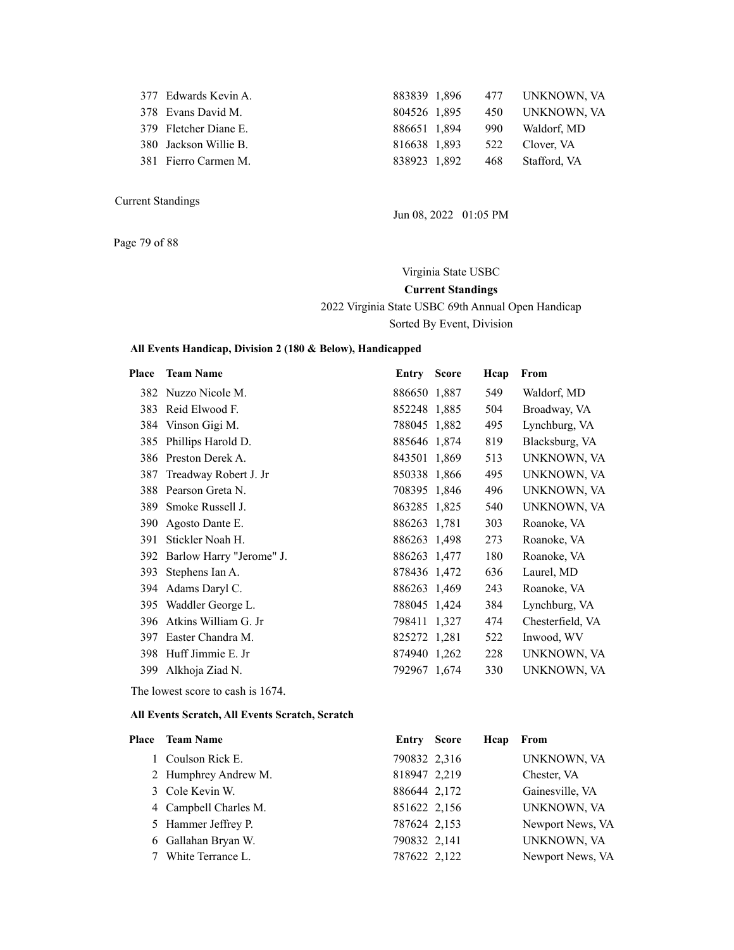| 377 Edwards Kevin A.  |  |              |                                                                                                                                    |
|-----------------------|--|--------------|------------------------------------------------------------------------------------------------------------------------------------|
| 378 Evans David M.    |  |              |                                                                                                                                    |
| 379 Fletcher Diane E. |  |              |                                                                                                                                    |
| 380 Jackson Willie B. |  |              |                                                                                                                                    |
| 381 Fierro Carmen M.  |  |              | Stafford, VA                                                                                                                       |
|                       |  | 838923 1.892 | 883839 1,896 477 UNKNOWN, VA<br>804526 1,895 450 UNKNOWN, VA<br>886651 1,894 990 Waldorf, MD<br>816638 1,893 522 Clover, VA<br>468 |

Page 79 of 88

Jun 08, 2022 01:05 PM

Virginia State USBC **Current Standings** 2022 Virginia State USBC 69th Annual Open Handicap Sorted By Event, Division

#### **All Events Handicap, Division 2 (180 & Below), Handicapped**

| Place | <b>Team Name</b>             | <b>Entry Score</b> | Hcap | From             |
|-------|------------------------------|--------------------|------|------------------|
|       | 382 Nuzzo Nicole M.          | 886650 1,887       | 549  | Waldorf, MD      |
|       | 383 Reid Elwood F.           | 852248 1,885       | 504  | Broadway, VA     |
|       | 384 Vinson Gigi M.           | 788045 1,882       | 495  | Lynchburg, VA    |
| 385   | Phillips Harold D.           | 885646 1,874       | 819  | Blacksburg, VA   |
|       | 386 Preston Derek A.         | 843501 1,869       | 513  | UNKNOWN, VA      |
|       | 387 Treadway Robert J. Jr    | 850338 1,866       | 495  | UNKNOWN, VA      |
|       | 388 Pearson Greta N.         | 708395 1,846       | 496  | UNKNOWN, VA      |
|       | 389 Smoke Russell J.         | 863285 1,825       | 540  | UNKNOWN, VA      |
|       | 390 Agosto Dante E.          | 886263 1,781       | 303  | Roanoke, VA      |
| 391   | Stickler Noah H.             | 886263 1,498       | 273  | Roanoke, VA      |
|       | 392 Barlow Harry "Jerome" J. | 886263 1,477       | 180  | Roanoke, VA      |
| 393   | Stephens Ian A.              | 878436 1,472       | 636  | Laurel, MD       |
| 394   | Adams Daryl C.               | 886263 1,469       | 243  | Roanoke, VA      |
| 395   | Waddler George L.            | 788045 1,424       | 384  | Lynchburg, VA    |
| 396   | Atkins William G. Jr         | 798411 1,327       | 474  | Chesterfield, VA |
| 397   | Easter Chandra M.            | 825272 1,281       | 522  | Inwood, WV       |
|       | 398 Huff Jimmie E. Jr        | 874940 1,262       | 228  | UNKNOWN, VA      |
| 399   | Alkhoja Ziad N.              | 792967 1,674       | 330  | UNKNOWN, VA      |
|       |                              |                    |      |                  |

The lowest score to cash is 1674.

| Place Team Name       | <b>Entry Score</b> | Heap | From             |
|-----------------------|--------------------|------|------------------|
| 1 Coulson Rick E.     | 790832 2,316       |      | UNKNOWN, VA      |
| 2 Humphrey Andrew M.  | 818947 2,219       |      | Chester, VA      |
| 3 Cole Kevin W.       | 886644 2,172       |      | Gainesville, VA  |
| 4 Campbell Charles M. | 851622 2,156       |      | UNKNOWN, VA      |
| 5 Hammer Jeffrey P.   | 787624 2,153       |      | Newport News, VA |
| 6 Gallahan Bryan W.   | 790832 2,141       |      | UNKNOWN, VA      |
| 7 White Terrance L.   | 787622 2,122       |      | Newport News, VA |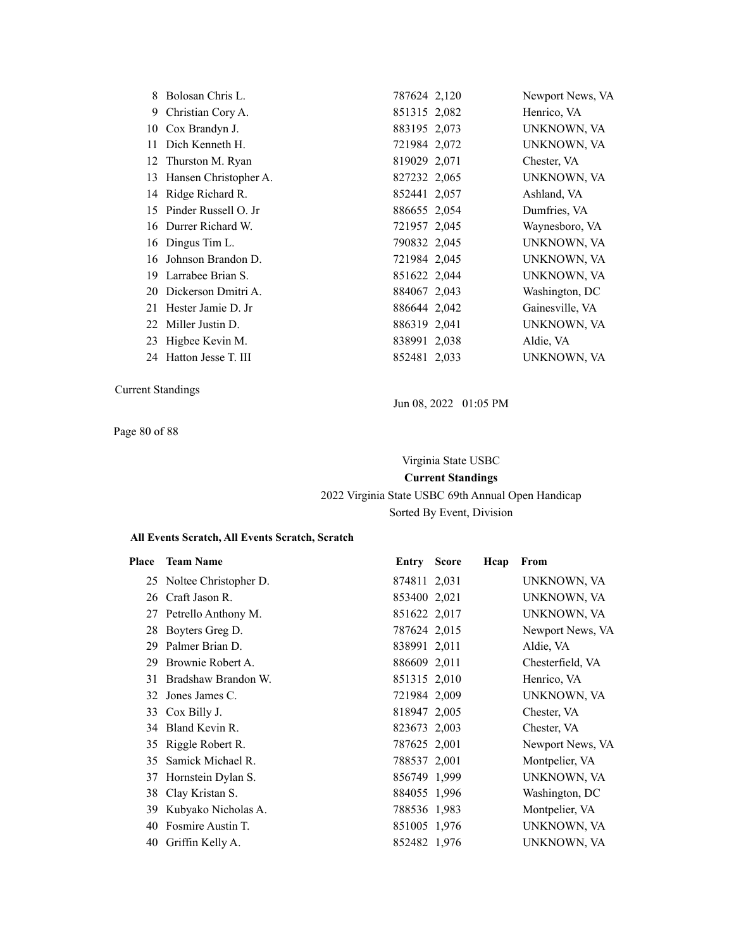| 8  | Bolosan Chris L.        | 787624 2,120 | Newport News, VA |
|----|-------------------------|--------------|------------------|
| 9. | Christian Cory A.       | 851315 2,082 | Henrico, VA      |
|    | 10 Cox Brandyn J.       | 883195 2,073 | UNKNOWN, VA      |
| 11 | Dich Kenneth H.         | 721984 2,072 | UNKNOWN, VA      |
|    | 12 Thurston M. Ryan     | 819029 2,071 | Chester, VA      |
| 13 | Hansen Christopher A.   | 827232 2,065 | UNKNOWN, VA      |
|    | 14 Ridge Richard R.     | 852441 2,057 | Ashland, VA      |
|    | 15 Pinder Russell O. Jr | 886655 2,054 | Dumfries, VA     |
|    | 16 Durrer Richard W.    | 721957 2,045 | Waynesboro, VA   |
|    | 16 Dingus Tim L.        | 790832 2,045 | UNKNOWN, VA      |
| 16 | Johnson Brandon D.      | 721984 2,045 | UNKNOWN, VA      |
|    | 19 Larrabee Brian S.    | 851622 2,044 | UNKNOWN, VA      |
|    | 20 Dickerson Dmitri A.  | 884067 2,043 | Washington, DC   |
| 21 | Hester Jamie D. Jr      | 886644 2,042 | Gainesville, VA  |
| 22 | Miller Justin D.        | 886319 2,041 | UNKNOWN, VA      |
| 23 | Higbee Kevin M.         | 838991 2,038 | Aldie, VA        |
|    | 24 Hatton Jesse T. III  | 852481 2,033 | UNKNOWN, VA      |

Page 80 of 88

Jun 08, 2022 01:05 PM

Virginia State USBC **Current Standings** 2022 Virginia State USBC 69th Annual Open Handicap Sorted By Event, Division

| Place | <b>Team Name</b>         | <b>Entry Score</b> | Hcap | From             |
|-------|--------------------------|--------------------|------|------------------|
|       | 25 Noltee Christopher D. | 874811 2,031       |      | UNKNOWN, VA      |
| 26    | Craft Jason R.           | 853400 2,021       |      | UNKNOWN, VA      |
|       | 27 Petrello Anthony M.   | 851622 2,017       |      | UNKNOWN, VA      |
| 28    | Boyters Greg D.          | 787624 2,015       |      | Newport News, VA |
| 29    | Palmer Brian D.          | 838991 2,011       |      | Aldie, VA        |
| 29    | Brownie Robert A.        | 886609 2,011       |      | Chesterfield, VA |
|       | 31 Bradshaw Brandon W.   | 851315 2,010       |      | Henrico, VA      |
|       | 32 Jones James C.        | 721984 2,009       |      | UNKNOWN, VA      |
|       | 33 Cox Billy J.          | 818947 2,005       |      | Chester, VA      |
|       | 34 Bland Kevin R.        | 823673 2,003       |      | Chester, VA      |
|       | 35 Riggle Robert R.      | 787625 2,001       |      | Newport News, VA |
| 35    | Samick Michael R.        | 788537 2,001       |      | Montpelier, VA   |
|       | 37 Hornstein Dylan S.    | 856749 1,999       |      | UNKNOWN, VA      |
| 38    | Clay Kristan S.          | 884055 1,996       |      | Washington, DC   |
| 39    | Kubyako Nicholas A.      | 788536 1,983       |      | Montpelier, VA   |
| 40    | Fosmire Austin T.        | 851005 1,976       |      | UNKNOWN, VA      |
| 40    | Griffin Kelly A.         | 852482 1,976       |      | UNKNOWN, VA      |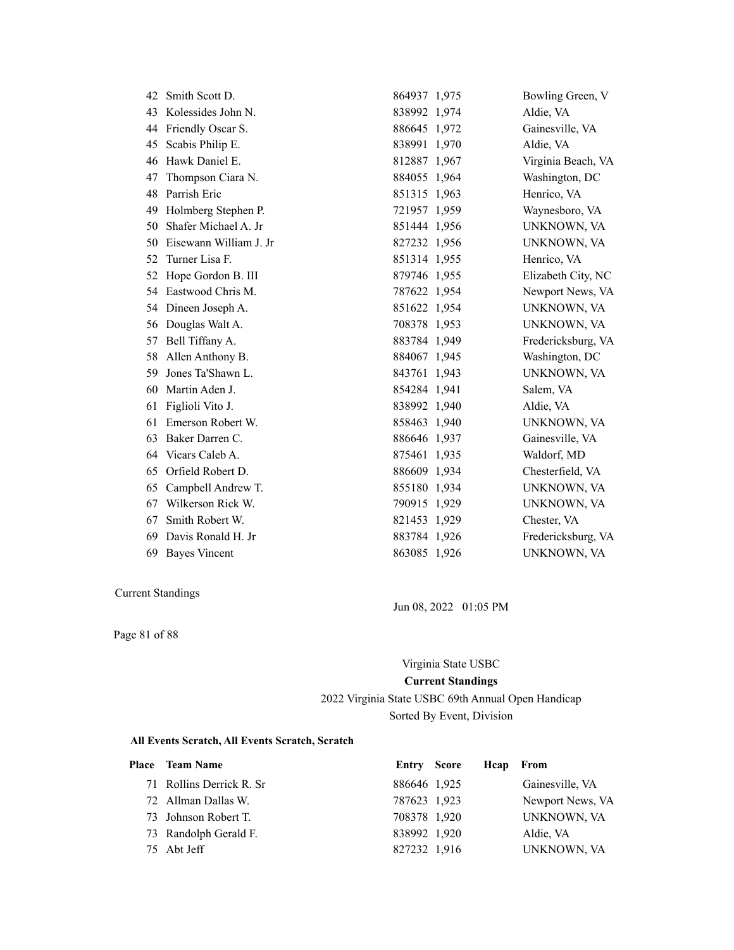| 42 | Smith Scott D.         | 864937 1,975 | Bowling Green, V   |
|----|------------------------|--------------|--------------------|
| 43 | Kolessides John N.     | 838992 1,974 | Aldie, VA          |
| 44 | Friendly Oscar S.      | 886645 1,972 | Gainesville, VA    |
| 45 | Scabis Philip E.       | 838991 1,970 | Aldie, VA          |
| 46 | Hawk Daniel E.         | 812887 1,967 | Virginia Beach, VA |
| 47 | Thompson Ciara N.      | 884055 1,964 | Washington, DC     |
| 48 | Parrish Eric           | 851315 1,963 | Henrico, VA        |
| 49 | Holmberg Stephen P.    | 721957 1,959 | Waynesboro, VA     |
| 50 | Shafer Michael A. Jr   | 851444 1,956 | UNKNOWN, VA        |
| 50 | Eisewann William J. Jr | 827232 1,956 | UNKNOWN, VA        |
| 52 | Turner Lisa F.         | 851314 1,955 | Henrico, VA        |
| 52 | Hope Gordon B. III     | 879746 1,955 | Elizabeth City, NC |
| 54 | Eastwood Chris M.      | 787622 1,954 | Newport News, VA   |
| 54 | Dineen Joseph A.       | 851622 1,954 | UNKNOWN, VA        |
| 56 | Douglas Walt A.        | 708378 1,953 | UNKNOWN, VA        |
| 57 | Bell Tiffany A.        | 883784 1,949 | Fredericksburg, VA |
| 58 | Allen Anthony B.       | 884067 1,945 | Washington, DC     |
| 59 | Jones Ta'Shawn L.      | 843761 1,943 | UNKNOWN, VA        |
| 60 | Martin Aden J.         | 854284 1,941 | Salem, VA          |
| 61 | Figlioli Vito J.       | 838992 1,940 | Aldie, VA          |
| 61 | Emerson Robert W.      | 858463 1,940 | UNKNOWN, VA        |
| 63 | Baker Darren C.        | 886646 1,937 | Gainesville, VA    |
| 64 | Vicars Caleb A.        | 875461 1,935 | Waldorf, MD        |
| 65 | Orfield Robert D.      | 886609 1,934 | Chesterfield, VA   |
| 65 | Campbell Andrew T.     | 855180 1,934 | UNKNOWN, VA        |
| 67 | Wilkerson Rick W.      | 790915 1,929 | UNKNOWN, VA        |
| 67 | Smith Robert W.        | 821453 1,929 | Chester, VA        |
| 69 | Davis Ronald H. Jr     | 883784 1,926 | Fredericksburg, VA |
|    | 69 Bayes Vincent       | 863085 1,926 | UNKNOWN, VA        |

Page 81 of 88

Jun 08, 2022 01:05 PM

# Virginia State USBC **Current Standings**

2022 Virginia State USBC 69th Annual Open Handicap Sorted By Event, Division

| Place Team Name          | Entry Score  | Heap From |                  |
|--------------------------|--------------|-----------|------------------|
| 71 Rollins Derrick R. Sr | 886646 1,925 |           | Gainesville, VA  |
| 72 Allman Dallas W.      | 787623 1,923 |           | Newport News, VA |
| 73 Johnson Robert T.     | 708378 1,920 |           | UNKNOWN, VA      |
| 73 Randolph Gerald F.    | 838992 1,920 |           | Aldie, VA        |
| 75 Abt Jeff              | 827232 1,916 |           | UNKNOWN, VA      |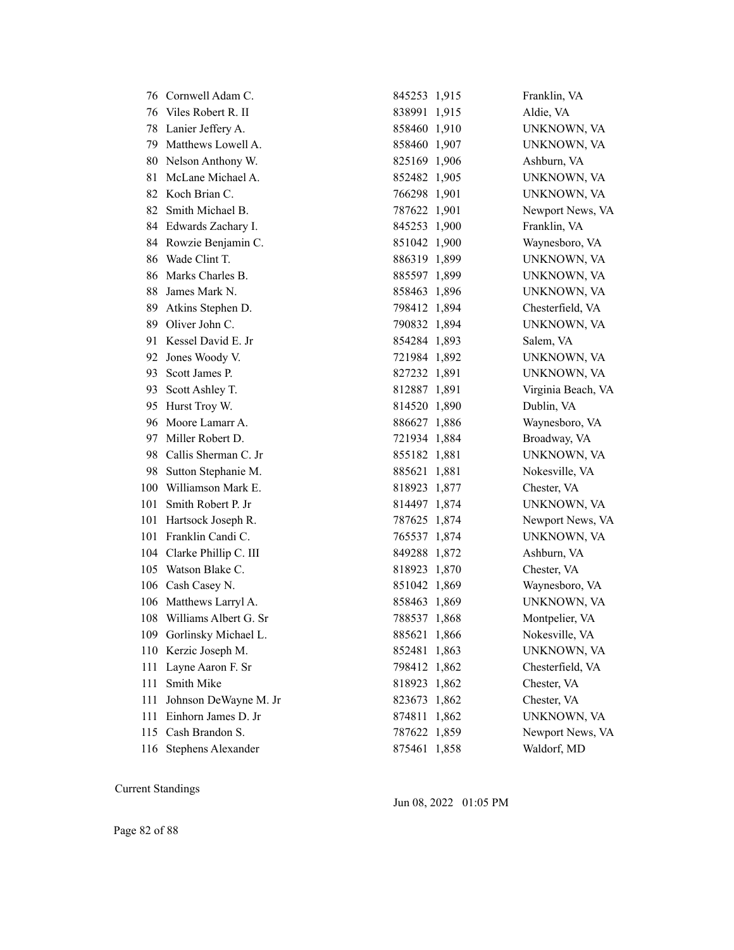|     | 76 Cornwell Adam C.       | 845253 1,915 |       | Franklin, VA       |
|-----|---------------------------|--------------|-------|--------------------|
| 76  | Viles Robert R. II        | 838991 1,915 |       | Aldie, VA          |
| 78  | Lanier Jeffery A.         | 858460 1,910 |       | UNKNOWN, VA        |
| 79  | Matthews Lowell A.        | 858460 1,907 |       | UNKNOWN, VA        |
| 80  | Nelson Anthony W.         | 825169 1,906 |       | Ashburn, VA        |
| 81  | McLane Michael A.         | 852482 1,905 |       | UNKNOWN, VA        |
|     | 82 Koch Brian C.          | 766298 1,901 |       | UNKNOWN, VA        |
| 82  | Smith Michael B.          | 787622 1,901 |       | Newport News, VA   |
|     | 84 Edwards Zachary I.     | 845253 1,900 |       | Franklin, VA       |
|     | 84 Rowzie Benjamin C.     | 851042 1,900 |       | Waynesboro, VA     |
| 86  | Wade Clint T.             | 886319 1,899 |       | UNKNOWN, VA        |
| 86  | Marks Charles B.          | 885597 1,899 |       | UNKNOWN, VA        |
| 88  | James Mark N.             | 858463 1,896 |       | UNKNOWN, VA        |
| 89  | Atkins Stephen D.         | 798412 1,894 |       | Chesterfield, VA   |
|     | 89 Oliver John C.         | 790832 1,894 |       | UNKNOWN, VA        |
| 91  | Kessel David E. Jr        | 854284 1,893 |       | Salem, VA          |
| 92  | Jones Woody V.            | 721984 1,892 |       | UNKNOWN, VA        |
| 93. | Scott James P.            | 827232 1,891 |       | UNKNOWN, VA        |
| 93  | Scott Ashley T.           | 812887 1,891 |       | Virginia Beach, VA |
| 95  | Hurst Troy W.             | 814520 1,890 |       | Dublin, VA         |
| 96  | Moore Lamarr A.           | 886627 1,886 |       | Waynesboro, VA     |
| 97  | Miller Robert D.          | 721934 1,884 |       | Broadway, VA       |
| 98  | Callis Sherman C. Jr      | 855182 1,881 |       | UNKNOWN, VA        |
| 98  | Sutton Stephanie M.       | 885621 1,881 |       | Nokesville, VA     |
| 100 | Williamson Mark E.        | 818923 1,877 |       | Chester, VA        |
| 101 | Smith Robert P. Jr        | 814497 1,874 |       | UNKNOWN, VA        |
| 101 | Hartsock Joseph R.        | 787625 1,874 |       | Newport News, VA   |
| 101 | Franklin Candi C.         | 765537 1,874 |       | UNKNOWN, VA        |
|     | 104 Clarke Phillip C. III | 849288 1,872 |       | Ashburn, VA        |
| 105 | Watson Blake C.           | 818923 1,870 |       | Chester, VA        |
|     | 106 Cash Casey N.         | 851042 1,869 |       | Waynesboro, VA     |
| 106 | Matthews Larryl A.        | 858463 1,869 |       | UNKNOWN, VA        |
|     | 108 Williams Albert G. Sr | 788537 1,868 |       | Montpelier, VA     |
|     | 109 Gorlinsky Michael L.  | 885621 1,866 |       | Nokesville, VA     |
| 110 | Kerzic Joseph M.          | 852481       | 1,863 | UNKNOWN, VA        |
| 111 | Layne Aaron F. Sr         | 798412 1,862 |       | Chesterfield, VA   |
| 111 | Smith Mike                | 818923 1,862 |       | Chester, VA        |
| 111 | Johnson DeWayne M. Jr     | 823673 1,862 |       | Chester, VA        |
| 111 | Einhorn James D. Jr       | 874811       | 1,862 | UNKNOWN, VA        |
| 115 | Cash Brandon S.           | 787622 1,859 |       | Newport News, VA   |
|     | 116 Stephens Alexander    | 875461 1,858 |       | Waldorf, MD        |

Jun 08, 2022 01:05 PM

Page 82 of 88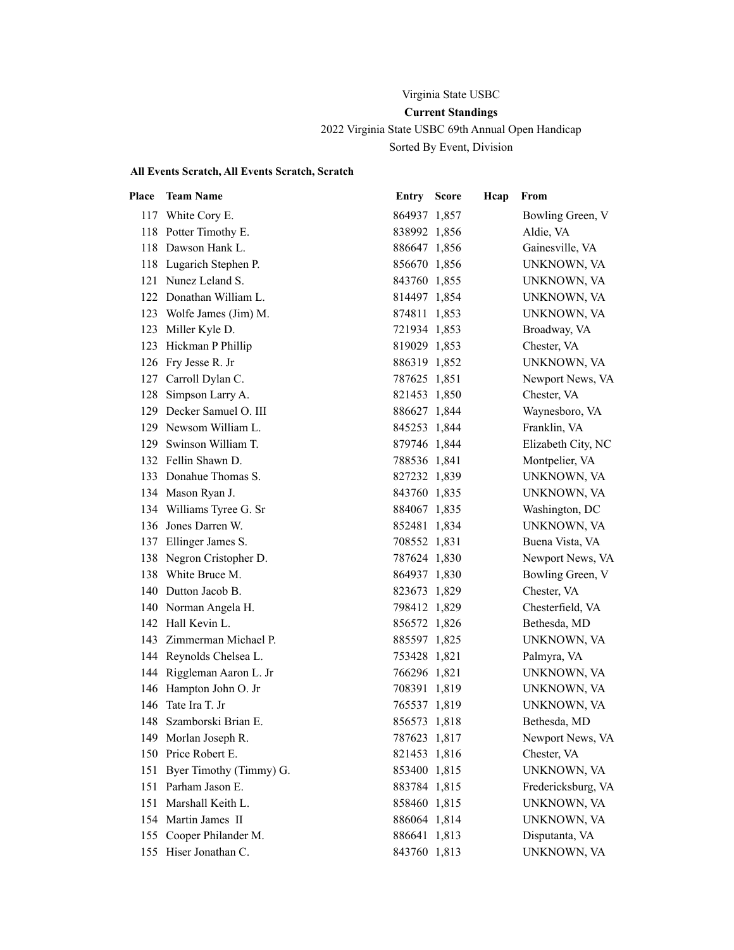# Virginia State USBC **Current Standings** 2022 Virginia State USBC 69th Annual Open Handicap Sorted By Event, Division

| Place | <b>Team Name</b>          | <b>Entry Score</b> | Hcap | From               |
|-------|---------------------------|--------------------|------|--------------------|
|       | 117 White Cory E.         | 864937 1,857       |      | Bowling Green, V   |
|       | 118 Potter Timothy E.     | 838992 1,856       |      | Aldie, VA          |
|       | 118 Dawson Hank L.        | 886647 1,856       |      | Gainesville, VA    |
|       | 118 Lugarich Stephen P.   | 856670 1,856       |      | UNKNOWN, VA        |
|       | 121 Nunez Leland S.       | 843760 1,855       |      | UNKNOWN, VA        |
|       | 122 Donathan William L.   | 814497 1,854       |      | UNKNOWN, VA        |
|       | 123 Wolfe James (Jim) M.  | 874811 1,853       |      | UNKNOWN, VA        |
|       | 123 Miller Kyle D.        | 721934 1,853       |      | Broadway, VA       |
|       | 123 Hickman P Phillip     | 819029 1,853       |      | Chester, VA        |
|       | 126 Fry Jesse R. Jr       | 886319 1,852       |      | UNKNOWN, VA        |
| 127   | Carroll Dylan C.          | 787625 1,851       |      | Newport News, VA   |
|       | 128 Simpson Larry A.      | 821453 1,850       |      | Chester, VA        |
|       | 129 Decker Samuel O. III  | 886627 1,844       |      | Waynesboro, VA     |
|       | 129 Newsom William L.     | 845253 1,844       |      | Franklin, VA       |
| 129   | Swinson William T.        | 879746 1,844       |      | Elizabeth City, NC |
|       | 132 Fellin Shawn D.       | 788536 1,841       |      | Montpelier, VA     |
|       | 133 Donahue Thomas S.     | 827232 1,839       |      | UNKNOWN, VA        |
|       | 134 Mason Ryan J.         | 843760 1,835       |      | UNKNOWN, VA        |
|       | 134 Williams Tyree G. Sr  | 884067 1,835       |      | Washington, DC     |
|       | 136 Jones Darren W.       | 852481 1,834       |      | UNKNOWN, VA        |
|       | 137 Ellinger James S.     | 708552 1,831       |      | Buena Vista, VA    |
|       | 138 Negron Cristopher D.  | 787624 1,830       |      | Newport News, VA   |
|       | 138 White Bruce M.        | 864937 1,830       |      | Bowling Green, V   |
|       | 140 Dutton Jacob B.       | 823673 1,829       |      | Chester, VA        |
|       | 140 Norman Angela H.      | 798412 1,829       |      | Chesterfield, VA   |
|       | 142 Hall Kevin L.         | 856572 1,826       |      | Bethesda, MD       |
|       | 143 Zimmerman Michael P.  | 885597 1,825       |      | UNKNOWN, VA        |
|       | 144 Reynolds Chelsea L.   | 753428 1,821       |      | Palmyra, VA        |
|       | 144 Riggleman Aaron L. Jr | 766296 1,821       |      | UNKNOWN, VA        |
|       | 146 Hampton John O. Jr    | 708391 1,819       |      | UNKNOWN, VA        |
|       | 146 Tate Ira T. Jr        | 765537 1,819       |      | UNKNOWN, VA        |
|       | 148 Szamborski Brian E.   | 856573 1,818       |      | Bethesda, MD       |
|       | 149 Morlan Joseph R.      | 787623 1,817       |      | Newport News, VA   |
| 150   | Price Robert E.           | 821453 1,816       |      | Chester, VA        |
| 151   | Byer Timothy (Timmy) G.   | 853400 1,815       |      | UNKNOWN, VA        |
|       | 151 Parham Jason E.       | 883784 1,815       |      | Fredericksburg, VA |
| 151   | Marshall Keith L.         | 858460 1,815       |      | UNKNOWN, VA        |
|       | 154 Martin James II       | 886064 1,814       |      | UNKNOWN, VA        |
|       | 155 Cooper Philander M.   | 886641 1,813       |      | Disputanta, VA     |
|       | 155 Hiser Jonathan C.     | 843760 1,813       |      | UNKNOWN, VA        |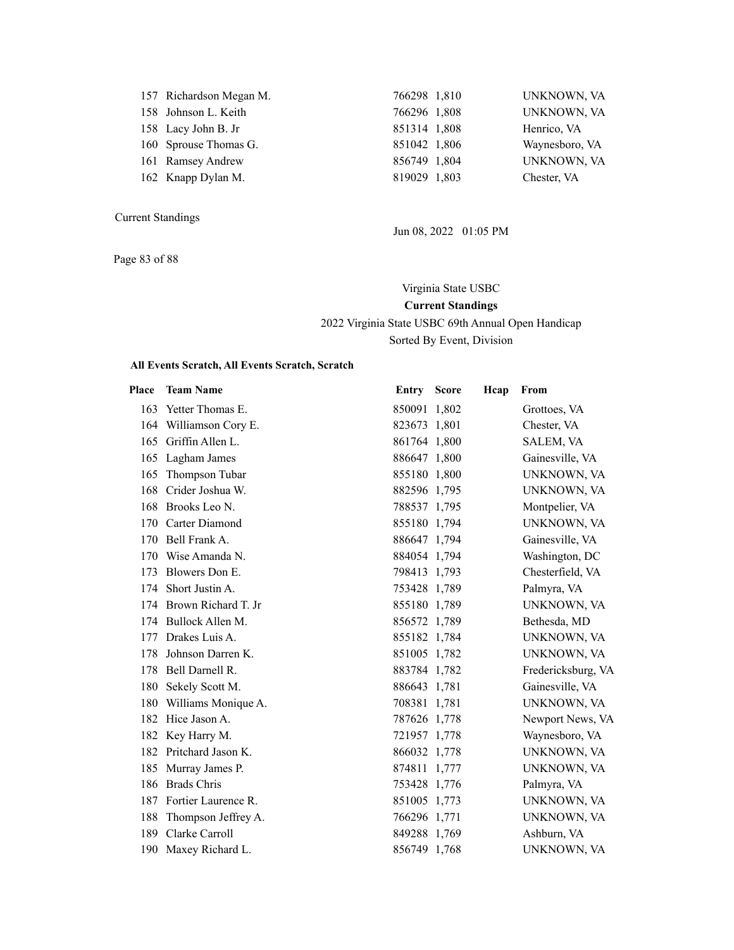| 157 Richardson Megan M. | 766298 1,810 | UNKNOWN, VA    |
|-------------------------|--------------|----------------|
| 158 Johnson L. Keith    | 766296 1,808 | UNKNOWN, VA    |
| 158 Lacy John B. Jr     | 851314 1,808 | Henrico, VA    |
| 160 Sprouse Thomas G.   | 851042 1,806 | Waynesboro, VA |
| 161 Ramsey Andrew       | 856749 1,804 | UNKNOWN, VA    |
| 162 Knapp Dylan M.      | 819029 1,803 | Chester, VA    |
|                         |              |                |

Page 83 of 88

Jun 08, 2022 01:05 PM

Virginia State USBC **Current Standings** 2022 Virginia State USBC 69th Annual Open Handicap Sorted By Event, Division

| Place | <b>Team Name</b>        | <b>Entry Score</b> | Hcap | From               |
|-------|-------------------------|--------------------|------|--------------------|
|       | 163 Yetter Thomas E.    | 850091 1,802       |      | Grottoes, VA       |
|       | 164 Williamson Cory E.  | 823673 1,801       |      | Chester, VA        |
|       | 165 Griffin Allen L.    | 861764 1,800       |      | <b>SALEM, VA</b>   |
|       | 165 Lagham James        | 886647 1,800       |      | Gainesville, VA    |
| 165   | Thompson Tubar          | 855180 1,800       |      | UNKNOWN, VA        |
| 168   | Crider Joshua W.        | 882596 1,795       |      | UNKNOWN, VA        |
| 168   | Brooks Leo N.           | 788537 1,795       |      | Montpelier, VA     |
| 170   | Carter Diamond          | 855180 1,794       |      | UNKNOWN, VA        |
| 170   | Bell Frank A.           | 886647 1,794       |      | Gainesville, VA    |
| 170   | Wise Amanda N.          | 884054 1,794       |      | Washington, DC     |
| 173   | Blowers Don E.          | 798413 1,793       |      | Chesterfield, VA   |
| 174   | Short Justin A.         | 753428 1,789       |      | Palmyra, VA        |
|       | 174 Brown Richard T. Jr | 855180 1,789       |      | UNKNOWN, VA        |
|       | 174 Bullock Allen M.    | 856572 1,789       |      | Bethesda, MD       |
| 177   | Drakes Luis A.          | 855182 1,784       |      | UNKNOWN, VA        |
| 178   | Johnson Darren K.       | 851005 1,782       |      | UNKNOWN, VA        |
| 178   | Bell Darnell R.         | 883784 1,782       |      | Fredericksburg, VA |
|       | 180 Sekely Scott M.     | 886643 1,781       |      | Gainesville, VA    |
|       | 180 Williams Monique A. | 708381 1,781       |      | UNKNOWN, VA        |
|       | 182 Hice Jason A.       | 787626 1,778       |      | Newport News, VA   |
|       | 182 Key Harry M.        | 721957 1,778       |      | Waynesboro, VA     |
|       | 182 Pritchard Jason K.  | 866032 1,778       |      | UNKNOWN, VA        |
|       | 185 Murray James P.     | 874811 1,777       |      | UNKNOWN, VA        |
|       | 186 Brads Chris         | 753428 1,776       |      | Palmyra, VA        |
|       | 187 Fortier Laurence R. | 851005 1,773       |      | UNKNOWN, VA        |
| 188   | Thompson Jeffrey A.     | 766296 1,771       |      | UNKNOWN, VA        |
|       | 189 Clarke Carroll      | 849288 1,769       |      | Ashburn, VA        |
|       | 190 Maxey Richard L.    | 856749 1,768       |      | UNKNOWN, VA        |
|       |                         |                    |      |                    |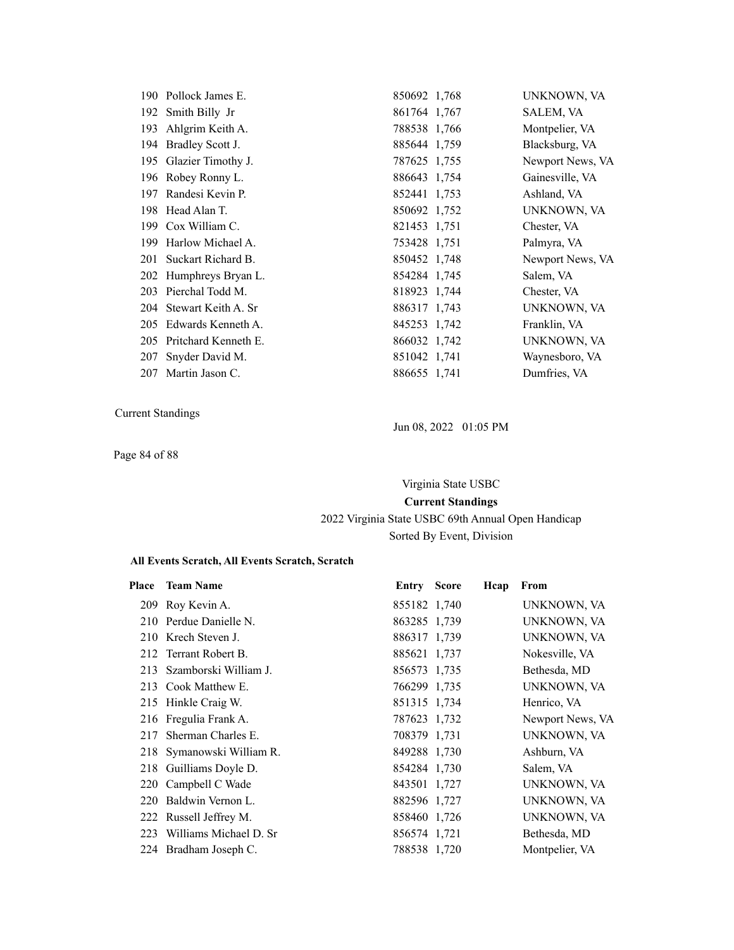|     | 190 Pollock James E.    | 850692 1,768 | UNKNOWN, VA      |
|-----|-------------------------|--------------|------------------|
|     | 192 Smith Billy Jr      | 861764 1,767 | SALEM, VA        |
| 193 | Ahlgrim Keith A.        | 788538 1,766 | Montpelier, VA   |
|     | 194 Bradley Scott J.    | 885644 1,759 | Blacksburg, VA   |
|     | 195 Glazier Timothy J.  | 787625 1,755 | Newport News, VA |
|     | 196 Robey Ronny L.      | 886643 1,754 | Gainesville, VA  |
| 197 | Randesi Kevin P.        | 852441 1,753 | Ashland, VA      |
|     | 198 Head Alan T.        | 850692 1,752 | UNKNOWN, VA      |
|     | 199 Cox William C.      | 821453 1,751 | Chester, VA      |
|     | 199 Harlow Michael A.   | 753428 1,751 | Palmyra, VA      |
|     | 201 Suckart Richard B.  | 850452 1,748 | Newport News, VA |
|     | 202 Humphreys Bryan L.  | 854284 1,745 | Salem, VA        |
|     | 203 Pierchal Todd M.    | 818923 1,744 | Chester, VA      |
|     | 204 Stewart Keith A. Sr | 886317 1,743 | UNKNOWN, VA      |
| 205 | Edwards Kenneth A.      | 845253 1,742 | Franklin, VA     |
| 205 | Pritchard Kenneth E.    | 866032 1,742 | UNKNOWN, VA      |
| 207 | Snyder David M.         | 851042 1,741 | Waynesboro, VA   |
|     | 207 Martin Jason C.     | 886655 1,741 | Dumfries, VA     |

Page 84 of 88

Jun 08, 2022 01:05 PM

Virginia State USBC **Current Standings** 2022 Virginia State USBC 69th Annual Open Handicap Sorted By Event, Division

| Place      | <b>Team Name</b>          | <b>Entry Score</b> | Hcap | From             |
|------------|---------------------------|--------------------|------|------------------|
|            | 209 Roy Kevin A.          | 855182 1,740       |      | UNKNOWN, VA      |
|            | 210 Perdue Danielle N.    | 863285 1.739       |      | UNKNOWN, VA      |
|            | 210 Krech Steven J.       | 886317 1,739       |      | UNKNOWN, VA      |
|            | 212 Terrant Robert B.     | 885621 1,737       |      | Nokesville, VA   |
| 213        | Szamborski William J.     | 856573 1,735       |      | Bethesda, MD     |
|            | 213 Cook Matthew E.       | 766299 1,735       |      | UNKNOWN, VA      |
|            | 215 Hinkle Craig W.       | 851315 1,734       |      | Henrico, VA      |
|            | 216 Fregulia Frank A.     | 787623 1,732       |      | Newport News, VA |
| 217        | Sherman Charles E.        | 708379 1,731       |      | UNKNOWN, VA      |
|            | 218 Symanowski William R. | 849288 1,730       |      | Ashburn, VA      |
|            | 218 Guilliams Doyle D.    | 854284 1,730       |      | Salem, VA        |
|            | 220 Campbell C Wade       | 843501 1,727       |      | UNKNOWN, VA      |
| <b>220</b> | Baldwin Vernon L.         | 882596 1,727       |      | UNKNOWN, VA      |
|            | 222 Russell Jeffrey M.    | 858460 1,726       |      | UNKNOWN, VA      |
| 223        | Williams Michael D. Sr    | 856574 1,721       |      | Bethesda, MD     |
|            | 224 Bradham Joseph C.     | 788538 1,720       |      | Montpelier, VA   |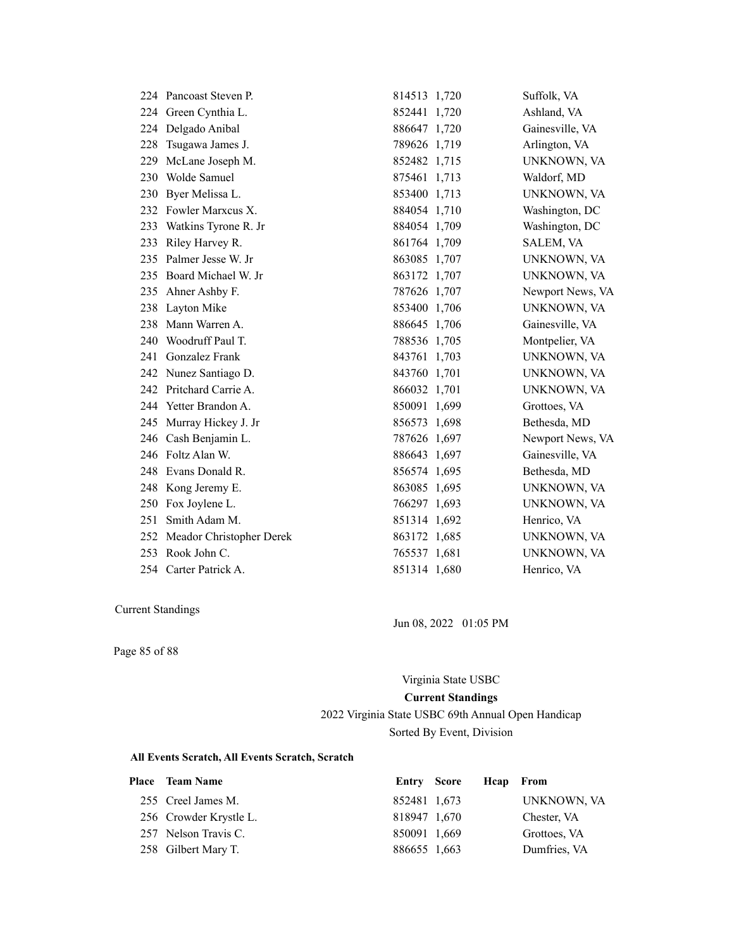|     | 224 Pancoast Steven P.       | 814513 1,720 | Suffolk, VA      |
|-----|------------------------------|--------------|------------------|
|     | 224 Green Cynthia L.         | 852441 1,720 | Ashland, VA      |
|     | 224 Delgado Anibal           | 886647 1,720 | Gainesville, VA  |
| 228 | Tsugawa James J.             | 789626 1,719 | Arlington, VA    |
| 229 | McLane Joseph M.             | 852482 1,715 | UNKNOWN, VA      |
|     | 230 Wolde Samuel             | 875461 1,713 | Waldorf, MD      |
| 230 | Byer Melissa L.              | 853400 1,713 | UNKNOWN, VA      |
|     | 232 Fowler Marxcus X.        | 884054 1,710 | Washington, DC   |
|     | 233 Watkins Tyrone R. Jr     | 884054 1,709 | Washington, DC   |
|     | 233 Riley Harvey R.          | 861764 1,709 | SALEM, VA        |
|     | 235 Palmer Jesse W. Jr       | 863085 1,707 | UNKNOWN, VA      |
|     | 235 Board Michael W. Jr      | 863172 1,707 | UNKNOWN, VA      |
|     | 235 Ahner Ashby F.           | 787626 1,707 | Newport News, VA |
|     | 238 Layton Mike              | 853400 1,706 | UNKNOWN, VA      |
| 238 | Mann Warren A.               | 886645 1,706 | Gainesville, VA  |
| 240 | Woodruff Paul T.             | 788536 1,705 | Montpelier, VA   |
| 241 | Gonzalez Frank               | 843761 1,703 | UNKNOWN, VA      |
|     | 242 Nunez Santiago D.        | 843760 1,701 | UNKNOWN, VA      |
|     | 242 Pritchard Carrie A.      | 866032 1,701 | UNKNOWN, VA      |
|     | 244 Yetter Brandon A.        | 850091 1,699 | Grottoes, VA     |
|     | 245 Murray Hickey J. Jr      | 856573 1,698 | Bethesda, MD     |
|     | 246 Cash Benjamin L.         | 787626 1,697 | Newport News, VA |
|     | 246 Foltz Alan W.            | 886643 1,697 | Gainesville, VA  |
| 248 | Evans Donald R.              | 856574 1,695 | Bethesda, MD     |
|     | 248 Kong Jeremy E.           | 863085 1,695 | UNKNOWN, VA      |
|     | 250 Fox Joylene L.           | 766297 1,693 | UNKNOWN, VA      |
| 251 | Smith Adam M.                | 851314 1,692 | Henrico, VA      |
|     | 252 Meador Christopher Derek | 863172 1,685 | UNKNOWN, VA      |
|     | 253 Rook John C.             | 765537 1,681 | UNKNOWN, VA      |
|     | 254 Carter Patrick A.        | 851314 1,680 | Henrico, VA      |

Jun 08, 2022 01:05 PM

Page 85 of 88

Virginia State USBC

#### **Current Standings**

2022 Virginia State USBC 69th Annual Open Handicap Sorted By Event, Division

| <b>Place</b> Team Name | Entry Score  | Heap From |              |
|------------------------|--------------|-----------|--------------|
| 255 Creel James M.     | 852481 1,673 |           | UNKNOWN, VA  |
| 256 Crowder Krystle L. | 818947 1,670 |           | Chester, VA  |
| 257 Nelson Travis C.   | 850091 1,669 |           | Grottoes, VA |
| 258 Gilbert Mary T.    | 886655 1,663 |           | Dumfries, VA |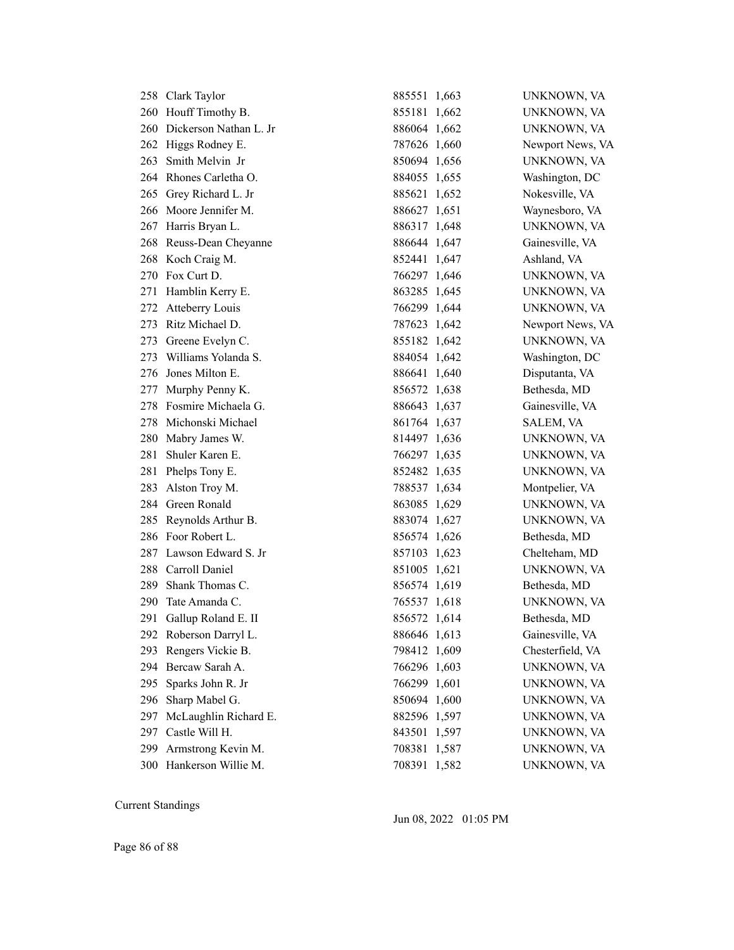|     | 258 Clark Taylor           | 885551 1,663 | UNKNOWN, VA      |
|-----|----------------------------|--------------|------------------|
|     | 260 Houff Timothy B.       | 855181 1,662 | UNKNOWN, VA      |
|     | 260 Dickerson Nathan L. Jr | 886064 1,662 | UNKNOWN, VA      |
|     | 262 Higgs Rodney E.        | 787626 1,660 | Newport News, VA |
|     | 263 Smith Melvin Jr        | 850694 1,656 | UNKNOWN, VA      |
|     | 264 Rhones Carletha O.     | 884055 1,655 | Washington, DC   |
|     | 265 Grey Richard L. Jr     | 885621 1,652 | Nokesville, VA   |
|     | 266 Moore Jennifer M.      | 886627 1,651 | Waynesboro, VA   |
|     | 267 Harris Bryan L.        | 886317 1,648 | UNKNOWN, VA      |
|     | 268 Reuss-Dean Cheyanne    | 886644 1,647 | Gainesville, VA  |
|     | 268 Koch Craig M.          | 852441 1,647 | Ashland, VA      |
|     | 270 Fox Curt D.            | 766297 1,646 | UNKNOWN, VA      |
|     | 271 Hamblin Kerry E.       | 863285 1,645 | UNKNOWN, VA      |
|     | 272 Atteberry Louis        | 766299 1,644 | UNKNOWN, VA      |
|     | 273 Ritz Michael D.        | 787623 1,642 | Newport News, VA |
|     | 273 Greene Evelyn C.       | 855182 1,642 | UNKNOWN, VA      |
|     | 273 Williams Yolanda S.    | 884054 1,642 | Washington, DC   |
|     | 276 Jones Milton E.        | 886641 1,640 | Disputanta, VA   |
|     | 277 Murphy Penny K.        | 856572 1,638 | Bethesda, MD     |
|     | 278 Fosmire Michaela G.    | 886643 1,637 | Gainesville, VA  |
|     | 278 Michonski Michael      | 861764 1,637 | SALEM, VA        |
|     | 280 Mabry James W.         | 814497 1,636 | UNKNOWN, VA      |
|     | 281 Shuler Karen E.        | 766297 1,635 | UNKNOWN, VA      |
| 281 | Phelps Tony E.             | 852482 1,635 | UNKNOWN, VA      |
| 283 | Alston Troy M.             | 788537 1,634 | Montpelier, VA   |
|     | 284 Green Ronald           | 863085 1,629 | UNKNOWN, VA      |
|     | 285 Reynolds Arthur B.     | 883074 1,627 | UNKNOWN, VA      |
|     | 286 Foor Robert L.         | 856574 1,626 | Bethesda, MD     |
|     | 287 Lawson Edward S. Jr    | 857103 1,623 | Chelteham, MD    |
|     | 288 Carroll Daniel         | 851005 1,621 | UNKNOWN, VA      |
|     | 289 Shank Thomas C.        | 856574 1,619 | Bethesda, MD     |
|     | 290 Tate Amanda C.         | 765537 1,618 | UNKNOWN, VA      |
|     | 291 Gallup Roland E. II    | 856572 1,614 | Bethesda, MD     |
|     | 292 Roberson Darryl L.     | 886646 1,613 | Gainesville, VA  |
| 293 | Rengers Vickie B.          | 798412 1,609 | Chesterfield, VA |
| 294 | Bercaw Sarah A.            | 766296 1,603 | UNKNOWN, VA      |
| 295 | Sparks John R. Jr          | 766299 1,601 | UNKNOWN, VA      |
| 296 | Sharp Mabel G.             | 850694 1,600 | UNKNOWN, VA      |
| 297 | McLaughlin Richard E.      | 882596 1,597 | UNKNOWN, VA      |
| 297 | Castle Will H.             | 843501 1,597 | UNKNOWN, VA      |
| 299 | Armstrong Kevin M.         | 708381 1,587 | UNKNOWN, VA      |
|     | 300 Hankerson Willie M.    | 708391 1,582 | UNKNOWN, VA      |

Jun 08, 2022 01:05 PM

Page 86 of 88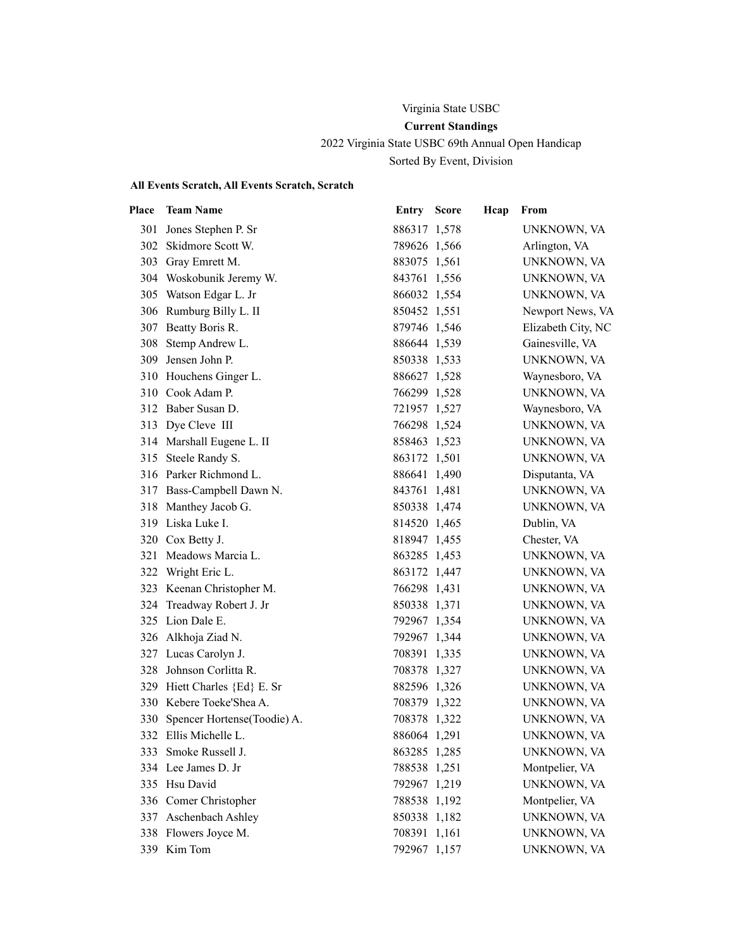## Virginia State USBC **Current Standings**

2022 Virginia State USBC 69th Annual Open Handicap Sorted By Event, Division

## **All Events Scratch, All Events Scratch, Scratch**

| Place | <b>Team Name</b>                | <b>Entry Score</b> | Hcap | From               |
|-------|---------------------------------|--------------------|------|--------------------|
|       | 301 Jones Stephen P. Sr         | 886317 1,578       |      | UNKNOWN, VA        |
|       | 302 Skidmore Scott W.           | 789626 1,566       |      | Arlington, VA      |
|       | 303 Gray Emrett M.              | 883075 1,561       |      | UNKNOWN, VA        |
|       | 304 Woskobunik Jeremy W.        | 843761 1,556       |      | UNKNOWN, VA        |
|       | 305 Watson Edgar L. Jr          | 866032 1,554       |      | UNKNOWN, VA        |
|       | 306 Rumburg Billy L. II         | 850452 1,551       |      | Newport News, VA   |
|       | 307 Beatty Boris R.             | 879746 1,546       |      | Elizabeth City, NC |
|       | 308 Stemp Andrew L.             | 886644 1,539       |      | Gainesville, VA    |
|       | 309 Jensen John P.              | 850338 1,533       |      | UNKNOWN, VA        |
|       | 310 Houchens Ginger L.          | 886627 1,528       |      | Waynesboro, VA     |
|       | 310 Cook Adam P.                | 766299 1,528       |      | UNKNOWN, VA        |
|       | 312 Baber Susan D.              | 721957 1,527       |      | Waynesboro, VA     |
|       | 313 Dye Cleve III               | 766298 1,524       |      | UNKNOWN, VA        |
|       | 314 Marshall Eugene L. II       | 858463 1,523       |      | UNKNOWN, VA        |
|       | 315 Steele Randy S.             | 863172 1,501       |      | UNKNOWN, VA        |
|       | 316 Parker Richmond L.          | 886641 1,490       |      | Disputanta, VA     |
|       | 317 Bass-Campbell Dawn N.       | 843761 1,481       |      | UNKNOWN, VA        |
|       | 318 Manthey Jacob G.            | 850338 1,474       |      | UNKNOWN, VA        |
|       | 319 Liska Luke I.               | 814520 1,465       |      | Dublin, VA         |
|       | 320 Cox Betty J.                | 818947 1,455       |      | Chester, VA        |
|       | 321 Meadows Marcia L.           | 863285 1,453       |      | UNKNOWN, VA        |
|       | 322 Wright Eric L.              | 863172 1,447       |      | UNKNOWN, VA        |
|       | 323 Keenan Christopher M.       | 766298 1,431       |      | UNKNOWN, VA        |
|       | 324 Treadway Robert J. Jr       | 850338 1,371       |      | UNKNOWN, VA        |
|       | 325 Lion Dale E.                | 792967 1,354       |      | UNKNOWN, VA        |
|       | 326 Alkhoja Ziad N.             | 792967 1,344       |      | UNKNOWN, VA        |
|       | 327 Lucas Carolyn J.            | 708391 1,335       |      | UNKNOWN, VA        |
|       | 328 Johnson Corlitta R.         | 708378 1,327       |      | UNKNOWN, VA        |
|       | 329 Hiett Charles {Ed} E. Sr    | 882596 1,326       |      | UNKNOWN, VA        |
|       | 330 Kebere Toeke'Shea A.        | 708379 1,322       |      | UNKNOWN, VA        |
|       | 330 Spencer Hortense(Toodie) A. | 708378 1,322       |      | UNKNOWN, VA        |
|       | 332 Ellis Michelle L.           | 886064 1,291       |      | UNKNOWN, VA        |
| 333   | Smoke Russell J.                | 863285 1,285       |      | UNKNOWN, VA        |
|       | 334 Lee James D. Jr             | 788538 1,251       |      | Montpelier, VA     |
| 335   | Hsu David                       | 792967 1,219       |      | UNKNOWN, VA        |
|       | 336 Comer Christopher           | 788538 1,192       |      | Montpelier, VA     |
|       | 337 Aschenbach Ashley           | 850338 1,182       |      | UNKNOWN, VA        |
|       | 338 Flowers Joyce M.            | 708391 1,161       |      | UNKNOWN, VA        |
|       | 339 Kim Tom                     | 792967 1,157       |      | UNKNOWN, VA        |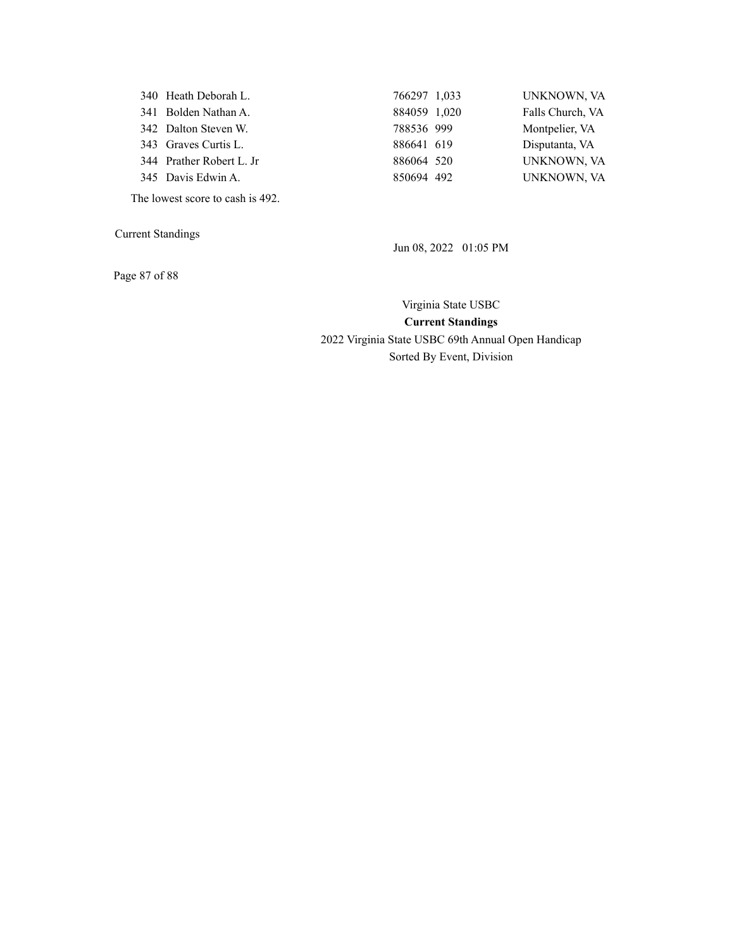| 340 Heath Deborah L.     | 766297 1,033 | UNKNOWN, VA      |
|--------------------------|--------------|------------------|
| 341 Bolden Nathan A.     | 884059 1,020 | Falls Church, VA |
| 342 Dalton Steven W.     | 788536 999   | Montpelier, VA   |
| 343 Graves Curtis L.     | 886641 619   | Disputanta, VA   |
| 344 Prather Robert L. Jr | 886064 520   | UNKNOWN, VA      |
| 345 Davis Edwin A.       | 850694 492   | UNKNOWN, VA      |

The lowest score to cash is 492.

Current Standings

Jun 08, 2022 01:05 PM

Page 87 of 88

Virginia State USBC **Current Standings** 2022 Virginia State USBC 69th Annual Open Handicap Sorted By Event, Division